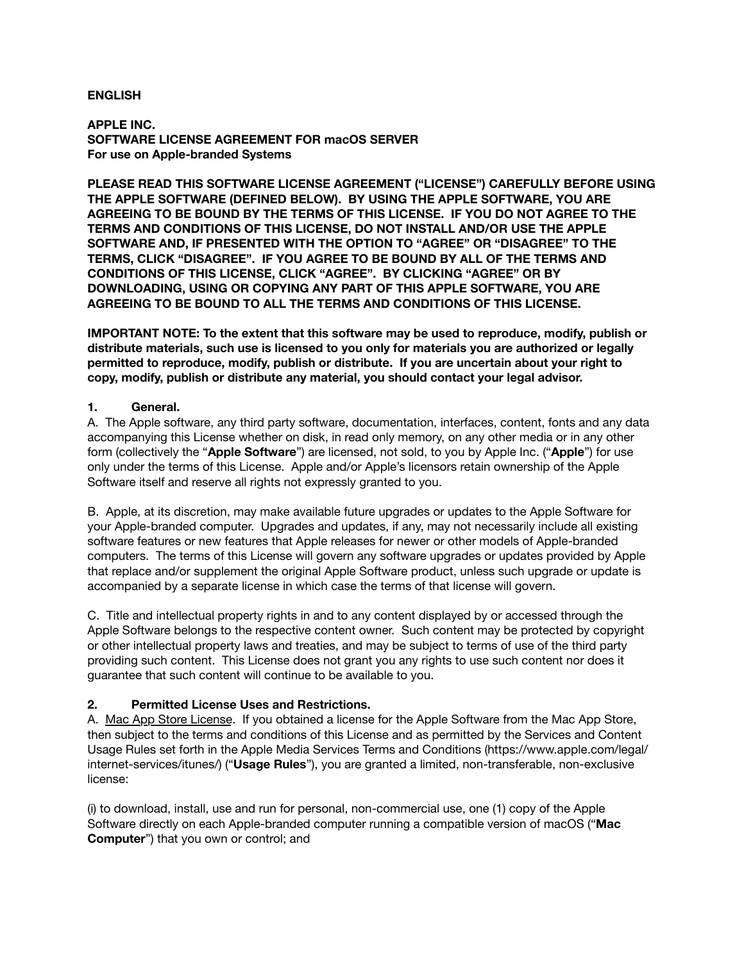### **ENGLISH**

**APPLE INC. SOFTWARE LICENSE AGREEMENT FOR macOS SERVER For use on Apple-branded Systems**

**PLEASE READ THIS SOFTWARE LICENSE AGREEMENT ("LICENSE") CAREFULLY BEFORE USING THE APPLE SOFTWARE (DEFINED BELOW). BY USING THE APPLE SOFTWARE, YOU ARE AGREEING TO BE BOUND BY THE TERMS OF THIS LICENSE. IF YOU DO NOT AGREE TO THE TERMS AND CONDITIONS OF THIS LICENSE, DO NOT INSTALL AND/OR USE THE APPLE SOFTWARE AND, IF PRESENTED WITH THE OPTION TO "AGREE" OR "DISAGREE" TO THE TERMS, CLICK "DISAGREE". IF YOU AGREE TO BE BOUND BY ALL OF THE TERMS AND CONDITIONS OF THIS LICENSE, CLICK "AGREE". BY CLICKING "AGREE" OR BY DOWNLOADING, USING OR COPYING ANY PART OF THIS APPLE SOFTWARE, YOU ARE AGREEING TO BE BOUND TO ALL THE TERMS AND CONDITIONS OF THIS LICENSE.**

**IMPORTANT NOTE: To the extent that this software may be used to reproduce, modify, publish or distribute materials, such use is licensed to you only for materials you are authorized or legally permitted to reproduce, modify, publish or distribute. If you are uncertain about your right to copy, modify, publish or distribute any material, you should contact your legal advisor.**

### **1. General.**

A. The Apple software, any third party software, documentation, interfaces, content, fonts and any data accompanying this License whether on disk, in read only memory, on any other media or in any other form (collectively the "**Apple Software**") are licensed, not sold, to you by Apple Inc. ("**Apple**") for use only under the terms of this License. Apple and/or Apple's licensors retain ownership of the Apple Software itself and reserve all rights not expressly granted to you.

B. Apple, at its discretion, may make available future upgrades or updates to the Apple Software for your Apple-branded computer. Upgrades and updates, if any, may not necessarily include all existing software features or new features that Apple releases for newer or other models of Apple-branded computers. The terms of this License will govern any software upgrades or updates provided by Apple that replace and/or supplement the original Apple Software product, unless such upgrade or update is accompanied by a separate license in which case the terms of that license will govern.

C. Title and intellectual property rights in and to any content displayed by or accessed through the Apple Software belongs to the respective content owner. Such content may be protected by copyright or other intellectual property laws and treaties, and may be subject to terms of use of the third party providing such content. This License does not grant you any rights to use such content nor does it guarantee that such content will continue to be available to you.

## **2. Permitted License Uses and Restrictions.**

A. Mac App Store License. If you obtained a license for the Apple Software from the Mac App Store, then subject to the terms and conditions of this License and as permitted by the Services and Content Usage Rules set forth in the Apple Media Services Terms and Conditions ([https://www.apple.com/legal/](https://www.apple.com/legal/internet-services/itunes/) [internet-services/itunes/\)](https://www.apple.com/legal/internet-services/itunes/) ("**Usage Rules**"), you are granted a limited, non-transferable, non-exclusive license:

(i) to download, install, use and run for personal, non-commercial use, one (1) copy of the Apple Software directly on each Apple-branded computer running a compatible version of macOS ("**Mac Computer**") that you own or control; and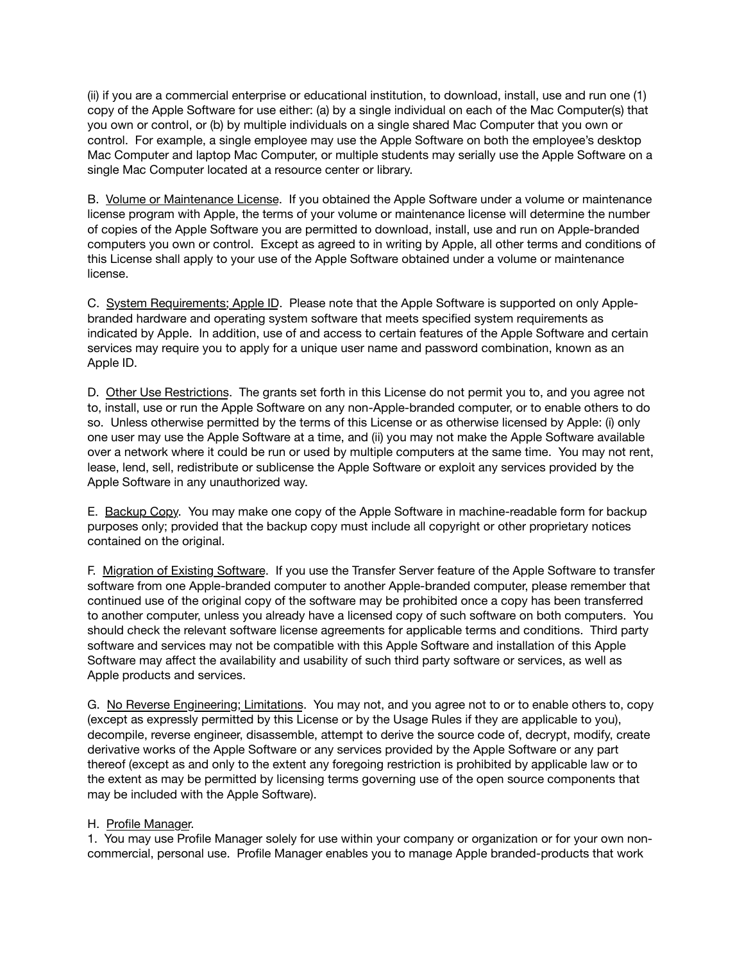(ii) if you are a commercial enterprise or educational institution, to download, install, use and run one (1) copy of the Apple Software for use either: (a) by a single individual on each of the Mac Computer(s) that you own or control, or (b) by multiple individuals on a single shared Mac Computer that you own or control. For example, a single employee may use the Apple Software on both the employee's desktop Mac Computer and laptop Mac Computer, or multiple students may serially use the Apple Software on a single Mac Computer located at a resource center or library.

B. Volume or Maintenance License. If you obtained the Apple Software under a volume or maintenance license program with Apple, the terms of your volume or maintenance license will determine the number of copies of the Apple Software you are permitted to download, install, use and run on Apple-branded computers you own or control. Except as agreed to in writing by Apple, all other terms and conditions of this License shall apply to your use of the Apple Software obtained under a volume or maintenance license.

C. System Requirements; Apple ID. Please note that the Apple Software is supported on only Applebranded hardware and operating system software that meets specified system requirements as indicated by Apple. In addition, use of and access to certain features of the Apple Software and certain services may require you to apply for a unique user name and password combination, known as an Apple ID.

D. Other Use Restrictions. The grants set forth in this License do not permit you to, and you agree not to, install, use or run the Apple Software on any non-Apple-branded computer, or to enable others to do so. Unless otherwise permitted by the terms of this License or as otherwise licensed by Apple: (i) only one user may use the Apple Software at a time, and (ii) you may not make the Apple Software available over a network where it could be run or used by multiple computers at the same time. You may not rent, lease, lend, sell, redistribute or sublicense the Apple Software or exploit any services provided by the Apple Software in any unauthorized way.

E. Backup Copy. You may make one copy of the Apple Software in machine-readable form for backup purposes only; provided that the backup copy must include all copyright or other proprietary notices contained on the original.

F. Migration of Existing Software. If you use the Transfer Server feature of the Apple Software to transfer software from one Apple-branded computer to another Apple-branded computer, please remember that continued use of the original copy of the software may be prohibited once a copy has been transferred to another computer, unless you already have a licensed copy of such software on both computers. You should check the relevant software license agreements for applicable terms and conditions. Third party software and services may not be compatible with this Apple Software and installation of this Apple Software may affect the availability and usability of such third party software or services, as well as Apple products and services.

G. No Reverse Engineering; Limitations. You may not, and you agree not to or to enable others to, copy (except as expressly permitted by this License or by the Usage Rules if they are applicable to you), decompile, reverse engineer, disassemble, attempt to derive the source code of, decrypt, modify, create derivative works of the Apple Software or any services provided by the Apple Software or any part thereof (except as and only to the extent any foregoing restriction is prohibited by applicable law or to the extent as may be permitted by licensing terms governing use of the open source components that may be included with the Apple Software).

## H. Profile Manager.

1. You may use Profile Manager solely for use within your company or organization or for your own noncommercial, personal use. Profile Manager enables you to manage Apple branded-products that work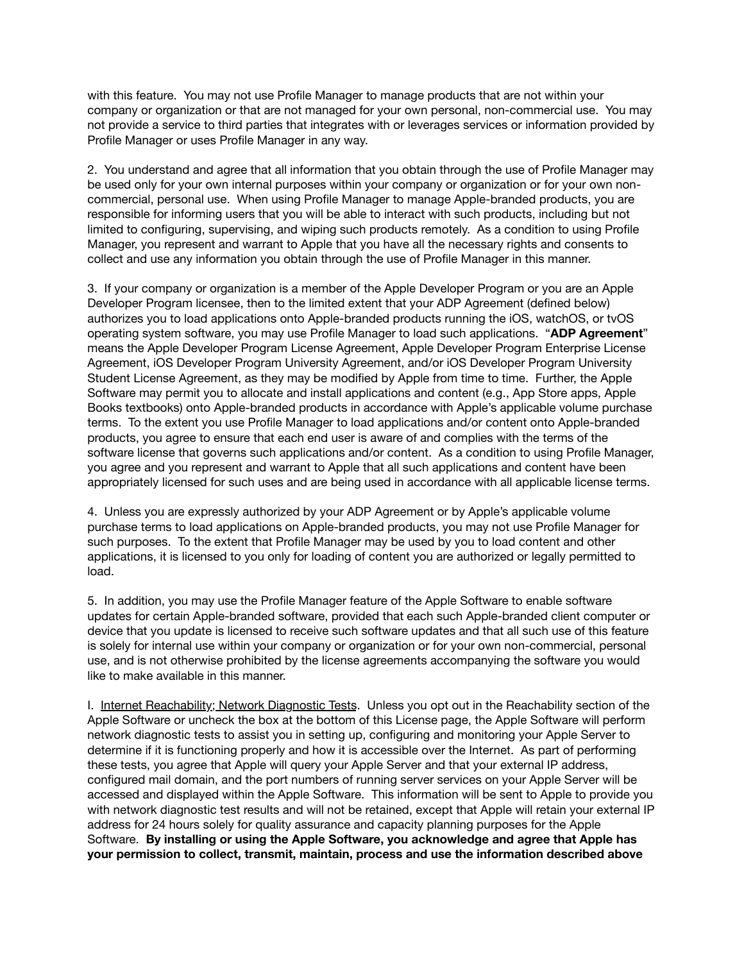with this feature. You may not use Profile Manager to manage products that are not within your company or organization or that are not managed for your own personal, non-commercial use. You may not provide a service to third parties that integrates with or leverages services or information provided by Profile Manager or uses Profile Manager in any way.

2. You understand and agree that all information that you obtain through the use of Profile Manager may be used only for your own internal purposes within your company or organization or for your own noncommercial, personal use. When using Profile Manager to manage Apple-branded products, you are responsible for informing users that you will be able to interact with such products, including but not limited to configuring, supervising, and wiping such products remotely. As a condition to using Profile Manager, you represent and warrant to Apple that you have all the necessary rights and consents to collect and use any information you obtain through the use of Profile Manager in this manner.

3. If your company or organization is a member of the Apple Developer Program or you are an Apple Developer Program licensee, then to the limited extent that your ADP Agreement (defined below) authorizes you to load applications onto Apple-branded products running the iOS, watchOS, or tvOS operating system software, you may use Profile Manager to load such applications. "**ADP Agreement**" means the Apple Developer Program License Agreement, Apple Developer Program Enterprise License Agreement, iOS Developer Program University Agreement, and/or iOS Developer Program University Student License Agreement, as they may be modified by Apple from time to time. Further, the Apple Software may permit you to allocate and install applications and content (e.g., App Store apps, Apple Books textbooks) onto Apple-branded products in accordance with Apple's applicable volume purchase terms. To the extent you use Profile Manager to load applications and/or content onto Apple-branded products, you agree to ensure that each end user is aware of and complies with the terms of the software license that governs such applications and/or content. As a condition to using Profile Manager, you agree and you represent and warrant to Apple that all such applications and content have been appropriately licensed for such uses and are being used in accordance with all applicable license terms.

4. Unless you are expressly authorized by your ADP Agreement or by Apple's applicable volume purchase terms to load applications on Apple-branded products, you may not use Profile Manager for such purposes. To the extent that Profile Manager may be used by you to load content and other applications, it is licensed to you only for loading of content you are authorized or legally permitted to load.

5. In addition, you may use the Profile Manager feature of the Apple Software to enable software updates for certain Apple-branded software, provided that each such Apple-branded client computer or device that you update is licensed to receive such software updates and that all such use of this feature is solely for internal use within your company or organization or for your own non-commercial, personal use, and is not otherwise prohibited by the license agreements accompanying the software you would like to make available in this manner.

I. Internet Reachability; Network Diagnostic Tests. Unless you opt out in the Reachability section of the Apple Software or uncheck the box at the bottom of this License page, the Apple Software will perform network diagnostic tests to assist you in setting up, configuring and monitoring your Apple Server to determine if it is functioning properly and how it is accessible over the Internet. As part of performing these tests, you agree that Apple will query your Apple Server and that your external IP address, configured mail domain, and the port numbers of running server services on your Apple Server will be accessed and displayed within the Apple Software. This information will be sent to Apple to provide you with network diagnostic test results and will not be retained, except that Apple will retain your external IP address for 24 hours solely for quality assurance and capacity planning purposes for the Apple Software. **By installing or using the Apple Software, you acknowledge and agree that Apple has your permission to collect, transmit, maintain, process and use the information described above**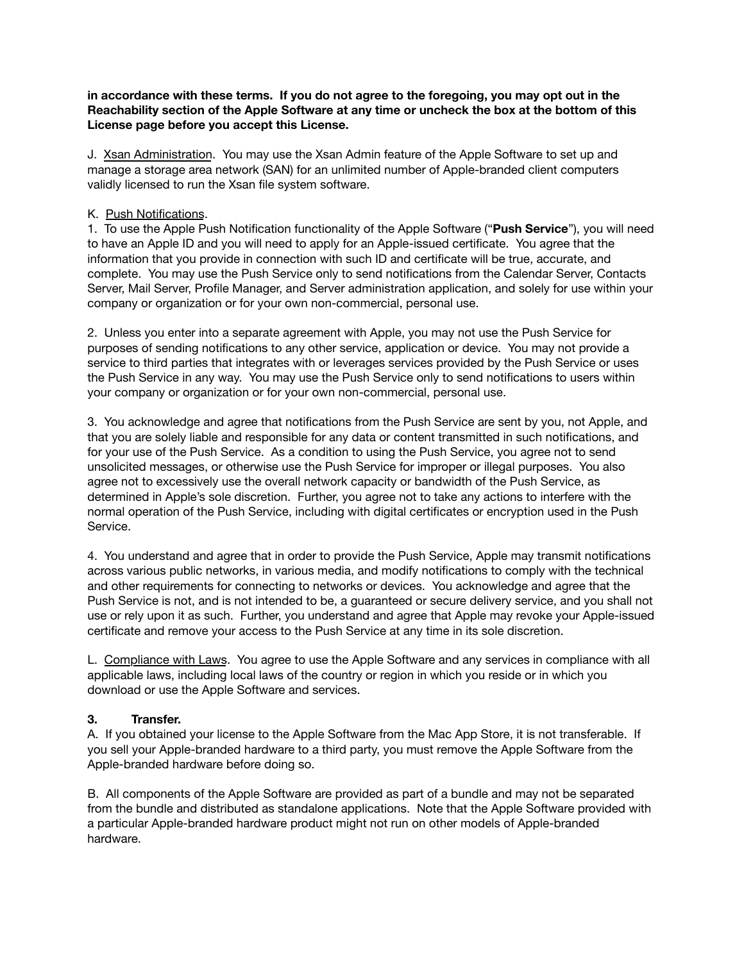### **in accordance with these terms. If you do not agree to the foregoing, you may opt out in the Reachability section of the Apple Software at any time or uncheck the box at the bottom of this License page before you accept this License.**

J. Xsan Administration. You may use the Xsan Admin feature of the Apple Software to set up and manage a storage area network (SAN) for an unlimited number of Apple-branded client computers validly licensed to run the Xsan file system software.

## K. Push Notifications.

1. To use the Apple Push Notification functionality of the Apple Software ("**Push Service**"), you will need to have an Apple ID and you will need to apply for an Apple-issued certificate. You agree that the information that you provide in connection with such ID and certificate will be true, accurate, and complete. You may use the Push Service only to send notifications from the Calendar Server, Contacts Server, Mail Server, Profile Manager, and Server administration application, and solely for use within your company or organization or for your own non-commercial, personal use.

2. Unless you enter into a separate agreement with Apple, you may not use the Push Service for purposes of sending notifications to any other service, application or device. You may not provide a service to third parties that integrates with or leverages services provided by the Push Service or uses the Push Service in any way. You may use the Push Service only to send notifications to users within your company or organization or for your own non-commercial, personal use.

3. You acknowledge and agree that notifications from the Push Service are sent by you, not Apple, and that you are solely liable and responsible for any data or content transmitted in such notifications, and for your use of the Push Service. As a condition to using the Push Service, you agree not to send unsolicited messages, or otherwise use the Push Service for improper or illegal purposes. You also agree not to excessively use the overall network capacity or bandwidth of the Push Service, as determined in Apple's sole discretion. Further, you agree not to take any actions to interfere with the normal operation of the Push Service, including with digital certificates or encryption used in the Push Service.

4. You understand and agree that in order to provide the Push Service, Apple may transmit notifications across various public networks, in various media, and modify notifications to comply with the technical and other requirements for connecting to networks or devices. You acknowledge and agree that the Push Service is not, and is not intended to be, a guaranteed or secure delivery service, and you shall not use or rely upon it as such. Further, you understand and agree that Apple may revoke your Apple-issued certificate and remove your access to the Push Service at any time in its sole discretion.

L. Compliance with Laws. You agree to use the Apple Software and any services in compliance with all applicable laws, including local laws of the country or region in which you reside or in which you download or use the Apple Software and services.

# **3. Transfer.**

A. If you obtained your license to the Apple Software from the Mac App Store, it is not transferable. If you sell your Apple-branded hardware to a third party, you must remove the Apple Software from the Apple-branded hardware before doing so.

B. All components of the Apple Software are provided as part of a bundle and may not be separated from the bundle and distributed as standalone applications. Note that the Apple Software provided with a particular Apple-branded hardware product might not run on other models of Apple-branded hardware.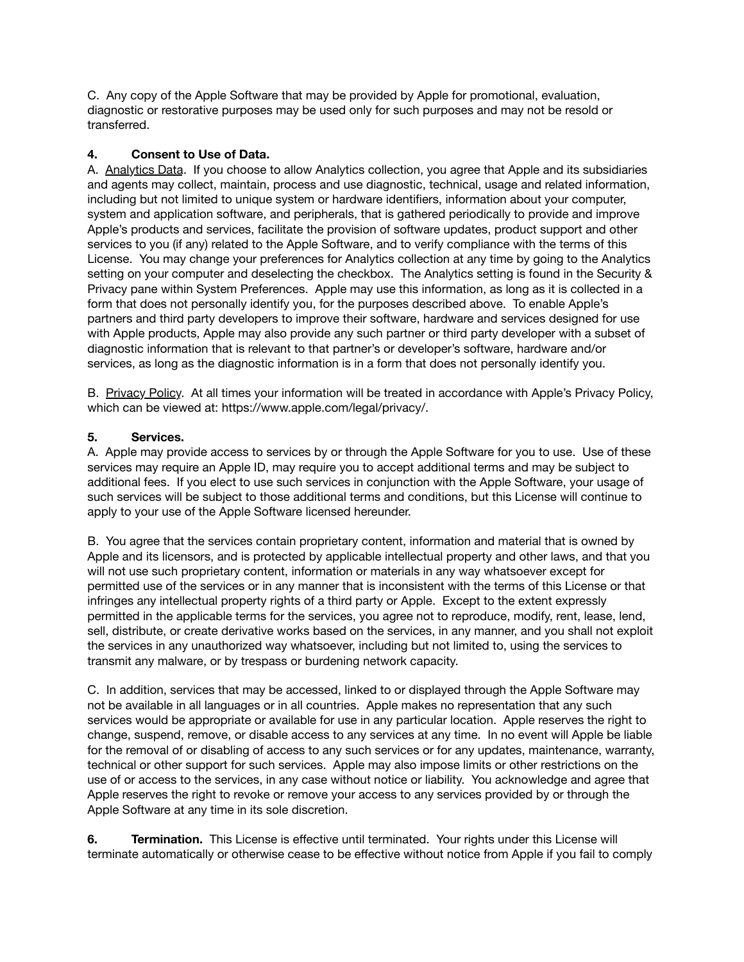C. Any copy of the Apple Software that may be provided by Apple for promotional, evaluation, diagnostic or restorative purposes may be used only for such purposes and may not be resold or transferred.

# **4. Consent to Use of Data.**

A. Analytics Data. If you choose to allow Analytics collection, you agree that Apple and its subsidiaries and agents may collect, maintain, process and use diagnostic, technical, usage and related information, including but not limited to unique system or hardware identifiers, information about your computer, system and application software, and peripherals, that is gathered periodically to provide and improve Apple's products and services, facilitate the provision of software updates, product support and other services to you (if any) related to the Apple Software, and to verify compliance with the terms of this License. You may change your preferences for Analytics collection at any time by going to the Analytics setting on your computer and deselecting the checkbox. The Analytics setting is found in the Security & Privacy pane within System Preferences. Apple may use this information, as long as it is collected in a form that does not personally identify you, for the purposes described above. To enable Apple's partners and third party developers to improve their software, hardware and services designed for use with Apple products, Apple may also provide any such partner or third party developer with a subset of diagnostic information that is relevant to that partner's or developer's software, hardware and/or services, as long as the diagnostic information is in a form that does not personally identify you.

B. Privacy Policy. At all times your information will be treated in accordance with Apple's Privacy Policy, which can be viewed at: <https://www.apple.com/legal/privacy/>.

## **5. Services.**

A. Apple may provide access to services by or through the Apple Software for you to use. Use of these services may require an Apple ID, may require you to accept additional terms and may be subject to additional fees. If you elect to use such services in conjunction with the Apple Software, your usage of such services will be subject to those additional terms and conditions, but this License will continue to apply to your use of the Apple Software licensed hereunder.

B. You agree that the services contain proprietary content, information and material that is owned by Apple and its licensors, and is protected by applicable intellectual property and other laws, and that you will not use such proprietary content, information or materials in any way whatsoever except for permitted use of the services or in any manner that is inconsistent with the terms of this License or that infringes any intellectual property rights of a third party or Apple. Except to the extent expressly permitted in the applicable terms for the services, you agree not to reproduce, modify, rent, lease, lend, sell, distribute, or create derivative works based on the services, in any manner, and you shall not exploit the services in any unauthorized way whatsoever, including but not limited to, using the services to transmit any malware, or by trespass or burdening network capacity.

C. In addition, services that may be accessed, linked to or displayed through the Apple Software may not be available in all languages or in all countries. Apple makes no representation that any such services would be appropriate or available for use in any particular location. Apple reserves the right to change, suspend, remove, or disable access to any services at any time. In no event will Apple be liable for the removal of or disabling of access to any such services or for any updates, maintenance, warranty, technical or other support for such services. Apple may also impose limits or other restrictions on the use of or access to the services, in any case without notice or liability. You acknowledge and agree that Apple reserves the right to revoke or remove your access to any services provided by or through the Apple Software at any time in its sole discretion.

**6. Termination.** This License is effective until terminated. Your rights under this License will terminate automatically or otherwise cease to be effective without notice from Apple if you fail to comply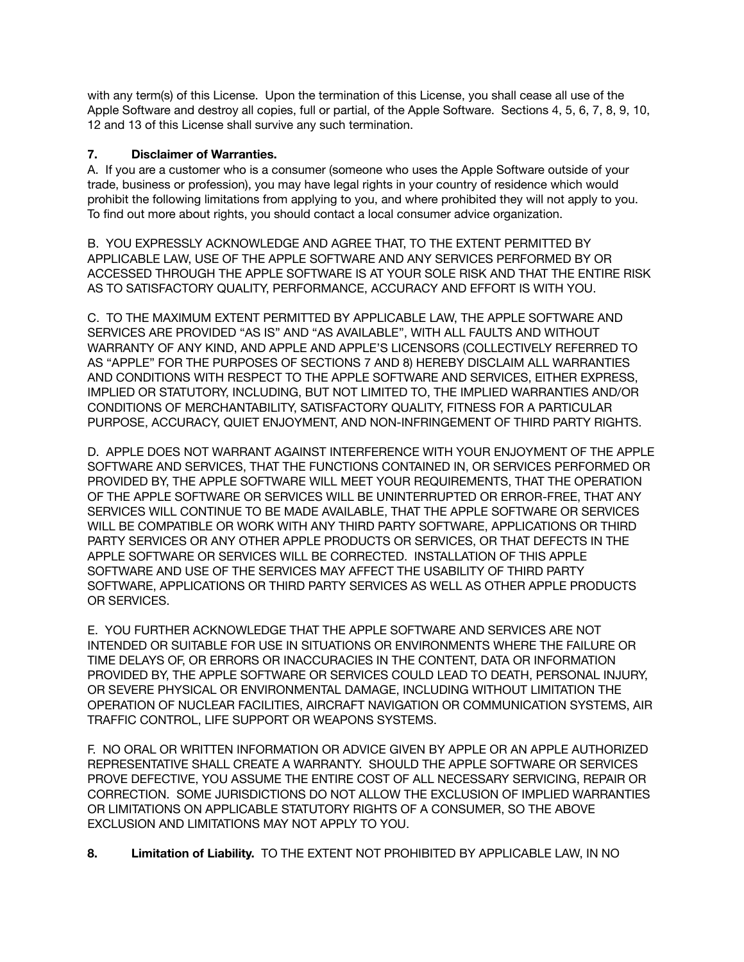with any term(s) of this License. Upon the termination of this License, you shall cease all use of the Apple Software and destroy all copies, full or partial, of the Apple Software. Sections 4, 5, 6, 7, 8, 9, 10, 12 and 13 of this License shall survive any such termination.

# **7. Disclaimer of Warranties.**

A. If you are a customer who is a consumer (someone who uses the Apple Software outside of your trade, business or profession), you may have legal rights in your country of residence which would prohibit the following limitations from applying to you, and where prohibited they will not apply to you. To find out more about rights, you should contact a local consumer advice organization.

B. YOU EXPRESSLY ACKNOWLEDGE AND AGREE THAT, TO THE EXTENT PERMITTED BY APPLICABLE LAW, USE OF THE APPLE SOFTWARE AND ANY SERVICES PERFORMED BY OR ACCESSED THROUGH THE APPLE SOFTWARE IS AT YOUR SOLE RISK AND THAT THE ENTIRE RISK AS TO SATISFACTORY QUALITY, PERFORMANCE, ACCURACY AND EFFORT IS WITH YOU.

C. TO THE MAXIMUM EXTENT PERMITTED BY APPLICABLE LAW, THE APPLE SOFTWARE AND SERVICES ARE PROVIDED "AS IS" AND "AS AVAILABLE", WITH ALL FAULTS AND WITHOUT WARRANTY OF ANY KIND, AND APPLE AND APPLE'S LICENSORS (COLLECTIVELY REFERRED TO AS "APPLE" FOR THE PURPOSES OF SECTIONS 7 AND 8) HEREBY DISCLAIM ALL WARRANTIES AND CONDITIONS WITH RESPECT TO THE APPLE SOFTWARE AND SERVICES, EITHER EXPRESS, IMPLIED OR STATUTORY, INCLUDING, BUT NOT LIMITED TO, THE IMPLIED WARRANTIES AND/OR CONDITIONS OF MERCHANTABILITY, SATISFACTORY QUALITY, FITNESS FOR A PARTICULAR PURPOSE, ACCURACY, QUIET ENJOYMENT, AND NON-INFRINGEMENT OF THIRD PARTY RIGHTS.

D. APPLE DOES NOT WARRANT AGAINST INTERFERENCE WITH YOUR ENJOYMENT OF THE APPLE SOFTWARE AND SERVICES, THAT THE FUNCTIONS CONTAINED IN, OR SERVICES PERFORMED OR PROVIDED BY, THE APPLE SOFTWARE WILL MEET YOUR REQUIREMENTS, THAT THE OPERATION OF THE APPLE SOFTWARE OR SERVICES WILL BE UNINTERRUPTED OR ERROR-FREE, THAT ANY SERVICES WILL CONTINUE TO BE MADE AVAILABLE, THAT THE APPLE SOFTWARE OR SERVICES WILL BE COMPATIBLE OR WORK WITH ANY THIRD PARTY SOFTWARE, APPLICATIONS OR THIRD PARTY SERVICES OR ANY OTHER APPLE PRODUCTS OR SERVICES, OR THAT DEFECTS IN THE APPLE SOFTWARE OR SERVICES WILL BE CORRECTED. INSTALLATION OF THIS APPLE SOFTWARE AND USE OF THE SERVICES MAY AFFECT THE USABILITY OF THIRD PARTY SOFTWARE, APPLICATIONS OR THIRD PARTY SERVICES AS WELL AS OTHER APPLE PRODUCTS OR SERVICES.

E. YOU FURTHER ACKNOWLEDGE THAT THE APPLE SOFTWARE AND SERVICES ARE NOT INTENDED OR SUITABLE FOR USE IN SITUATIONS OR ENVIRONMENTS WHERE THE FAILURE OR TIME DELAYS OF, OR ERRORS OR INACCURACIES IN THE CONTENT, DATA OR INFORMATION PROVIDED BY, THE APPLE SOFTWARE OR SERVICES COULD LEAD TO DEATH, PERSONAL INJURY, OR SEVERE PHYSICAL OR ENVIRONMENTAL DAMAGE, INCLUDING WITHOUT LIMITATION THE OPERATION OF NUCLEAR FACILITIES, AIRCRAFT NAVIGATION OR COMMUNICATION SYSTEMS, AIR TRAFFIC CONTROL, LIFE SUPPORT OR WEAPONS SYSTEMS.

F. NO ORAL OR WRITTEN INFORMATION OR ADVICE GIVEN BY APPLE OR AN APPLE AUTHORIZED REPRESENTATIVE SHALL CREATE A WARRANTY. SHOULD THE APPLE SOFTWARE OR SERVICES PROVE DEFECTIVE, YOU ASSUME THE ENTIRE COST OF ALL NECESSARY SERVICING, REPAIR OR CORRECTION. SOME JURISDICTIONS DO NOT ALLOW THE EXCLUSION OF IMPLIED WARRANTIES OR LIMITATIONS ON APPLICABLE STATUTORY RIGHTS OF A CONSUMER, SO THE ABOVE EXCLUSION AND LIMITATIONS MAY NOT APPLY TO YOU.

**8. Limitation of Liability.** TO THE EXTENT NOT PROHIBITED BY APPLICABLE LAW, IN NO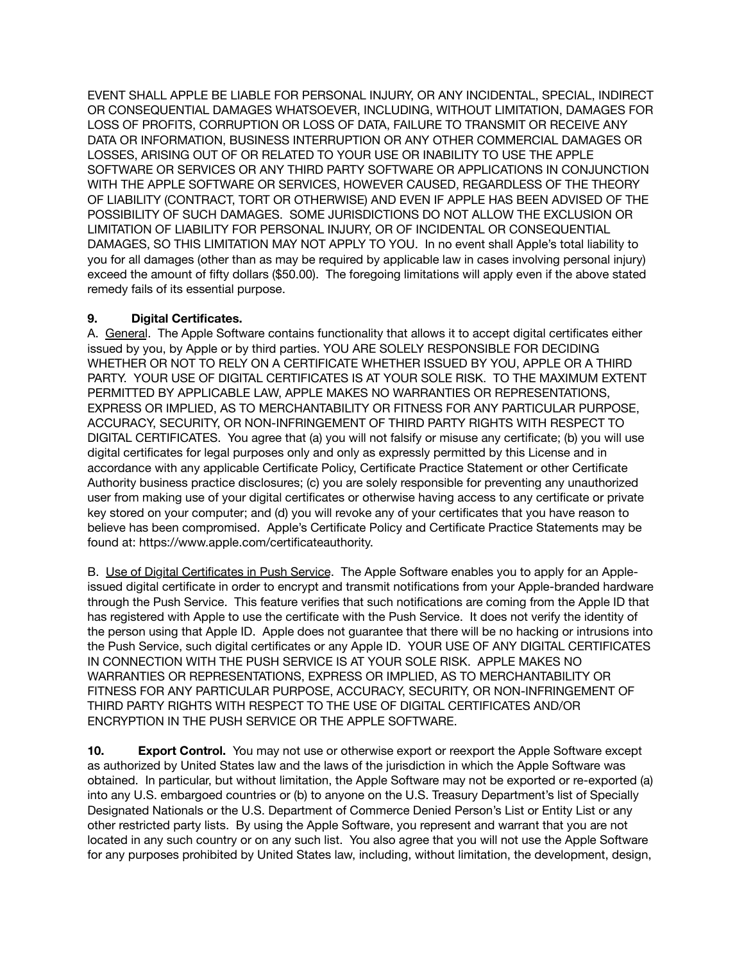EVENT SHALL APPLE BE LIABLE FOR PERSONAL INJURY, OR ANY INCIDENTAL, SPECIAL, INDIRECT OR CONSEQUENTIAL DAMAGES WHATSOEVER, INCLUDING, WITHOUT LIMITATION, DAMAGES FOR LOSS OF PROFITS, CORRUPTION OR LOSS OF DATA, FAILURE TO TRANSMIT OR RECEIVE ANY DATA OR INFORMATION, BUSINESS INTERRUPTION OR ANY OTHER COMMERCIAL DAMAGES OR LOSSES, ARISING OUT OF OR RELATED TO YOUR USE OR INABILITY TO USE THE APPLE SOFTWARE OR SERVICES OR ANY THIRD PARTY SOFTWARE OR APPLICATIONS IN CONJUNCTION WITH THE APPLE SOFTWARE OR SERVICES, HOWEVER CAUSED, REGARDLESS OF THE THEORY OF LIABILITY (CONTRACT, TORT OR OTHERWISE) AND EVEN IF APPLE HAS BEEN ADVISED OF THE POSSIBILITY OF SUCH DAMAGES. SOME JURISDICTIONS DO NOT ALLOW THE EXCLUSION OR LIMITATION OF LIABILITY FOR PERSONAL INJURY, OR OF INCIDENTAL OR CONSEQUENTIAL DAMAGES, SO THIS LIMITATION MAY NOT APPLY TO YOU. In no event shall Apple's total liability to you for all damages (other than as may be required by applicable law in cases involving personal injury) exceed the amount of fifty dollars (\$50.00). The foregoing limitations will apply even if the above stated remedy fails of its essential purpose.

## **9. Digital Certificates.**

A. General. The Apple Software contains functionality that allows it to accept digital certificates either issued by you, by Apple or by third parties. YOU ARE SOLELY RESPONSIBLE FOR DECIDING WHETHER OR NOT TO RELY ON A CERTIFICATE WHETHER ISSUED BY YOU, APPLE OR A THIRD PARTY. YOUR USE OF DIGITAL CERTIFICATES IS AT YOUR SOLE RISK. TO THE MAXIMUM EXTENT PERMITTED BY APPLICABLE LAW, APPLE MAKES NO WARRANTIES OR REPRESENTATIONS, EXPRESS OR IMPLIED, AS TO MERCHANTABILITY OR FITNESS FOR ANY PARTICULAR PURPOSE, ACCURACY, SECURITY, OR NON-INFRINGEMENT OF THIRD PARTY RIGHTS WITH RESPECT TO DIGITAL CERTIFICATES. You agree that (a) you will not falsify or misuse any certificate; (b) you will use digital certificates for legal purposes only and only as expressly permitted by this License and in accordance with any applicable Certificate Policy, Certificate Practice Statement or other Certificate Authority business practice disclosures; (c) you are solely responsible for preventing any unauthorized user from making use of your digital certificates or otherwise having access to any certificate or private key stored on your computer; and (d) you will revoke any of your certificates that you have reason to believe has been compromised. Apple's Certificate Policy and Certificate Practice Statements may be found at: [https://www.apple.com/certificateauthority.](https://www.apple.com/certificateauthority)

B. Use of Digital Certificates in Push Service.The Apple Software enables you to apply for an Appleissued digital certificate in order to encrypt and transmit notifications from your Apple-branded hardware through the Push Service. This feature verifies that such notifications are coming from the Apple ID that has registered with Apple to use the certificate with the Push Service. It does not verify the identity of the person using that Apple ID. Apple does not guarantee that there will be no hacking or intrusions into the Push Service, such digital certificates or any Apple ID. YOUR USE OF ANY DIGITAL CERTIFICATES IN CONNECTION WITH THE PUSH SERVICE IS AT YOUR SOLE RISK. APPLE MAKES NO WARRANTIES OR REPRESENTATIONS, EXPRESS OR IMPLIED, AS TO MERCHANTABILITY OR FITNESS FOR ANY PARTICULAR PURPOSE, ACCURACY, SECURITY, OR NON-INFRINGEMENT OF THIRD PARTY RIGHTS WITH RESPECT TO THE USE OF DIGITAL CERTIFICATES AND/OR ENCRYPTION IN THE PUSH SERVICE OR THE APPLE SOFTWARE.

**10. Export Control.** You may not use or otherwise export or reexport the Apple Software except as authorized by United States law and the laws of the jurisdiction in which the Apple Software was obtained. In particular, but without limitation, the Apple Software may not be exported or re-exported (a) into any U.S. embargoed countries or (b) to anyone on the U.S. Treasury Department's list of Specially Designated Nationals or the U.S. Department of Commerce Denied Person's List or Entity List or any other restricted party lists. By using the Apple Software, you represent and warrant that you are not located in any such country or on any such list. You also agree that you will not use the Apple Software for any purposes prohibited by United States law, including, without limitation, the development, design,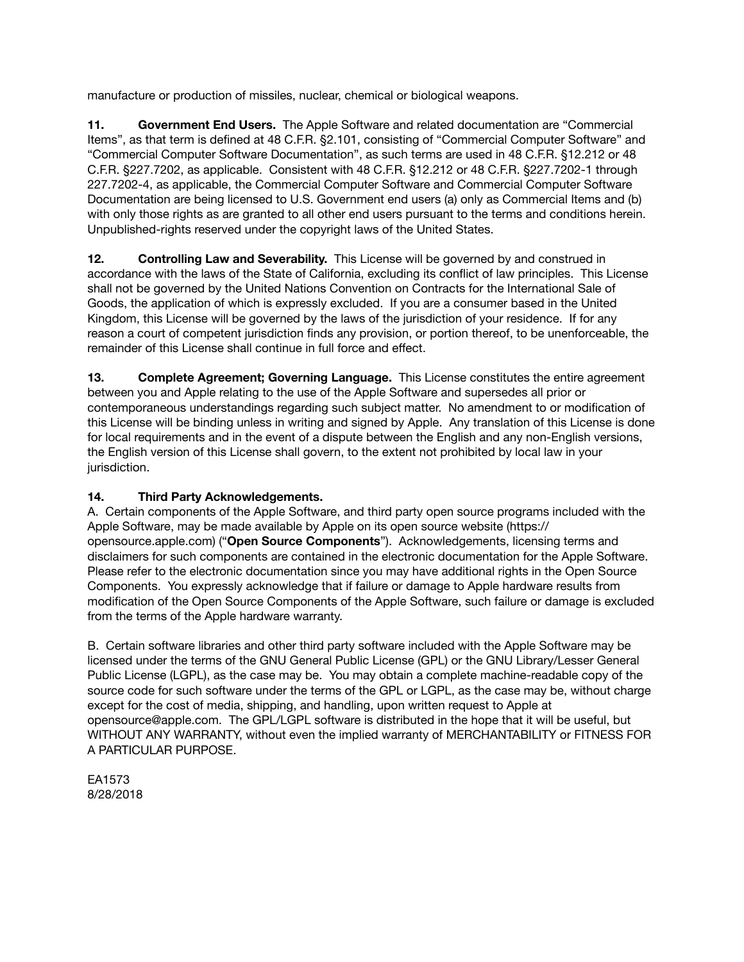manufacture or production of missiles, nuclear, chemical or biological weapons.

**11. Government End Users.** The Apple Software and related documentation are "Commercial Items", as that term is defined at 48 C.F.R. §2.101, consisting of "Commercial Computer Software" and "Commercial Computer Software Documentation", as such terms are used in 48 C.F.R. §12.212 or 48 C.F.R. §227.7202, as applicable. Consistent with 48 C.F.R. §12.212 or 48 C.F.R. §227.7202-1 through 227.7202-4, as applicable, the Commercial Computer Software and Commercial Computer Software Documentation are being licensed to U.S. Government end users (a) only as Commercial Items and (b) with only those rights as are granted to all other end users pursuant to the terms and conditions herein. Unpublished-rights reserved under the copyright laws of the United States.

**12. Controlling Law and Severability.** This License will be governed by and construed in accordance with the laws of the State of California, excluding its conflict of law principles. This License shall not be governed by the United Nations Convention on Contracts for the International Sale of Goods, the application of which is expressly excluded. If you are a consumer based in the United Kingdom, this License will be governed by the laws of the jurisdiction of your residence. If for any reason a court of competent jurisdiction finds any provision, or portion thereof, to be unenforceable, the remainder of this License shall continue in full force and effect.

**13. Complete Agreement; Governing Language.** This License constitutes the entire agreement between you and Apple relating to the use of the Apple Software and supersedes all prior or contemporaneous understandings regarding such subject matter. No amendment to or modification of this License will be binding unless in writing and signed by Apple. Any translation of this License is done for local requirements and in the event of a dispute between the English and any non-English versions, the English version of this License shall govern, to the extent not prohibited by local law in your jurisdiction.

# **14. Third Party Acknowledgements.**

A. Certain components of the Apple Software, and third party open source programs included with the Apple Software, may be made available by Apple on its open source website ([https://](https://opensource.apple.com) [opensource.apple.com\)](https://opensource.apple.com) ("**Open Source Components**"). Acknowledgements, licensing terms and disclaimers for such components are contained in the electronic documentation for the Apple Software. Please refer to the electronic documentation since you may have additional rights in the Open Source Components. You expressly acknowledge that if failure or damage to Apple hardware results from modification of the Open Source Components of the Apple Software, such failure or damage is excluded from the terms of the Apple hardware warranty.

B. Certain software libraries and other third party software included with the Apple Software may be licensed under the terms of the GNU General Public License (GPL) or the GNU Library/Lesser General Public License (LGPL), as the case may be. You may obtain a complete machine-readable copy of the source code for such software under the terms of the GPL or LGPL, as the case may be, without charge except for the cost of media, shipping, and handling, upon written request to Apple at [opensource@apple.com](mailto:opensource@apple.com). The GPL/LGPL software is distributed in the hope that it will be useful, but WITHOUT ANY WARRANTY, without even the implied warranty of MERCHANTABILITY or FITNESS FOR A PARTICULAR PURPOSE.

EA1573 8/28/2018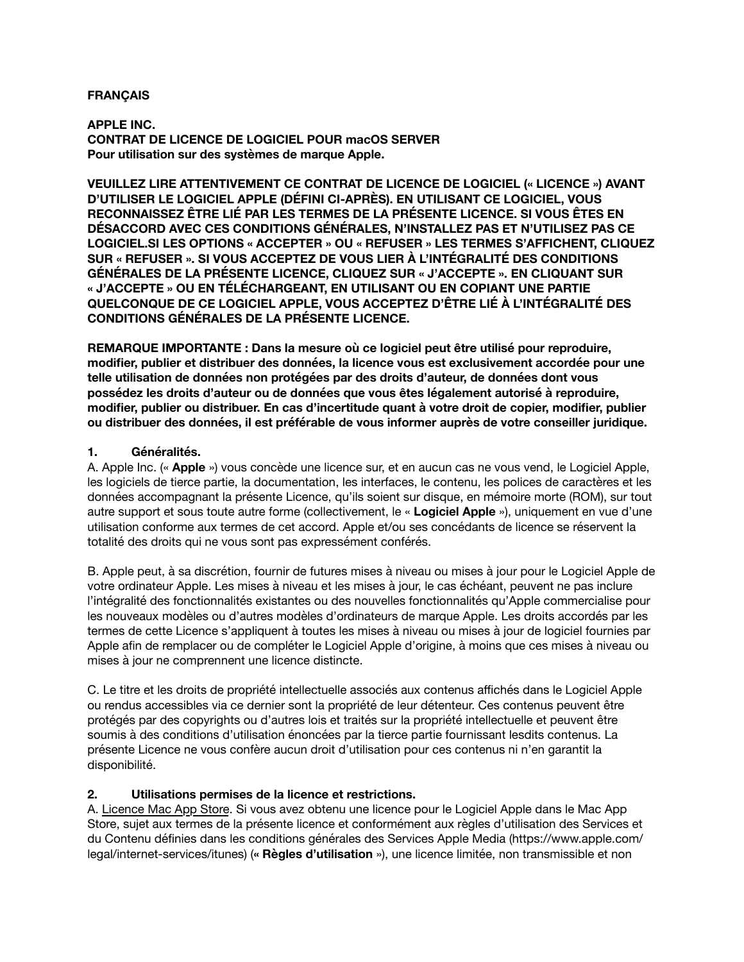#### **FRANÇAIS**

**APPLE INC. CONTRAT DE LICENCE DE LOGICIEL POUR macOS SERVER Pour utilisation sur des systèmes de marque Apple.**

**VEUILLEZ LIRE ATTENTIVEMENT CE CONTRAT DE LICENCE DE LOGICIEL (« LICENCE ») AVANT D'UTILISER LE LOGICIEL APPLE (DÉFINI CI-APRÈS). EN UTILISANT CE LOGICIEL, VOUS RECONNAISSEZ ÊTRE LIÉ PAR LES TERMES DE LA PRÉSENTE LICENCE. SI VOUS ÊTES EN DÉSACCORD AVEC CES CONDITIONS GÉNÉRALES, N'INSTALLEZ PAS ET N'UTILISEZ PAS CE LOGICIEL.SI LES OPTIONS « ACCEPTER » OU « REFUSER » LES TERMES S'AFFICHENT, CLIQUEZ SUR « REFUSER ». SI VOUS ACCEPTEZ DE VOUS LIER À L'INTÉGRALITÉ DES CONDITIONS GÉNÉRALES DE LA PRÉSENTE LICENCE, CLIQUEZ SUR « J'ACCEPTE ». EN CLIQUANT SUR « J'ACCEPTE » OU EN TÉLÉCHARGEANT, EN UTILISANT OU EN COPIANT UNE PARTIE QUELCONQUE DE CE LOGICIEL APPLE, VOUS ACCEPTEZ D'ÊTRE LIÉ À L'INTÉGRALITÉ DES CONDITIONS GÉNÉRALES DE LA PRÉSENTE LICENCE.**

**REMARQUE IMPORTANTE : Dans la mesure où ce logiciel peut être utilisé pour reproduire, modifier, publier et distribuer des données, la licence vous est exclusivement accordée pour une telle utilisation de données non protégées par des droits d'auteur, de données dont vous possédez les droits d'auteur ou de données que vous êtes légalement autorisé à reproduire, modifier, publier ou distribuer. En cas d'incertitude quant à votre droit de copier, modifier, publier ou distribuer des données, il est préférable de vous informer auprès de votre conseiller juridique.**

### **1. Généralités.**

A. Apple Inc. (« **Apple** ») vous concède une licence sur, et en aucun cas ne vous vend, le Logiciel Apple, les logiciels de tierce partie, la documentation, les interfaces, le contenu, les polices de caractères et les données accompagnant la présente Licence, qu'ils soient sur disque, en mémoire morte (ROM), sur tout autre support et sous toute autre forme (collectivement, le « **Logiciel Apple** »), uniquement en vue d'une utilisation conforme aux termes de cet accord. Apple et/ou ses concédants de licence se réservent la totalité des droits qui ne vous sont pas expressément conférés.

B. Apple peut, à sa discrétion, fournir de futures mises à niveau ou mises à jour pour le Logiciel Apple de votre ordinateur Apple. Les mises à niveau et les mises à jour, le cas échéant, peuvent ne pas inclure l'intégralité des fonctionnalités existantes ou des nouvelles fonctionnalités qu'Apple commercialise pour les nouveaux modèles ou d'autres modèles d'ordinateurs de marque Apple. Les droits accordés par les termes de cette Licence s'appliquent à toutes les mises à niveau ou mises à jour de logiciel fournies par Apple afin de remplacer ou de compléter le Logiciel Apple d'origine, à moins que ces mises à niveau ou mises à jour ne comprennent une licence distincte.

C. Le titre et les droits de propriété intellectuelle associés aux contenus affichés dans le Logiciel Apple ou rendus accessibles via ce dernier sont la propriété de leur détenteur. Ces contenus peuvent être protégés par des copyrights ou d'autres lois et traités sur la propriété intellectuelle et peuvent être soumis à des conditions d'utilisation énoncées par la tierce partie fournissant lesdits contenus. La présente Licence ne vous confère aucun droit d'utilisation pour ces contenus ni n'en garantit la disponibilité.

## **2. Utilisations permises de la licence et restrictions.**

A. Licence Mac App Store. Si vous avez obtenu une licence pour le Logiciel Apple dans le Mac App Store, sujet aux termes de la présente licence et conformément aux règles d'utilisation des Services et du Contenu définies dans les conditions générales des Services Apple Media ([https://www.apple.com/](https://www.apple.com/legal/internet-services/itunes) [legal/internet-services/itunes\)](https://www.apple.com/legal/internet-services/itunes) (**« Règles d'utilisation** »), une licence limitée, non transmissible et non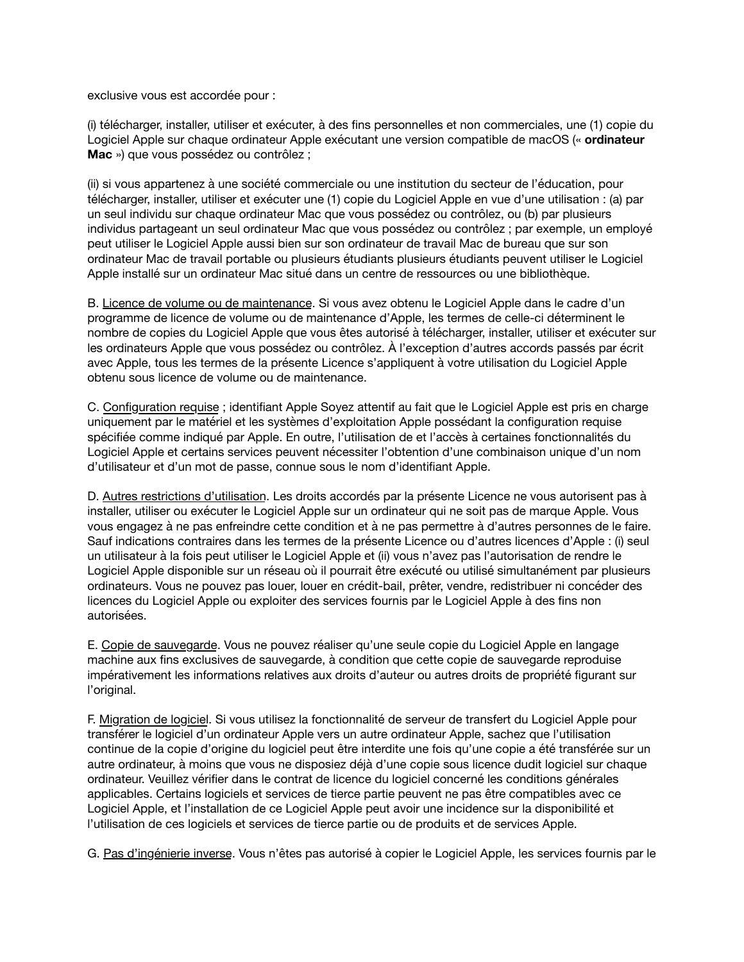exclusive vous est accordée pour :

(i) télécharger, installer, utiliser et exécuter, à des fins personnelles et non commerciales, une (1) copie du Logiciel Apple sur chaque ordinateur Apple exécutant une version compatible de macOS (« **ordinateur Mac** ») que vous possédez ou contrôlez ;

(ii) si vous appartenez à une société commerciale ou une institution du secteur de l'éducation, pour télécharger, installer, utiliser et exécuter une (1) copie du Logiciel Apple en vue d'une utilisation : (a) par un seul individu sur chaque ordinateur Mac que vous possédez ou contrôlez, ou (b) par plusieurs individus partageant un seul ordinateur Mac que vous possédez ou contrôlez ; par exemple, un employé peut utiliser le Logiciel Apple aussi bien sur son ordinateur de travail Mac de bureau que sur son ordinateur Mac de travail portable ou plusieurs étudiants plusieurs étudiants peuvent utiliser le Logiciel Apple installé sur un ordinateur Mac situé dans un centre de ressources ou une bibliothèque.

B. Licence de volume ou de maintenance. Si vous avez obtenu le Logiciel Apple dans le cadre d'un programme de licence de volume ou de maintenance d'Apple, les termes de celle-ci déterminent le nombre de copies du Logiciel Apple que vous êtes autorisé à télécharger, installer, utiliser et exécuter sur les ordinateurs Apple que vous possédez ou contrôlez. À l'exception d'autres accords passés par écrit avec Apple, tous les termes de la présente Licence s'appliquent à votre utilisation du Logiciel Apple obtenu sous licence de volume ou de maintenance.

C. Configuration requise ; identifiant Apple Soyez attentif au fait que le Logiciel Apple est pris en charge uniquement par le matériel et les systèmes d'exploitation Apple possédant la configuration requise spécifiée comme indiqué par Apple. En outre, l'utilisation de et l'accès à certaines fonctionnalités du Logiciel Apple et certains services peuvent nécessiter l'obtention d'une combinaison unique d'un nom d'utilisateur et d'un mot de passe, connue sous le nom d'identifiant Apple.

D. Autres restrictions d'utilisation. Les droits accordés par la présente Licence ne vous autorisent pas à installer, utiliser ou exécuter le Logiciel Apple sur un ordinateur qui ne soit pas de marque Apple. Vous vous engagez à ne pas enfreindre cette condition et à ne pas permettre à d'autres personnes de le faire. Sauf indications contraires dans les termes de la présente Licence ou d'autres licences d'Apple : (i) seul un utilisateur à la fois peut utiliser le Logiciel Apple et (ii) vous n'avez pas l'autorisation de rendre le Logiciel Apple disponible sur un réseau où il pourrait être exécuté ou utilisé simultanément par plusieurs ordinateurs. Vous ne pouvez pas louer, louer en crédit-bail, prêter, vendre, redistribuer ni concéder des licences du Logiciel Apple ou exploiter des services fournis par le Logiciel Apple à des fins non autorisées.

E. Copie de sauvegarde. Vous ne pouvez réaliser qu'une seule copie du Logiciel Apple en langage machine aux fins exclusives de sauvegarde, à condition que cette copie de sauvegarde reproduise impérativement les informations relatives aux droits d'auteur ou autres droits de propriété figurant sur l'original.

F. Migration de logiciel. Si vous utilisez la fonctionnalité de serveur de transfert du Logiciel Apple pour transférer le logiciel d'un ordinateur Apple vers un autre ordinateur Apple, sachez que l'utilisation continue de la copie d'origine du logiciel peut être interdite une fois qu'une copie a été transférée sur un autre ordinateur, à moins que vous ne disposiez déjà d'une copie sous licence dudit logiciel sur chaque ordinateur. Veuillez vérifier dans le contrat de licence du logiciel concerné les conditions générales applicables. Certains logiciels et services de tierce partie peuvent ne pas être compatibles avec ce Logiciel Apple, et l'installation de ce Logiciel Apple peut avoir une incidence sur la disponibilité et l'utilisation de ces logiciels et services de tierce partie ou de produits et de services Apple.

G. Pas d'ingénierie inverse. Vous n'êtes pas autorisé à copier le Logiciel Apple, les services fournis par le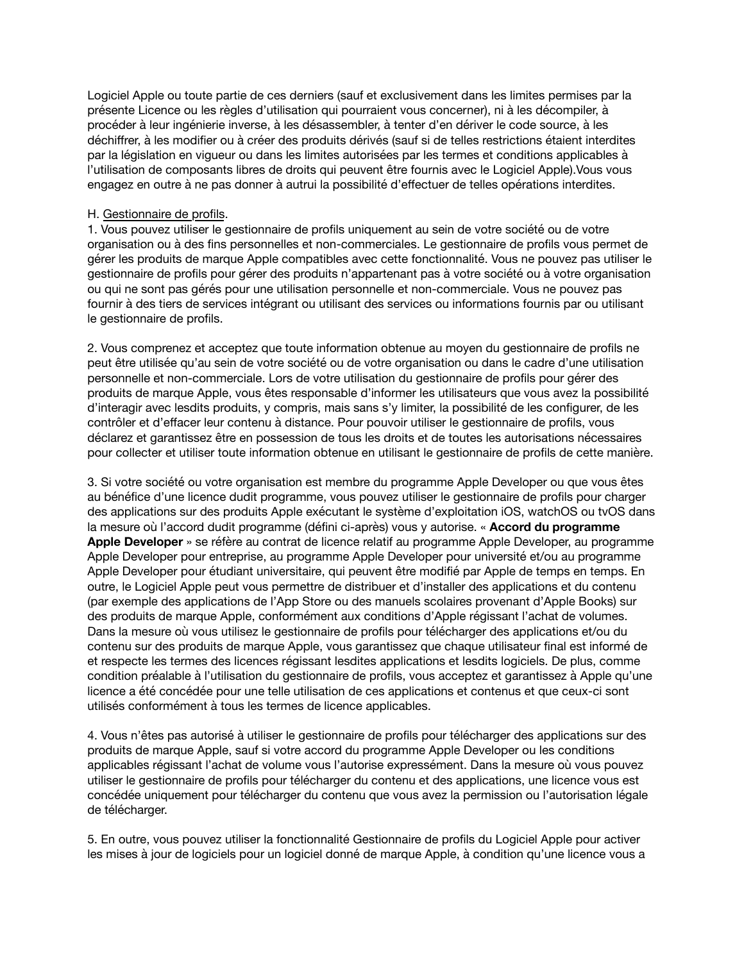Logiciel Apple ou toute partie de ces derniers (sauf et exclusivement dans les limites permises par la présente Licence ou les règles d'utilisation qui pourraient vous concerner), ni à les décompiler, à procéder à leur ingénierie inverse, à les désassembler, à tenter d'en dériver le code source, à les déchiffrer, à les modifier ou à créer des produits dérivés (sauf si de telles restrictions étaient interdites par la législation en vigueur ou dans les limites autorisées par les termes et conditions applicables à l'utilisation de composants libres de droits qui peuvent être fournis avec le Logiciel Apple).Vous vous engagez en outre à ne pas donner à autrui la possibilité d'effectuer de telles opérations interdites.

### H. Gestionnaire de profils.

1. Vous pouvez utiliser le gestionnaire de profils uniquement au sein de votre société ou de votre organisation ou à des fins personnelles et non-commerciales. Le gestionnaire de profils vous permet de gérer les produits de marque Apple compatibles avec cette fonctionnalité. Vous ne pouvez pas utiliser le gestionnaire de profils pour gérer des produits n'appartenant pas à votre société ou à votre organisation ou qui ne sont pas gérés pour une utilisation personnelle et non-commerciale. Vous ne pouvez pas fournir à des tiers de services intégrant ou utilisant des services ou informations fournis par ou utilisant le gestionnaire de profils.

2. Vous comprenez et acceptez que toute information obtenue au moyen du gestionnaire de profils ne peut être utilisée qu'au sein de votre société ou de votre organisation ou dans le cadre d'une utilisation personnelle et non-commerciale. Lors de votre utilisation du gestionnaire de profils pour gérer des produits de marque Apple, vous êtes responsable d'informer les utilisateurs que vous avez la possibilité d'interagir avec lesdits produits, y compris, mais sans s'y limiter, la possibilité de les configurer, de les contrôler et d'effacer leur contenu à distance. Pour pouvoir utiliser le gestionnaire de profils, vous déclarez et garantissez être en possession de tous les droits et de toutes les autorisations nécessaires pour collecter et utiliser toute information obtenue en utilisant le gestionnaire de profils de cette manière.

3. Si votre société ou votre organisation est membre du programme Apple Developer ou que vous êtes au bénéfice d'une licence dudit programme, vous pouvez utiliser le gestionnaire de profils pour charger des applications sur des produits Apple exécutant le système d'exploitation iOS, watchOS ou tvOS dans la mesure où l'accord dudit programme (défini ci-après) vous y autorise. « **Accord du programme Apple Developer** » se réfère au contrat de licence relatif au programme Apple Developer, au programme Apple Developer pour entreprise, au programme Apple Developer pour université et/ou au programme Apple Developer pour étudiant universitaire, qui peuvent être modifié par Apple de temps en temps. En outre, le Logiciel Apple peut vous permettre de distribuer et d'installer des applications et du contenu (par exemple des applications de l'App Store ou des manuels scolaires provenant d'Apple Books) sur des produits de marque Apple, conformément aux conditions d'Apple régissant l'achat de volumes. Dans la mesure où vous utilisez le gestionnaire de profils pour télécharger des applications et/ou du contenu sur des produits de marque Apple, vous garantissez que chaque utilisateur final est informé de et respecte les termes des licences régissant lesdites applications et lesdits logiciels. De plus, comme condition préalable à l'utilisation du gestionnaire de profils, vous acceptez et garantissez à Apple qu'une licence a été concédée pour une telle utilisation de ces applications et contenus et que ceux-ci sont utilisés conformément à tous les termes de licence applicables.

4. Vous n'êtes pas autorisé à utiliser le gestionnaire de profils pour télécharger des applications sur des produits de marque Apple, sauf si votre accord du programme Apple Developer ou les conditions applicables régissant l'achat de volume vous l'autorise expressément. Dans la mesure où vous pouvez utiliser le gestionnaire de profils pour télécharger du contenu et des applications, une licence vous est concédée uniquement pour télécharger du contenu que vous avez la permission ou l'autorisation légale de télécharger.

5. En outre, vous pouvez utiliser la fonctionnalité Gestionnaire de profils du Logiciel Apple pour activer les mises à jour de logiciels pour un logiciel donné de marque Apple, à condition qu'une licence vous a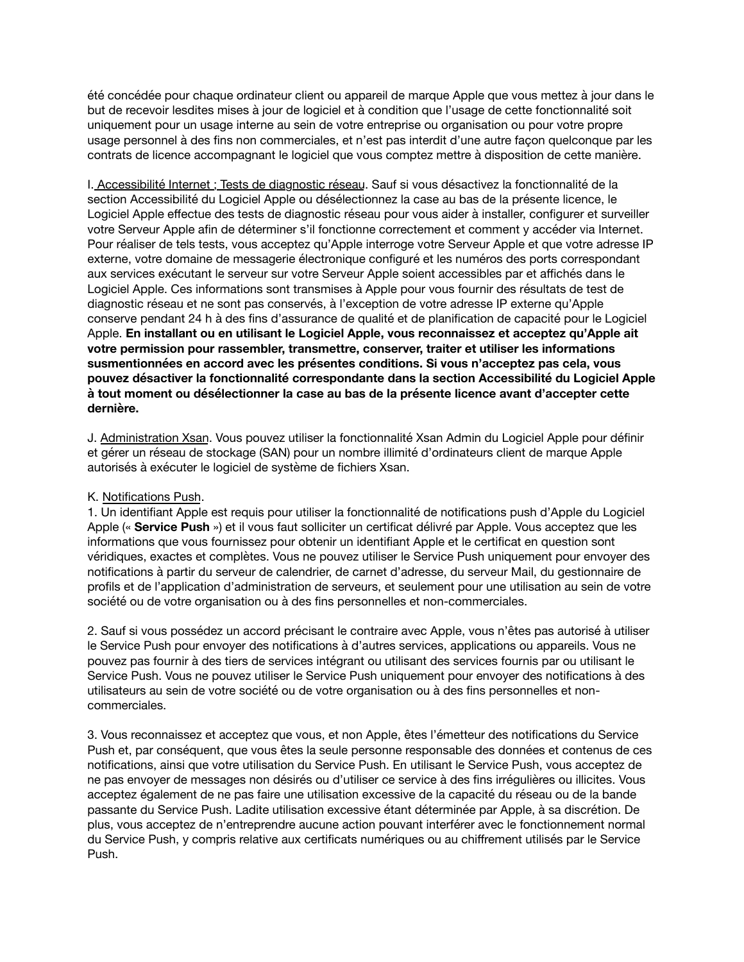été concédée pour chaque ordinateur client ou appareil de marque Apple que vous mettez à jour dans le but de recevoir lesdites mises à jour de logiciel et à condition que l'usage de cette fonctionnalité soit uniquement pour un usage interne au sein de votre entreprise ou organisation ou pour votre propre usage personnel à des fins non commerciales, et n'est pas interdit d'une autre façon quelconque par les contrats de licence accompagnant le logiciel que vous comptez mettre à disposition de cette manière.

I. Accessibilité Internet ; Tests de diagnostic réseau. Sauf si vous désactivez la fonctionnalité de la section Accessibilité du Logiciel Apple ou désélectionnez la case au bas de la présente licence, le Logiciel Apple effectue des tests de diagnostic réseau pour vous aider à installer, configurer et surveiller votre Serveur Apple afin de déterminer s'il fonctionne correctement et comment y accéder via Internet. Pour réaliser de tels tests, vous acceptez qu'Apple interroge votre Serveur Apple et que votre adresse IP externe, votre domaine de messagerie électronique configuré et les numéros des ports correspondant aux services exécutant le serveur sur votre Serveur Apple soient accessibles par et affichés dans le Logiciel Apple. Ces informations sont transmises à Apple pour vous fournir des résultats de test de diagnostic réseau et ne sont pas conservés, à l'exception de votre adresse IP externe qu'Apple conserve pendant 24 h à des fins d'assurance de qualité et de planification de capacité pour le Logiciel Apple. **En installant ou en utilisant le Logiciel Apple, vous reconnaissez et acceptez qu'Apple ait votre permission pour rassembler, transmettre, conserver, traiter et utiliser les informations susmentionnées en accord avec les présentes conditions. Si vous n'acceptez pas cela, vous pouvez désactiver la fonctionnalité correspondante dans la section Accessibilité du Logiciel Apple à tout moment ou désélectionner la case au bas de la présente licence avant d'accepter cette dernière.**

J. Administration Xsan. Vous pouvez utiliser la fonctionnalité Xsan Admin du Logiciel Apple pour définir et gérer un réseau de stockage (SAN) pour un nombre illimité d'ordinateurs client de marque Apple autorisés à exécuter le logiciel de système de fichiers Xsan.

## K. Notifications Push.

1. Un identifiant Apple est requis pour utiliser la fonctionnalité de notifications push d'Apple du Logiciel Apple (« **Service Push** ») et il vous faut solliciter un certificat délivré par Apple. Vous acceptez que les informations que vous fournissez pour obtenir un identifiant Apple et le certificat en question sont véridiques, exactes et complètes. Vous ne pouvez utiliser le Service Push uniquement pour envoyer des notifications à partir du serveur de calendrier, de carnet d'adresse, du serveur Mail, du gestionnaire de profils et de l'application d'administration de serveurs, et seulement pour une utilisation au sein de votre société ou de votre organisation ou à des fins personnelles et non-commerciales.

2. Sauf si vous possédez un accord précisant le contraire avec Apple, vous n'êtes pas autorisé à utiliser le Service Push pour envoyer des notifications à d'autres services, applications ou appareils. Vous ne pouvez pas fournir à des tiers de services intégrant ou utilisant des services fournis par ou utilisant le Service Push. Vous ne pouvez utiliser le Service Push uniquement pour envoyer des notifications à des utilisateurs au sein de votre société ou de votre organisation ou à des fins personnelles et noncommerciales.

3. Vous reconnaissez et acceptez que vous, et non Apple, êtes l'émetteur des notifications du Service Push et, par conséquent, que vous êtes la seule personne responsable des données et contenus de ces notifications, ainsi que votre utilisation du Service Push. En utilisant le Service Push, vous acceptez de ne pas envoyer de messages non désirés ou d'utiliser ce service à des fins irrégulières ou illicites. Vous acceptez également de ne pas faire une utilisation excessive de la capacité du réseau ou de la bande passante du Service Push. Ladite utilisation excessive étant déterminée par Apple, à sa discrétion. De plus, vous acceptez de n'entreprendre aucune action pouvant interférer avec le fonctionnement normal du Service Push, y compris relative aux certificats numériques ou au chiffrement utilisés par le Service Push.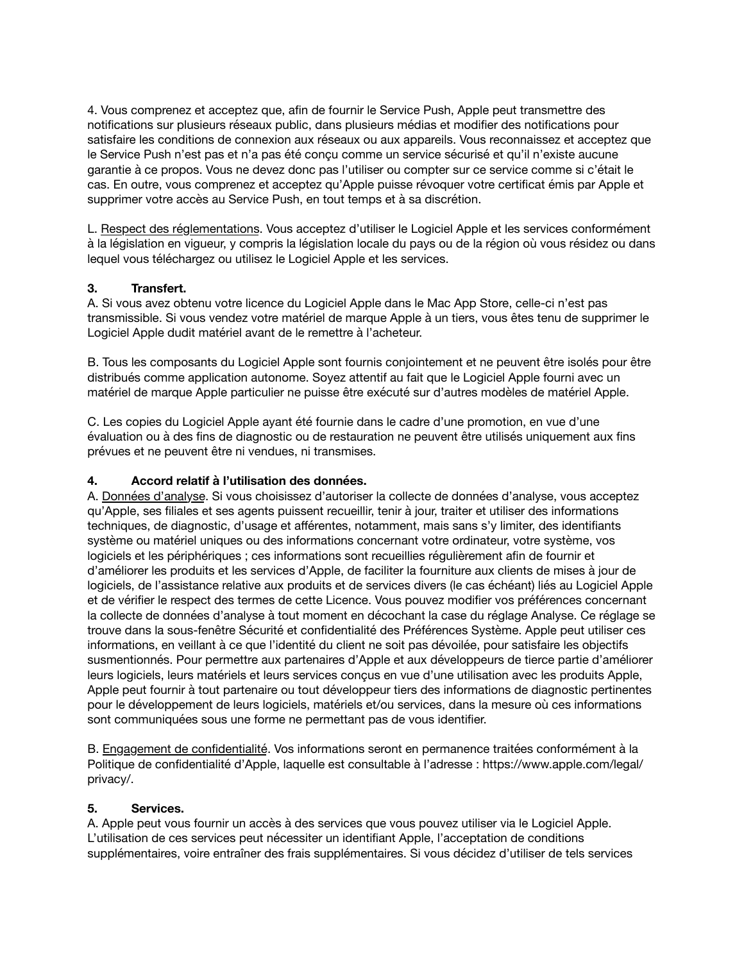4. Vous comprenez et acceptez que, afin de fournir le Service Push, Apple peut transmettre des notifications sur plusieurs réseaux public, dans plusieurs médias et modifier des notifications pour satisfaire les conditions de connexion aux réseaux ou aux appareils. Vous reconnaissez et acceptez que le Service Push n'est pas et n'a pas été conçu comme un service sécurisé et qu'il n'existe aucune garantie à ce propos. Vous ne devez donc pas l'utiliser ou compter sur ce service comme si c'était le cas. En outre, vous comprenez et acceptez qu'Apple puisse révoquer votre certificat émis par Apple et supprimer votre accès au Service Push, en tout temps et à sa discrétion.

L. Respect des réglementations. Vous acceptez d'utiliser le Logiciel Apple et les services conformément à la législation en vigueur, y compris la législation locale du pays ou de la région où vous résidez ou dans lequel vous téléchargez ou utilisez le Logiciel Apple et les services.

## **3. Transfert.**

A. Si vous avez obtenu votre licence du Logiciel Apple dans le Mac App Store, celle-ci n'est pas transmissible. Si vous vendez votre matériel de marque Apple à un tiers, vous êtes tenu de supprimer le Logiciel Apple dudit matériel avant de le remettre à l'acheteur.

B. Tous les composants du Logiciel Apple sont fournis conjointement et ne peuvent être isolés pour être distribués comme application autonome. Soyez attentif au fait que le Logiciel Apple fourni avec un matériel de marque Apple particulier ne puisse être exécuté sur d'autres modèles de matériel Apple.

C. Les copies du Logiciel Apple ayant été fournie dans le cadre d'une promotion, en vue d'une évaluation ou à des fins de diagnostic ou de restauration ne peuvent être utilisés uniquement aux fins prévues et ne peuvent être ni vendues, ni transmises.

#### **4. Accord relatif à l'utilisation des données.**

A. Données d'analyse. Si vous choisissez d'autoriser la collecte de données d'analyse, vous acceptez qu'Apple, ses filiales et ses agents puissent recueillir, tenir à jour, traiter et utiliser des informations techniques, de diagnostic, d'usage et afférentes, notamment, mais sans s'y limiter, des identifiants système ou matériel uniques ou des informations concernant votre ordinateur, votre système, vos logiciels et les périphériques ; ces informations sont recueillies régulièrement afin de fournir et d'améliorer les produits et les services d'Apple, de faciliter la fourniture aux clients de mises à jour de logiciels, de l'assistance relative aux produits et de services divers (le cas échéant) liés au Logiciel Apple et de vérifier le respect des termes de cette Licence. Vous pouvez modifier vos préférences concernant la collecte de données d'analyse à tout moment en décochant la case du réglage Analyse. Ce réglage se trouve dans la sous-fenêtre Sécurité et confidentialité des Préférences Système. Apple peut utiliser ces informations, en veillant à ce que l'identité du client ne soit pas dévoilée, pour satisfaire les objectifs susmentionnés. Pour permettre aux partenaires d'Apple et aux développeurs de tierce partie d'améliorer leurs logiciels, leurs matériels et leurs services conçus en vue d'une utilisation avec les produits Apple, Apple peut fournir à tout partenaire ou tout développeur tiers des informations de diagnostic pertinentes pour le développement de leurs logiciels, matériels et/ou services, dans la mesure où ces informations sont communiquées sous une forme ne permettant pas de vous identifier.

B. Engagement de confidentialité. Vos informations seront en permanence traitées conformément à la Politique de confidentialité d'Apple, laquelle est consultable à l'adresse : [https://www.apple.com/legal/](https://www.apple.com/legal/privacy/) [privacy/.](https://www.apple.com/legal/privacy/)

#### **5. Services.**

A. Apple peut vous fournir un accès à des services que vous pouvez utiliser via le Logiciel Apple. L'utilisation de ces services peut nécessiter un identifiant Apple, l'acceptation de conditions supplémentaires, voire entraîner des frais supplémentaires. Si vous décidez d'utiliser de tels services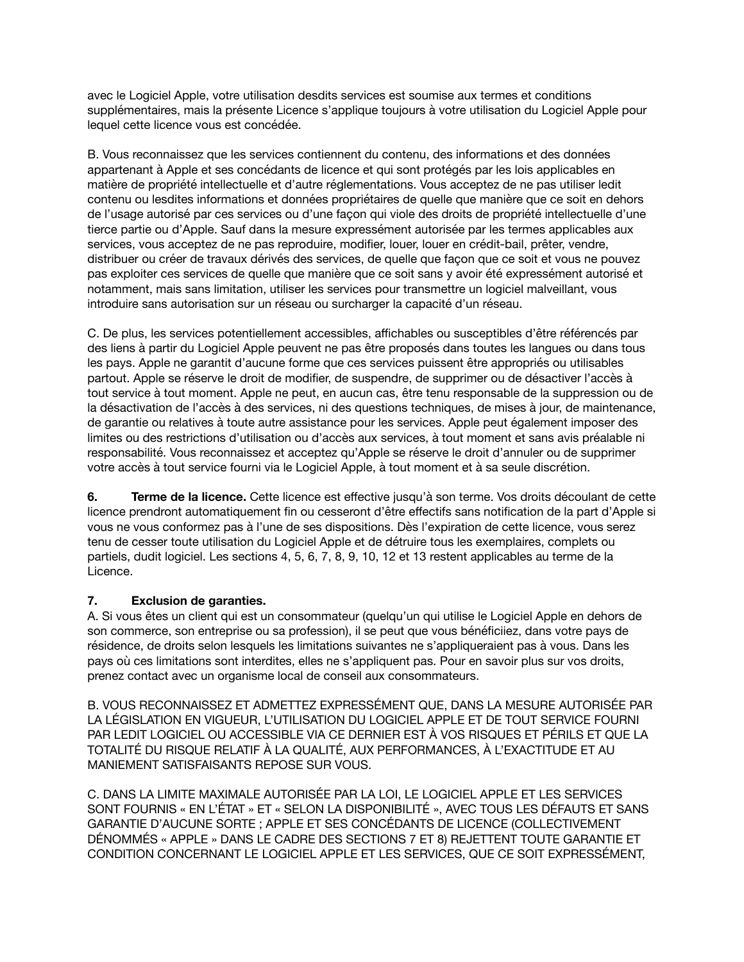avec le Logiciel Apple, votre utilisation desdits services est soumise aux termes et conditions supplémentaires, mais la présente Licence s'applique toujours à votre utilisation du Logiciel Apple pour lequel cette licence vous est concédée.

B. Vous reconnaissez que les services contiennent du contenu, des informations et des données appartenant à Apple et ses concédants de licence et qui sont protégés par les lois applicables en matière de propriété intellectuelle et d'autre réglementations. Vous acceptez de ne pas utiliser ledit contenu ou lesdites informations et données propriétaires de quelle que manière que ce soit en dehors de l'usage autorisé par ces services ou d'une façon qui viole des droits de propriété intellectuelle d'une tierce partie ou d'Apple. Sauf dans la mesure expressément autorisée par les termes applicables aux services, vous acceptez de ne pas reproduire, modifier, louer, louer en crédit-bail, prêter, vendre, distribuer ou créer de travaux dérivés des services, de quelle que façon que ce soit et vous ne pouvez pas exploiter ces services de quelle que manière que ce soit sans y avoir été expressément autorisé et notamment, mais sans limitation, utiliser les services pour transmettre un logiciel malveillant, vous introduire sans autorisation sur un réseau ou surcharger la capacité d'un réseau.

C. De plus, les services potentiellement accessibles, affichables ou susceptibles d'être référencés par des liens à partir du Logiciel Apple peuvent ne pas être proposés dans toutes les langues ou dans tous les pays. Apple ne garantit d'aucune forme que ces services puissent être appropriés ou utilisables partout. Apple se réserve le droit de modifier, de suspendre, de supprimer ou de désactiver l'accès à tout service à tout moment. Apple ne peut, en aucun cas, être tenu responsable de la suppression ou de la désactivation de l'accès à des services, ni des questions techniques, de mises à jour, de maintenance, de garantie ou relatives à toute autre assistance pour les services. Apple peut également imposer des limites ou des restrictions d'utilisation ou d'accès aux services, à tout moment et sans avis préalable ni responsabilité. Vous reconnaissez et acceptez qu'Apple se réserve le droit d'annuler ou de supprimer votre accès à tout service fourni via le Logiciel Apple, à tout moment et à sa seule discrétion.

**6. Terme de la licence.** Cette licence est effective jusqu'à son terme. Vos droits découlant de cette licence prendront automatiquement fin ou cesseront d'être effectifs sans notification de la part d'Apple si vous ne vous conformez pas à l'une de ses dispositions. Dès l'expiration de cette licence, vous serez tenu de cesser toute utilisation du Logiciel Apple et de détruire tous les exemplaires, complets ou partiels, dudit logiciel. Les sections 4, 5, 6, 7, 8, 9, 10, 12 et 13 restent applicables au terme de la Licence.

## **7. Exclusion de garanties.**

A. Si vous êtes un client qui est un consommateur (quelqu'un qui utilise le Logiciel Apple en dehors de son commerce, son entreprise ou sa profession), il se peut que vous bénéficiiez, dans votre pays de résidence, de droits selon lesquels les limitations suivantes ne s'appliqueraient pas à vous. Dans les pays où ces limitations sont interdites, elles ne s'appliquent pas. Pour en savoir plus sur vos droits, prenez contact avec un organisme local de conseil aux consommateurs.

B. VOUS RECONNAISSEZ ET ADMETTEZ EXPRESSÉMENT QUE, DANS LA MESURE AUTORISÉE PAR LA LÉGISLATION EN VIGUEUR, L'UTILISATION DU LOGICIEL APPLE ET DE TOUT SERVICE FOURNI PAR LEDIT LOGICIEL OU ACCESSIBLE VIA CE DERNIER EST À VOS RISQUES ET PÉRILS ET QUE LA TOTALITÉ DU RISQUE RELATIF À LA QUALITÉ, AUX PERFORMANCES, À L'EXACTITUDE ET AU MANIEMENT SATISFAISANTS REPOSE SUR VOUS.

C. DANS LA LIMITE MAXIMALE AUTORISÉE PAR LA LOI, LE LOGICIEL APPLE ET LES SERVICES SONT FOURNIS « EN L'ÉTAT » ET « SELON LA DISPONIBILITÉ », AVEC TOUS LES DÉFAUTS ET SANS GARANTIE D'AUCUNE SORTE ; APPLE ET SES CONCÉDANTS DE LICENCE (COLLECTIVEMENT DÉNOMMÉS « APPLE » DANS LE CADRE DES SECTIONS 7 ET 8) REJETTENT TOUTE GARANTIE ET CONDITION CONCERNANT LE LOGICIEL APPLE ET LES SERVICES, QUE CE SOIT EXPRESSÉMENT,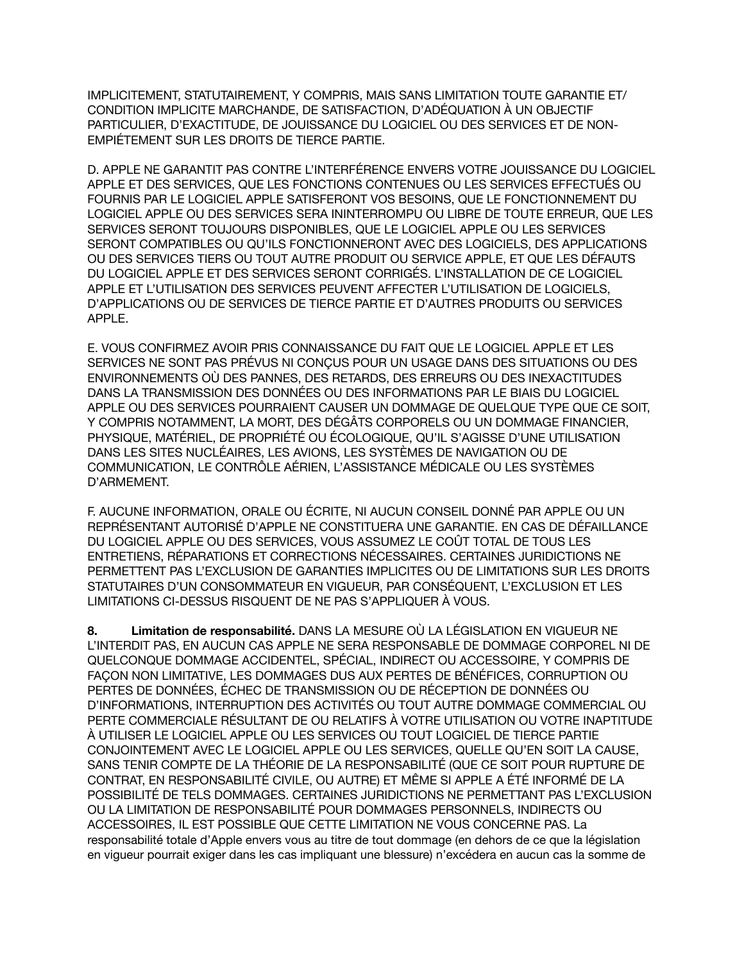IMPLICITEMENT, STATUTAIREMENT, Y COMPRIS, MAIS SANS LIMITATION TOUTE GARANTIE ET/ CONDITION IMPLICITE MARCHANDE, DE SATISFACTION, D'ADÉQUATION À UN OBJECTIF PARTICULIER, D'EXACTITUDE, DE JOUISSANCE DU LOGICIEL OU DES SERVICES ET DE NON-EMPIÉTEMENT SUR LES DROITS DE TIERCE PARTIE.

D. APPLE NE GARANTIT PAS CONTRE L'INTERFÉRENCE ENVERS VOTRE JOUISSANCE DU LOGICIEL APPLE ET DES SERVICES, QUE LES FONCTIONS CONTENUES OU LES SERVICES EFFECTUÉS OU FOURNIS PAR LE LOGICIEL APPLE SATISFERONT VOS BESOINS, QUE LE FONCTIONNEMENT DU LOGICIEL APPLE OU DES SERVICES SERA ININTERROMPU OU LIBRE DE TOUTE ERREUR, QUE LES SERVICES SERONT TOUJOURS DISPONIBLES, QUE LE LOGICIEL APPLE OU LES SERVICES SERONT COMPATIBLES OU QU'ILS FONCTIONNERONT AVEC DES LOGICIELS, DES APPLICATIONS OU DES SERVICES TIERS OU TOUT AUTRE PRODUIT OU SERVICE APPLE, ET QUE LES DÉFAUTS DU LOGICIEL APPLE ET DES SERVICES SERONT CORRIGÉS. L'INSTALLATION DE CE LOGICIEL APPLE ET L'UTILISATION DES SERVICES PEUVENT AFFECTER L'UTILISATION DE LOGICIELS, D'APPLICATIONS OU DE SERVICES DE TIERCE PARTIE ET D'AUTRES PRODUITS OU SERVICES APPLE.

E. VOUS CONFIRMEZ AVOIR PRIS CONNAISSANCE DU FAIT QUE LE LOGICIEL APPLE ET LES SERVICES NE SONT PAS PRÉVUS NI CONÇUS POUR UN USAGE DANS DES SITUATIONS OU DES ENVIRONNEMENTS OÙ DES PANNES, DES RETARDS, DES ERREURS OU DES INEXACTITUDES DANS LA TRANSMISSION DES DONNÉES OU DES INFORMATIONS PAR LE BIAIS DU LOGICIEL APPLE OU DES SERVICES POURRAIENT CAUSER UN DOMMAGE DE QUELQUE TYPE QUE CE SOIT, Y COMPRIS NOTAMMENT, LA MORT, DES DÉGÂTS CORPORELS OU UN DOMMAGE FINANCIER, PHYSIQUE, MATÉRIEL, DE PROPRIÉTÉ OU ÉCOLOGIQUE, QU'IL S'AGISSE D'UNE UTILISATION DANS LES SITES NUCLÉAIRES, LES AVIONS, LES SYSTÈMES DE NAVIGATION OU DE COMMUNICATION, LE CONTRÔLE AÉRIEN, L'ASSISTANCE MÉDICALE OU LES SYSTÈMES D'ARMEMENT.

F. AUCUNE INFORMATION, ORALE OU ÉCRITE, NI AUCUN CONSEIL DONNÉ PAR APPLE OU UN REPRÉSENTANT AUTORISÉ D'APPLE NE CONSTITUERA UNE GARANTIE. EN CAS DE DÉFAILLANCE DU LOGICIEL APPLE OU DES SERVICES, VOUS ASSUMEZ LE COÛT TOTAL DE TOUS LES ENTRETIENS, RÉPARATIONS ET CORRECTIONS NÉCESSAIRES. CERTAINES JURIDICTIONS NE PERMETTENT PAS L'EXCLUSION DE GARANTIES IMPLICITES OU DE LIMITATIONS SUR LES DROITS STATUTAIRES D'UN CONSOMMATEUR EN VIGUEUR, PAR CONSÉQUENT, L'EXCLUSION ET LES LIMITATIONS CI-DESSUS RISQUENT DE NE PAS S'APPLIQUER À VOUS.

**8. Limitation de responsabilité.** DANS LA MESURE OÙ LA LÉGISLATION EN VIGUEUR NE L'INTERDIT PAS, EN AUCUN CAS APPLE NE SERA RESPONSABLE DE DOMMAGE CORPOREL NI DE QUELCONQUE DOMMAGE ACCIDENTEL, SPÉCIAL, INDIRECT OU ACCESSOIRE, Y COMPRIS DE FAÇON NON LIMITATIVE, LES DOMMAGES DUS AUX PERTES DE BÉNÉFICES, CORRUPTION OU PERTES DE DONNÉES, ÉCHEC DE TRANSMISSION OU DE RÉCEPTION DE DONNÉES OU D'INFORMATIONS, INTERRUPTION DES ACTIVITÉS OU TOUT AUTRE DOMMAGE COMMERCIAL OU PERTE COMMERCIALE RÉSULTANT DE OU RELATIFS À VOTRE UTILISATION OU VOTRE INAPTITUDE À UTILISER LE LOGICIEL APPLE OU LES SERVICES OU TOUT LOGICIEL DE TIERCE PARTIE CONJOINTEMENT AVEC LE LOGICIEL APPLE OU LES SERVICES, QUELLE QU'EN SOIT LA CAUSE, SANS TENIR COMPTE DE LA THÉORIE DE LA RESPONSABILITÉ (QUE CE SOIT POUR RUPTURE DE CONTRAT, EN RESPONSABILITÉ CIVILE, OU AUTRE) ET MÊME SI APPLE A ÉTÉ INFORMÉ DE LA POSSIBILITÉ DE TELS DOMMAGES. CERTAINES JURIDICTIONS NE PERMETTANT PAS L'EXCLUSION OU LA LIMITATION DE RESPONSABILITÉ POUR DOMMAGES PERSONNELS, INDIRECTS OU ACCESSOIRES, IL EST POSSIBLE QUE CETTE LIMITATION NE VOUS CONCERNE PAS. La responsabilité totale d'Apple envers vous au titre de tout dommage (en dehors de ce que la législation en vigueur pourrait exiger dans les cas impliquant une blessure) n'excédera en aucun cas la somme de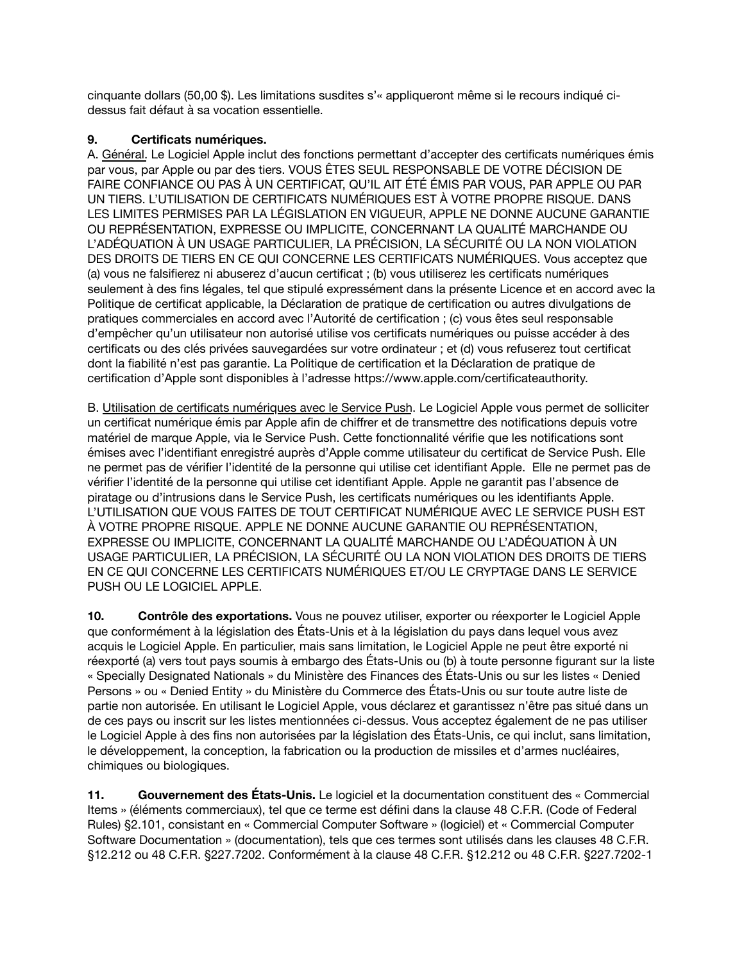cinquante dollars (50,00 \$). Les limitations susdites s'« appliqueront même si le recours indiqué cidessus fait défaut à sa vocation essentielle.

# **9. Certificats numériques.**

A. Général. Le Logiciel Apple inclut des fonctions permettant d'accepter des certificats numériques émis par vous, par Apple ou par des tiers. VOUS ÊTES SEUL RESPONSABLE DE VOTRE DÉCISION DE FAIRE CONFIANCE OU PAS À UN CERTIFICAT, QU'IL AIT ÉTÉ ÉMIS PAR VOUS, PAR APPLE OU PAR UN TIERS. L'UTILISATION DE CERTIFICATS NUMÉRIQUES EST À VOTRE PROPRE RISQUE. DANS LES LIMITES PERMISES PAR LA LÉGISLATION EN VIGUEUR, APPLE NE DONNE AUCUNE GARANTIE OU REPRÉSENTATION, EXPRESSE OU IMPLICITE, CONCERNANT LA QUALITÉ MARCHANDE OU L'ADÉQUATION À UN USAGE PARTICULIER, LA PRÉCISION, LA SÉCURITÉ OU LA NON VIOLATION DES DROITS DE TIERS EN CE QUI CONCERNE LES CERTIFICATS NUMÉRIQUES. Vous acceptez que (a) vous ne falsifierez ni abuserez d'aucun certificat ; (b) vous utiliserez les certificats numériques seulement à des fins légales, tel que stipulé expressément dans la présente Licence et en accord avec la Politique de certificat applicable, la Déclaration de pratique de certification ou autres divulgations de pratiques commerciales en accord avec l'Autorité de certification ; (c) vous êtes seul responsable d'empêcher qu'un utilisateur non autorisé utilise vos certificats numériques ou puisse accéder à des certificats ou des clés privées sauvegardées sur votre ordinateur ; et (d) vous refuserez tout certificat dont la fiabilité n'est pas garantie. La Politique de certification et la Déclaration de pratique de certification d'Apple sont disponibles à l'adresse<https://www.apple.com/certificateauthority>.

B. Utilisation de certificats numériques avec le Service Push. Le Logiciel Apple vous permet de solliciter un certificat numérique émis par Apple afin de chiffrer et de transmettre des notifications depuis votre matériel de marque Apple, via le Service Push. Cette fonctionnalité vérifie que les notifications sont émises avec l'identifiant enregistré auprès d'Apple comme utilisateur du certificat de Service Push. Elle ne permet pas de vérifier l'identité de la personne qui utilise cet identifiant Apple. Elle ne permet pas de vérifier l'identité de la personne qui utilise cet identifiant Apple. Apple ne garantit pas l'absence de piratage ou d'intrusions dans le Service Push, les certificats numériques ou les identifiants Apple. L'UTILISATION QUE VOUS FAITES DE TOUT CERTIFICAT NUMÉRIQUE AVEC LE SERVICE PUSH EST À VOTRE PROPRE RISQUE. APPLE NE DONNE AUCUNE GARANTIE OU REPRÉSENTATION, EXPRESSE OU IMPLICITE, CONCERNANT LA QUALITÉ MARCHANDE OU L'ADÉQUATION À UN USAGE PARTICULIER, LA PRÉCISION, LA SÉCURITÉ OU LA NON VIOLATION DES DROITS DE TIERS EN CE QUI CONCERNE LES CERTIFICATS NUMÉRIQUES ET/OU LE CRYPTAGE DANS LE SERVICE PUSH OU LE LOGICIEL APPLE.

**10. Contrôle des exportations.** Vous ne pouvez utiliser, exporter ou réexporter le Logiciel Apple que conformément à la législation des États-Unis et à la législation du pays dans lequel vous avez acquis le Logiciel Apple. En particulier, mais sans limitation, le Logiciel Apple ne peut être exporté ni réexporté (a) vers tout pays soumis à embargo des États-Unis ou (b) à toute personne figurant sur la liste « Specially Designated Nationals » du Ministère des Finances des États-Unis ou sur les listes « Denied Persons » ou « Denied Entity » du Ministère du Commerce des États-Unis ou sur toute autre liste de partie non autorisée. En utilisant le Logiciel Apple, vous déclarez et garantissez n'être pas situé dans un de ces pays ou inscrit sur les listes mentionnées ci-dessus. Vous acceptez également de ne pas utiliser le Logiciel Apple à des fins non autorisées par la législation des États-Unis, ce qui inclut, sans limitation, le développement, la conception, la fabrication ou la production de missiles et d'armes nucléaires, chimiques ou biologiques.

**11. Gouvernement des États-Unis.** Le logiciel et la documentation constituent des « Commercial Items » (éléments commerciaux), tel que ce terme est défini dans la clause 48 C.F.R. (Code of Federal Rules) §2.101, consistant en « Commercial Computer Software » (logiciel) et « Commercial Computer Software Documentation » (documentation), tels que ces termes sont utilisés dans les clauses 48 C.F.R. §12.212 ou 48 C.F.R. §227.7202. Conformément à la clause 48 C.F.R. §12.212 ou 48 C.F.R. §227.7202-1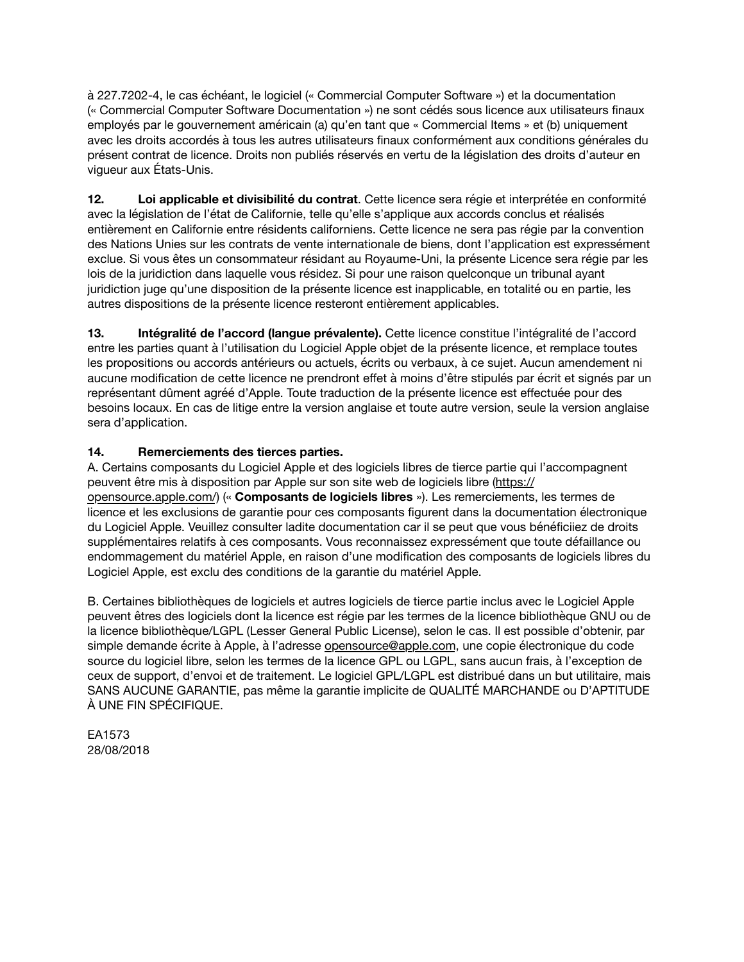à 227.7202-4, le cas échéant, le logiciel (« Commercial Computer Software ») et la documentation (« Commercial Computer Software Documentation ») ne sont cédés sous licence aux utilisateurs finaux employés par le gouvernement américain (a) qu'en tant que « Commercial Items » et (b) uniquement avec les droits accordés à tous les autres utilisateurs finaux conformément aux conditions générales du présent contrat de licence. Droits non publiés réservés en vertu de la législation des droits d'auteur en vigueur aux États-Unis.

**12. Loi applicable et divisibilité du contrat**. Cette licence sera régie et interprétée en conformité avec la législation de l'état de Californie, telle qu'elle s'applique aux accords conclus et réalisés entièrement en Californie entre résidents californiens. Cette licence ne sera pas régie par la convention des Nations Unies sur les contrats de vente internationale de biens, dont l'application est expressément exclue. Si vous êtes un consommateur résidant au Royaume-Uni, la présente Licence sera régie par les lois de la juridiction dans laquelle vous résidez. Si pour une raison quelconque un tribunal ayant juridiction juge qu'une disposition de la présente licence est inapplicable, en totalité ou en partie, les autres dispositions de la présente licence resteront entièrement applicables.

**13. Intégralité de l'accord (langue prévalente).** Cette licence constitue l'intégralité de l'accord entre les parties quant à l'utilisation du Logiciel Apple objet de la présente licence, et remplace toutes les propositions ou accords antérieurs ou actuels, écrits ou verbaux, à ce sujet. Aucun amendement ni aucune modification de cette licence ne prendront effet à moins d'être stipulés par écrit et signés par un représentant dûment agréé d'Apple. Toute traduction de la présente licence est effectuée pour des besoins locaux. En cas de litige entre la version anglaise et toute autre version, seule la version anglaise sera d'application.

# **14. Remerciements des tierces parties.**

A. Certains composants du Logiciel Apple et des logiciels libres de tierce partie qui l'accompagnent peuvent être mis à disposition par Apple sur son site web de logiciels libre ([https://](https://opensource.apple.com/) [opensource.apple.com/](https://opensource.apple.com/)) (« **Composants de logiciels libres** »). Les remerciements, les termes de licence et les exclusions de garantie pour ces composants figurent dans la documentation électronique du Logiciel Apple. Veuillez consulter ladite documentation car il se peut que vous bénéficiiez de droits supplémentaires relatifs à ces composants. Vous reconnaissez expressément que toute défaillance ou endommagement du matériel Apple, en raison d'une modification des composants de logiciels libres du Logiciel Apple, est exclu des conditions de la garantie du matériel Apple.

B. Certaines bibliothèques de logiciels et autres logiciels de tierce partie inclus avec le Logiciel Apple peuvent êtres des logiciels dont la licence est régie par les termes de la licence bibliothèque GNU ou de la licence bibliothèque/LGPL (Lesser General Public License), selon le cas. Il est possible d'obtenir, par simple demande écrite à Apple, à l'adresse *opensource@apple.com*, une copie électronique du code source du logiciel libre, selon les termes de la licence GPL ou LGPL, sans aucun frais, à l'exception de ceux de support, d'envoi et de traitement. Le logiciel GPL/LGPL est distribué dans un but utilitaire, mais SANS AUCUNE GARANTIE, pas même la garantie implicite de QUALITÉ MARCHANDE ou D'APTITUDE À UNE FIN SPÉCIFIQUE.

EA1573 28/08/2018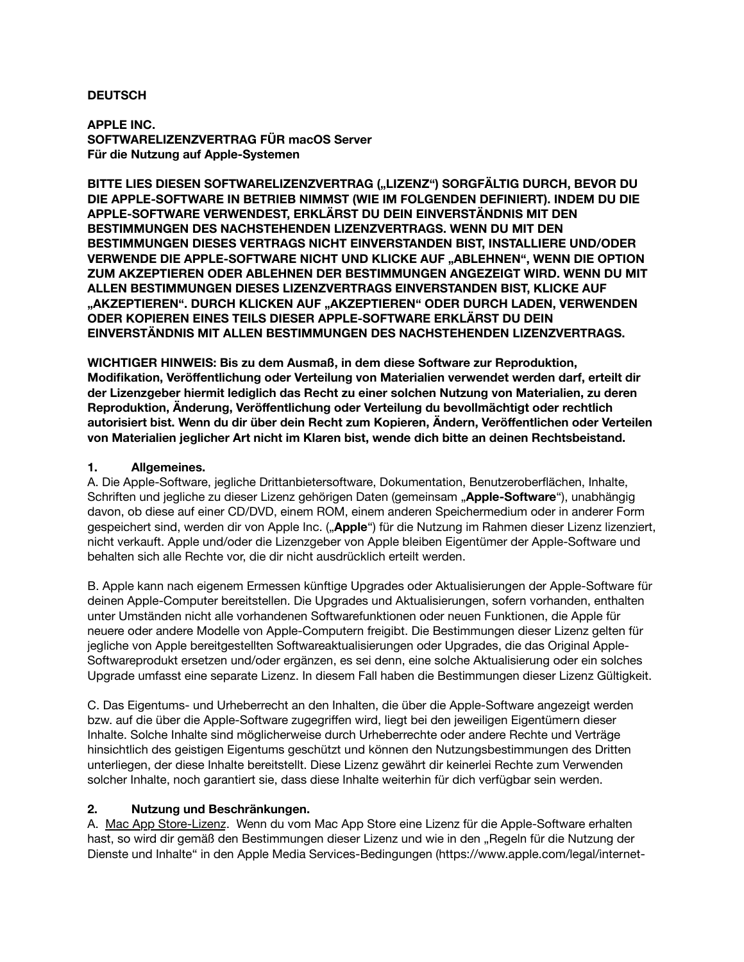#### **DEUTSCH**

**APPLE INC. SOFTWARELIZENZVERTRAG FÜR macOS Server Für die Nutzung auf Apple-Systemen**

**BITTE LIES DIESEN SOFTWARELIZENZVERTRAG ("LIZENZ") SORGFÄLTIG DURCH, BEVOR DU DIE APPLE-SOFTWARE IN BETRIEB NIMMST (WIE IM FOLGENDEN DEFINIERT). INDEM DU DIE APPLE-SOFTWARE VERWENDEST, ERKLÄRST DU DEIN EINVERSTÄNDNIS MIT DEN BESTIMMUNGEN DES NACHSTEHENDEN LIZENZVERTRAGS. WENN DU MIT DEN BESTIMMUNGEN DIESES VERTRAGS NICHT EINVERSTANDEN BIST, INSTALLIERE UND/ODER VERWENDE DIE APPLE-SOFTWARE NICHT UND KLICKE AUF "ABLEHNEN", WENN DIE OPTION ZUM AKZEPTIEREN ODER ABLEHNEN DER BESTIMMUNGEN ANGEZEIGT WIRD. WENN DU MIT ALLEN BESTIMMUNGEN DIESES LIZENZVERTRAGS EINVERSTANDEN BIST, KLICKE AUF "AKZEPTIEREN". DURCH KLICKEN AUF "AKZEPTIEREN" ODER DURCH LADEN, VERWENDEN ODER KOPIEREN EINES TEILS DIESER APPLE-SOFTWARE ERKLÄRST DU DEIN EINVERSTÄNDNIS MIT ALLEN BESTIMMUNGEN DES NACHSTEHENDEN LIZENZVERTRAGS.**

**WICHTIGER HINWEIS: Bis zu dem Ausmaß, in dem diese Software zur Reproduktion, Modifikation, Veröffentlichung oder Verteilung von Materialien verwendet werden darf, erteilt dir der Lizenzgeber hiermit lediglich das Recht zu einer solchen Nutzung von Materialien, zu deren Reproduktion, Änderung, Veröffentlichung oder Verteilung du bevollmächtigt oder rechtlich autorisiert bist. Wenn du dir über dein Recht zum Kopieren, Ändern, Veröffentlichen oder Verteilen von Materialien jeglicher Art nicht im Klaren bist, wende dich bitte an deinen Rechtsbeistand.**

#### **1. Allgemeines.**

A. Die Apple-Software, jegliche Drittanbietersoftware, Dokumentation, Benutzeroberflächen, Inhalte, Schriften und jegliche zu dieser Lizenz gehörigen Daten (gemeinsam "**Apple-Software**"), unabhängig davon, ob diese auf einer CD/DVD, einem ROM, einem anderen Speichermedium oder in anderer Form gespeichert sind, werden dir von Apple Inc. ("**Apple**") für die Nutzung im Rahmen dieser Lizenz lizenziert, nicht verkauft. Apple und/oder die Lizenzgeber von Apple bleiben Eigentümer der Apple-Software und behalten sich alle Rechte vor, die dir nicht ausdrücklich erteilt werden.

B. Apple kann nach eigenem Ermessen künftige Upgrades oder Aktualisierungen der Apple-Software für deinen Apple-Computer bereitstellen. Die Upgrades und Aktualisierungen, sofern vorhanden, enthalten unter Umständen nicht alle vorhandenen Softwarefunktionen oder neuen Funktionen, die Apple für neuere oder andere Modelle von Apple-Computern freigibt. Die Bestimmungen dieser Lizenz gelten für jegliche von Apple bereitgestellten Softwareaktualisierungen oder Upgrades, die das Original Apple-Softwareprodukt ersetzen und/oder ergänzen, es sei denn, eine solche Aktualisierung oder ein solches Upgrade umfasst eine separate Lizenz. In diesem Fall haben die Bestimmungen dieser Lizenz Gültigkeit.

C. Das Eigentums- und Urheberrecht an den Inhalten, die über die Apple-Software angezeigt werden bzw. auf die über die Apple-Software zugegriffen wird, liegt bei den jeweiligen Eigentümern dieser Inhalte. Solche Inhalte sind möglicherweise durch Urheberrechte oder andere Rechte und Verträge hinsichtlich des geistigen Eigentums geschützt und können den Nutzungsbestimmungen des Dritten unterliegen, der diese Inhalte bereitstellt. Diese Lizenz gewährt dir keinerlei Rechte zum Verwenden solcher Inhalte, noch garantiert sie, dass diese Inhalte weiterhin für dich verfügbar sein werden.

#### **2. Nutzung und Beschränkungen.**

A. Mac App Store-Lizenz. Wenn du vom Mac App Store eine Lizenz für die Apple-Software erhalten hast, so wird dir gemäß den Bestimmungen dieser Lizenz und wie in den "Regeln für die Nutzung der Dienste und Inhalte" in den Apple Media Services-Bedingungen [\(https://www.apple.com/legal/internet-](https://www.apple.com/legal/internet-services/itunes/)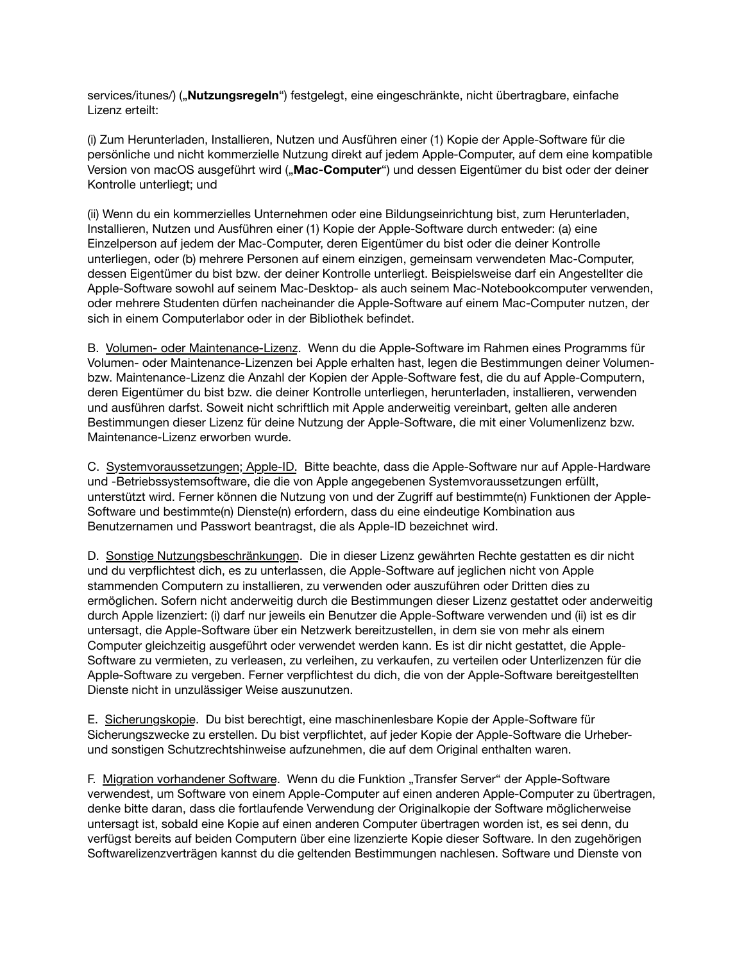[services/itunes/](https://www.apple.com/legal/internet-services/itunes/)) ("**Nutzungsregeln**") festgelegt, eine eingeschränkte, nicht übertragbare, einfache Lizenz erteilt:

(i) Zum Herunterladen, Installieren, Nutzen und Ausführen einer (1) Kopie der Apple-Software für die persönliche und nicht kommerzielle Nutzung direkt auf jedem Apple-Computer, auf dem eine kompatible Version von macOS ausgeführt wird ("**Mac-Computer**") und dessen Eigentümer du bist oder der deiner Kontrolle unterliegt; und

(ii) Wenn du ein kommerzielles Unternehmen oder eine Bildungseinrichtung bist, zum Herunterladen, Installieren, Nutzen und Ausführen einer (1) Kopie der Apple-Software durch entweder: (a) eine Einzelperson auf jedem der Mac-Computer, deren Eigentümer du bist oder die deiner Kontrolle unterliegen, oder (b) mehrere Personen auf einem einzigen, gemeinsam verwendeten Mac-Computer, dessen Eigentümer du bist bzw. der deiner Kontrolle unterliegt. Beispielsweise darf ein Angestellter die Apple-Software sowohl auf seinem Mac-Desktop- als auch seinem Mac-Notebookcomputer verwenden, oder mehrere Studenten dürfen nacheinander die Apple-Software auf einem Mac-Computer nutzen, der sich in einem Computerlabor oder in der Bibliothek befindet.

B. Volumen- oder Maintenance-Lizenz. Wenn du die Apple-Software im Rahmen eines Programms für Volumen- oder Maintenance-Lizenzen bei Apple erhalten hast, legen die Bestimmungen deiner Volumenbzw. Maintenance-Lizenz die Anzahl der Kopien der Apple-Software fest, die du auf Apple-Computern, deren Eigentümer du bist bzw. die deiner Kontrolle unterliegen, herunterladen, installieren, verwenden und ausführen darfst. Soweit nicht schriftlich mit Apple anderweitig vereinbart, gelten alle anderen Bestimmungen dieser Lizenz für deine Nutzung der Apple-Software, die mit einer Volumenlizenz bzw. Maintenance-Lizenz erworben wurde.

C. Systemvoraussetzungen; Apple-ID. Bitte beachte, dass die Apple-Software nur auf Apple-Hardware und -Betriebssystemsoftware, die die von Apple angegebenen Systemvoraussetzungen erfüllt, unterstützt wird. Ferner können die Nutzung von und der Zugriff auf bestimmte(n) Funktionen der Apple-Software und bestimmte(n) Dienste(n) erfordern, dass du eine eindeutige Kombination aus Benutzernamen und Passwort beantragst, die als Apple-ID bezeichnet wird.

D. Sonstige Nutzungsbeschränkungen. Die in dieser Lizenz gewährten Rechte gestatten es dir nicht und du verpflichtest dich, es zu unterlassen, die Apple-Software auf jeglichen nicht von Apple stammenden Computern zu installieren, zu verwenden oder auszuführen oder Dritten dies zu ermöglichen. Sofern nicht anderweitig durch die Bestimmungen dieser Lizenz gestattet oder anderweitig durch Apple lizenziert: (i) darf nur jeweils ein Benutzer die Apple-Software verwenden und (ii) ist es dir untersagt, die Apple-Software über ein Netzwerk bereitzustellen, in dem sie von mehr als einem Computer gleichzeitig ausgeführt oder verwendet werden kann. Es ist dir nicht gestattet, die Apple-Software zu vermieten, zu verleasen, zu verleihen, zu verkaufen, zu verteilen oder Unterlizenzen für die Apple-Software zu vergeben. Ferner verpflichtest du dich, die von der Apple-Software bereitgestellten Dienste nicht in unzulässiger Weise auszunutzen.

E. Sicherungskopie. Du bist berechtigt, eine maschinenlesbare Kopie der Apple-Software für Sicherungszwecke zu erstellen. Du bist verpflichtet, auf jeder Kopie der Apple-Software die Urheberund sonstigen Schutzrechtshinweise aufzunehmen, die auf dem Original enthalten waren.

F. Migration vorhandener Software. Wenn du die Funktion "Transfer Server" der Apple-Software verwendest, um Software von einem Apple-Computer auf einen anderen Apple-Computer zu übertragen, denke bitte daran, dass die fortlaufende Verwendung der Originalkopie der Software möglicherweise untersagt ist, sobald eine Kopie auf einen anderen Computer übertragen worden ist, es sei denn, du verfügst bereits auf beiden Computern über eine lizenzierte Kopie dieser Software. In den zugehörigen Softwarelizenzverträgen kannst du die geltenden Bestimmungen nachlesen. Software und Dienste von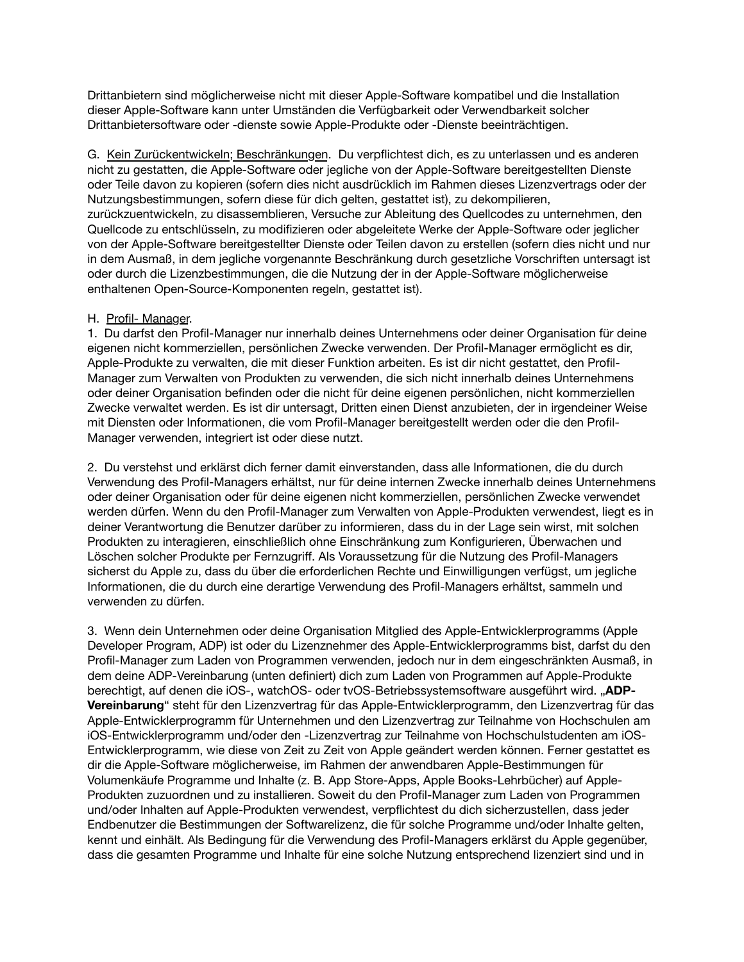Drittanbietern sind möglicherweise nicht mit dieser Apple-Software kompatibel und die Installation dieser Apple-Software kann unter Umständen die Verfügbarkeit oder Verwendbarkeit solcher Drittanbietersoftware oder -dienste sowie Apple-Produkte oder -Dienste beeinträchtigen.

G. Kein Zurückentwickeln; Beschränkungen. Du verpflichtest dich, es zu unterlassen und es anderen nicht zu gestatten, die Apple-Software oder jegliche von der Apple-Software bereitgestellten Dienste oder Teile davon zu kopieren (sofern dies nicht ausdrücklich im Rahmen dieses Lizenzvertrags oder der Nutzungsbestimmungen, sofern diese für dich gelten, gestattet ist), zu dekompilieren, zurückzuentwickeln, zu disassemblieren, Versuche zur Ableitung des Quellcodes zu unternehmen, den Quellcode zu entschlüsseln, zu modifizieren oder abgeleitete Werke der Apple-Software oder jeglicher von der Apple-Software bereitgestellter Dienste oder Teilen davon zu erstellen (sofern dies nicht und nur in dem Ausmaß, in dem jegliche vorgenannte Beschränkung durch gesetzliche Vorschriften untersagt ist oder durch die Lizenzbestimmungen, die die Nutzung der in der Apple-Software möglicherweise enthaltenen Open-Source-Komponenten regeln, gestattet ist).

### H. Profil- Manager.

1. Du darfst den Profil-Manager nur innerhalb deines Unternehmens oder deiner Organisation für deine eigenen nicht kommerziellen, persönlichen Zwecke verwenden. Der Profil-Manager ermöglicht es dir, Apple-Produkte zu verwalten, die mit dieser Funktion arbeiten. Es ist dir nicht gestattet, den Profil-Manager zum Verwalten von Produkten zu verwenden, die sich nicht innerhalb deines Unternehmens oder deiner Organisation befinden oder die nicht für deine eigenen persönlichen, nicht kommerziellen Zwecke verwaltet werden. Es ist dir untersagt, Dritten einen Dienst anzubieten, der in irgendeiner Weise mit Diensten oder Informationen, die vom Profil-Manager bereitgestellt werden oder die den Profil-Manager verwenden, integriert ist oder diese nutzt.

2. Du verstehst und erklärst dich ferner damit einverstanden, dass alle Informationen, die du durch Verwendung des Profil-Managers erhältst, nur für deine internen Zwecke innerhalb deines Unternehmens oder deiner Organisation oder für deine eigenen nicht kommerziellen, persönlichen Zwecke verwendet werden dürfen. Wenn du den Profil-Manager zum Verwalten von Apple-Produkten verwendest, liegt es in deiner Verantwortung die Benutzer darüber zu informieren, dass du in der Lage sein wirst, mit solchen Produkten zu interagieren, einschließlich ohne Einschränkung zum Konfigurieren, Überwachen und Löschen solcher Produkte per Fernzugriff. Als Voraussetzung für die Nutzung des Profil-Managers sicherst du Apple zu, dass du über die erforderlichen Rechte und Einwilligungen verfügst, um jegliche Informationen, die du durch eine derartige Verwendung des Profil-Managers erhältst, sammeln und verwenden zu dürfen.

3. Wenn dein Unternehmen oder deine Organisation Mitglied des Apple-Entwicklerprogramms (Apple Developer Program, ADP) ist oder du Lizenznehmer des Apple-Entwicklerprogramms bist, darfst du den Profil-Manager zum Laden von Programmen verwenden, jedoch nur in dem eingeschränkten Ausmaß, in dem deine ADP-Vereinbarung (unten definiert) dich zum Laden von Programmen auf Apple-Produkte berechtigt, auf denen die iOS-, watchOS- oder tvOS-Betriebssystemsoftware ausgeführt wird. "**ADP-Vereinbarung**" steht für den Lizenzvertrag für das Apple-Entwicklerprogramm, den Lizenzvertrag für das Apple-Entwicklerprogramm für Unternehmen und den Lizenzvertrag zur Teilnahme von Hochschulen am iOS-Entwicklerprogramm und/oder den -Lizenzvertrag zur Teilnahme von Hochschulstudenten am iOS-Entwicklerprogramm, wie diese von Zeit zu Zeit von Apple geändert werden können. Ferner gestattet es dir die Apple-Software möglicherweise, im Rahmen der anwendbaren Apple-Bestimmungen für Volumenkäufe Programme und Inhalte (z. B. App Store-Apps, Apple Books-Lehrbücher) auf Apple-Produkten zuzuordnen und zu installieren. Soweit du den Profil-Manager zum Laden von Programmen und/oder Inhalten auf Apple-Produkten verwendest, verpflichtest du dich sicherzustellen, dass jeder Endbenutzer die Bestimmungen der Softwarelizenz, die für solche Programme und/oder Inhalte gelten, kennt und einhält. Als Bedingung für die Verwendung des Profil-Managers erklärst du Apple gegenüber, dass die gesamten Programme und Inhalte für eine solche Nutzung entsprechend lizenziert sind und in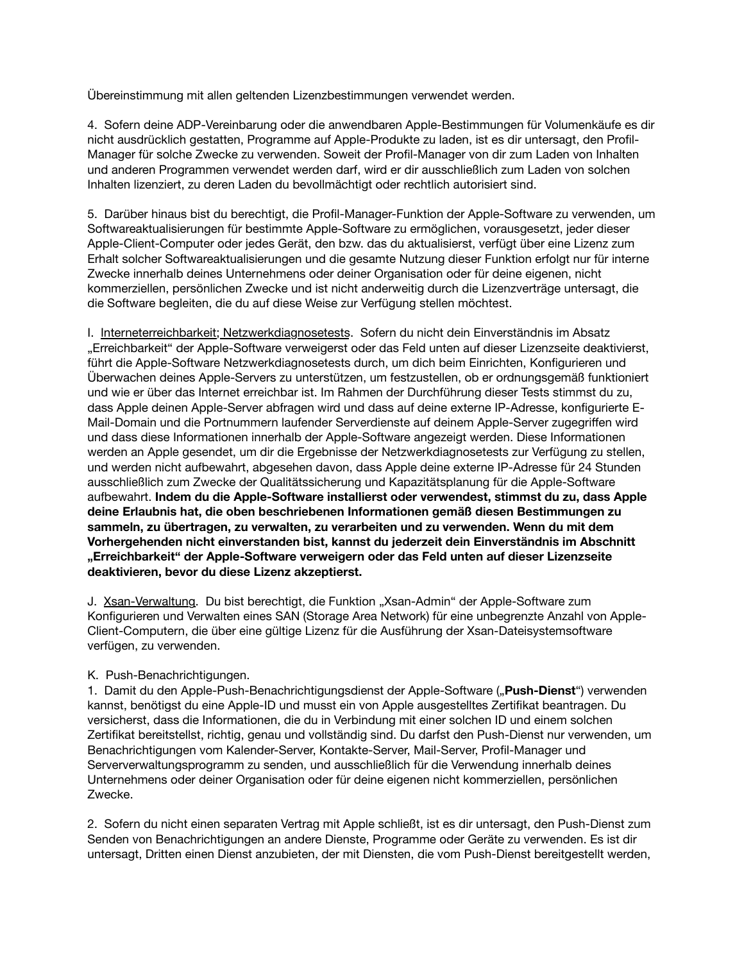Übereinstimmung mit allen geltenden Lizenzbestimmungen verwendet werden.

4. Sofern deine ADP-Vereinbarung oder die anwendbaren Apple-Bestimmungen für Volumenkäufe es dir nicht ausdrücklich gestatten, Programme auf Apple-Produkte zu laden, ist es dir untersagt, den Profil-Manager für solche Zwecke zu verwenden. Soweit der Profil-Manager von dir zum Laden von Inhalten und anderen Programmen verwendet werden darf, wird er dir ausschließlich zum Laden von solchen Inhalten lizenziert, zu deren Laden du bevollmächtigt oder rechtlich autorisiert sind.

5. Darüber hinaus bist du berechtigt, die Profil-Manager-Funktion der Apple-Software zu verwenden, um Softwareaktualisierungen für bestimmte Apple-Software zu ermöglichen, vorausgesetzt, jeder dieser Apple-Client-Computer oder jedes Gerät, den bzw. das du aktualisierst, verfügt über eine Lizenz zum Erhalt solcher Softwareaktualisierungen und die gesamte Nutzung dieser Funktion erfolgt nur für interne Zwecke innerhalb deines Unternehmens oder deiner Organisation oder für deine eigenen, nicht kommerziellen, persönlichen Zwecke und ist nicht anderweitig durch die Lizenzverträge untersagt, die die Software begleiten, die du auf diese Weise zur Verfügung stellen möchtest.

I. Interneterreichbarkeit; Netzwerkdiagnosetests. Sofern du nicht dein Einverständnis im Absatz "Erreichbarkeit" der Apple-Software verweigerst oder das Feld unten auf dieser Lizenzseite deaktivierst, führt die Apple-Software Netzwerkdiagnosetests durch, um dich beim Einrichten, Konfigurieren und Überwachen deines Apple-Servers zu unterstützen, um festzustellen, ob er ordnungsgemäß funktioniert und wie er über das Internet erreichbar ist. Im Rahmen der Durchführung dieser Tests stimmst du zu, dass Apple deinen Apple-Server abfragen wird und dass auf deine externe IP-Adresse, konfigurierte E-Mail-Domain und die Portnummern laufender Serverdienste auf deinem Apple-Server zugegriffen wird und dass diese Informationen innerhalb der Apple-Software angezeigt werden. Diese Informationen werden an Apple gesendet, um dir die Ergebnisse der Netzwerkdiagnosetests zur Verfügung zu stellen, und werden nicht aufbewahrt, abgesehen davon, dass Apple deine externe IP-Adresse für 24 Stunden ausschließlich zum Zwecke der Qualitätssicherung und Kapazitätsplanung für die Apple-Software aufbewahrt. **Indem du die Apple-Software installierst oder verwendest, stimmst du zu, dass Apple deine Erlaubnis hat, die oben beschriebenen Informationen gemäß diesen Bestimmungen zu sammeln, zu übertragen, zu verwalten, zu verarbeiten und zu verwenden. Wenn du mit dem Vorhergehenden nicht einverstanden bist, kannst du jederzeit dein Einverständnis im Abschnitt "Erreichbarkeit" der Apple-Software verweigern oder das Feld unten auf dieser Lizenzseite deaktivieren, bevor du diese Lizenz akzeptierst.**

J. Xsan-Verwaltung. Du bist berechtigt, die Funktion "Xsan-Admin" der Apple-Software zum Konfigurieren und Verwalten eines SAN (Storage Area Network) für eine unbegrenzte Anzahl von Apple-Client-Computern, die über eine gültige Lizenz für die Ausführung der Xsan-Dateisystemsoftware verfügen, zu verwenden.

## K. Push-Benachrichtigungen.

1. Damit du den Apple-Push-Benachrichtigungsdienst der Apple-Software ("**Push-Dienst**") verwenden kannst, benötigst du eine Apple-ID und musst ein von Apple ausgestelltes Zertifikat beantragen. Du versicherst, dass die Informationen, die du in Verbindung mit einer solchen ID und einem solchen Zertifikat bereitstellst, richtig, genau und vollständig sind. Du darfst den Push-Dienst nur verwenden, um Benachrichtigungen vom Kalender-Server, Kontakte-Server, Mail-Server, Profil-Manager und Serververwaltungsprogramm zu senden, und ausschließlich für die Verwendung innerhalb deines Unternehmens oder deiner Organisation oder für deine eigenen nicht kommerziellen, persönlichen Zwecke.

2. Sofern du nicht einen separaten Vertrag mit Apple schließt, ist es dir untersagt, den Push-Dienst zum Senden von Benachrichtigungen an andere Dienste, Programme oder Geräte zu verwenden. Es ist dir untersagt, Dritten einen Dienst anzubieten, der mit Diensten, die vom Push-Dienst bereitgestellt werden,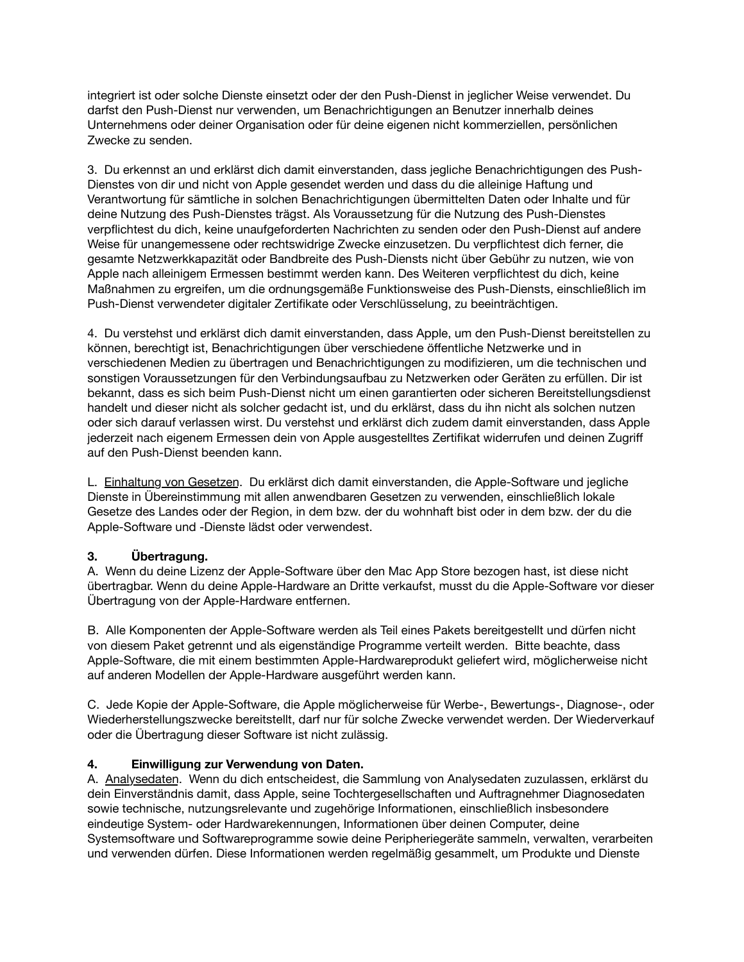integriert ist oder solche Dienste einsetzt oder der den Push-Dienst in jeglicher Weise verwendet. Du darfst den Push-Dienst nur verwenden, um Benachrichtigungen an Benutzer innerhalb deines Unternehmens oder deiner Organisation oder für deine eigenen nicht kommerziellen, persönlichen Zwecke zu senden.

3. Du erkennst an und erklärst dich damit einverstanden, dass jegliche Benachrichtigungen des Push-Dienstes von dir und nicht von Apple gesendet werden und dass du die alleinige Haftung und Verantwortung für sämtliche in solchen Benachrichtigungen übermittelten Daten oder Inhalte und für deine Nutzung des Push-Dienstes trägst. Als Voraussetzung für die Nutzung des Push-Dienstes verpflichtest du dich, keine unaufgeforderten Nachrichten zu senden oder den Push-Dienst auf andere Weise für unangemessene oder rechtswidrige Zwecke einzusetzen. Du verpflichtest dich ferner, die gesamte Netzwerkkapazität oder Bandbreite des Push-Diensts nicht über Gebühr zu nutzen, wie von Apple nach alleinigem Ermessen bestimmt werden kann. Des Weiteren verpflichtest du dich, keine Maßnahmen zu ergreifen, um die ordnungsgemäße Funktionsweise des Push-Diensts, einschließlich im Push-Dienst verwendeter digitaler Zertifikate oder Verschlüsselung, zu beeinträchtigen.

4. Du verstehst und erklärst dich damit einverstanden, dass Apple, um den Push-Dienst bereitstellen zu können, berechtigt ist, Benachrichtigungen über verschiedene öffentliche Netzwerke und in verschiedenen Medien zu übertragen und Benachrichtigungen zu modifizieren, um die technischen und sonstigen Voraussetzungen für den Verbindungsaufbau zu Netzwerken oder Geräten zu erfüllen. Dir ist bekannt, dass es sich beim Push-Dienst nicht um einen garantierten oder sicheren Bereitstellungsdienst handelt und dieser nicht als solcher gedacht ist, und du erklärst, dass du ihn nicht als solchen nutzen oder sich darauf verlassen wirst. Du verstehst und erklärst dich zudem damit einverstanden, dass Apple jederzeit nach eigenem Ermessen dein von Apple ausgestelltes Zertifikat widerrufen und deinen Zugriff auf den Push-Dienst beenden kann.

L. Einhaltung von Gesetzen. Du erklärst dich damit einverstanden, die Apple-Software und jegliche Dienste in Übereinstimmung mit allen anwendbaren Gesetzen zu verwenden, einschließlich lokale Gesetze des Landes oder der Region, in dem bzw. der du wohnhaft bist oder in dem bzw. der du die Apple-Software und -Dienste lädst oder verwendest.

## **3. Übertragung.**

A. Wenn du deine Lizenz der Apple-Software über den Mac App Store bezogen hast, ist diese nicht übertragbar. Wenn du deine Apple-Hardware an Dritte verkaufst, musst du die Apple-Software vor dieser Übertragung von der Apple-Hardware entfernen.

B. Alle Komponenten der Apple-Software werden als Teil eines Pakets bereitgestellt und dürfen nicht von diesem Paket getrennt und als eigenständige Programme verteilt werden. Bitte beachte, dass Apple-Software, die mit einem bestimmten Apple-Hardwareprodukt geliefert wird, möglicherweise nicht auf anderen Modellen der Apple-Hardware ausgeführt werden kann.

C. Jede Kopie der Apple-Software, die Apple möglicherweise für Werbe-, Bewertungs-, Diagnose-, oder Wiederherstellungszwecke bereitstellt, darf nur für solche Zwecke verwendet werden. Der Wiederverkauf oder die Übertragung dieser Software ist nicht zulässig.

## **4. Einwilligung zur Verwendung von Daten.**

A. Analysedaten. Wenn du dich entscheidest, die Sammlung von Analysedaten zuzulassen, erklärst du dein Einverständnis damit, dass Apple, seine Tochtergesellschaften und Auftragnehmer Diagnosedaten sowie technische, nutzungsrelevante und zugehörige Informationen, einschließlich insbesondere eindeutige System- oder Hardwarekennungen, Informationen über deinen Computer, deine Systemsoftware und Softwareprogramme sowie deine Peripheriegeräte sammeln, verwalten, verarbeiten und verwenden dürfen. Diese Informationen werden regelmäßig gesammelt, um Produkte und Dienste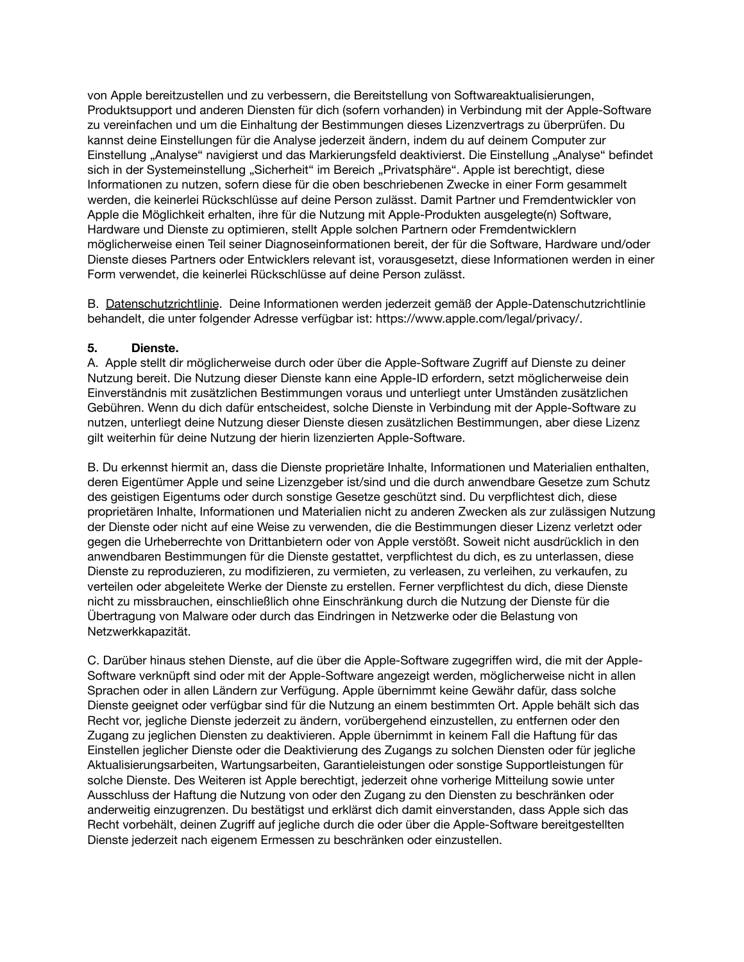von Apple bereitzustellen und zu verbessern, die Bereitstellung von Softwareaktualisierungen, Produktsupport und anderen Diensten für dich (sofern vorhanden) in Verbindung mit der Apple-Software zu vereinfachen und um die Einhaltung der Bestimmungen dieses Lizenzvertrags zu überprüfen. Du kannst deine Einstellungen für die Analyse jederzeit ändern, indem du auf deinem Computer zur Einstellung "Analyse" navigierst und das Markierungsfeld deaktivierst. Die Einstellung "Analyse" befindet sich in der Systemeinstellung "Sicherheit" im Bereich "Privatsphäre". Apple ist berechtigt, diese Informationen zu nutzen, sofern diese für die oben beschriebenen Zwecke in einer Form gesammelt werden, die keinerlei Rückschlüsse auf deine Person zulässt. Damit Partner und Fremdentwickler von Apple die Möglichkeit erhalten, ihre für die Nutzung mit Apple-Produkten ausgelegte(n) Software, Hardware und Dienste zu optimieren, stellt Apple solchen Partnern oder Fremdentwicklern möglicherweise einen Teil seiner Diagnoseinformationen bereit, der für die Software, Hardware und/oder Dienste dieses Partners oder Entwicklers relevant ist, vorausgesetzt, diese Informationen werden in einer Form verwendet, die keinerlei Rückschlüsse auf deine Person zulässt.

B. Datenschutzrichtlinie. Deine Informationen werden jederzeit gemäß der Apple-Datenschutzrichtlinie behandelt, die unter folgender Adresse verfügbar ist:<https://www.apple.com/legal/privacy/>.

### **5. Dienste.**

A. Apple stellt dir möglicherweise durch oder über die Apple-Software Zugriff auf Dienste zu deiner Nutzung bereit. Die Nutzung dieser Dienste kann eine Apple-ID erfordern, setzt möglicherweise dein Einverständnis mit zusätzlichen Bestimmungen voraus und unterliegt unter Umständen zusätzlichen Gebühren. Wenn du dich dafür entscheidest, solche Dienste in Verbindung mit der Apple-Software zu nutzen, unterliegt deine Nutzung dieser Dienste diesen zusätzlichen Bestimmungen, aber diese Lizenz gilt weiterhin für deine Nutzung der hierin lizenzierten Apple-Software.

B. Du erkennst hiermit an, dass die Dienste proprietäre Inhalte, Informationen und Materialien enthalten, deren Eigentümer Apple und seine Lizenzgeber ist/sind und die durch anwendbare Gesetze zum Schutz des geistigen Eigentums oder durch sonstige Gesetze geschützt sind. Du verpflichtest dich, diese proprietären Inhalte, Informationen und Materialien nicht zu anderen Zwecken als zur zulässigen Nutzung der Dienste oder nicht auf eine Weise zu verwenden, die die Bestimmungen dieser Lizenz verletzt oder gegen die Urheberrechte von Drittanbietern oder von Apple verstößt. Soweit nicht ausdrücklich in den anwendbaren Bestimmungen für die Dienste gestattet, verpflichtest du dich, es zu unterlassen, diese Dienste zu reproduzieren, zu modifizieren, zu vermieten, zu verleasen, zu verleihen, zu verkaufen, zu verteilen oder abgeleitete Werke der Dienste zu erstellen. Ferner verpflichtest du dich, diese Dienste nicht zu missbrauchen, einschließlich ohne Einschränkung durch die Nutzung der Dienste für die Übertragung von Malware oder durch das Eindringen in Netzwerke oder die Belastung von Netzwerkkapazität.

C. Darüber hinaus stehen Dienste, auf die über die Apple-Software zugegriffen wird, die mit der Apple-Software verknüpft sind oder mit der Apple-Software angezeigt werden, möglicherweise nicht in allen Sprachen oder in allen Ländern zur Verfügung. Apple übernimmt keine Gewähr dafür, dass solche Dienste geeignet oder verfügbar sind für die Nutzung an einem bestimmten Ort. Apple behält sich das Recht vor, jegliche Dienste jederzeit zu ändern, vorübergehend einzustellen, zu entfernen oder den Zugang zu jeglichen Diensten zu deaktivieren. Apple übernimmt in keinem Fall die Haftung für das Einstellen jeglicher Dienste oder die Deaktivierung des Zugangs zu solchen Diensten oder für jegliche Aktualisierungsarbeiten, Wartungsarbeiten, Garantieleistungen oder sonstige Supportleistungen für solche Dienste. Des Weiteren ist Apple berechtigt, jederzeit ohne vorherige Mitteilung sowie unter Ausschluss der Haftung die Nutzung von oder den Zugang zu den Diensten zu beschränken oder anderweitig einzugrenzen. Du bestätigst und erklärst dich damit einverstanden, dass Apple sich das Recht vorbehält, deinen Zugriff auf jegliche durch die oder über die Apple-Software bereitgestellten Dienste jederzeit nach eigenem Ermessen zu beschränken oder einzustellen.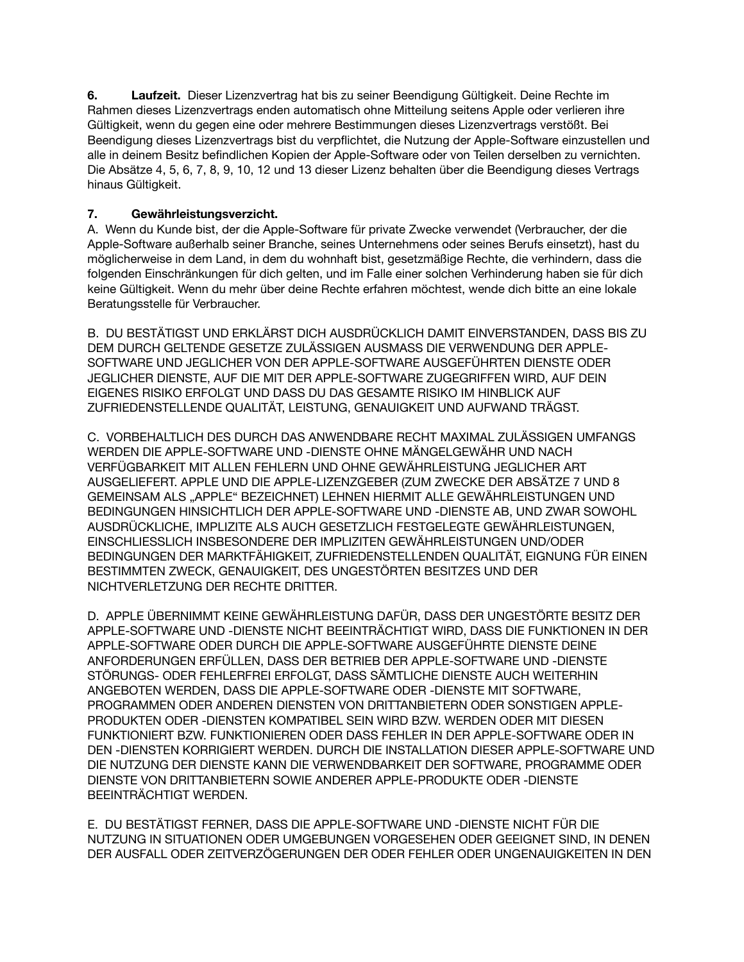**6. Laufzeit.** Dieser Lizenzvertrag hat bis zu seiner Beendigung Gültigkeit. Deine Rechte im Rahmen dieses Lizenzvertrags enden automatisch ohne Mitteilung seitens Apple oder verlieren ihre Gültigkeit, wenn du gegen eine oder mehrere Bestimmungen dieses Lizenzvertrags verstößt. Bei Beendigung dieses Lizenzvertrags bist du verpflichtet, die Nutzung der Apple-Software einzustellen und alle in deinem Besitz befindlichen Kopien der Apple-Software oder von Teilen derselben zu vernichten. Die Absätze 4, 5, 6, 7, 8, 9, 10, 12 und 13 dieser Lizenz behalten über die Beendigung dieses Vertrags hinaus Gültigkeit.

# **7. Gewährleistungsverzicht.**

A. Wenn du Kunde bist, der die Apple-Software für private Zwecke verwendet (Verbraucher, der die Apple-Software außerhalb seiner Branche, seines Unternehmens oder seines Berufs einsetzt), hast du möglicherweise in dem Land, in dem du wohnhaft bist, gesetzmäßige Rechte, die verhindern, dass die folgenden Einschränkungen für dich gelten, und im Falle einer solchen Verhinderung haben sie für dich keine Gültigkeit. Wenn du mehr über deine Rechte erfahren möchtest, wende dich bitte an eine lokale Beratungsstelle für Verbraucher.

B. DU BESTÄTIGST UND ERKLÄRST DICH AUSDRÜCKLICH DAMIT EINVERSTANDEN, DASS BIS ZU DEM DURCH GELTENDE GESETZE ZULÄSSIGEN AUSMASS DIE VERWENDUNG DER APPLE-SOFTWARE UND JEGLICHER VON DER APPLE-SOFTWARE AUSGEFÜHRTEN DIENSTE ODER JEGLICHER DIENSTE, AUF DIE MIT DER APPLE-SOFTWARE ZUGEGRIFFEN WIRD, AUF DEIN EIGENES RISIKO ERFOLGT UND DASS DU DAS GESAMTE RISIKO IM HINBLICK AUF ZUFRIEDENSTELLENDE QUALITÄT, LEISTUNG, GENAUIGKEIT UND AUFWAND TRÄGST.

C. VORBEHALTLICH DES DURCH DAS ANWENDBARE RECHT MAXIMAL ZULÄSSIGEN UMFANGS WERDEN DIE APPLE-SOFTWARE UND -DIENSTE OHNE MÄNGELGEWÄHR UND NACH VERFÜGBARKEIT MIT ALLEN FEHLERN UND OHNE GEWÄHRLEISTUNG JEGLICHER ART AUSGELIEFERT. APPLE UND DIE APPLE-LIZENZGEBER (ZUM ZWECKE DER ABSÄTZE 7 UND 8 GEMEINSAM ALS "APPLE" BEZEICHNET) LEHNEN HIERMIT ALLE GEWÄHRLEISTUNGEN UND BEDINGUNGEN HINSICHTLICH DER APPLE-SOFTWARE UND -DIENSTE AB, UND ZWAR SOWOHL AUSDRÜCKLICHE, IMPLIZITE ALS AUCH GESETZLICH FESTGELEGTE GEWÄHRLEISTUNGEN, EINSCHLIESSLICH INSBESONDERE DER IMPLIZITEN GEWÄHRLEISTUNGEN UND/ODER BEDINGUNGEN DER MARKTFÄHIGKEIT, ZUFRIEDENSTELLENDEN QUALITÄT, EIGNUNG FÜR EINEN BESTIMMTEN ZWECK, GENAUIGKEIT, DES UNGESTÖRTEN BESITZES UND DER NICHTVERLETZUNG DER RECHTE DRITTER.

D. APPLE ÜBERNIMMT KEINE GEWÄHRLEISTUNG DAFÜR, DASS DER UNGESTÖRTE BESITZ DER APPLE-SOFTWARE UND -DIENSTE NICHT BEEINTRÄCHTIGT WIRD, DASS DIE FUNKTIONEN IN DER APPLE-SOFTWARE ODER DURCH DIE APPLE-SOFTWARE AUSGEFÜHRTE DIENSTE DEINE ANFORDERUNGEN ERFÜLLEN, DASS DER BETRIEB DER APPLE-SOFTWARE UND -DIENSTE STÖRUNGS- ODER FEHLERFREI ERFOLGT, DASS SÄMTLICHE DIENSTE AUCH WEITERHIN ANGEBOTEN WERDEN, DASS DIE APPLE-SOFTWARE ODER -DIENSTE MIT SOFTWARE, PROGRAMMEN ODER ANDEREN DIENSTEN VON DRITTANBIETERN ODER SONSTIGEN APPLE-PRODUKTEN ODER -DIENSTEN KOMPATIBEL SEIN WIRD BZW. WERDEN ODER MIT DIESEN FUNKTIONIERT BZW. FUNKTIONIEREN ODER DASS FEHLER IN DER APPLE-SOFTWARE ODER IN DEN -DIENSTEN KORRIGIERT WERDEN. DURCH DIE INSTALLATION DIESER APPLE-SOFTWARE UND DIE NUTZUNG DER DIENSTE KANN DIE VERWENDBARKEIT DER SOFTWARE, PROGRAMME ODER DIENSTE VON DRITTANBIETERN SOWIE ANDERER APPLE-PRODUKTE ODER -DIENSTE BEEINTRÄCHTIGT WERDEN.

E. DU BESTÄTIGST FERNER, DASS DIE APPLE-SOFTWARE UND -DIENSTE NICHT FÜR DIE NUTZUNG IN SITUATIONEN ODER UMGEBUNGEN VORGESEHEN ODER GEEIGNET SIND, IN DENEN DER AUSFALL ODER ZEITVERZÖGERUNGEN DER ODER FEHLER ODER UNGENAUIGKEITEN IN DEN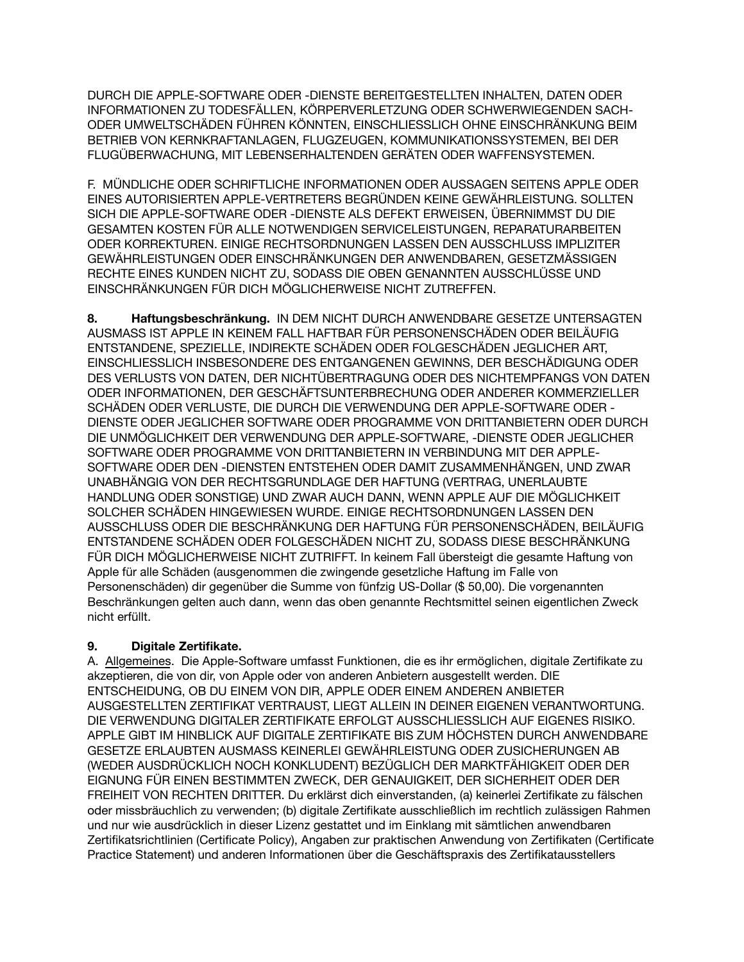DURCH DIE APPLE-SOFTWARE ODER -DIENSTE BEREITGESTELLTEN INHALTEN, DATEN ODER INFORMATIONEN ZU TODESFÄLLEN, KÖRPERVERLETZUNG ODER SCHWERWIEGENDEN SACH-ODER UMWELTSCHÄDEN FÜHREN KÖNNTEN, EINSCHLIESSLICH OHNE EINSCHRÄNKUNG BEIM BETRIEB VON KERNKRAFTANLAGEN, FLUGZEUGEN, KOMMUNIKATIONSSYSTEMEN, BEI DER FLUGÜBERWACHUNG, MIT LEBENSERHALTENDEN GERÄTEN ODER WAFFENSYSTEMEN.

F. MÜNDLICHE ODER SCHRIFTLICHE INFORMATIONEN ODER AUSSAGEN SEITENS APPLE ODER EINES AUTORISIERTEN APPLE-VERTRETERS BEGRÜNDEN KEINE GEWÄHRLEISTUNG. SOLLTEN SICH DIE APPLE-SOFTWARE ODER -DIENSTE ALS DEFEKT ERWEISEN, ÜBERNIMMST DU DIE GESAMTEN KOSTEN FÜR ALLE NOTWENDIGEN SERVICELEISTUNGEN, REPARATURARBEITEN ODER KORREKTUREN. EINIGE RECHTSORDNUNGEN LASSEN DEN AUSSCHLUSS IMPLIZITER GEWÄHRLEISTUNGEN ODER EINSCHRÄNKUNGEN DER ANWENDBAREN, GESETZMÄSSIGEN RECHTE EINES KUNDEN NICHT ZU, SODASS DIE OBEN GENANNTEN AUSSCHLÜSSE UND EINSCHRÄNKUNGEN FÜR DICH MÖGLICHERWEISE NICHT ZUTREFFEN.

**8. Haftungsbeschränkung.** IN DEM NICHT DURCH ANWENDBARE GESETZE UNTERSAGTEN AUSMASS IST APPLE IN KEINEM FALL HAFTBAR FÜR PERSONENSCHÄDEN ODER BEILÄUFIG ENTSTANDENE, SPEZIELLE, INDIREKTE SCHÄDEN ODER FOLGESCHÄDEN JEGLICHER ART, EINSCHLIESSLICH INSBESONDERE DES ENTGANGENEN GEWINNS, DER BESCHÄDIGUNG ODER DES VERLUSTS VON DATEN, DER NICHTÜBERTRAGUNG ODER DES NICHTEMPFANGS VON DATEN ODER INFORMATIONEN, DER GESCHÄFTSUNTERBRECHUNG ODER ANDERER KOMMERZIELLER SCHÄDEN ODER VERLUSTE, DIE DURCH DIE VERWENDUNG DER APPLE-SOFTWARE ODER - DIENSTE ODER JEGLICHER SOFTWARE ODER PROGRAMME VON DRITTANBIETERN ODER DURCH DIE UNMÖGLICHKEIT DER VERWENDUNG DER APPLE-SOFTWARE, -DIENSTE ODER JEGLICHER SOFTWARE ODER PROGRAMME VON DRITTANBIETERN IN VERBINDUNG MIT DER APPLE-SOFTWARE ODER DEN -DIENSTEN ENTSTEHEN ODER DAMIT ZUSAMMENHÄNGEN, UND ZWAR UNABHÄNGIG VON DER RECHTSGRUNDLAGE DER HAFTUNG (VERTRAG, UNERLAUBTE HANDLUNG ODER SONSTIGE) UND ZWAR AUCH DANN, WENN APPLE AUF DIE MÖGLICHKEIT SOLCHER SCHÄDEN HINGEWIESEN WURDE. EINIGE RECHTSORDNUNGEN LASSEN DEN AUSSCHLUSS ODER DIE BESCHRÄNKUNG DER HAFTUNG FÜR PERSONENSCHÄDEN, BEILÄUFIG ENTSTANDENE SCHÄDEN ODER FOLGESCHÄDEN NICHT ZU, SODASS DIESE BESCHRÄNKUNG FÜR DICH MÖGLICHERWEISE NICHT ZUTRIFFT. In keinem Fall übersteigt die gesamte Haftung von Apple für alle Schäden (ausgenommen die zwingende gesetzliche Haftung im Falle von Personenschäden) dir gegenüber die Summe von fünfzig US-Dollar (\$ 50,00). Die vorgenannten Beschränkungen gelten auch dann, wenn das oben genannte Rechtsmittel seinen eigentlichen Zweck nicht erfüllt.

# **9. Digitale Zertifikate.**

A. Allgemeines. Die Apple-Software umfasst Funktionen, die es ihr ermöglichen, digitale Zertifikate zu akzeptieren, die von dir, von Apple oder von anderen Anbietern ausgestellt werden. DIE ENTSCHEIDUNG, OB DU EINEM VON DIR, APPLE ODER EINEM ANDEREN ANBIETER AUSGESTELLTEN ZERTIFIKAT VERTRAUST, LIEGT ALLEIN IN DEINER EIGENEN VERANTWORTUNG. DIE VERWENDUNG DIGITALER ZERTIFIKATE ERFOLGT AUSSCHLIESSLICH AUF EIGENES RISIKO. APPLE GIBT IM HINBLICK AUF DIGITALE ZERTIFIKATE BIS ZUM HÖCHSTEN DURCH ANWENDBARE GESETZE ERLAUBTEN AUSMASS KEINERLEI GEWÄHRLEISTUNG ODER ZUSICHERUNGEN AB (WEDER AUSDRÜCKLICH NOCH KONKLUDENT) BEZÜGLICH DER MARKTFÄHIGKEIT ODER DER EIGNUNG FÜR EINEN BESTIMMTEN ZWECK, DER GENAUIGKEIT, DER SICHERHEIT ODER DER FREIHEIT VON RECHTEN DRITTER. Du erklärst dich einverstanden, (a) keinerlei Zertifikate zu fälschen oder missbräuchlich zu verwenden; (b) digitale Zertifikate ausschließlich im rechtlich zulässigen Rahmen und nur wie ausdrücklich in dieser Lizenz gestattet und im Einklang mit sämtlichen anwendbaren Zertifikatsrichtlinien (Certificate Policy), Angaben zur praktischen Anwendung von Zertifikaten (Certificate Practice Statement) und anderen Informationen über die Geschäftspraxis des Zertifikatausstellers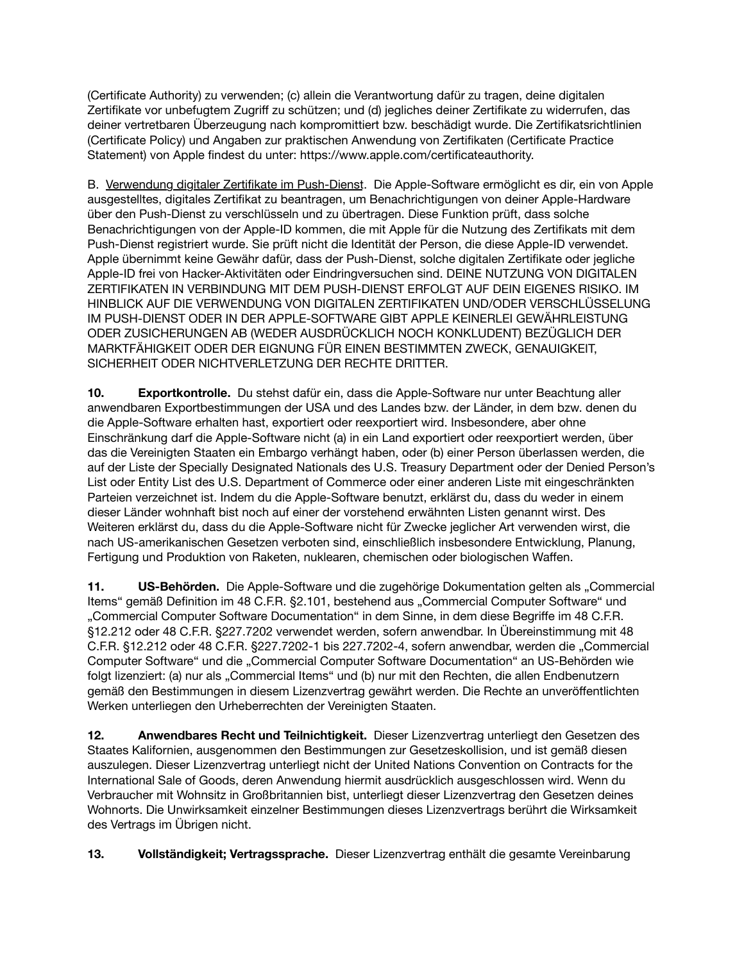(Certificate Authority) zu verwenden; (c) allein die Verantwortung dafür zu tragen, deine digitalen Zertifikate vor unbefugtem Zugriff zu schützen; und (d) jegliches deiner Zertifikate zu widerrufen, das deiner vertretbaren Überzeugung nach kompromittiert bzw. beschädigt wurde. Die Zertifikatsrichtlinien (Certificate Policy) und Angaben zur praktischen Anwendung von Zertifikaten (Certificate Practice Statement) von Apple findest du unter:<https://www.apple.com/certificateauthority>.

B. Verwendung digitaler Zertifikate im Push-Dienst.Die Apple-Software ermöglicht es dir, ein von Apple ausgestelltes, digitales Zertifikat zu beantragen, um Benachrichtigungen von deiner Apple-Hardware über den Push-Dienst zu verschlüsseln und zu übertragen. Diese Funktion prüft, dass solche Benachrichtigungen von der Apple-ID kommen, die mit Apple für die Nutzung des Zertifikats mit dem Push-Dienst registriert wurde. Sie prüft nicht die Identität der Person, die diese Apple-ID verwendet. Apple übernimmt keine Gewähr dafür, dass der Push-Dienst, solche digitalen Zertifikate oder jegliche Apple-ID frei von Hacker-Aktivitäten oder Eindringversuchen sind. DEINE NUTZUNG VON DIGITALEN ZERTIFIKATEN IN VERBINDUNG MIT DEM PUSH-DIENST ERFOLGT AUF DEIN EIGENES RISIKO. IM HINBLICK AUF DIE VERWENDUNG VON DIGITALEN ZERTIFIKATEN UND/ODER VERSCHLÜSSELUNG IM PUSH-DIENST ODER IN DER APPLE-SOFTWARE GIBT APPLE KEINERLEI GEWÄHRLEISTUNG ODER ZUSICHERUNGEN AB (WEDER AUSDRÜCKLICH NOCH KONKLUDENT) BEZÜGLICH DER MARKTFÄHIGKEIT ODER DER EIGNUNG FÜR EINEN BESTIMMTEN ZWECK, GENAUIGKEIT, SICHERHEIT ODER NICHTVERLETZUNG DER RECHTE DRITTER.

**10. Exportkontrolle.** Du stehst dafür ein, dass die Apple-Software nur unter Beachtung aller anwendbaren Exportbestimmungen der USA und des Landes bzw. der Länder, in dem bzw. denen du die Apple-Software erhalten hast, exportiert oder reexportiert wird. Insbesondere, aber ohne Einschränkung darf die Apple-Software nicht (a) in ein Land exportiert oder reexportiert werden, über das die Vereinigten Staaten ein Embargo verhängt haben, oder (b) einer Person überlassen werden, die auf der Liste der Specially Designated Nationals des U.S. Treasury Department oder der Denied Person's List oder Entity List des U.S. Department of Commerce oder einer anderen Liste mit eingeschränkten Parteien verzeichnet ist. Indem du die Apple-Software benutzt, erklärst du, dass du weder in einem dieser Länder wohnhaft bist noch auf einer der vorstehend erwähnten Listen genannt wirst. Des Weiteren erklärst du, dass du die Apple-Software nicht für Zwecke jeglicher Art verwenden wirst, die nach US-amerikanischen Gesetzen verboten sind, einschließlich insbesondere Entwicklung, Planung, Fertigung und Produktion von Raketen, nuklearen, chemischen oder biologischen Waffen.

**11. US-Behörden.** Die Apple-Software und die zugehörige Dokumentation gelten als "Commercial Items" gemäß Definition im 48 C.F.R. §2.101, bestehend aus "Commercial Computer Software" und "Commercial Computer Software Documentation" in dem Sinne, in dem diese Begriffe im 48 C.F.R. §12.212 oder 48 C.F.R. §227.7202 verwendet werden, sofern anwendbar. In Übereinstimmung mit 48 C.F.R. §12.212 oder 48 C.F.R. §227.7202-1 bis 227.7202-4, sofern anwendbar, werden die "Commercial Computer Software" und die "Commercial Computer Software Documentation" an US-Behörden wie folgt lizenziert: (a) nur als "Commercial Items" und (b) nur mit den Rechten, die allen Endbenutzern gemäß den Bestimmungen in diesem Lizenzvertrag gewährt werden. Die Rechte an unveröffentlichten Werken unterliegen den Urheberrechten der Vereinigten Staaten.

**12. Anwendbares Recht und Teilnichtigkeit.** Dieser Lizenzvertrag unterliegt den Gesetzen des Staates Kalifornien, ausgenommen den Bestimmungen zur Gesetzeskollision, und ist gemäß diesen auszulegen. Dieser Lizenzvertrag unterliegt nicht der United Nations Convention on Contracts for the International Sale of Goods, deren Anwendung hiermit ausdrücklich ausgeschlossen wird. Wenn du Verbraucher mit Wohnsitz in Großbritannien bist, unterliegt dieser Lizenzvertrag den Gesetzen deines Wohnorts. Die Unwirksamkeit einzelner Bestimmungen dieses Lizenzvertrags berührt die Wirksamkeit des Vertrags im Übrigen nicht.

**13. Vollständigkeit; Vertragssprache.** Dieser Lizenzvertrag enthält die gesamte Vereinbarung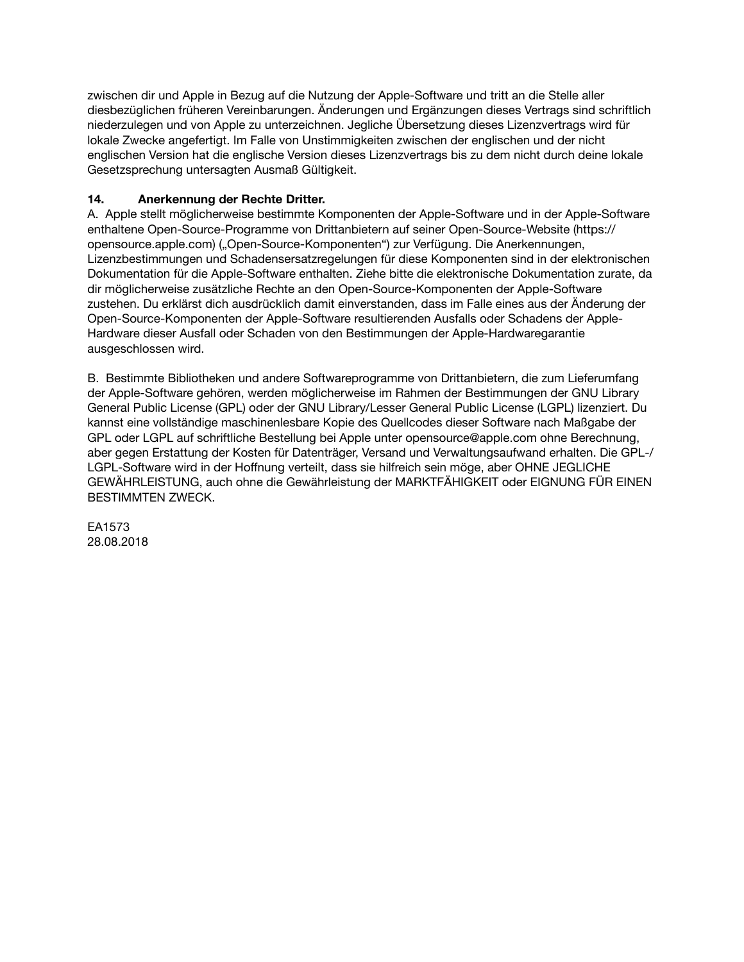zwischen dir und Apple in Bezug auf die Nutzung der Apple-Software und tritt an die Stelle aller diesbezüglichen früheren Vereinbarungen. Änderungen und Ergänzungen dieses Vertrags sind schriftlich niederzulegen und von Apple zu unterzeichnen. Jegliche Übersetzung dieses Lizenzvertrags wird für lokale Zwecke angefertigt. Im Falle von Unstimmigkeiten zwischen der englischen und der nicht englischen Version hat die englische Version dieses Lizenzvertrags bis zu dem nicht durch deine lokale Gesetzsprechung untersagten Ausmaß Gültigkeit.

## **14. Anerkennung der Rechte Dritter.**

A. Apple stellt möglicherweise bestimmte Komponenten der Apple-Software und in der Apple-Software enthaltene Open-Source-Programme von Drittanbietern auf seiner Open-Source-Website [\(https://](https://opensource.apple.com) [opensource.apple.com\)](https://opensource.apple.com) ("Open-Source-Komponenten") zur Verfügung. Die Anerkennungen, Lizenzbestimmungen und Schadensersatzregelungen für diese Komponenten sind in der elektronischen Dokumentation für die Apple-Software enthalten. Ziehe bitte die elektronische Dokumentation zurate, da dir möglicherweise zusätzliche Rechte an den Open-Source-Komponenten der Apple-Software zustehen. Du erklärst dich ausdrücklich damit einverstanden, dass im Falle eines aus der Änderung der Open-Source-Komponenten der Apple-Software resultierenden Ausfalls oder Schadens der Apple-Hardware dieser Ausfall oder Schaden von den Bestimmungen der Apple-Hardwaregarantie ausgeschlossen wird.

B. Bestimmte Bibliotheken und andere Softwareprogramme von Drittanbietern, die zum Lieferumfang der Apple-Software gehören, werden möglicherweise im Rahmen der Bestimmungen der GNU Library General Public License (GPL) oder der GNU Library/Lesser General Public License (LGPL) lizenziert. Du kannst eine vollständige maschinenlesbare Kopie des Quellcodes dieser Software nach Maßgabe der GPL oder LGPL auf schriftliche Bestellung bei Apple unter [opensource@apple.com](mailto:opensource@apple.com) ohne Berechnung, aber gegen Erstattung der Kosten für Datenträger, Versand und Verwaltungsaufwand erhalten. Die GPL-/ LGPL-Software wird in der Hoffnung verteilt, dass sie hilfreich sein möge, aber OHNE JEGLICHE GEWÄHRLEISTUNG, auch ohne die Gewährleistung der MARKTFÄHIGKEIT oder EIGNUNG FÜR EINEN BESTIMMTEN ZWECK.

EA1573 28.08.2018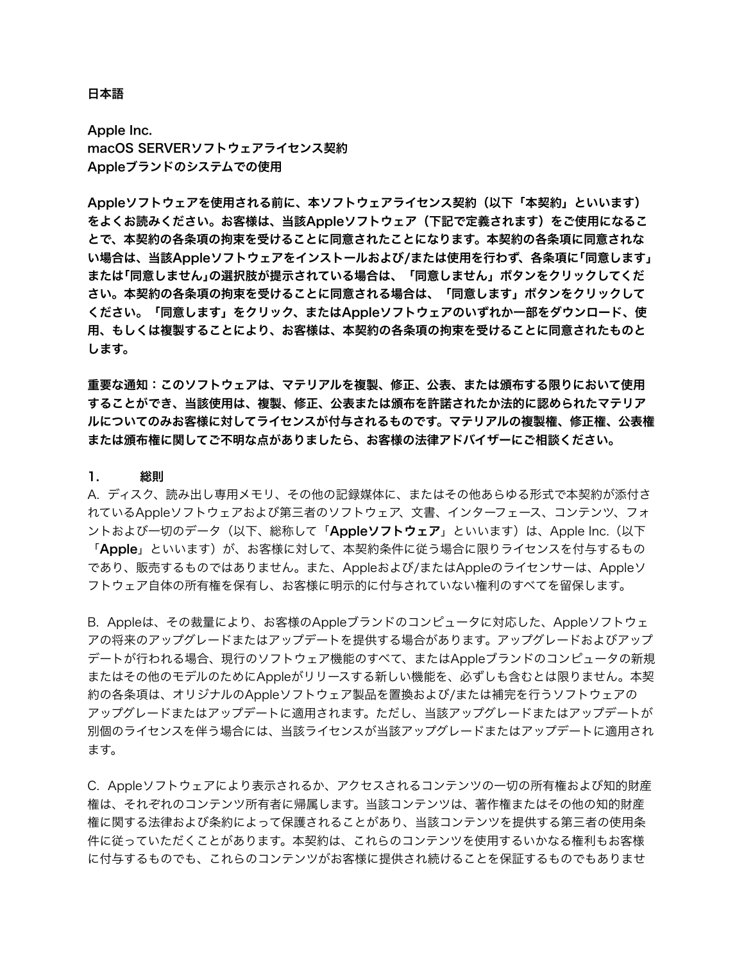#### 日本語

Apple Inc. macOS SERVERソフトウェアライセンス契約 Appleブランドのシステムでの使用

Appleソフトウェアを使用される前に、本ソフトウェアライセンス契約(以下「本契約」といいます) をよくお読みください。お客様は、当該Appleソフトウェア(下記で定義されます)をご使用になるこ とで、本契約の各条項の拘束を受けることに同意されたことになります。本契約の各条項に同意されな い場合は、当該Appleソフトウェアをインストールおよび/または使用を行わず、各条項に「同意します」 または「同意しません」の選択肢が提示されている場合は、「同意しません」ボタンをクリックしてくだ さい。本契約の各条項の拘束を受けることに同意される場合は、「同意します」ボタンをクリックして ください。「同意します」をクリック、またはAppleソフトウェアのいずれか一部をダウンロード、使 用、もしくは複製することにより、お客様は、本契約の各条項の拘束を受けることに同意されたものと します。

重要な通知:このソフトウェアは、マテリアルを複製、修正、公表、または頒布する限りにおいて使用 することができ、当該使用は、複製、修正、公表または頒布を許諾されたか法的に認められたマテリア ルについてのみお客様に対してライセンスが付与されるものです。マテリアルの複製権、修正権、公表権 または頒布権に関してご不明な点がありましたら、お客様の法律アドバイザーにご相談ください。

### 1. 総則

A. ディスク、読み出し専用メモリ、その他の記録媒体に、またはその他あらゆる形式で本契約が添付さ れているAppleソフトウェアおよび第三者のソフトウェア、文書、インターフェース、コンテンツ、フォ ントおよび一切のデータ(以下、総称して「Appleソフトウェア」といいます)は、Apple Inc. (以下 「**Apple**」といいます)が、お客様に対して、本契約条件に従う場合に限りライセンスを付与するもの であり、販売するものではありません。また、Appleおよび/またはAppleのライセンサーは、Appleソ フトウェア自体の所有権を保有し、お客様に明示的に付与されていない権利のすべてを留保します。

B. Appleは、その裁量により、お客様のAppleブランドのコンピュータに対応した、Appleソフトウェ アの将来のアップグレードまたはアップデートを提供する場合があります。アップグレードおよびアップ デートが行われる場合、現行のソフトウェア機能のすべて、またはAppleブランドのコンピュータの新規 またはその他のモデルのためにAppleがリリースする新しい機能を、必ずしも含むとは限りません。本契 約の各条項は、オリジナルのAppleソフトウェア製品を置換および/または補完を行うソフトウェアの アップグレードまたはアップデートに適用されます。ただし、当該アップグレードまたはアップデートが 別個のライセンスを伴う場合には、当該ライセンスが当該アップグレードまたはアップデートに適用され ます。

C. Appleソフトウェアにより表示されるか、アクセスされるコンテンツの一切の所有権および知的財産 権は、それぞれのコンテンツ所有者に帰属します。当該コンテンツは、著作権またはその他の知的財産 権に関する法律および条約によって保護されることがあり、当該コンテンツを提供する第三者の使用条 件に従っていただくことがあります。本契約は、これらのコンテンツを使用するいかなる権利もお客様 に付与するものでも、これらのコンテンツがお客様に提供され続けることを保証するものでもありませ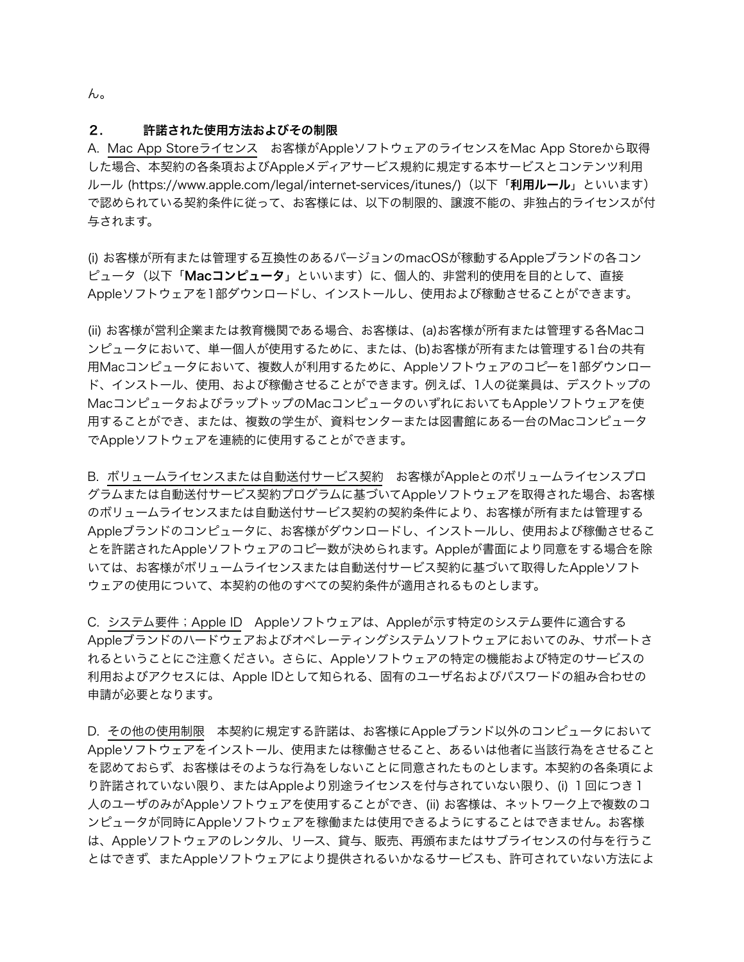ん。

#### 2. 許諾された使用方法およびその制限

A. Mac App Storeライセンス お客様がAppleソフトウェアのライセンスをMac App Storeから取得 した場合、本契約の各条項およびAppleメディアサービス規約に規定する本サービスとコンテンツ利用 ルール [\(https://www.apple.com/legal/internet-services/itunes/\)](https://www.apple.com/legal/internet-services/itunes/)(以下「**利用ルール**」といいます) で認められている契約条件に従って、お客様には、以下の制限的、譲渡不能の、非独占的ライセンスが付 与されます。

(i) お客様が所有または管理する互換性のあるバージョンのmacOSが稼動するAppleブランドの各コン ピュータ(以下「Macコンピュータ」といいます)に、個人的、非営利的使用を目的として、直接 Appleソフトウェアを1部ダウンロードし、インストールし、使用および稼動させることができます。

(ii) お客様が営利企業または教育機関である場合、お客様は、(a)お客様が所有または管理する各Macコ ンピュータにおいて、単一個人が使用するために、または、(b)お客様が所有または管理する1台の共有 用Macコンピュータにおいて、複数人が利用するために、Appleソフトウェアのコピーを1部ダウンロー ド、インストール、使用、および稼働させることができます。例えば、1人の従業員は、デスクトップの MacコンピュータおよびラップトップのMacコンピュータのいずれにおいてもAppleソフトウェアを使 用することができ、または、複数の学生が、資料センターまたは図書館にある一台のMacコンピュータ でAppleソフトウェアを連続的に使用することができます。

B. ボリュームライセンスまたは自動送付サービス契約 お客様がAppleとのボリュームライセンスプロ グラムまたは自動送付サービス契約プログラムに基づいてAppleソフトウェアを取得された場合、お客様 のボリュームライセンスまたは自動送付サービス契約の契約条件により、お客様が所有または管理する Appleブランドのコンピュータに、お客様がダウンロードし、インストールし、使用および稼働させるこ とを許諾されたAppleソフトウェアのコピー数が決められます。Appleが書面により同意をする場合を除 いては、お客様がボリュームライセンスまたは自動送付サービス契約に基づいて取得したAppleソフト ウェアの使用について、本契約の他のすべての契約条件が適用されるものとします。

C. システム要件;Apple ID Appleソフトウェアは、Appleが示す特定のシステム要件に適合する Appleブランドのハードウェアおよびオペレーティングシステムソフトウェアにおいてのみ、サポートさ れるということにご注意ください。さらに、Appleソフトウェアの特定の機能および特定のサービスの 利用およびアクセスには、Apple IDとして知られる、固有のユーザ名およびパスワードの組み合わせの 申請が必要となります。

D. その他の使用制限 本契約に規定する許諾は、お客様にAppleブランド以外のコンピュータにおいて Appleソフトウェアをインストール、使用または稼働させること、あるいは他者に当該行為をさせること を認めておらず、お客様はそのような行為をしないことに同意されたものとします。本契約の各条項によ り許諾されていない限り、またはAppleより別途ライセンスを付与されていない限り、(i) 1回につき 1 人のユーザのみがAppleソフトウェアを使用することができ、(ii) お客様は、ネットワーク上で複数のコ ンピュータが同時にAppleソフトウェアを稼働または使用できるようにすることはできません。お客様 は、Appleソフトウェアのレンタル、リース、貸与、販売、再頒布またはサブライセンスの付与を行うこ とはできず、またAppleソフトウェアにより提供されるいかなるサービスも、許可されていない方法によ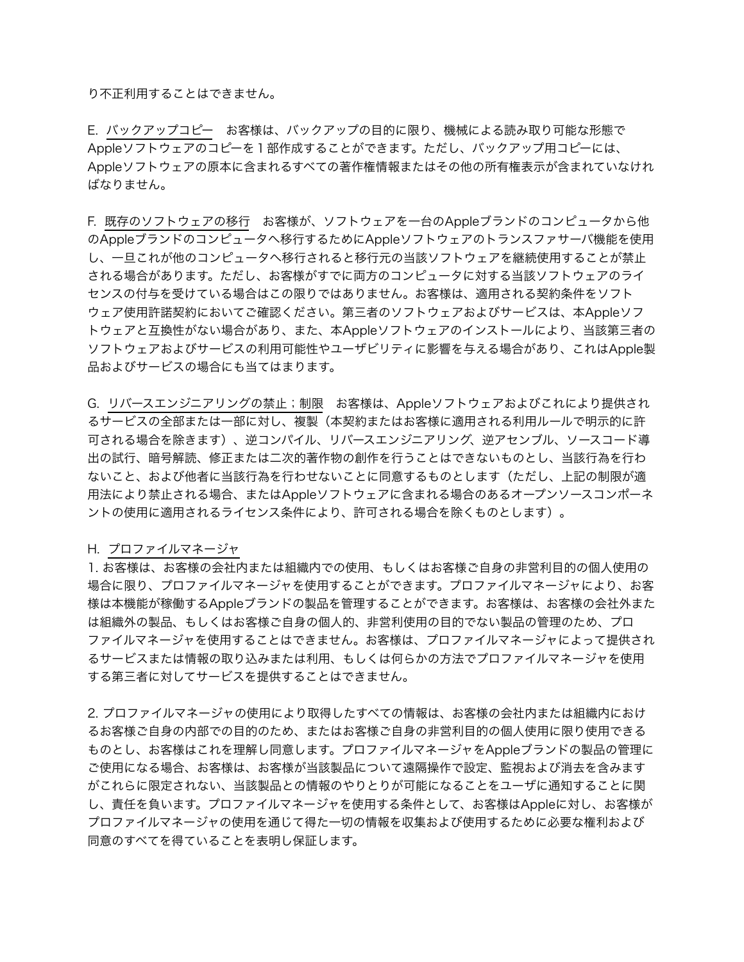り不正利用することはできません。

E. バックアップコピー お客様は、バックアップの目的に限り、機械による読み取り可能な形態で Appleソフトウェアのコピーを1部作成することができます。ただし、バックアップ用コピーには、 Appleソフトウェアの原本に含まれるすべての著作権情報またはその他の所有権表示が含まれていなけれ ばなりません。

F. 既存のソフトウェアの移行 お客様が、ソフトウェアを一台のAppleブランドのコンピュータから他 のAppleブランドのコンピュータへ移行するためにAppleソフトウェアのトランスファサーバ機能を使用 し、一旦これが他のコンピュータへ移行されると移行元の当該ソフトウェアを継続使用することが禁止 される場合があります。ただし、お客様がすでに両方のコンピュータに対する当該ソフトウェアのライ センスの付与を受けている場合はこの限りではありません。お客様は、適用される契約条件をソフト ウェア使用許諾契約においてご確認ください。第三者のソフトウェアおよびサービスは、本Appleソフ トウェアと互換性がない場合があり、また、本Appleソフトウェアのインストールにより、当該第三者の ソフトウェアおよびサービスの利用可能性やユーザビリティに影響を与える場合があり、これはApple製 品およびサービスの場合にも当てはまります。

G. リバースエンジニアリングの禁止;制限 お客様は、Appleソフトウェアおよびこれにより提供され るサービスの全部または一部に対し、複製(本契約またはお客様に適用される利用ルールで明示的に許 可される場合を除きます)、逆コンパイル、リバースエンジニアリング、逆アセンブル、ソースコード導 出の試行、暗号解読、修正または二次的著作物の創作を行うことはできないものとし、当該行為を行わ ないこと、および他者に当該行為を行わせないことに同意するものとします(ただし、上記の制限が適 用法により禁止される場合、またはAppleソフトウェアに含まれる場合のあるオープンソースコンポーネ ントの使用に適用されるライセンス条件により、許可される場合を除くものとします)。

#### H. プロファイルマネージャ

1. お客様は、お客様の会社内または組織内での使用、もしくはお客様ご自身の非営利目的の個人使用の 場合に限り、プロファイルマネージャを使用することができます。プロファイルマネージャにより、お客 様は本機能が稼働するAppleブランドの製品を管理することができます。お客様は、お客様の会社外また は組織外の製品、もしくはお客様ご自身の個人的、非営利使用の目的でない製品の管理のため、プロ ファイルマネージャを使用することはできません。お客様は、プロファイルマネージャによって提供され るサービスまたは情報の取り込みまたは利用、もしくは何らかの方法でプロファイルマネージャを使用 する第三者に対してサービスを提供することはできません。

2. プロファイルマネージャの使用により取得したすべての情報は、お客様の会社内または組織内におけ るお客様ご自身の内部での目的のため、またはお客様ご自身の非営利目的の個人使用に限り使用できる ものとし、お客様はこれを理解し同意します。プロファイルマネージャをAppleブランドの製品の管理に ご使用になる場合、お客様は、お客様が当該製品について遠隔操作で設定、監視および消去を含みます がこれらに限定されない、当該製品との情報のやりとりが可能になることをユーザに通知することに関 し、責任を負います。プロファイルマネージャを使用する条件として、お客様はAppleに対し、お客様が プロファイルマネージャの使用を通じて得た一切の情報を収集および使用するために必要な権利および 同意のすべてを得ていることを表明し保証します。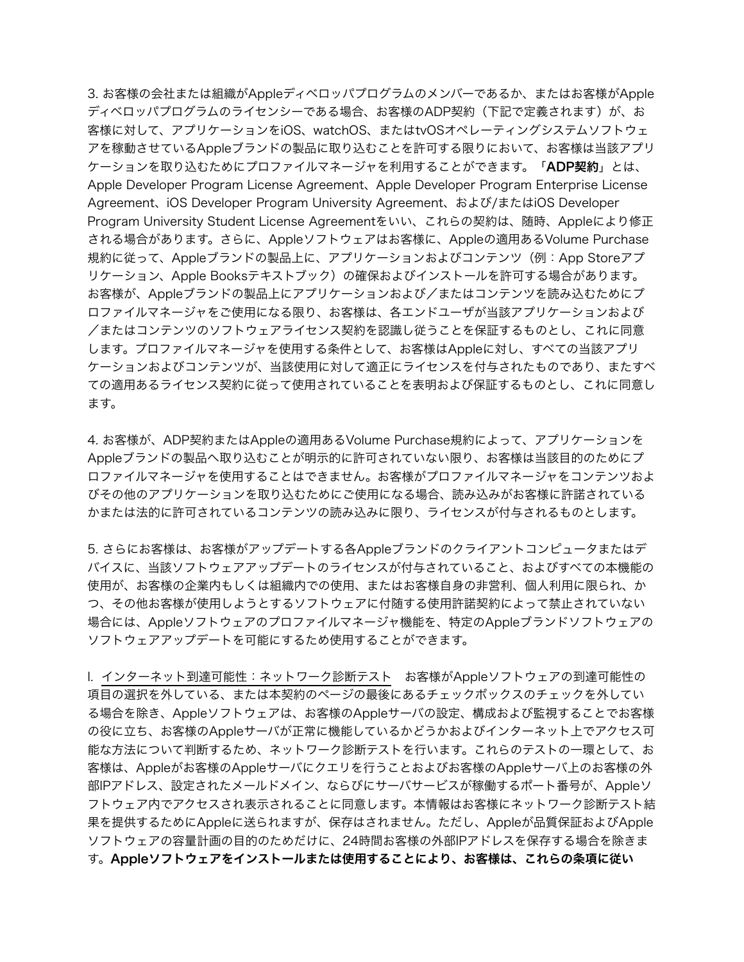3. お客様の会社または組織がAppleディベロッパプログラムのメンバーであるか、またはお客様がApple ディベロッパプログラムのライセンシーである場合、お客様のADP契約(下記で定義されます)が、お 客様に対して、アプリケーションをiOS、watchOS、またはtvOSオペレーティングシステムソフトウェ アを稼動させているAppleブランドの製品に取り込むことを許可する限りにおいて、お客様は当該アプリ ケーションを取り込むためにプロファイルマネージャを利用することができます。「ADP契約」とは、 Apple Developer Program License Agreement、Apple Developer Program Enterprise License Agreement、iOS Developer Program University Agreement、および/またはiOS Developer Program University Student License Agreementをいい、これらの契約は、随時、Appleにより修正 される場合があります。さらに、Appleソフトウェアはお客様に、Appleの適用あるVolume Purchase 規約に従って、Appleブランドの製品上に、アプリケーションおよびコンテンツ(例:App Storeアプ リケーション、Apple Booksテキストブック)の確保およびインストールを許可する場合があります。 お客様が、Appleブランドの製品上にアプリケーションおよび/またはコンテンツを読み込むためにプ ロファイルマネージャをご使用になる限り、お客様は、各エンドユーザが当該アプリケーションおよび /またはコンテンツのソフトウェアライセンス契約を認識し従うことを保証するものとし、これに同意 します。プロファイルマネージャを使用する条件として、お客様はAppleに対し、すべての当該アプリ ケーションおよびコンテンツが、当該使用に対して適正にライセンスを付与されたものであり、またすべ ての適用あるライセンス契約に従って使用されていることを表明および保証するものとし、これに同意し ます。

4. お客様が、ADP契約またはAppleの適用あるVolume Purchase規約によって、アプリケーションを Appleブランドの製品へ取り込むことが明示的に許可されていない限り、お客様は当該目的のためにプ ロファイルマネージャを使用することはできません。お客様がプロファイルマネージャをコンテンツおよ びその他のアプリケーションを取り込むためにご使用になる場合、読み込みがお客様に許諾されている かまたは法的に許可されているコンテンツの読み込みに限り、ライセンスが付与されるものとします。

5. さらにお客様は、お客様がアップデートする各Appleブランドのクライアントコンピュータまたはデ バイスに、当該ソフトウェアアップデートのライセンスが付与されていること、およびすべての本機能の 使用が、お客様の企業内もしくは組織内での使用、またはお客様自身の非営利、個人利用に限られ、か つ、その他お客様が使用しようとするソフトウェアに付随する使用許諾契約によって禁止されていない 場合には、Appleソフトウェアのプロファイルマネージャ機能を、特定のAppleブランドソフトウェアの ソフトウェアアップデートを可能にするため使用することができます。

I. インターネット到達可能性:ネットワーク診断テスト お客様がAppleソフトウェアの到達可能性の 項目の選択を外している、または本契約のページの最後にあるチェックボックスのチェックを外してい る場合を除き、Appleソフトウェアは、お客様のAppleサーバの設定、構成および監視することでお客様 の役に立ち、お客様のAppleサーバが正常に機能しているかどうかおよびインターネット上でアクセス可 能な方法について判断するため、ネットワーク診断テストを行います。これらのテストの一環として、お 客様は、Appleがお客様のAppleサーバにクエリを行うことおよびお客様のAppleサーバ上のお客様の外 部IPアドレス、設定されたメールドメイン、ならびにサーバサービスが稼働するポート番号が、Appleソ フトウェア内でアクセスされ表示されることに同意します。本情報はお客様にネットワーク診断テスト結 果を提供するためにAppleに送られますが、保存はされません。ただし、Appleが品質保証およびApple ソフトウェアの容量計画の目的のためだけに、24時間お客様の外部IPアドレスを保存する場合を除きま す。Appleソフトウェアをインストールまたは使用することにより、お客様は、これらの条項に従い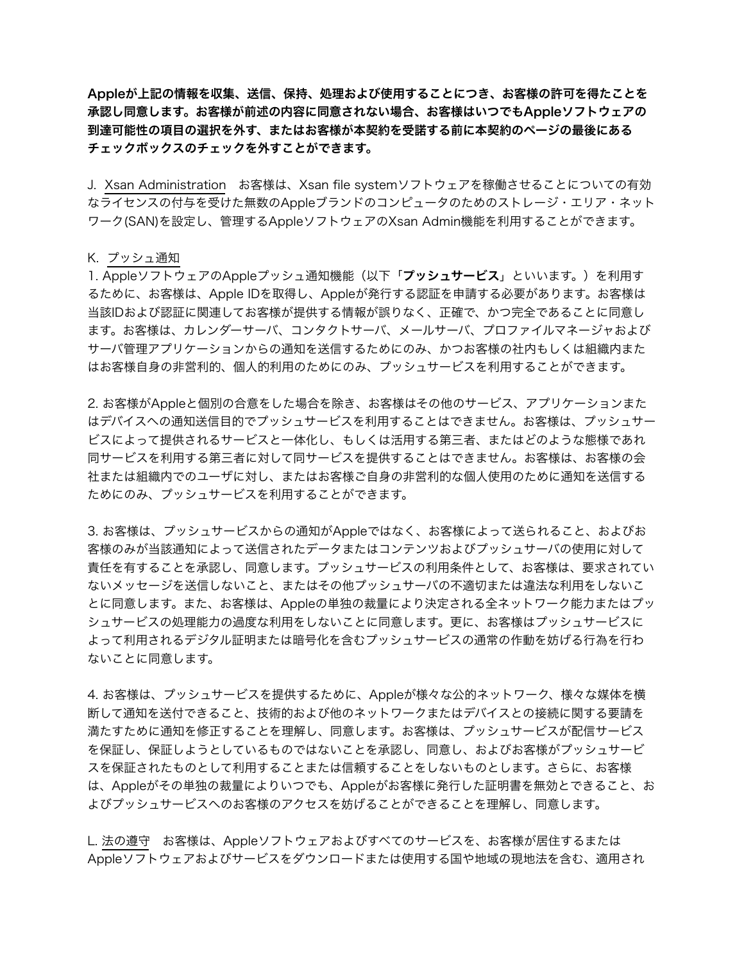Appleが上記の情報を収集、送信、保持、処理および使用することにつき、お客様の許可を得たことを 承認し同意します。お客様が前述の内容に同意されない場合、お客様はいつでもAppleソフトウェアの 到達可能性の項目の選択を外す、またはお客様が本契約を受諾する前に本契約のページの最後にある チェックボックスのチェックを外すことができます。

J. Xsan Administration お客様は、Xsan file systemソフトウェアを稼働させることについての有効 なライセンスの付与を受けた無数のAppleブランドのコンピュータのためのストレージ・エリア・ネット ワーク(SAN)を設定し、管理するAppleソフトウェアのXsan Admin機能を利用することができます。

#### K. プッシュ通知

1. AppleソフトウェアのAppleプッシュ通知機能(以下「プッシュサービス」といいます。)を利用す るために、お客様は、Apple IDを取得し、Appleが発行する認証を申請する必要があります。お客様は 当該IDおよび認証に関連してお客様が提供する情報が誤りなく、正確で、かつ完全であることに同意し ます。お客様は、カレンダーサーバ、コンタクトサーバ、メールサーバ、プロファイルマネージャおよび サーバ管理アプリケーションからの通知を送信するためにのみ、かつお客様の社内もしくは組織内また はお客様自身の非営利的、個人的利用のためにのみ、プッシュサービスを利用することができます。

2. お客様がAppleと個別の合意をした場合を除き、お客様はその他のサービス、アプリケーションまた はデバイスへの通知送信目的でプッシュサービスを利用することはできません。お客様は、プッシュサー ビスによって提供されるサービスと一体化し、もしくは活用する第三者、またはどのような態様であれ 同サービスを利用する第三者に対して同サービスを提供することはできません。お客様は、お客様の会 社または組織内でのユーザに対し、またはお客様ご自身の非営利的な個人使用のために通知を送信する ためにのみ、プッシュサービスを利用することができます。

3. お客様は、プッシュサービスからの通知がAppleではなく、お客様によって送られること、およびお 客様のみが当該通知によって送信されたデータまたはコンテンツおよびプッシュサーバの使用に対して 責任を有することを承認し、同意します。プッシュサービスの利用条件として、お客様は、要求されてい ないメッセージを送信しないこと、またはその他プッシュサーバの不適切または違法な利用をしないこ とに同意します。また、お客様は、Appleの単独の裁量により決定される全ネットワーク能力またはプッ シュサービスの処理能力の過度な利用をしないことに同意します。更に、お客様はプッシュサービスに よって利用されるデジタル証明または暗号化を含むプッシュサービスの通常の作動を妨げる行為を行わ ないことに同意します。

4. お客様は、プッシュサービスを提供するために、Appleが様々な公的ネットワーク、様々な媒体を横 断して通知を送付できること、技術的および他のネットワークまたはデバイスとの接続に関する要請を 満たすために通知を修正することを理解し、同意します。お客様は、プッシュサービスが配信サービス を保証し、保証しようとしているものではないことを承認し、同意し、およびお客様がプッシュサービ スを保証されたものとして利用することまたは信頼することをしないものとします。さらに、お客様 は、Appleがその単独の裁量によりいつでも、Appleがお客様に発行した証明書を無効とできること、お よびプッシュサービスへのお客様のアクセスを妨げることができることを理解し、同意します。

L. 法の遵守 お客様は、Appleソフトウェアおよびすべてのサービスを、お客様が居住するまたは Appleソフトウェアおよびサービスをダウンロードまたは使用する国や地域の現地法を含む、適用され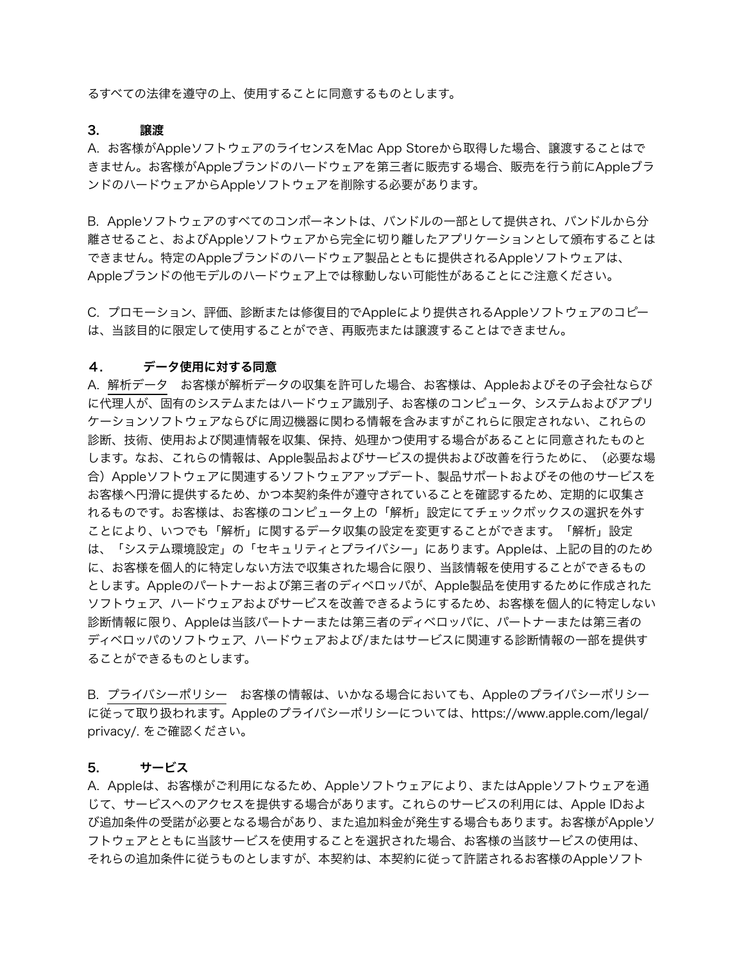るすべての法律を遵守の上、使用することに同意するものとします。

#### 3. 譲渡

A. お客様がAppleソフトウェアのライセンスをMac App Storeから取得した場合、譲渡することはで きません。お客様がAppleブランドのハードウェアを第三者に販売する場合、販売を行う前にAppleブラ ンドのハードウェアからAppleソフトウェアを削除する必要があります。

B. Appleソフトウェアのすべてのコンポーネントは、バンドルの一部として提供され、バンドルから分 離させること、およびAppleソフトウェアから完全に切り離したアプリケーションとして頒布することは できません。特定のAppleブランドのハードウェア製品とともに提供されるAppleソフトウェアは、 Appleブランドの他モデルのハードウェア上では稼動しない可能性があることにご注意ください。

C. プロモーション、評価、診断または修復目的でAppleにより提供されるAppleソフトウェアのコピー は、当該目的に限定して使用することができ、再販売または譲渡することはできません。

#### 4. データ使用に対する同意

A. 解析データ お客様が解析データの収集を許可した場合、お客様は、Appleおよびその子会社ならび に代理人が、固有のシステムまたはハードウェア識別子、お客様のコンピュータ、システムおよびアプリ ケーションソフトウェアならびに周辺機器に関わる情報を含みますがこれらに限定されない、これらの 診断、技術、使用および関連情報を収集、保持、処理かつ使用する場合があることに同意されたものと します。なお、これらの情報は、Apple製品およびサービスの提供および改善を行うために、(必要な場 合)Appleソフトウェアに関連するソフトウェアアップデート、製品サポートおよびその他のサービスを お客様へ円滑に提供するため、かつ本契約条件が遵守されていることを確認するため、定期的に収集さ れるものです。お客様は、お客様のコンピュータ上の「解析」設定にてチェックボックスの選択を外す ことにより、いつでも「解析」に関するデータ収集の設定を変更することができます。「解析」設定 は、「システム環境設定」の「セキュリティとプライバシー」にあります。Appleは、上記の目的のため に、お客様を個人的に特定しない方法で収集された場合に限り、当該情報を使用することができるもの とします。Appleのパートナーおよび第三者のディベロッパが、Apple製品を使用するために作成された ソフトウェア、ハードウェアおよびサービスを改善できるようにするため、お客様を個人的に特定しない 診断情報に限り、Appleは当該パートナーまたは第三者のディベロッパに、パートナーまたは第三者の ディベロッパのソフトウェア、ハードウェアおよび/またはサービスに関連する診断情報の一部を提供す ることができるものとします。

B. プライバシーポリシー お客様の情報は、いかなる場合においても、Appleのプライバシーポリシー に従って取り扱われます。Appleのプライバシーポリシーについては[、https://www.apple.com/legal/](https://www.apple.com/legal/privacy/) [privacy/](https://www.apple.com/legal/privacy/). をご確認ください。

#### 5. サービス

A. Appleは、お客様がご利用になるため、Appleソフトウェアにより、またはAppleソフトウェアを通 じて、サービスへのアクセスを提供する場合があります。これらのサービスの利用には、Apple IDおよ び追加条件の受諾が必要となる場合があり、また追加料金が発生する場合もあります。お客様がAppleソ フトウェアとともに当該サービスを使用することを選択された場合、お客様の当該サービスの使用は、 それらの追加条件に従うものとしますが、本契約は、本契約に従って許諾されるお客様のAppleソフト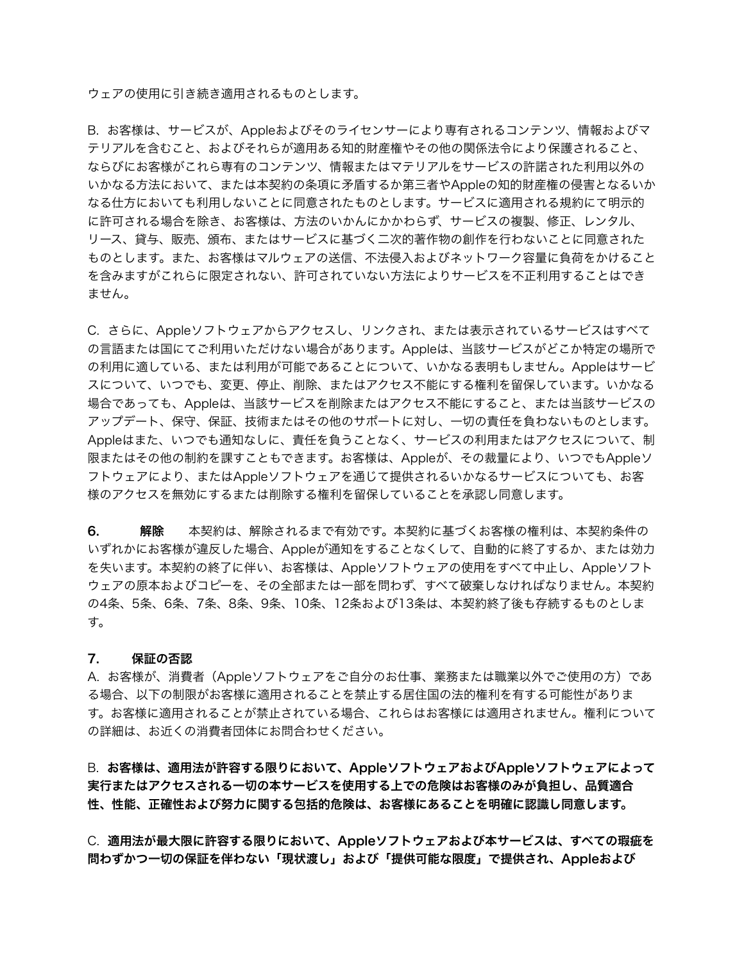ウェアの使用に引き続き適用されるものとします。

B. お客様は、サービスが、Appleおよびそのライセンサーにより専有されるコンテンツ、情報およびマ テリアルを含むこと、およびそれらが適用ある知的財産権やその他の関係法令により保護されること、 ならびにお客様がこれら専有のコンテンツ、情報またはマテリアルをサービスの許諾された利用以外の いかなる方法において、または本契約の条項に矛盾するか第三者やAppleの知的財産権の侵害となるいか なる仕方においても利用しないことに同意されたものとします。サービスに適用される規約にて明示的 に許可される場合を除き、お客様は、方法のいかんにかかわらず、サービスの複製、修正、レンタル、 リース、貸与、販売、頒布、またはサービスに基づく二次的著作物の創作を行わないことに同意された ものとします。また、お客様はマルウェアの送信、不法侵入およびネットワーク容量に負荷をかけること を含みますがこれらに限定されない、許可されていない方法によりサービスを不正利用することはでき ません。

C. さらに、Appleソフトウェアからアクセスし、リンクされ、または表示されているサービスはすべて の言語または国にてご利用いただけない場合があります。Appleは、当該サービスがどこか特定の場所で の利用に適している、または利用が可能であることについて、いかなる表明もしません。Appleはサービ スについて、いつでも、変更、停止、削除、またはアクセス不能にする権利を留保しています。いかなる 場合であっても、Appleは、当該サービスを削除またはアクセス不能にすること、または当該サービスの アップデート、保守、保証、技術またはその他のサポートに対し、一切の責任を負わないものとします。 Appleはまた、いつでも通知なしに、責任を負うことなく、サービスの利用またはアクセスについて、制 限またはその他の制約を課すこともできます。お客様は、Appleが、その裁量により、いつでもAppleソ フトウェアにより、またはAppleソフトウェアを通じて提供されるいかなるサービスについても、お客 様のアクセスを無効にするまたは削除する権利を留保していることを承認し同意します。

6. 解除 本契約は、解除されるまで有効です。本契約に基づくお客様の権利は、本契約条件の いずれかにお客様が違反した場合、Appleが通知をすることなくして、自動的に終了するか、または効力 を失います。本契約の終了に伴い、お客様は、Appleソフトウェアの使用をすべて中止し、Appleソフト ウェアの原本およびコピーを、その全部または一部を問わず、すべて破棄しなければなりません。本契約 の4条、5条、6条、7条、8条、9条、10条、12条および13条は、本契約終了後も存続するものとしま す。

#### 7. 保証の否認

A. お客様が、消費者(Appleソフトウェアをご自分のお仕事、業務または職業以外でご使用の方)であ る場合、以下の制限がお客様に適用されることを禁止する居住国の法的権利を有する可能性がありま す。お客様に適用されることが禁止されている場合、これらはお客様には適用されません。権利について の詳細は、お近くの消費者団体にお問合わせください。

B. お客様は、適用法が許容する限りにおいて、AppleソフトウェアおよびAppleソフトウェアによって 実行またはアクセスされる一切の本サービスを使用する上での危険はお客様のみが負担し、品質適合 性、性能、正確性および努力に関する包括的危険は、お客様にあることを明確に認識し同意します。

C. 適用法が最大限に許容する限りにおいて、Appleソフトウェアおよび本サービスは、すべての瑕疵を 問わずかつ一切の保証を伴わない「現状渡し」および「提供可能な限度」で提供され、Appleおよび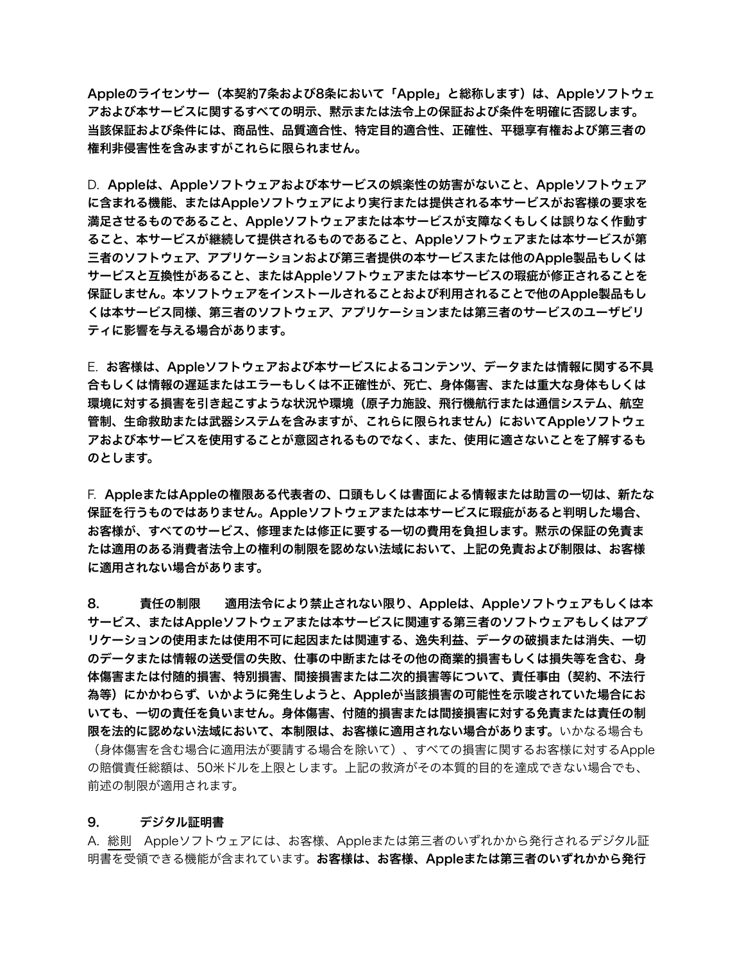Appleのライセンサー(本契約7条および8条において「Apple」と総称します)は、Appleソフトウェ アおよび本サービスに関するすべての明示、黙示または法令上の保証および条件を明確に否認します。 当該保証および条件には、商品性、品質適合性、特定目的適合性、正確性、平穏享有権および第三者の 権利非侵害性を含みますがこれらに限られません。

D. Appleは、Appleソフトウェアおよび本サービスの娯楽性の妨害がないこと、Appleソフトウェア に含まれる機能、またはAppleソフトウェアにより実行または提供される本サービスがお客様の要求を 満足させるものであること、Appleソフトウェアまたは本サービスが支障なくもしくは誤りなく作動す ること、本サービスが継続して提供されるものであること、Appleソフトウェアまたは本サービスが第 三者のソフトウェア、アプリケーションおよび第三者提供の本サービスまたは他のApple製品もしくは サービスと互換性があること、またはAppleソフトウェアまたは本サービスの瑕疵が修正されることを 保証しません。本ソフトウェアをインストールされることおよび利用されることで他のApple製品もし くは本サービス同様、第三者のソフトウェア、アプリケーションまたは第三者のサービスのユーザビリ ティに影響を与える場合があります。

E. お客様は、Appleソフトウェアおよび本サービスによるコンテンツ、データまたは情報に関する不具 合もしくは情報の遅延またはエラーもしくは不正確性が、死亡、身体傷害、または重大な身体もしくは 環境に対する損害を引き起こすような状況や環境(原子力施設、飛行機航行または通信システム、航空 管制、生命救助または武器システムを含みますが、これらに限られません)においてAppleソフトウェ アおよび本サービスを使用することが意図されるものでなく、また、使用に適さないことを了解するも のとします。

F. AppleまたはAppleの権限ある代表者の、口頭もしくは書面による情報または助言の一切は、新たな 保証を行うものではありません。Appleソフトウェアまたは本サービスに瑕疵があると判明した場合、 お客様が、すべてのサービス、修理または修正に要する一切の費用を負担します。黙示の保証の免責ま たは適用のある消費者法令上の権利の制限を認めない法域において、上記の免責および制限は、お客様 に適用されない場合があります。

8. 責任の制限 適用法令により禁止されない限り、Appleは、Appleソフトウェアもしくは本 サービス、またはAppleソフトウェアまたは本サービスに関連する第三者のソフトウェアもしくはアプ リケーションの使用または使用不可に起因または関連する、逸失利益、データの破損または消失、一切 のデータまたは情報の送受信の失敗、仕事の中断またはその他の商業的損害もしくは損失等を含む、身 体傷害または付随的損害、特別損害、間接損害または二次的損害等について、責任事由(契約、不法行 為等)にかかわらず、いかように発生しようと、Appleが当該損害の可能性を示唆されていた場合にお いても、一切の責任を負いません。身体傷害、付随的損害または間接損害に対する免責または責任の制 限を法的に認めない法域において、本制限は、お客様に適用されない場合があります。いかなる場合も (身体傷害を含む場合に適用法が要請する場合を除いて)、すべての損害に関するお客様に対するApple の賠償責任総額は、50米ドルを上限とします。上記の救済がその本質的目的を達成できない場合でも、 前述の制限が適用されます。

#### 9. デジタル証明書

A. 総則 Appleソフトウェアには、お客様、Appleまたは第三者のいずれかから発行されるデジタル証 明書を受領できる機能が含まれています。お客様は、お客様、Appleまたは第三者のいずれかから発行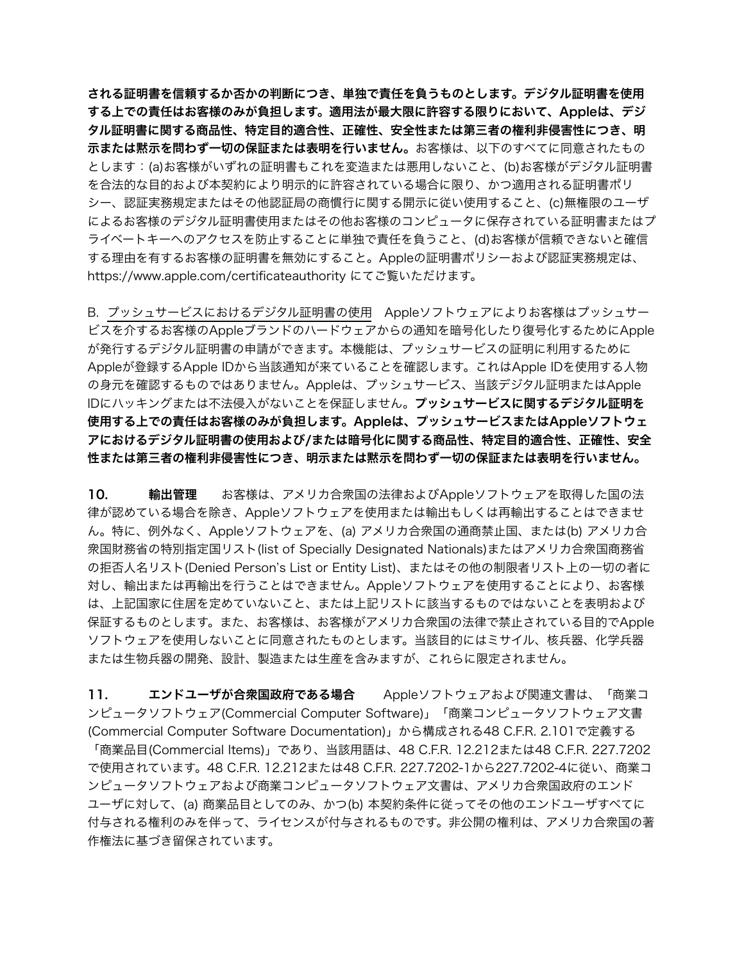される証明書を信頼するか否かの判断につき、単独で責任を負うものとします。デジタル証明書を使用 する上での責任はお客様のみが負担します。適用法が最大限に許容する限りにおいて、Appleは、デジ タル証明書に関する商品性、特定目的適合性、正確性、安全性または第三者の権利非侵害性につき、明 示または黙示を問わず一切の保証または表明を行いません。お客様は、以下のすべてに同意されたもの とします:(a)お客様がいずれの証明書もこれを変造または悪用しないこと、(b)お客様がデジタル証明書 を合法的な目的および本契約により明示的に許容されている場合に限り、かつ適用される証明書ポリ シー、認証実務規定またはその他認証局の商慣行に関する開示に従い使用すること、(c)無権限のユーザ によるお客様のデジタル証明書使用またはその他お客様のコンピュータに保存されている証明書またはプ ライベートキーへのアクセスを防止することに単独で責任を負うこと、(d)お客様が信頼できないと確信 する理由を有するお客様の証明書を無効にすること。Appleの証明書ポリシーおよび認証実務規定は、 <https://www.apple.com/certificateauthority>にてご覧いただけます。

B. プッシュサービスにおけるデジタル証明書の使用 Appleソフトウェアによりお客様はプッシュサー ビスを介するお客様のAppleブランドのハードウェアからの通知を暗号化したり復号化するためにApple が発行するデジタル証明書の申請ができます。本機能は、プッシュサービスの証明に利用するために Appleが登録するApple IDから当該通知が来ていることを確認します。これはApple IDを使用する人物 の身元を確認するものではありません。Appleは、プッシュサービス、当該デジタル証明またはApple IDにハッキングまたは不法侵入がないことを保証しません。プッシュサービスに関するデジタル証明を 使用する上での責任はお客様のみが負担します。Appleは、プッシュサービスまたはAppleソフトウェ アにおけるデジタル証明書の使用および/または暗号化に関する商品性、特定目的適合性、正確性、安全 性または第三者の権利非侵害性につき、明示または黙示を問わず一切の保証または表明を行いません。

10. 輸出管理 お客様は、アメリカ合衆国の法律およびAppleソフトウェアを取得した国の法 律が認めている場合を除き、Appleソフトウェアを使用または輸出もしくは再輸出することはできませ ん。特に、例外なく、Appleソフトウェアを、(a) アメリカ合衆国の通商禁止国、または(b) アメリカ合 衆国財務省の特別指定国リスト(list of Specially Designated Nationals)またはアメリカ合衆国商務省 の拒否人名リスト(Denied Person's List or Entity List)、またはその他の制限者リスト上の一切の者に 対し、輸出または再輸出を行うことはできません。Appleソフトウェアを使用することにより、お客様 は、上記国家に住居を定めていないこと、または上記リストに該当するものではないことを表明および 保証するものとします。また、お客様は、お客様がアメリカ合衆国の法律で禁止されている目的でApple ソフトウェアを使用しないことに同意されたものとします。当該目的にはミサイル、核兵器、化学兵器 または生物兵器の開発、設計、製造または生産を含みますが、これらに限定されません。

11. エンドユーザが合衆国政府である場合 Appleソフトウェアおよび関連文書は、「商業コ ンピュータソフトウェア(Commercial Computer Software)」「商業コンピュータソフトウェア文書 (Commercial Computer Software Documentation)」から構成される48 C.F.R. 2.101で定義する 「商業品目(Commercial Items)」であり、当該用語は、48 C.F.R. 12.212または48 C.F.R. 227.7202 で使用されています。48 C.F.R. 12.212または48 C.F.R. 227.7202-1から227.7202-4に従い、商業コ ンピュータソフトウェアおよび商業コンピュータソフトウェア文書は、アメリカ合衆国政府のエンド ユーザに対して、(a) 商業品目としてのみ、かつ(b) 本契約条件に従ってその他のエンドユーザすべてに 付与される権利のみを伴って、ライセンスが付与されるものです。非公開の権利は、アメリカ合衆国の著 作権法に基づき留保されています。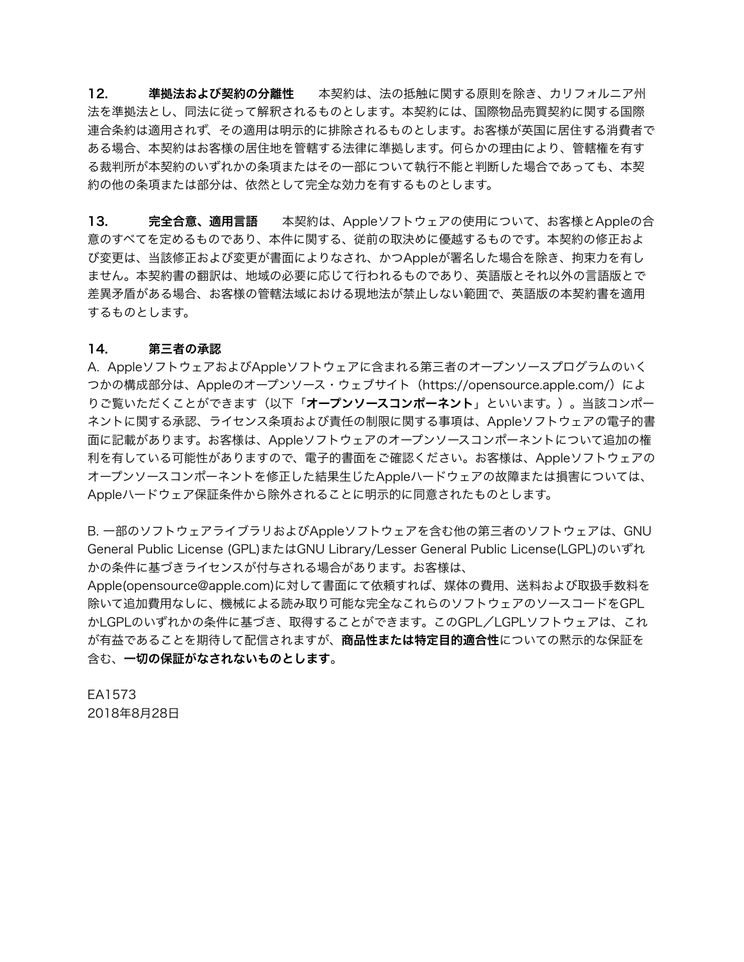12. 準拠法および契約の分離性 本契約は、法の抵触に関する原則を除き、カリフォルニア州 法を準拠法とし、同法に従って解釈されるものとします。本契約には、国際物品売買契約に関する国際 連合条約は適用されず、その適用は明示的に排除されるものとします。お客様が英国に居住する消費者で ある場合、本契約はお客様の居住地を管轄する法律に準拠します。何らかの理由により、管轄権を有す る裁判所が本契約のいずれかの条項またはその一部について執行不能と判断した場合であっても、本契 約の他の条項または部分は、依然として完全な効力を有するものとします。

13. 完全合意、適用言語 本契約は、Appleソフトウェアの使用について、お客様とAppleの合 意のすべてを定めるものであり、本件に関する、従前の取決めに優越するものです。本契約の修正およ び変更は、当該修正および変更が書面によりなされ、かつAppleが署名した場合を除き、拘束力を有し ません。本契約書の翻訳は、地域の必要に応じて行われるものであり、英語版とそれ以外の言語版とで 差異矛盾がある場合、お客様の管轄法域における現地法が禁止しない範囲で、英語版の本契約書を適用 するものとします。

## 14. 第三者の承認

A. AppleソフトウェアおよびAppleソフトウェアに含まれる第三者のオープンソースプログラムのいく つかの構成部分は、Appleのオープンソース・ウェブサイト([https://opensource.apple.com/\)](https://opensource.apple.com/)によ りご覧いただくことができます(以下「**オープンソースコンポーネント**」といいます。)。当該コンポー ネントに関する承認、ライセンス条項および責任の制限に関する事項は、Appleソフトウェアの電子的書 面に記載があります。お客様は、Appleソフトウェアのオープンソースコンポーネントについて追加の権 利を有している可能性がありますので、電子的書面をご確認ください。お客様は、Appleソフトウェアの オープンソースコンポーネントを修正した結果生じたAppleハードウェアの故障または損害については、 Appleハードウェア保証条件から除外されることに明示的に同意されたものとします。

B. 一部のソフトウェアライブラリおよびAppleソフトウェアを含む他の第三者のソフトウェアは、GNU General Public License (GPL)またはGNU Library/Lesser General Public License(LGPL)のいずれ かの条件に基づきライセンスが付与される場合があります。お客様は、

Apple[\(opensource@apple.com](mailto:opensource@apple.com))に対して書面にて依頼すれば、媒体の費用、送料および取扱手数料を 除いて追加費用なしに、機械による読み取り可能な完全なこれらのソフトウェアのソースコードをGPL かLGPLのいずれかの条件に基づき、取得することができます。このGPL/LGPLソフトウェアは、これ が有益であることを期待して配信されますが、商品性または特定目的適合性についての黙示的な保証を 含む、一切の保証がなされないものとします。

EA1573 2018年8月28日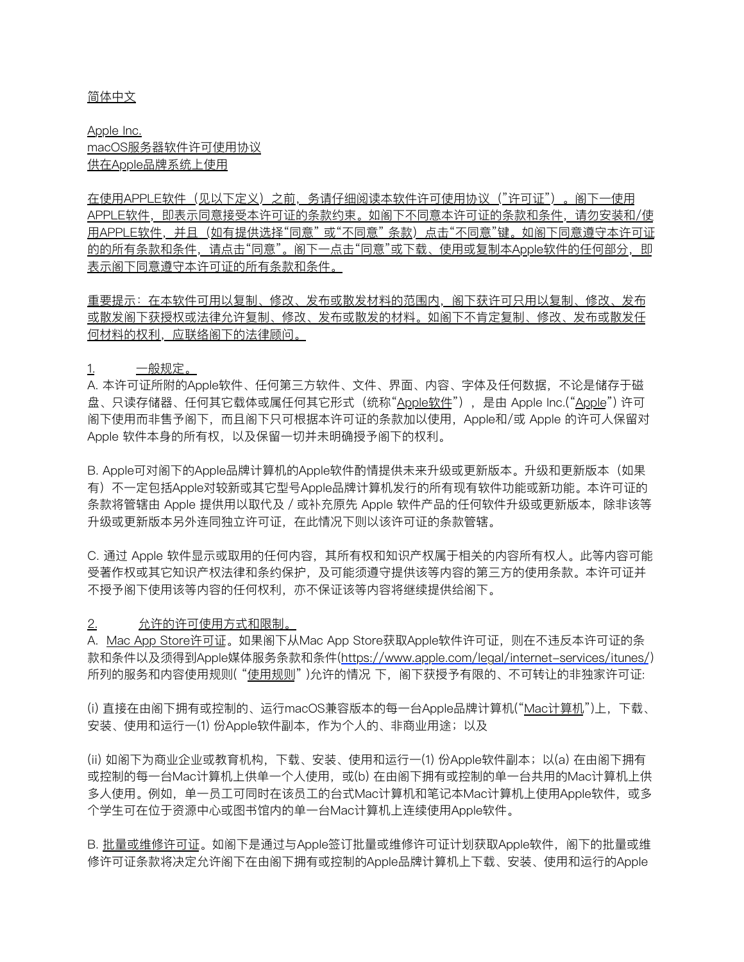#### 简体中文

Apple Inc. macOS服务器软件许可使⽤协议 供在Apple品牌系统上使用

在使用APPLE软件(见以下定义)之前,务请仔细阅读本软件许可使用协议("许可证")。阁下一使用 APPLE软件,即表示同意接受本许可证的条款约束。如阁下不同意本许可证的条款和条件,请勿安装和/使 用APPLE软件,并且(如有提供选择"同意"或"不同意"条款)点击"不同意"键。如阁下同意遵守本许可证 的的所有条款和条件,请点击"同意"。阁下一点击"同意"或下载、使用或复制本Apple软件的任何部分,即 表示阁下同意遵守本许可证的所有条款和条件。

重要提示:在本软件可用以复制、修改、发布或散发材料的范围内,阁下获许可只用以复制、修改、发布 或散发阁下获授权或法律允许复制、修改、发布或散发的材料。如阁下不肯定复制、修改、发布或散发任 何材料的权利,应联络阁下的法律顾问。

1. 一般规定。

A. 本许可证所附的Apple软件、任何第三方软件、文件、界面、内容、字体及任何数据,不论是储存于磁 盘、只读存储器、任何其它载体或属任何其它形式(统称"Apple软件"),是由 Apple Inc.("Apple") 许可 阁下使用而非售予阁下,而且阁下只可根据本许可证的条款加以使用, Apple和/或 Apple 的许可人保留对 Apple 软件本身的所有权, 以及保留一切并未明确授予阁下的权利。

B. Apple可对阁下的Apple品牌计算机的Apple软件酌情提供未来升级或更新版本。升级和更新版本(如果 有)不一定包括Apple对较新或其它型号Apple品牌计算机发行的所有现有软件功能或新功能。本许可证的 条款将管辖由 Apple 提供用以取代及/或补充原先 Apple 软件产品的任何软件升级或更新版本,除非该等 升级或更新版本另外连同独⽴许可证,在此情况下则以该许可证的条款管辖。

C. 通过 Apple 软件显示或取⽤的任何内容,其所有权和知识产权属于相关的内容所有权⼈。此等内容可能 受著作权或其它知识产权法律和条约保护,及可能须遵守提供该等内容的第三⽅的使⽤条款。本许可证并 不授予阁下使⽤该等内容的任何权利,亦不保证该等内容将继续提供给阁下。

#### 2. 允许的许可使用方式和限制。

A. Mac App Store许可证。如果阁下从Mac App Store获取Apple软件许可证,则在不违反本许可证的条 款和条件以及须得到Apple媒体服务条款和条件[\(https://www.apple.com/legal/internet-services/itunes/](https://www.apple.com/legal/internet-services/itunes/)) 所列的服务和内容使用规则("使用规则")允许的情况 下, 阁下获授予有限的、不可转让的非独家许可证:

(i) 直接在由阁下拥有或控制的、运⾏macOS兼容版本的每⼀台Apple品牌计算机("Mac计算机")上,下载、 安装、使用和运行一(1) 份Apple软件副本, 作为个人的、非商业用途; 以及

(ii) 如阁下为商业企业或教育机构,下载、安装、使用和运行一⑴ 份Apple软件副本;以(a) 在由阁下拥有 或控制的每一台Mac计算机上供单一个人使用,或(b) 在由阁下拥有或控制的单一台共用的Mac计算机上供 多人使用。例如,单一员工可同时在该员工的台式Mac计算机和笔记本Mac计算机上使用Apple软件,或多 个学⽣可在位于资源中⼼或图书馆内的单⼀台Mac计算机上连续使⽤Apple软件。

B. 批量或维修许可证。如阁下是通过与Apple签订批量或维修许可证计划获取Apple软件,阁下的批量或维 修许可证条款将决定允许阁下在由阁下拥有或控制的Apple品牌计算机上下载、安装、使用和运行的Apple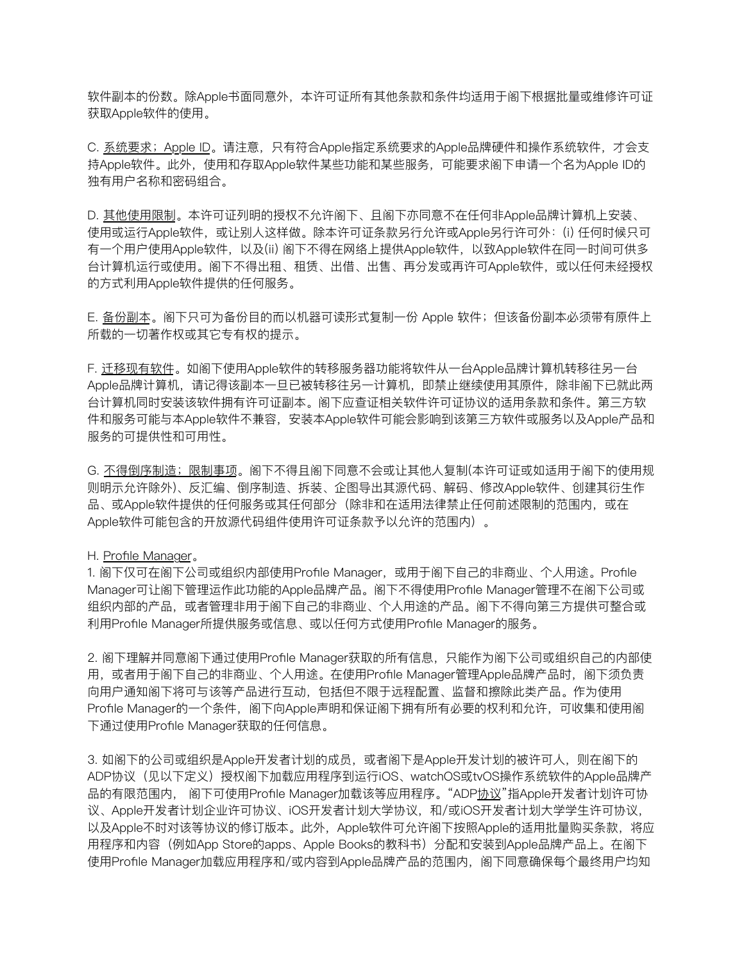软件副本的份数。除Apple书面同意外,本许可证所有其他条款和条件均适用于阁下根据批量或维修许可证 获取Apple软件的使用。

C. 系统要求;Apple ID。请注意,只有符合Apple指定系统要求的Apple品牌硬件和操作系统软件,才会支 持Apple软件。此外,使用和存取Apple软件某些功能和某些服务,可能要求阁下申请一个名为Apple ID的 独有用户名称和密码组合。

D. 其他使用限制。本许可证列明的授权不允许阁下、且阁下亦同意不在任何非Apple品牌计算机上安装、 使用或运行Apple软件,或让别人这样做。除本许可证条款另行允许或Apple另行许可外:(i)任何时候只可 有一个用户使用Apple软件,以及(ii) 阁下不得在网络上提供Apple软件, 以致Apple软件在同一时间可供多 台计算机运⾏或使⽤。阁下不得出租、租赁、出借、出售、再分发或再许可Apple软件,或以任何未经授权 的⽅式利⽤Apple软件提供的任何服务。

E. 备份副本。阁下只可为备份目的而以机器可读形式复制一份 Apple 软件;但该备份副本必须带有原件上 所载的⼀切著作权或其它专有权的提示。

F. 迁移现有软件。如阁下使用Apple软件的转移服务器功能将软件从一台Apple品牌计算机转移往另一台 Apple品牌计算机,请记得该副本一旦已被转移往另一计算机,即禁止继续使用其原件,除非阁下已就此两 台计算机同时安装该软件拥有许可证副本。阁下应查证相关软件许可证协议的适用条款和条件。第三方软 件和服务可能与本Apple软件不兼容, 安装本Apple软件可能会影响到该第三方软件或服务以及Apple产品和 服务的可提供性和可用性。

G. 不得倒序制造; 限制事项。阁下不得且阁下同意不会或让其他人复制(本许可证或如适用于阁下的使用规 则明示允许除外)、反汇编、倒序制造、拆装、企图导出其源代码、解码、修改Apple软件、创建其衍⽣作 品、或Apple软件提供的任何服务或其任何部分(除非和在适用法律禁止任何前述限制的范围内,或在 Apple软件可能包含的开放源代码组件使用许可证条款予以允许的范围内)。

#### H. Profile Manager。

1. 阁下仅可在阁下公司或组织内部使用Profile Manager, 或用于阁下自己的非商业、个人用途。Profile Manager可让阁下管理运作此功能的Apple品牌产品。阁下不得使用Profile Manager管理不在阁下公司或 组织内部的产品,或者管理非用于阁下自己的非商业、个人用途的产品。阁下不得向第三方提供可整合或 利用Profile Manager所提供服务或信息、或以任何方式使用Profile Manager的服务。

2. 阁下理解并同意阁下通过使用Profile Manager获取的所有信息,只能作为阁下公司或组织自己的内部使 用,或者用于阁下自己的非商业、个人用途。在使用Profile Manager管理Apple品牌产品时,阁下须负责 向用户通知阁下将可与该等产品进行互动,包括但不限于远程配置、监督和擦除此类产品。作为使用 Profile Manager的一个条件,阁下向Apple声明和保证阁下拥有所有必要的权利和允许,可收集和使用阁 下通过使用Profile Manager获取的任何信息。

3. 如阁下的公司或组织是Apple开发者计划的成员,或者阁下是Apple开发计划的被许可人,则在阁下的 ADP协议(⻅以下定义)授权阁下加载应⽤程序到运⾏iOS、watchOS或tvOS操作系统软件的Apple品牌产 品的有限范围内, 阁下可使用Profile Manager加载该等应用程序。"ADP<u>协议</u>"指Apple开发者计划许可协 议、Apple开发者计划企业许可协议、iOS开发者计划大学协议,和/或iOS开发者计划大学学生许可协议, 以及Apple不时对该等协议的修订版本。此外, Apple软件可允许阁下按照Apple的适用批量购买条款, 将应 用程序和内容(例如App Store的apps、Apple Books的教科书)分配和安装到Apple品牌产品上。在阁下 使用Profile Manager加载应用程序和/或内容到Apple品牌产品的范围内,阁下同意确保每个最终用户均知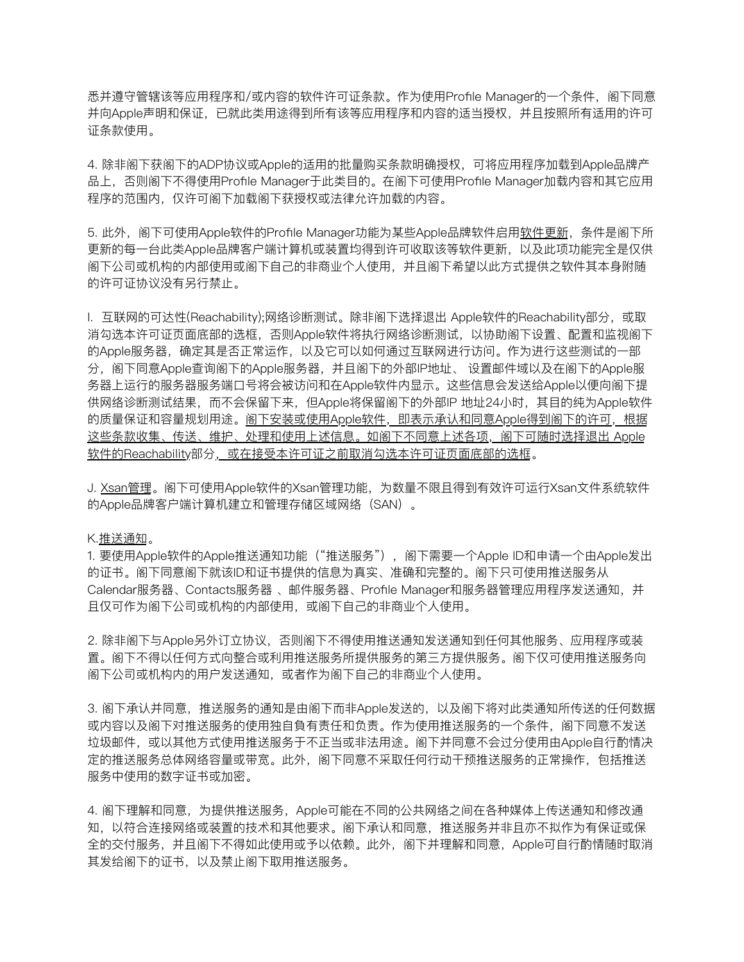悉并遵守管辖该等应用程序和/或内容的软件许可证条款。作为使用Profile Manager的一个条件,阁下同意 并向Apple声明和保证,已就此类用途得到所有该等应用程序和内容的适当授权,并且按照所有适用的许可 证条款使用。

4. 除非阁下获阁下的ADP协议或Apple的适用的批量购买条款明确授权,可将应用程序加载到Apple品牌产 品上,否则阁下不得使用Profile Manager于此类目的。在阁下可使用Profile Manager加载内容和其它应用 程序的范围内,仅许可阁下加载阁下获授权或法律允许加载的内容。

5. 此外, 阁下可使用Apple软件的Profile Manager功能为某些Apple品牌软件启用软件更新, 条件是阁下所 更新的每⼀台此类Apple品牌客户端计算机或装置均得到许可收取该等软件更新,以及此项功能完全是仅供 阁下公司或机构的内部使⽤或阁下⾃⼰的⾮商业个⼈使⽤,并且阁下希望以此⽅式提供之软件其本身附随 的许可证协议没有另行禁止。

I. 互联网的可达性(Reachability);网络诊断测试。除非阁下选择退出 Apple软件的Reachability部分,或取 消勾选本许可证页面底部的选框,否则Apple软件将执行网络诊断测试,以协助阁下设置、配置和监视阁下 的Apple服务器,确定其是否正常运作,以及它可以如何通过互联网进行访问。作为进行这些测试的一部 分,阁下同意Apple查询阁下的Apple服务器,并且阁下的外部IP地址、 设置邮件域以及在阁下的Apple服 务器上运⾏的服务器服务端⼝号将会被访问和在Apple软件内显示。这些信息会发送给Apple以便向阁下提 供网络诊断测试结果,而不会保留下来,但Apple将保留阁下的外部IP 地址24小时,其目的纯为Apple软件 的质量保证和容量规划用途。阁下安装或使用Apple软件,即表示承认和同意Apple得到阁下的许可,根据 这些条款收集、传送、维护、处理和使用上述信息。如阁下不同意上述各项,阁下可随时选择退出 Apple 软件的Reachability部分, 或在接受本许可证之前取消勾选本许可证页面底部的选框。

J. Xsan管理。阁下可使用Apple软件的Xsan管理功能,为数量不限且得到有效许可运行Xsan文件系统软件 的Apple品牌客户端计算机建立和管理存储区域网络(SAN)。

#### K.推送通知。

1. 要使用Apple软件的Apple推送通知功能("推送服务"),阁下需要一个Apple ID和申请一个由Apple发出 的证书。阁下同意阁下就该ID和证书提供的信息为真实、准确和完整的。阁下只可使用推送服务从 Calendar服务器、Contacts服务器、邮件服务器、Profile Manager和服务器管理应用程序发送通知, 并 且仅可作为阁下公司或机构的内部使用,或阁下自己的非商业个人使用。

2. 除非阁下与Apple另外订立协议, 否则阁下不得使用推送通知发送通知到任何其他服务、应用程序或装 置。阁下不得以任何方式向整合或利用推送服务所提供服务的第三方提供服务。阁下仅可使用推送服务向 阁下公司或机构内的用户发送通知,或者作为阁下自己的非商业个人使用。

3. 阁下承认并同意,推送服务的通知是由阁下而非Apple发送的,以及阁下将对此类通知所传送的任何数据 或内容以及阁下对推送服务的使用独自負有责任和负责。作为使用推送服务的一个条件,阁下同意不发送 垃圾邮件,或以其他⽅式使⽤推送服务于不正当或⾮法⽤途。阁下并同意不会过分使⽤由Apple⾃⾏酌情决 定的推送服务总体网络容量或带宽。此外,阁下同意不采取任何行动干预推送服务的正常操作,包括推送 服务中使用的数字证书或加密。

4. 阁下理解和同意,为提供推送服务,Apple可能在不同的公共网络之间在各种媒体上传送通知和修改通 知,以符合连接网络或装置的技术和其他要求。阁下承认和同意,推送服务并非且亦不拟作为有保证或保 全的交付服务,并且阁下不得如此使⽤或予以依赖。此外,阁下并理解和同意,Apple可⾃⾏酌情随时取消 其发给阁下的证书, 以及禁止阁下取用推送服务。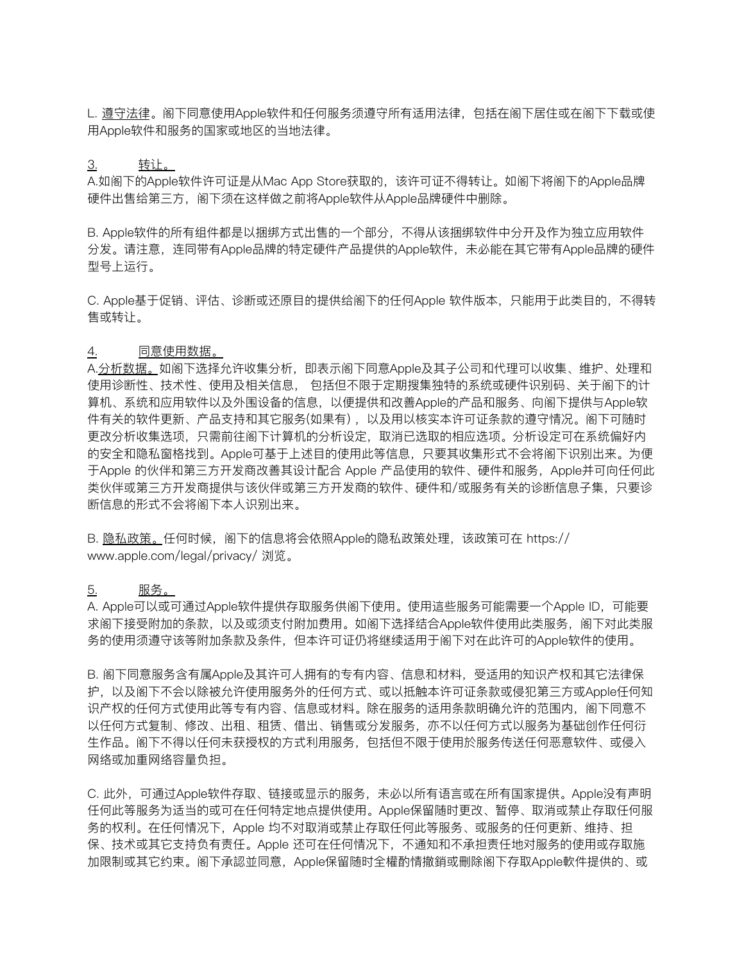L. 遵守法律。阁下同意使用Apple软件和任何服务须遵守所有适用法律, 包括在阁下居住或在阁下下载或使 ⽤Apple软件和服务的国家或地区的当地法律。

## 3. 转让。

A.如阁下的Apple软件许可证是从Mac App Store获取的,该许可证不得转让。如阁下将阁下的Apple品牌 硬件出售给第三⽅,阁下须在这样做之前将Apple软件从Apple品牌硬件中删除。

B. Apple软件的所有组件都是以捆绑方式出售的一个部分,不得从该捆绑软件中分开及作为独立应用软件 分发。请注意,连同带有Apple品牌的特定硬件产品提供的Apple软件,未必能在其它带有Apple品牌的硬件 型号上运⾏。

C. Apple基于促销、评估、诊断或还原⽬的提供给阁下的任何Apple 软件版本,只能⽤于此类⽬的,不得转 售或转让。

### 4. 同意使用数据。

A.分析数据。如阁下选择允许收集分析,即表示阁下同意Apple及其子公司和代理可以收集、维护、处理和 使用诊断性、技术性、使用及相关信息, 包括但不限于定期搜集独特的系统或硬件识别码、关于阁下的计 算机、系统和应⽤软件以及外围设备的信息,以便提供和改善Apple的产品和服务、向阁下提供与Apple软 件有关的软件更新、产品支持和其它服务(如果有),以及用以核实本许可证条款的遵守情况。阁下可随时 更改分析收集选项,只需前往阁下计算机的分析设定,取消已选取的相应选项。分析设定可在系统偏好内 的安全和隐私窗格找到。Apple可基于上述⽬的使⽤此等信息,只要其收集形式不会将阁下识别出来。为便 干Apple 的伙伴和第三方开发商改善其设计配合 Apple 产品使用的软件、硬件和服务,Apple并可向任何此 类伙伴或第三方开发商提供与该伙伴或第三方开发商的软件、硬件和/或服务有关的诊断信息子集,只要诊 断信息的形式不会将阁下本⼈识别出来。

B. 隐私政策。任何时候,阁下的信息将会依照Apple的隐私政策处理,该政策可在 [https://](https://www.apple.com/legal/privacy/) [www.apple.com/legal/privacy/](https://www.apple.com/legal/privacy/) 浏览。

#### <u>5. 服务。</u>

A. Apple可以或可通过Apple软件提供存取服务供阁下使用。使用這些服务可能需要一个Apple ID,可能要 求阁下接受附加的条款,以及或须支付附加费用。如阁下选择结合Apple软件使用此类服务,阁下对此类服 务的使用须遵守该等附加条款及条件,但本许可证仍将继续适用于阁下对在此许可的Apple软件的使用。

B. 阁下同意服务含有属Apple及其许可人拥有的专有内容、信息和材料, 受适用的知识产权和其它法律保 护,以及阁下不会以除被允许使用服务外的任何方式、或以抵触本许可证条款或侵犯第三方或Apple任何知 识产权的任何方式使用此等专有内容、信息或材料。除在服务的适用条款明确允许的范围内,阁下同意不 以任何方式复制、修改、出租、租赁、借出、销售或分发服务,亦不以任何方式以服务为基础创作任何衍 生作品。阁下不得以任何未获授权的方式利用服务,包括但不限于使用於服务传送任何恶意软件、或侵入 网络或加重网络容量负担。

C. 此外,可通过Apple软件存取、链接或显示的服务,未必以所有语言或在所有国家提供。Apple没有声明 任何此等服务为适当的或可在任何特定地点提供使用。Apple保留随时更改、暂停、取消或禁止存取任何服 务的权利。在任何情况下,Apple 均不对取消或禁止存取任何此等服务、或服务的任何更新、维持、担 保、技术或其它支持负有责任。Apple 还可在任何情况下,不通知和不承担责任地对服务的使用或存取施 加限制或其它约束。阁下承認並同意,Apple保留随时全權酌情撤銷或刪除阁下存取Apple軟件提供的、或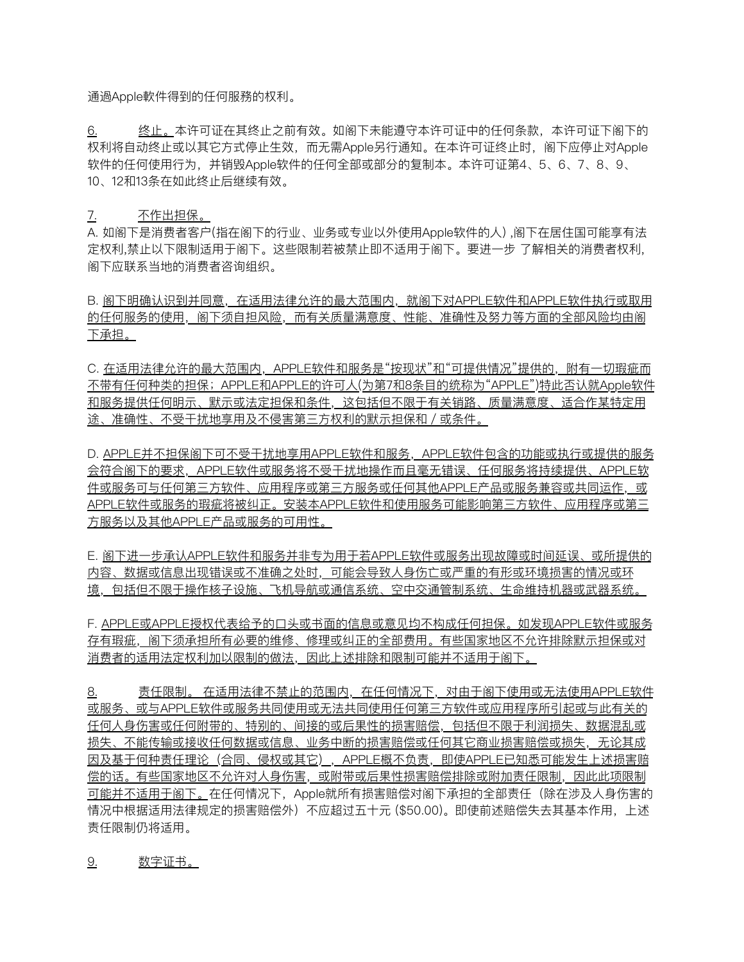通過Apple軟件得到的任何服務的权利。

6. 终⽌。本许可证在其终⽌之前有效。如阁下未能遵守本许可证中的任何条款,本许可证下阁下的 权利将自动终止或以其它方式停止生效,而无需Apple另行通知。在本许可证终止时,阁下应停止对Apple 软件的任何使用行为,并销毁Apple软件的任何全部或部分的复制本。本许可证第4、5、6、7、8、9、 10、12和13条在如此终止后继续有效。

### 7. 不作出担保。

A. 如阁下是消费者客户(指在阁下的行业、业务或专业以外使用Apple软件的人) ,阁下在居住国可能享有法 定权利,禁止以下限制适用于阁下。这些限制若被禁止即不适用于阁下。要进一步 了解相关的消费者权利, 阁下应联系当地的消费者咨询组织。

B. 图下明确认识到并同意, 在适用法律允许的最大范围内, 就阁下对APPLE软件和APPLE软件执行或取用 的任何服务的使用,阁下须自担风险,而有关质量满意度、性能、准确性及努力等方面的全部风险均由阁 下承担。

C. 在适用法律允许的最大范围内, APPLE软件和服务是"按现状"和"可提供情况"提供的, 附有一切瑕疵而 不带有任何种类的担保;APPLE和APPLE的许可⼈(为第7和8条⽬的统称为"APPLE")特此否认就Apple软件 和服务提供任何明示、默示或法定担保和条件,这包括但不限于有关销路、质量满意度、适合作某特定用 途、准确性、不受干扰地享用及不侵害第三方权利的默示担保和/或条件。

D. APPLE并不担保阁下可不受干扰地享用APPLE软件和服务, APPLE软件包含的功能或执行或提供的服务 会符合阁下的要求,APPLE软件或服务将不受干扰地操作而且毫无错误、任何服务将持续提供、APPLE软 作或服务可与任何第三方软件、应用程序或第三方服务或任何其他APPLE产品或服务兼容或共同运作,或 APPLE软件或服务的瑕疵将被纠正。安装本APPLE软件和使⽤服务可能影响第三⽅软件、应⽤程序或第三 方服务以及其他APPLE产品或服务的可用性。

E. 阁下进一步承认APPLE软件和服务并非专为用于若APPLE软件或服务出现故障或时间延误、或所提供的 内容、数据或信息出现错误或不准确之处时,可能会导致人身伤亡或严重的有形或环境损害的情况或环 境,包括但不限于操作核⼦设施、⻜机导航或通信系统、空中交通管制系统、⽣命维持机器或武器系统。

F. APPLE或APPLE授权代表给予的⼝头或书⾯的信息或意⻅均不构成任何担保。如发现APPLE软件或服务 存有瑕疵,阁下须承担所有必要的维修、修理或纠正的全部费用。有些国家地区不允许排除默示担保或对 消费者的适用法定权利加以限制的做法,因此上述排除和限制可能并不适用于阁下。

8. 责任限制。 在适用法律不禁止的范围内,在任何情况下,对由于阁下使用或无法使用APPLE软件 或服务、或与APPLE软件或服务共同使用或无法共同使用任何第三方软件或应用程序所引起或与此有关的 任何⼈身伤害或任何附带的、特别的、间接的或后果性的损害赔偿,包括但不限于利润损失、数据混乱或 损失、不能传输或接收任何数据或信息、业务中断的损害赔偿或任何其它商业损害赔偿或损失, 无论其成 因及基于何种责任理论(合同、侵权或其它),APPLE概不负责,即使APPLE已知悉可能发⽣上述损害赔 偿的话。有些国家地区不允许对人身伤害,或附带或后果性损害赔偿排除或附加责任限制,因此此项限制 可能并不适⽤于阁下。在任何情况下,Apple就所有损害赔偿对阁下承担的全部责任(除在涉及⼈身伤害的 情况中根据适用法律规定的损害赔偿外)不应超过五十元 (\$50.00)。即使前述赔偿失去其基本作用,上述 责任限制仍将适用。

## 9. 数字证书。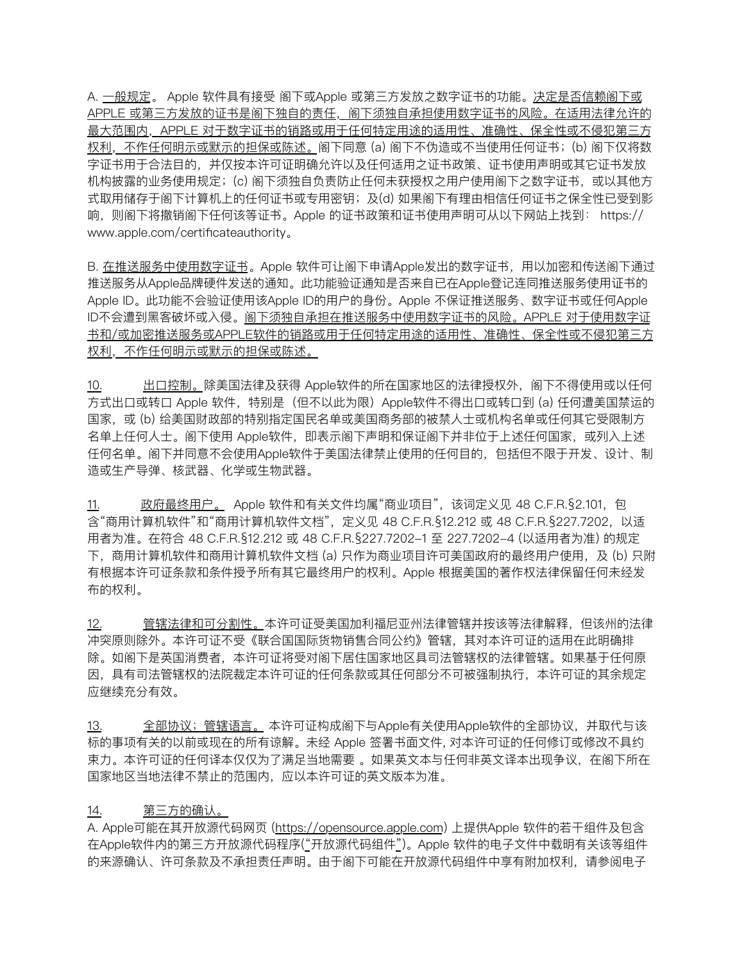A. 一般规定。 Apple 软件具有接受 阁下或Apple 或第三方发放之数字证书的功能。决定是否信赖阁下或 APPLE 或第三方发放的证书是阁下独自的责任,阁下须独自承担使用数字证书的风险。在适用法律允许的 最大范围内,APPLE 对于数字证书的销路或用于任何特定用途的适用性、准确性、保全性或不侵犯第三方 权利,不作任何明示或默示的担保或陈述。阁下同意 (a) 阁下不伪造或不当使用任何证书;(b) 阁下仅将数 字证书用于合法目的,并仅按本许可证明确允许以及任何适用之证书政策、证书使用声明或其它证书发放 机构披露的业务使用规定;(c) 阁下须独自负责防止任何未获授权之用户使用阁下之数字证书, 或以其他方 式取用储存干阁下计算机上的任何证书或专用密钥;及(d) 如果阁下有理由相信任何证书之保全性已受到影 响,则阁下将撤销阁下任何该等证书。Apple 的证书政策和证书使用声明可从以下网站上找到: [https://](https://www.apple.com/certificateauthority) [www.apple.com/certificateauthority](https://www.apple.com/certificateauthority)。

B. 在推送服务中使用数字证书。Apple 软件可让阁下申请Apple发出的数字证书, 用以加密和传送阁下通过 推送服务从Apple品牌硬件发送的通知。此功能验证通知是否来⾃已在Apple登记连同推送服务使⽤证书的 Apple ID。此功能不会验证使用该Apple ID的用户的身份。Apple 不保证推送服务、数字证书或任何Apple ID不会遭到黑客破坏或入侵。图下须独自承担在推送服务中使用数字证书的风险。APPLE 对于使用数字证 书和/或加密推送服务或APPLE软件的销路或用于任何特定用途的适用性、准确性、保全性或不侵犯第三方 权利,不作任何明示或默示的担保或陈述。

10. 出口控制。除美国法律及获得 Apple软件的所在国家地区的法律授权外,阁下不得使用或以任何 方式出口或转口 Apple 软件,特别是(但不以此为限)Apple软件不得出口或转口到 (a) 任何遭美国禁运的 国家,或 (b) 给美国财政部的特别指定国民名单或美国商务部的被禁人士或机构名单或任何其它受限制方 名单上任何人士。阁下使用 Apple软件,即表示阁下声明和保证阁下并非位于上述任何国家,或列入上述 任何名单。阁下并同意不会使用Apple软件于美国法律禁止使用的任何目的,包括但不限于开发、设计、制 造或⽣产导弹、核武器、化学或⽣物武器。

11. 政府最终用户。 Apple 软件和有关文件均属"商业项目",该词定义见 48 C.F.R.§2.101, 包 含"商用计算机软件"和"商用计算机软件文档", 定义见 48 C.F.R.§12.212 或 48 C.F.R.§227.7202, 以适 用者为准。在符合 48 C.F.R.§12.212 或 48 C.F.R.§227.7202-1 至 227.7202-4 (以适用者为准) 的规定 下,商用计算机软件和商用计算机软件文档 (a) 只作为商业项目许可美国政府的最终用户使用,及 (b) 只附 有根据本许可证条款和条件授予所有其它最终⽤户的权利。Apple 根据美国的著作权法律保留任何未经发 布的权利。

12. 管辖法律和可分割性。本许可证受美国加利福尼亚州法律管辖并按该等法律解释,但该州的法律 冲突原则除外。本许可证不受《联合国国际货物销售合同公约》管辖,其对本许可证的适用在此明确排 除。如阁下是英国消费者,本许可证将受对阁下居住国家地区具司法管辖权的法律管辖。如果基于任何原 因,具有司法管辖权的法院裁定本许可证的任何条款或其任何部分不可被强制执⾏,本许可证的其余规定 应继续充分有效。

13. 全部协议;管辖语言。本许可证构成阁下与Apple有关使用Apple软件的全部协议,并取代与该 标的事项有关的以前或现在的所有谅解。未经 Apple 签署书面文件, 对本许可证的任何修订或修改不具约 束力。本许可证的任何译本仅仅为了满足当地需要 。如果英文本与任何非英文译本出现争议,在阁下所在 国家地区当地法律不禁止的范围内,应以本许可证的英文版本为准。

### 14. 第三方的确认。

A. Apple可能在其开放源代码网页 (<https://opensource.apple.com>) 上提供Apple 软件的若干组件及包含 在Apple软件内的第三方开放源代码程序("开放源代码组件")。Apple 软件的电子文件中载明有关该等组件 的来源确认、许可条款及不承担责任声明。由于阁下可能在开放源代码组件中享有附加权利,请参阅电子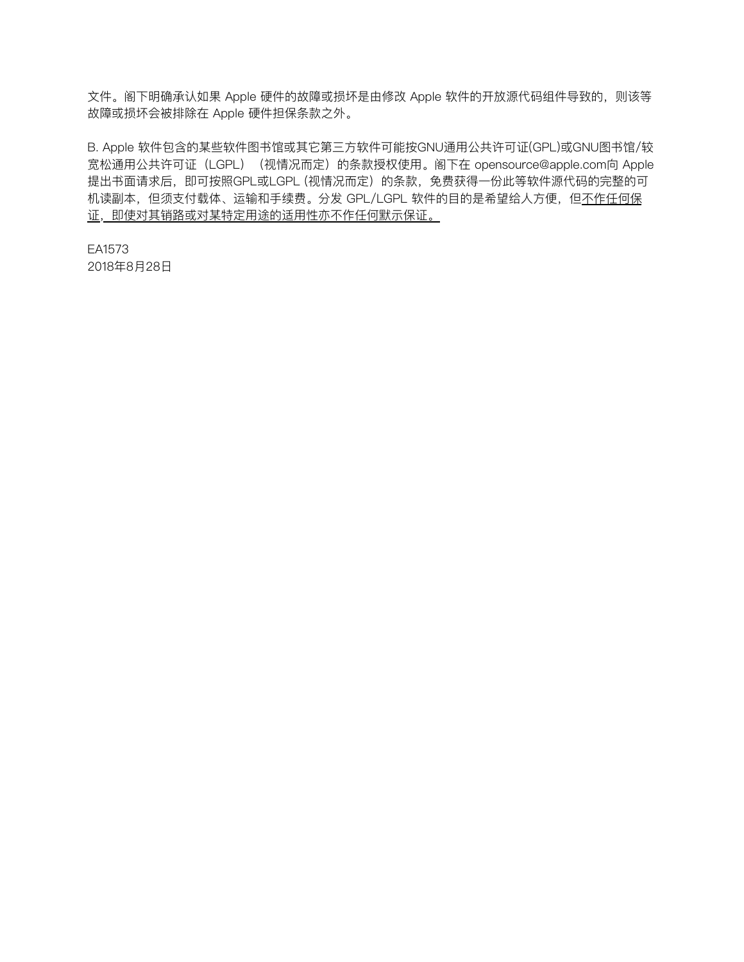文件。阁下明确承认如果 Apple 硬件的故障或损坏是由修改 Apple 软件的开放源代码组件导致的, 则该等 故障或损坏会被排除在 Apple 硬件担保条款之外。

B. Apple 软件包含的某些软件图书馆或其它第三方软件可能按GNU通用公共许可证(GPL)或GNU图书馆/较 宽松通用公共许可证(LGPL)(视情况而定)的条款授权使用。阁下在 [opensource@apple.com](mailto:opensource@apple.com)向 Apple 提出书面请求后,即可按照GPL或LGPL (视情况而定) 的条款, 免费获得一份此等软件源代码的完整的可 机读副本,但须支付载体、运输和手续费。分发 GPL/LGPL 软件的目的是希望给人方便,但不作任何保 证,即使对其销路或对某特定用途的适用性亦不作任何默示保证。

EA1573 2018年8⽉28⽇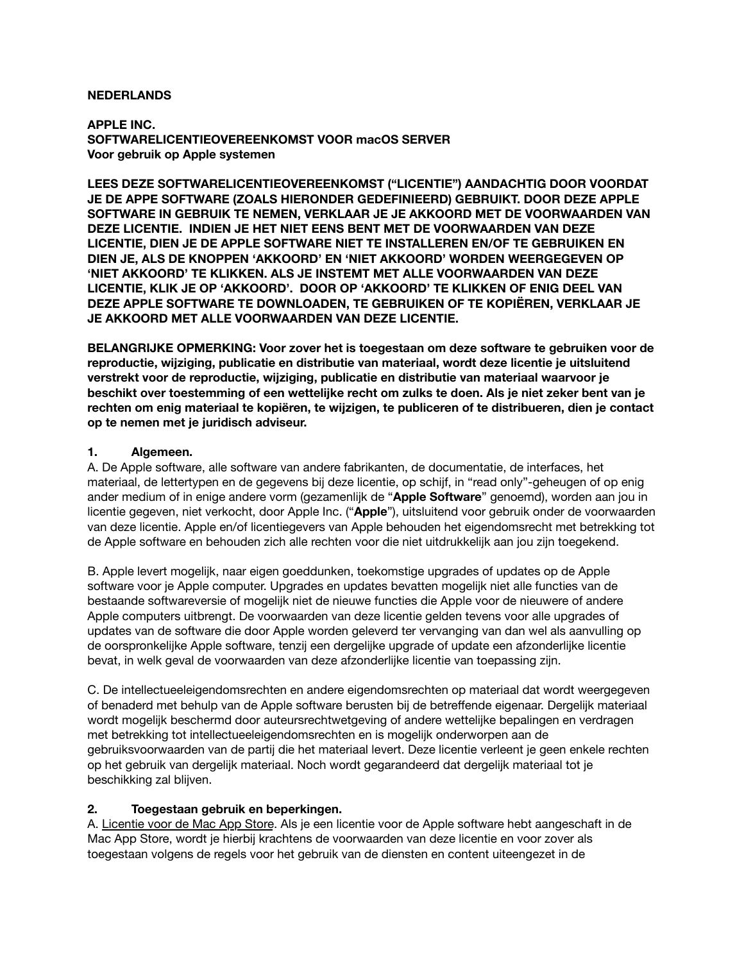## **NEDERLANDS**

**APPLE INC. SOFTWARELICENTIEOVEREENKOMST VOOR macOS SERVER Voor gebruik op Apple systemen**

**LEES DEZE SOFTWARELICENTIEOVEREENKOMST ("LICENTIE") AANDACHTIG DOOR VOORDAT JE DE APPE SOFTWARE (ZOALS HIERONDER GEDEFINIEERD) GEBRUIKT. DOOR DEZE APPLE SOFTWARE IN GEBRUIK TE NEMEN, VERKLAAR JE JE AKKOORD MET DE VOORWAARDEN VAN DEZE LICENTIE. INDIEN JE HET NIET EENS BENT MET DE VOORWAARDEN VAN DEZE LICENTIE, DIEN JE DE APPLE SOFTWARE NIET TE INSTALLEREN EN/OF TE GEBRUIKEN EN DIEN JE, ALS DE KNOPPEN 'AKKOORD' EN 'NIET AKKOORD' WORDEN WEERGEGEVEN OP 'NIET AKKOORD' TE KLIKKEN. ALS JE INSTEMT MET ALLE VOORWAARDEN VAN DEZE LICENTIE, KLIK JE OP 'AKKOORD'. DOOR OP 'AKKOORD' TE KLIKKEN OF ENIG DEEL VAN DEZE APPLE SOFTWARE TE DOWNLOADEN, TE GEBRUIKEN OF TE KOPIËREN, VERKLAAR JE JE AKKOORD MET ALLE VOORWAARDEN VAN DEZE LICENTIE.** 

**BELANGRIJKE OPMERKING: Voor zover het is toegestaan om deze software te gebruiken voor de reproductie, wijziging, publicatie en distributie van materiaal, wordt deze licentie je uitsluitend verstrekt voor de reproductie, wijziging, publicatie en distributie van materiaal waarvoor je beschikt over toestemming of een wettelijke recht om zulks te doen. Als je niet zeker bent van je rechten om enig materiaal te kopiëren, te wijzigen, te publiceren of te distribueren, dien je contact op te nemen met je juridisch adviseur.**

## **1. Algemeen.**

A. De Apple software, alle software van andere fabrikanten, de documentatie, de interfaces, het materiaal, de lettertypen en de gegevens bij deze licentie, op schijf, in "read only"-geheugen of op enig ander medium of in enige andere vorm (gezamenlijk de "**Apple Software**" genoemd), worden aan jou in licentie gegeven, niet verkocht, door Apple Inc. ("**Apple**"), uitsluitend voor gebruik onder de voorwaarden van deze licentie. Apple en/of licentiegevers van Apple behouden het eigendomsrecht met betrekking tot de Apple software en behouden zich alle rechten voor die niet uitdrukkelijk aan jou zijn toegekend.

B. Apple levert mogelijk, naar eigen goeddunken, toekomstige upgrades of updates op de Apple software voor je Apple computer. Upgrades en updates bevatten mogelijk niet alle functies van de bestaande softwareversie of mogelijk niet de nieuwe functies die Apple voor de nieuwere of andere Apple computers uitbrengt. De voorwaarden van deze licentie gelden tevens voor alle upgrades of updates van de software die door Apple worden geleverd ter vervanging van dan wel als aanvulling op de oorspronkelijke Apple software, tenzij een dergelijke upgrade of update een afzonderlijke licentie bevat, in welk geval de voorwaarden van deze afzonderlijke licentie van toepassing zijn.

C. De intellectueeleigendomsrechten en andere eigendomsrechten op materiaal dat wordt weergegeven of benaderd met behulp van de Apple software berusten bij de betreffende eigenaar. Dergelijk materiaal wordt mogelijk beschermd door auteursrechtwetgeving of andere wettelijke bepalingen en verdragen met betrekking tot intellectueeleigendomsrechten en is mogelijk onderworpen aan de gebruiksvoorwaarden van de partij die het materiaal levert. Deze licentie verleent je geen enkele rechten op het gebruik van dergelijk materiaal. Noch wordt gegarandeerd dat dergelijk materiaal tot je beschikking zal blijven.

# **2. Toegestaan gebruik en beperkingen.**

A. Licentie voor de Mac App Store. Als je een licentie voor de Apple software hebt aangeschaft in de Mac App Store, wordt je hierbij krachtens de voorwaarden van deze licentie en voor zover als toegestaan volgens de regels voor het gebruik van de diensten en content uiteengezet in de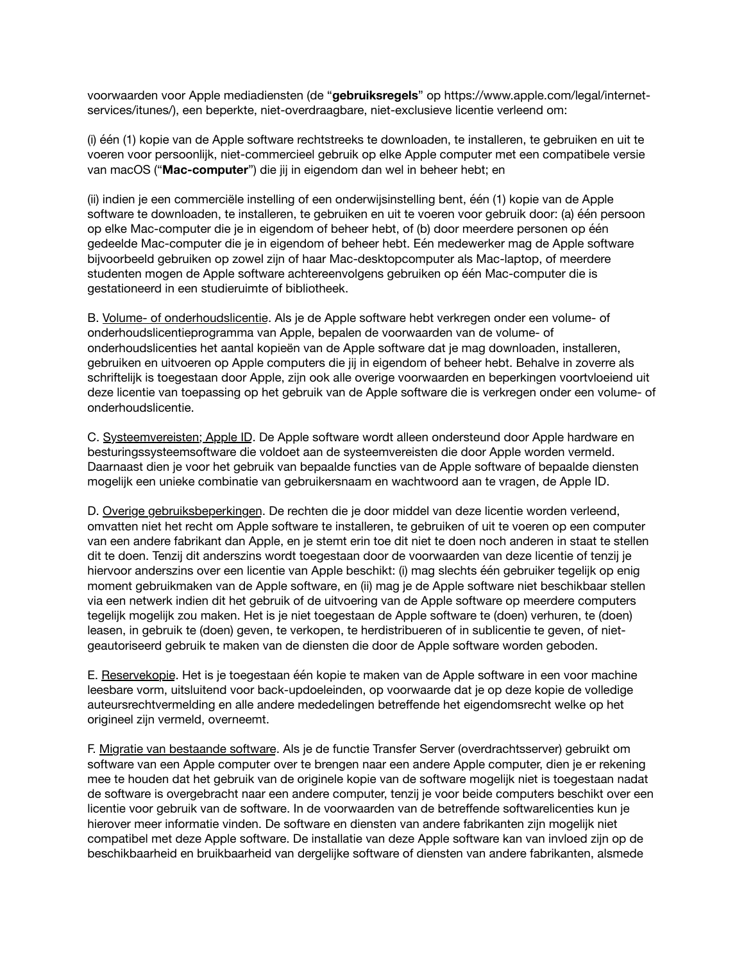voorwaarden voor Apple mediadiensten (de "**gebruiksregels**" op [https://www.apple.com/legal/internet](https://www.apple.com/legal/internet-services/itunes/)[services/itunes/](https://www.apple.com/legal/internet-services/itunes/)), een beperkte, niet-overdraagbare, niet-exclusieve licentie verleend om:

(i) één (1) kopie van de Apple software rechtstreeks te downloaden, te installeren, te gebruiken en uit te voeren voor persoonlijk, niet-commercieel gebruik op elke Apple computer met een compatibele versie van macOS ("**Mac-computer**") die jij in eigendom dan wel in beheer hebt; en

(ii) indien je een commerciële instelling of een onderwijsinstelling bent, één (1) kopie van de Apple software te downloaden, te installeren, te gebruiken en uit te voeren voor gebruik door: (a) één persoon op elke Mac-computer die je in eigendom of beheer hebt, of (b) door meerdere personen op één gedeelde Mac-computer die je in eigendom of beheer hebt. Eén medewerker mag de Apple software bijvoorbeeld gebruiken op zowel zijn of haar Mac-desktopcomputer als Mac-laptop, of meerdere studenten mogen de Apple software achtereenvolgens gebruiken op één Mac-computer die is gestationeerd in een studieruimte of bibliotheek.

B. Volume- of onderhoudslicentie. Als je de Apple software hebt verkregen onder een volume- of onderhoudslicentieprogramma van Apple, bepalen de voorwaarden van de volume- of onderhoudslicenties het aantal kopieën van de Apple software dat je mag downloaden, installeren, gebruiken en uitvoeren op Apple computers die jij in eigendom of beheer hebt. Behalve in zoverre als schriftelijk is toegestaan door Apple, zijn ook alle overige voorwaarden en beperkingen voortvloeiend uit deze licentie van toepassing op het gebruik van de Apple software die is verkregen onder een volume- of onderhoudslicentie.

C. Systeemvereisten; Apple ID. De Apple software wordt alleen ondersteund door Apple hardware en besturingssysteemsoftware die voldoet aan de systeemvereisten die door Apple worden vermeld. Daarnaast dien je voor het gebruik van bepaalde functies van de Apple software of bepaalde diensten mogelijk een unieke combinatie van gebruikersnaam en wachtwoord aan te vragen, de Apple ID.

D. Overige gebruiksbeperkingen. De rechten die je door middel van deze licentie worden verleend, omvatten niet het recht om Apple software te installeren, te gebruiken of uit te voeren op een computer van een andere fabrikant dan Apple, en je stemt erin toe dit niet te doen noch anderen in staat te stellen dit te doen. Tenzij dit anderszins wordt toegestaan door de voorwaarden van deze licentie of tenzij je hiervoor anderszins over een licentie van Apple beschikt: (i) mag slechts één gebruiker tegelijk op enig moment gebruikmaken van de Apple software, en (ii) mag je de Apple software niet beschikbaar stellen via een netwerk indien dit het gebruik of de uitvoering van de Apple software op meerdere computers tegelijk mogelijk zou maken. Het is je niet toegestaan de Apple software te (doen) verhuren, te (doen) leasen, in gebruik te (doen) geven, te verkopen, te herdistribueren of in sublicentie te geven, of nietgeautoriseerd gebruik te maken van de diensten die door de Apple software worden geboden.

E. Reservekopie. Het is je toegestaan één kopie te maken van de Apple software in een voor machine leesbare vorm, uitsluitend voor back-updoeleinden, op voorwaarde dat je op deze kopie de volledige auteursrechtvermelding en alle andere mededelingen betreffende het eigendomsrecht welke op het origineel zijn vermeld, overneemt.

F. Migratie van bestaande software. Als je de functie Transfer Server (overdrachtsserver) gebruikt om software van een Apple computer over te brengen naar een andere Apple computer, dien je er rekening mee te houden dat het gebruik van de originele kopie van de software mogelijk niet is toegestaan nadat de software is overgebracht naar een andere computer, tenzij je voor beide computers beschikt over een licentie voor gebruik van de software. In de voorwaarden van de betreffende softwarelicenties kun je hierover meer informatie vinden. De software en diensten van andere fabrikanten zijn mogelijk niet compatibel met deze Apple software. De installatie van deze Apple software kan van invloed zijn op de beschikbaarheid en bruikbaarheid van dergelijke software of diensten van andere fabrikanten, alsmede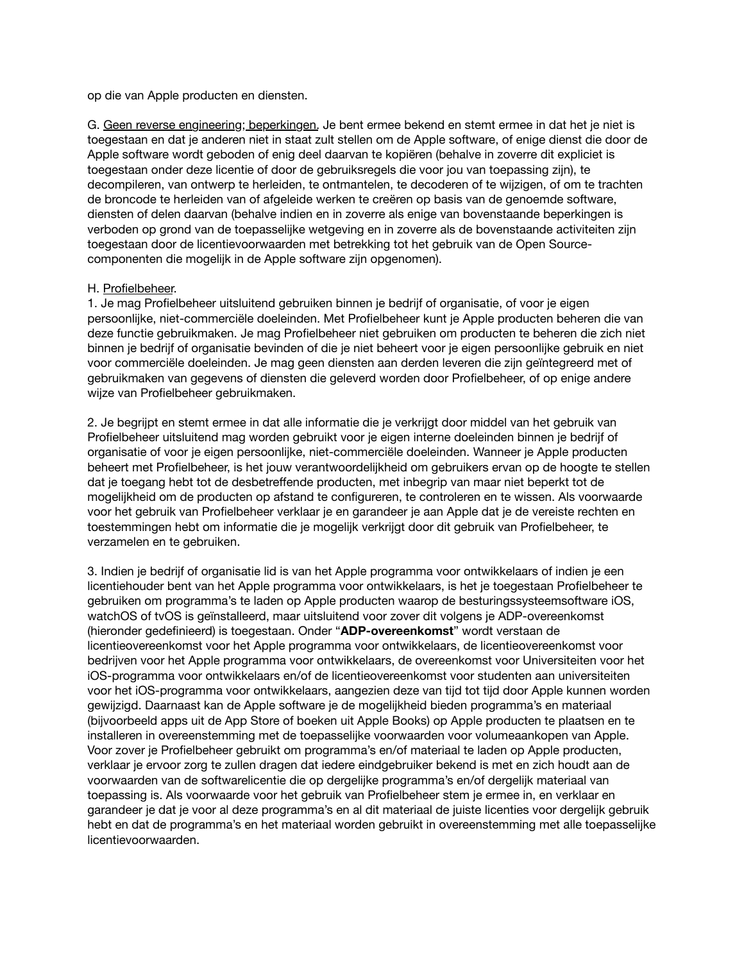op die van Apple producten en diensten.

G. Geen reverse engineering; beperkingen. Je bent ermee bekend en stemt ermee in dat het je niet is toegestaan en dat je anderen niet in staat zult stellen om de Apple software, of enige dienst die door de Apple software wordt geboden of enig deel daarvan te kopiëren (behalve in zoverre dit expliciet is toegestaan onder deze licentie of door de gebruiksregels die voor jou van toepassing zijn), te decompileren, van ontwerp te herleiden, te ontmantelen, te decoderen of te wijzigen, of om te trachten de broncode te herleiden van of afgeleide werken te creëren op basis van de genoemde software, diensten of delen daarvan (behalve indien en in zoverre als enige van bovenstaande beperkingen is verboden op grond van de toepasselijke wetgeving en in zoverre als de bovenstaande activiteiten zijn toegestaan door de licentievoorwaarden met betrekking tot het gebruik van de Open Sourcecomponenten die mogelijk in de Apple software zijn opgenomen).

## H. Profielbeheer.

1. Je mag Profielbeheer uitsluitend gebruiken binnen je bedrijf of organisatie, of voor je eigen persoonlijke, niet-commerciële doeleinden. Met Profielbeheer kunt je Apple producten beheren die van deze functie gebruikmaken. Je mag Profielbeheer niet gebruiken om producten te beheren die zich niet binnen je bedrijf of organisatie bevinden of die je niet beheert voor je eigen persoonlijke gebruik en niet voor commerciële doeleinden. Je mag geen diensten aan derden leveren die zijn geïntegreerd met of gebruikmaken van gegevens of diensten die geleverd worden door Profielbeheer, of op enige andere wijze van Profielbeheer gebruikmaken.

2. Je begrijpt en stemt ermee in dat alle informatie die je verkrijgt door middel van het gebruik van Profielbeheer uitsluitend mag worden gebruikt voor je eigen interne doeleinden binnen je bedrijf of organisatie of voor je eigen persoonlijke, niet-commerciële doeleinden. Wanneer je Apple producten beheert met Profielbeheer, is het jouw verantwoordelijkheid om gebruikers ervan op de hoogte te stellen dat je toegang hebt tot de desbetreffende producten, met inbegrip van maar niet beperkt tot de mogelijkheid om de producten op afstand te configureren, te controleren en te wissen. Als voorwaarde voor het gebruik van Profielbeheer verklaar je en garandeer je aan Apple dat je de vereiste rechten en toestemmingen hebt om informatie die je mogelijk verkrijgt door dit gebruik van Profielbeheer, te verzamelen en te gebruiken.

3. Indien je bedrijf of organisatie lid is van het Apple programma voor ontwikkelaars of indien je een licentiehouder bent van het Apple programma voor ontwikkelaars, is het je toegestaan Profielbeheer te gebruiken om programma's te laden op Apple producten waarop de besturingssysteemsoftware iOS, watchOS of tvOS is geïnstalleerd, maar uitsluitend voor zover dit volgens je ADP-overeenkomst (hieronder gedefinieerd) is toegestaan. Onder "**ADP-overeenkomst**" wordt verstaan de licentieovereenkomst voor het Apple programma voor ontwikkelaars, de licentieovereenkomst voor bedrijven voor het Apple programma voor ontwikkelaars, de overeenkomst voor Universiteiten voor het iOS-programma voor ontwikkelaars en/of de licentieovereenkomst voor studenten aan universiteiten voor het iOS-programma voor ontwikkelaars, aangezien deze van tijd tot tijd door Apple kunnen worden gewijzigd. Daarnaast kan de Apple software je de mogelijkheid bieden programma's en materiaal (bijvoorbeeld apps uit de App Store of boeken uit Apple Books) op Apple producten te plaatsen en te installeren in overeenstemming met de toepasselijke voorwaarden voor volumeaankopen van Apple. Voor zover je Profielbeheer gebruikt om programma's en/of materiaal te laden op Apple producten, verklaar je ervoor zorg te zullen dragen dat iedere eindgebruiker bekend is met en zich houdt aan de voorwaarden van de softwarelicentie die op dergelijke programma's en/of dergelijk materiaal van toepassing is. Als voorwaarde voor het gebruik van Profielbeheer stem je ermee in, en verklaar en garandeer je dat je voor al deze programma's en al dit materiaal de juiste licenties voor dergelijk gebruik hebt en dat de programma's en het materiaal worden gebruikt in overeenstemming met alle toepasselijke licentievoorwaarden.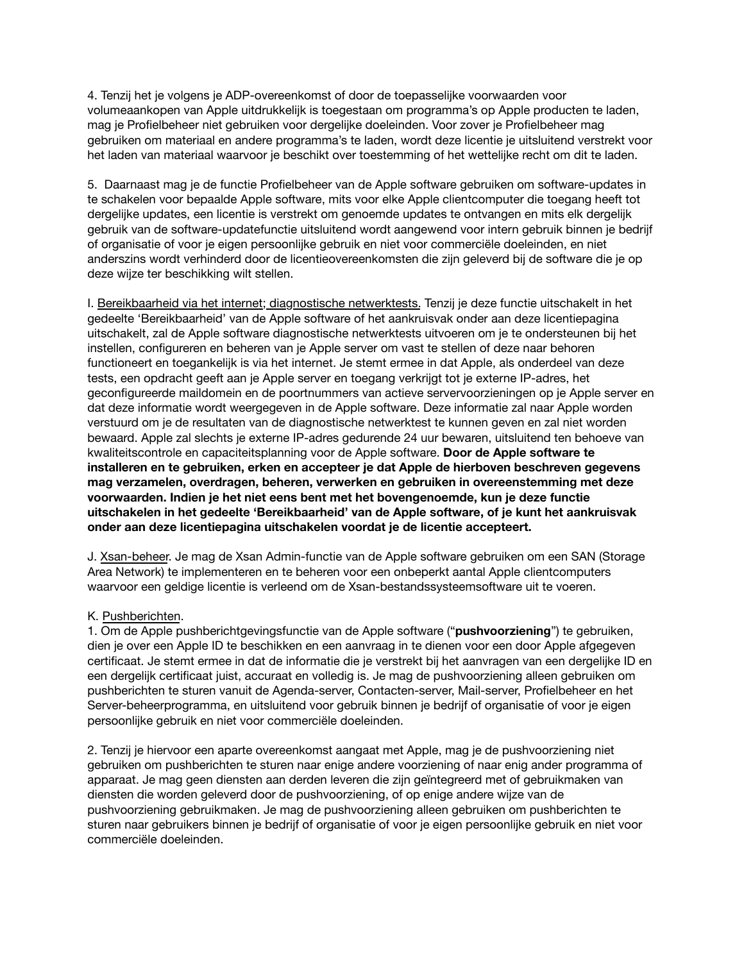4. Tenzij het je volgens je ADP-overeenkomst of door de toepasselijke voorwaarden voor volumeaankopen van Apple uitdrukkelijk is toegestaan om programma's op Apple producten te laden, mag je Profielbeheer niet gebruiken voor dergelijke doeleinden. Voor zover je Profielbeheer mag gebruiken om materiaal en andere programma's te laden, wordt deze licentie je uitsluitend verstrekt voor het laden van materiaal waarvoor je beschikt over toestemming of het wettelijke recht om dit te laden.

5. Daarnaast mag je de functie Profielbeheer van de Apple software gebruiken om software-updates in te schakelen voor bepaalde Apple software, mits voor elke Apple clientcomputer die toegang heeft tot dergelijke updates, een licentie is verstrekt om genoemde updates te ontvangen en mits elk dergelijk gebruik van de software-updatefunctie uitsluitend wordt aangewend voor intern gebruik binnen je bedrijf of organisatie of voor je eigen persoonlijke gebruik en niet voor commerciële doeleinden, en niet anderszins wordt verhinderd door de licentieovereenkomsten die zijn geleverd bij de software die je op deze wijze ter beschikking wilt stellen.

I. Bereikbaarheid via het internet; diagnostische netwerktests. Tenzij je deze functie uitschakelt in het gedeelte 'Bereikbaarheid' van de Apple software of het aankruisvak onder aan deze licentiepagina uitschakelt, zal de Apple software diagnostische netwerktests uitvoeren om je te ondersteunen bij het instellen, configureren en beheren van je Apple server om vast te stellen of deze naar behoren functioneert en toegankelijk is via het internet. Je stemt ermee in dat Apple, als onderdeel van deze tests, een opdracht geeft aan je Apple server en toegang verkrijgt tot je externe IP-adres, het geconfigureerde maildomein en de poortnummers van actieve servervoorzieningen op je Apple server en dat deze informatie wordt weergegeven in de Apple software. Deze informatie zal naar Apple worden verstuurd om je de resultaten van de diagnostische netwerktest te kunnen geven en zal niet worden bewaard. Apple zal slechts je externe IP-adres gedurende 24 uur bewaren, uitsluitend ten behoeve van kwaliteitscontrole en capaciteitsplanning voor de Apple software. **Door de Apple software te installeren en te gebruiken, erken en accepteer je dat Apple de hierboven beschreven gegevens mag verzamelen, overdragen, beheren, verwerken en gebruiken in overeenstemming met deze voorwaarden. Indien je het niet eens bent met het bovengenoemde, kun je deze functie uitschakelen in het gedeelte 'Bereikbaarheid' van de Apple software, of je kunt het aankruisvak onder aan deze licentiepagina uitschakelen voordat je de licentie accepteert.**

J. Xsan-beheer. Je mag de Xsan Admin-functie van de Apple software gebruiken om een SAN (Storage Area Network) te implementeren en te beheren voor een onbeperkt aantal Apple clientcomputers waarvoor een geldige licentie is verleend om de Xsan-bestandssysteemsoftware uit te voeren.

## K. Pushberichten.

1. Om de Apple pushberichtgevingsfunctie van de Apple software ("**pushvoorziening**") te gebruiken, dien je over een Apple ID te beschikken en een aanvraag in te dienen voor een door Apple afgegeven certificaat. Je stemt ermee in dat de informatie die je verstrekt bij het aanvragen van een dergelijke ID en een dergelijk certificaat juist, accuraat en volledig is. Je mag de pushvoorziening alleen gebruiken om pushberichten te sturen vanuit de Agenda-server, Contacten-server, Mail-server, Profielbeheer en het Server-beheerprogramma, en uitsluitend voor gebruik binnen je bedrijf of organisatie of voor je eigen persoonlijke gebruik en niet voor commerciële doeleinden.

2. Tenzij je hiervoor een aparte overeenkomst aangaat met Apple, mag je de pushvoorziening niet gebruiken om pushberichten te sturen naar enige andere voorziening of naar enig ander programma of apparaat. Je mag geen diensten aan derden leveren die zijn geïntegreerd met of gebruikmaken van diensten die worden geleverd door de pushvoorziening, of op enige andere wijze van de pushvoorziening gebruikmaken. Je mag de pushvoorziening alleen gebruiken om pushberichten te sturen naar gebruikers binnen je bedrijf of organisatie of voor je eigen persoonlijke gebruik en niet voor commerciële doeleinden.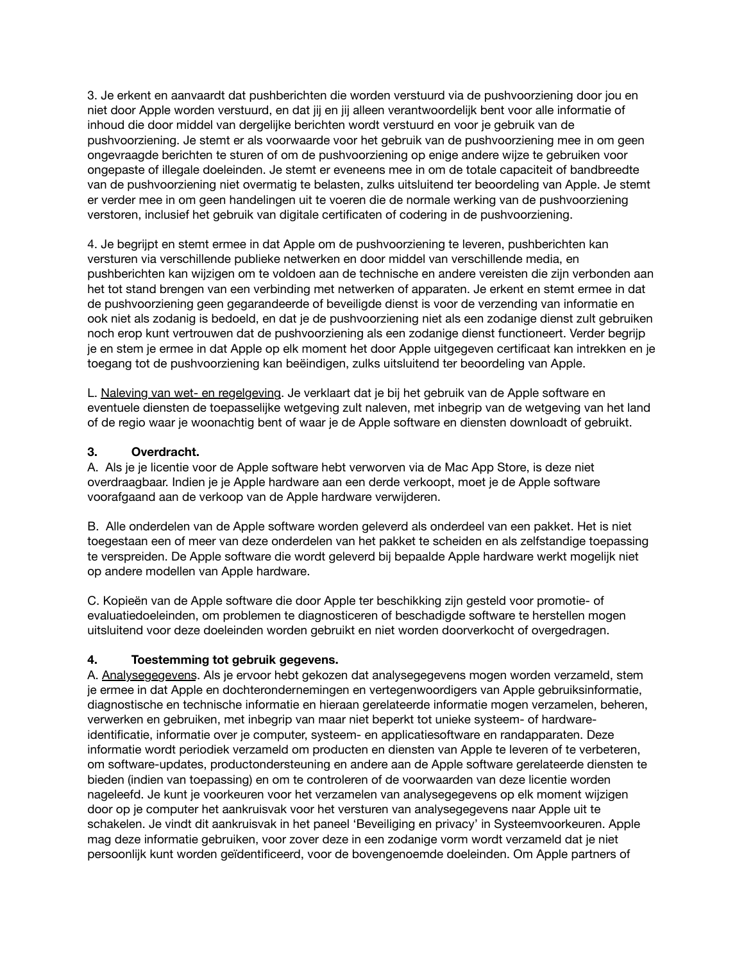3. Je erkent en aanvaardt dat pushberichten die worden verstuurd via de pushvoorziening door jou en niet door Apple worden verstuurd, en dat jij en jij alleen verantwoordelijk bent voor alle informatie of inhoud die door middel van dergelijke berichten wordt verstuurd en voor je gebruik van de pushvoorziening. Je stemt er als voorwaarde voor het gebruik van de pushvoorziening mee in om geen ongevraagde berichten te sturen of om de pushvoorziening op enige andere wijze te gebruiken voor ongepaste of illegale doeleinden. Je stemt er eveneens mee in om de totale capaciteit of bandbreedte van de pushvoorziening niet overmatig te belasten, zulks uitsluitend ter beoordeling van Apple. Je stemt er verder mee in om geen handelingen uit te voeren die de normale werking van de pushvoorziening verstoren, inclusief het gebruik van digitale certificaten of codering in de pushvoorziening.

4. Je begrijpt en stemt ermee in dat Apple om de pushvoorziening te leveren, pushberichten kan versturen via verschillende publieke netwerken en door middel van verschillende media, en pushberichten kan wijzigen om te voldoen aan de technische en andere vereisten die zijn verbonden aan het tot stand brengen van een verbinding met netwerken of apparaten. Je erkent en stemt ermee in dat de pushvoorziening geen gegarandeerde of beveiligde dienst is voor de verzending van informatie en ook niet als zodanig is bedoeld, en dat je de pushvoorziening niet als een zodanige dienst zult gebruiken noch erop kunt vertrouwen dat de pushvoorziening als een zodanige dienst functioneert. Verder begrijp je en stem je ermee in dat Apple op elk moment het door Apple uitgegeven certificaat kan intrekken en je toegang tot de pushvoorziening kan beëindigen, zulks uitsluitend ter beoordeling van Apple.

L. Naleving van wet- en regelgeving. Je verklaart dat je bij het gebruik van de Apple software en eventuele diensten de toepasselijke wetgeving zult naleven, met inbegrip van de wetgeving van het land of de regio waar je woonachtig bent of waar je de Apple software en diensten downloadt of gebruikt.

# **3. Overdracht.**

A. Als je je licentie voor de Apple software hebt verworven via de Mac App Store, is deze niet overdraagbaar. Indien je je Apple hardware aan een derde verkoopt, moet je de Apple software voorafgaand aan de verkoop van de Apple hardware verwijderen.

B. Alle onderdelen van de Apple software worden geleverd als onderdeel van een pakket. Het is niet toegestaan een of meer van deze onderdelen van het pakket te scheiden en als zelfstandige toepassing te verspreiden. De Apple software die wordt geleverd bij bepaalde Apple hardware werkt mogelijk niet op andere modellen van Apple hardware.

C. Kopieën van de Apple software die door Apple ter beschikking zijn gesteld voor promotie- of evaluatiedoeleinden, om problemen te diagnosticeren of beschadigde software te herstellen mogen uitsluitend voor deze doeleinden worden gebruikt en niet worden doorverkocht of overgedragen.

# **4. Toestemming tot gebruik gegevens.**

A. Analysegegevens. Als je ervoor hebt gekozen dat analysegegevens mogen worden verzameld, stem je ermee in dat Apple en dochterondernemingen en vertegenwoordigers van Apple gebruiksinformatie, diagnostische en technische informatie en hieraan gerelateerde informatie mogen verzamelen, beheren, verwerken en gebruiken, met inbegrip van maar niet beperkt tot unieke systeem- of hardwareidentificatie, informatie over je computer, systeem- en applicatiesoftware en randapparaten. Deze informatie wordt periodiek verzameld om producten en diensten van Apple te leveren of te verbeteren, om software-updates, productondersteuning en andere aan de Apple software gerelateerde diensten te bieden (indien van toepassing) en om te controleren of de voorwaarden van deze licentie worden nageleefd. Je kunt je voorkeuren voor het verzamelen van analysegegevens op elk moment wijzigen door op je computer het aankruisvak voor het versturen van analysegegevens naar Apple uit te schakelen. Je vindt dit aankruisvak in het paneel 'Beveiliging en privacy' in Systeemvoorkeuren. Apple mag deze informatie gebruiken, voor zover deze in een zodanige vorm wordt verzameld dat je niet persoonlijk kunt worden geïdentificeerd, voor de bovengenoemde doeleinden. Om Apple partners of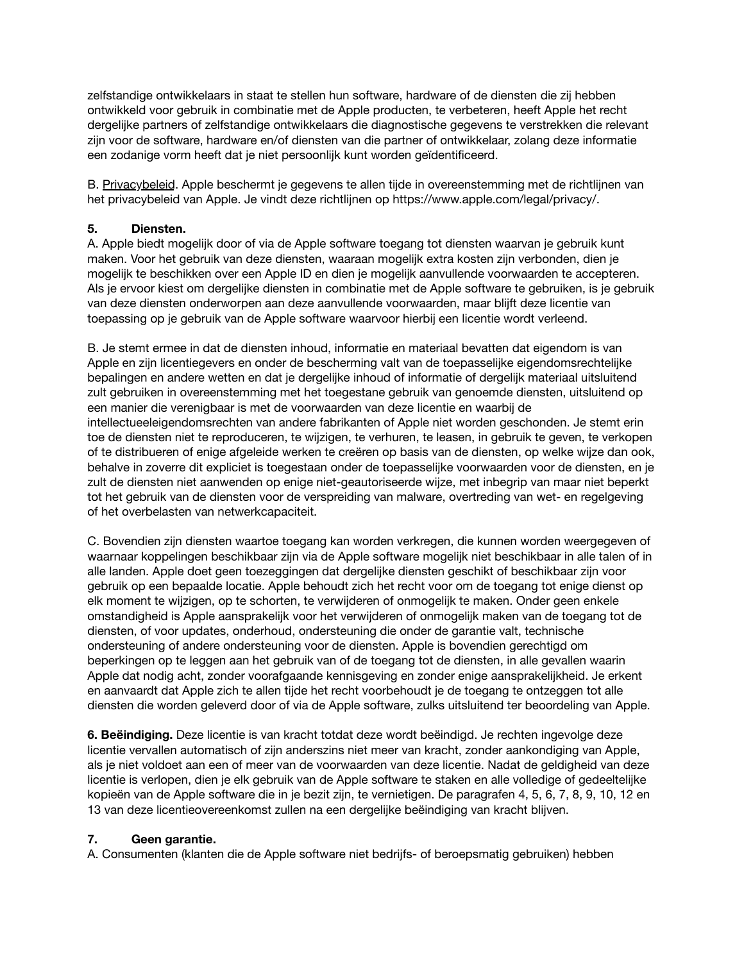zelfstandige ontwikkelaars in staat te stellen hun software, hardware of de diensten die zij hebben ontwikkeld voor gebruik in combinatie met de Apple producten, te verbeteren, heeft Apple het recht dergelijke partners of zelfstandige ontwikkelaars die diagnostische gegevens te verstrekken die relevant zijn voor de software, hardware en/of diensten van die partner of ontwikkelaar, zolang deze informatie een zodanige vorm heeft dat je niet persoonlijk kunt worden geïdentificeerd.

B. Privacybeleid. Apple beschermt je gegevens te allen tijde in overeenstemming met de richtlijnen van het privacybeleid van Apple. Je vindt deze richtlijnen op [https://www.apple.com/legal/privacy/.](https://www.apple.com/legal/privacy/)

# **5. Diensten.**

A. Apple biedt mogelijk door of via de Apple software toegang tot diensten waarvan je gebruik kunt maken. Voor het gebruik van deze diensten, waaraan mogelijk extra kosten zijn verbonden, dien je mogelijk te beschikken over een Apple ID en dien je mogelijk aanvullende voorwaarden te accepteren. Als je ervoor kiest om dergelijke diensten in combinatie met de Apple software te gebruiken, is je gebruik van deze diensten onderworpen aan deze aanvullende voorwaarden, maar blijft deze licentie van toepassing op je gebruik van de Apple software waarvoor hierbij een licentie wordt verleend.

B. Je stemt ermee in dat de diensten inhoud, informatie en materiaal bevatten dat eigendom is van Apple en zijn licentiegevers en onder de bescherming valt van de toepasselijke eigendomsrechtelijke bepalingen en andere wetten en dat je dergelijke inhoud of informatie of dergelijk materiaal uitsluitend zult gebruiken in overeenstemming met het toegestane gebruik van genoemde diensten, uitsluitend op een manier die verenigbaar is met de voorwaarden van deze licentie en waarbij de intellectueeleigendomsrechten van andere fabrikanten of Apple niet worden geschonden. Je stemt erin toe de diensten niet te reproduceren, te wijzigen, te verhuren, te leasen, in gebruik te geven, te verkopen of te distribueren of enige afgeleide werken te creëren op basis van de diensten, op welke wijze dan ook, behalve in zoverre dit expliciet is toegestaan onder de toepasselijke voorwaarden voor de diensten, en je zult de diensten niet aanwenden op enige niet-geautoriseerde wijze, met inbegrip van maar niet beperkt tot het gebruik van de diensten voor de verspreiding van malware, overtreding van wet- en regelgeving of het overbelasten van netwerkcapaciteit.

C. Bovendien zijn diensten waartoe toegang kan worden verkregen, die kunnen worden weergegeven of waarnaar koppelingen beschikbaar zijn via de Apple software mogelijk niet beschikbaar in alle talen of in alle landen. Apple doet geen toezeggingen dat dergelijke diensten geschikt of beschikbaar zijn voor gebruik op een bepaalde locatie. Apple behoudt zich het recht voor om de toegang tot enige dienst op elk moment te wijzigen, op te schorten, te verwijderen of onmogelijk te maken. Onder geen enkele omstandigheid is Apple aansprakelijk voor het verwijderen of onmogelijk maken van de toegang tot de diensten, of voor updates, onderhoud, ondersteuning die onder de garantie valt, technische ondersteuning of andere ondersteuning voor de diensten. Apple is bovendien gerechtigd om beperkingen op te leggen aan het gebruik van of de toegang tot de diensten, in alle gevallen waarin Apple dat nodig acht, zonder voorafgaande kennisgeving en zonder enige aansprakelijkheid. Je erkent en aanvaardt dat Apple zich te allen tijde het recht voorbehoudt je de toegang te ontzeggen tot alle diensten die worden geleverd door of via de Apple software, zulks uitsluitend ter beoordeling van Apple.

**6. Beëindiging.** Deze licentie is van kracht totdat deze wordt beëindigd. Je rechten ingevolge deze licentie vervallen automatisch of zijn anderszins niet meer van kracht, zonder aankondiging van Apple, als je niet voldoet aan een of meer van de voorwaarden van deze licentie. Nadat de geldigheid van deze licentie is verlopen, dien je elk gebruik van de Apple software te staken en alle volledige of gedeeltelijke kopieën van de Apple software die in je bezit zijn, te vernietigen. De paragrafen 4, 5, 6, 7, 8, 9, 10, 12 en 13 van deze licentieovereenkomst zullen na een dergelijke beëindiging van kracht blijven.

# **7. Geen garantie.**

A. Consumenten (klanten die de Apple software niet bedrijfs- of beroepsmatig gebruiken) hebben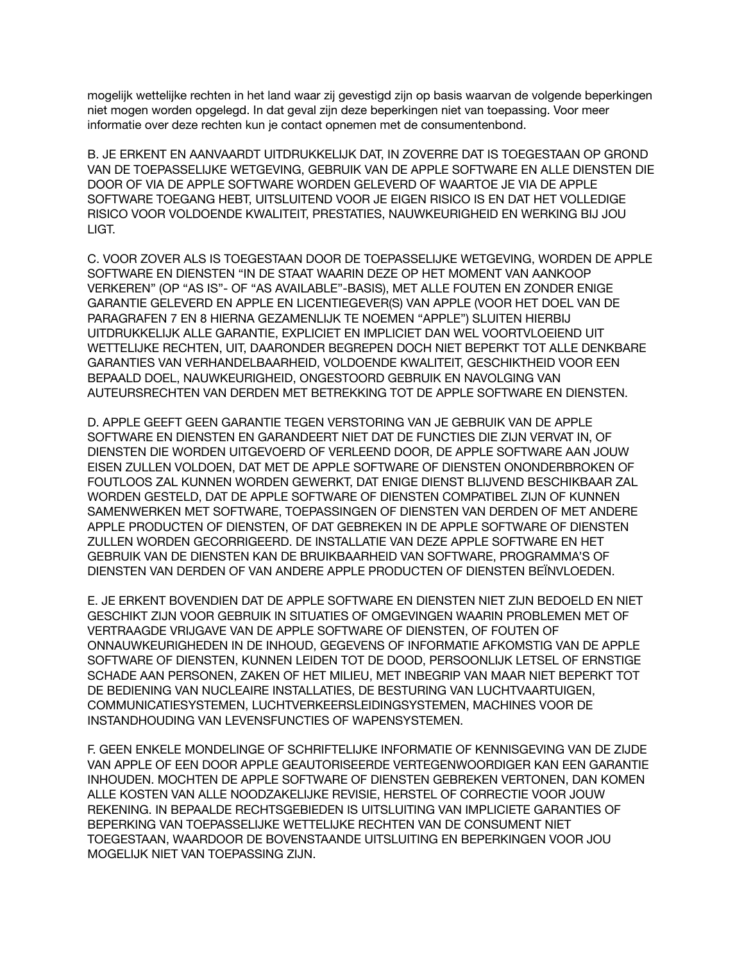mogelijk wettelijke rechten in het land waar zij gevestigd zijn op basis waarvan de volgende beperkingen niet mogen worden opgelegd. In dat geval zijn deze beperkingen niet van toepassing. Voor meer informatie over deze rechten kun je contact opnemen met de consumentenbond.

B. JE ERKENT EN AANVAARDT UITDRUKKELIJK DAT, IN ZOVERRE DAT IS TOEGESTAAN OP GROND VAN DE TOEPASSELIJKE WETGEVING, GEBRUIK VAN DE APPLE SOFTWARE EN ALLE DIENSTEN DIE DOOR OF VIA DE APPLE SOFTWARE WORDEN GELEVERD OF WAARTOE JE VIA DE APPLE SOFTWARE TOEGANG HEBT, UITSLUITEND VOOR JE EIGEN RISICO IS EN DAT HET VOLLEDIGE RISICO VOOR VOLDOENDE KWALITEIT, PRESTATIES, NAUWKEURIGHEID EN WERKING BIJ JOU LIGT.

C. VOOR ZOVER ALS IS TOEGESTAAN DOOR DE TOEPASSELIJKE WETGEVING, WORDEN DE APPLE SOFTWARE EN DIENSTEN "IN DE STAAT WAARIN DEZE OP HET MOMENT VAN AANKOOP VERKEREN" (OP "AS IS"- OF "AS AVAILABLE"-BASIS), MET ALLE FOUTEN EN ZONDER ENIGE GARANTIE GELEVERD EN APPLE EN LICENTIEGEVER(S) VAN APPLE (VOOR HET DOEL VAN DE PARAGRAFEN 7 EN 8 HIERNA GEZAMENLIJK TE NOEMEN "APPLE") SLUITEN HIERBIJ UITDRUKKELIJK ALLE GARANTIE, EXPLICIET EN IMPLICIET DAN WEL VOORTVLOEIEND UIT WETTELIJKE RECHTEN, UIT, DAARONDER BEGREPEN DOCH NIET BEPERKT TOT ALLE DENKBARE GARANTIES VAN VERHANDELBAARHEID, VOLDOENDE KWALITEIT, GESCHIKTHEID VOOR EEN BEPAALD DOEL, NAUWKEURIGHEID, ONGESTOORD GEBRUIK EN NAVOLGING VAN AUTEURSRECHTEN VAN DERDEN MET BETREKKING TOT DE APPLE SOFTWARE EN DIENSTEN.

D. APPLE GEEFT GEEN GARANTIE TEGEN VERSTORING VAN JE GEBRUIK VAN DE APPLE SOFTWARE EN DIENSTEN EN GARANDEERT NIET DAT DE FUNCTIES DIE ZIJN VERVAT IN, OF DIENSTEN DIE WORDEN UITGEVOERD OF VERLEEND DOOR, DE APPLE SOFTWARE AAN JOUW EISEN ZULLEN VOLDOEN, DAT MET DE APPLE SOFTWARE OF DIENSTEN ONONDERBROKEN OF FOUTLOOS ZAL KUNNEN WORDEN GEWERKT, DAT ENIGE DIENST BLIJVEND BESCHIKBAAR ZAL WORDEN GESTELD, DAT DE APPLE SOFTWARE OF DIENSTEN COMPATIBEL ZIJN OF KUNNEN SAMENWERKEN MET SOFTWARE, TOEPASSINGEN OF DIENSTEN VAN DERDEN OF MET ANDERE APPLE PRODUCTEN OF DIENSTEN, OF DAT GEBREKEN IN DE APPLE SOFTWARE OF DIENSTEN ZULLEN WORDEN GECORRIGEERD. DE INSTALLATIE VAN DEZE APPLE SOFTWARE EN HET GEBRUIK VAN DE DIENSTEN KAN DE BRUIKBAARHEID VAN SOFTWARE, PROGRAMMA'S OF DIENSTEN VAN DERDEN OF VAN ANDERE APPLE PRODUCTEN OF DIENSTEN BEÏNVLOEDEN.

E. JE ERKENT BOVENDIEN DAT DE APPLE SOFTWARE EN DIENSTEN NIET ZIJN BEDOELD EN NIET GESCHIKT ZIJN VOOR GEBRUIK IN SITUATIES OF OMGEVINGEN WAARIN PROBLEMEN MET OF VERTRAAGDE VRIJGAVE VAN DE APPLE SOFTWARE OF DIENSTEN, OF FOUTEN OF ONNAUWKEURIGHEDEN IN DE INHOUD, GEGEVENS OF INFORMATIE AFKOMSTIG VAN DE APPLE SOFTWARE OF DIENSTEN, KUNNEN LEIDEN TOT DE DOOD, PERSOONLIJK LETSEL OF ERNSTIGE SCHADE AAN PERSONEN, ZAKEN OF HET MILIEU, MET INBEGRIP VAN MAAR NIET BEPERKT TOT DE BEDIENING VAN NUCLEAIRE INSTALLATIES, DE BESTURING VAN LUCHTVAARTUIGEN, COMMUNICATIESYSTEMEN, LUCHTVERKEERSLEIDINGSYSTEMEN, MACHINES VOOR DE INSTANDHOUDING VAN LEVENSFUNCTIES OF WAPENSYSTEMEN.

F. GEEN ENKELE MONDELINGE OF SCHRIFTELIJKE INFORMATIE OF KENNISGEVING VAN DE ZIJDE VAN APPLE OF EEN DOOR APPLE GEAUTORISEERDE VERTEGENWOORDIGER KAN EEN GARANTIE INHOUDEN. MOCHTEN DE APPLE SOFTWARE OF DIENSTEN GEBREKEN VERTONEN, DAN KOMEN ALLE KOSTEN VAN ALLE NOODZAKELIJKE REVISIE, HERSTEL OF CORRECTIE VOOR JOUW REKENING. IN BEPAALDE RECHTSGEBIEDEN IS UITSLUITING VAN IMPLICIETE GARANTIES OF BEPERKING VAN TOEPASSELIJKE WETTELIJKE RECHTEN VAN DE CONSUMENT NIET TOEGESTAAN, WAARDOOR DE BOVENSTAANDE UITSLUITING EN BEPERKINGEN VOOR JOU MOGELIJK NIET VAN TOEPASSING ZIJN.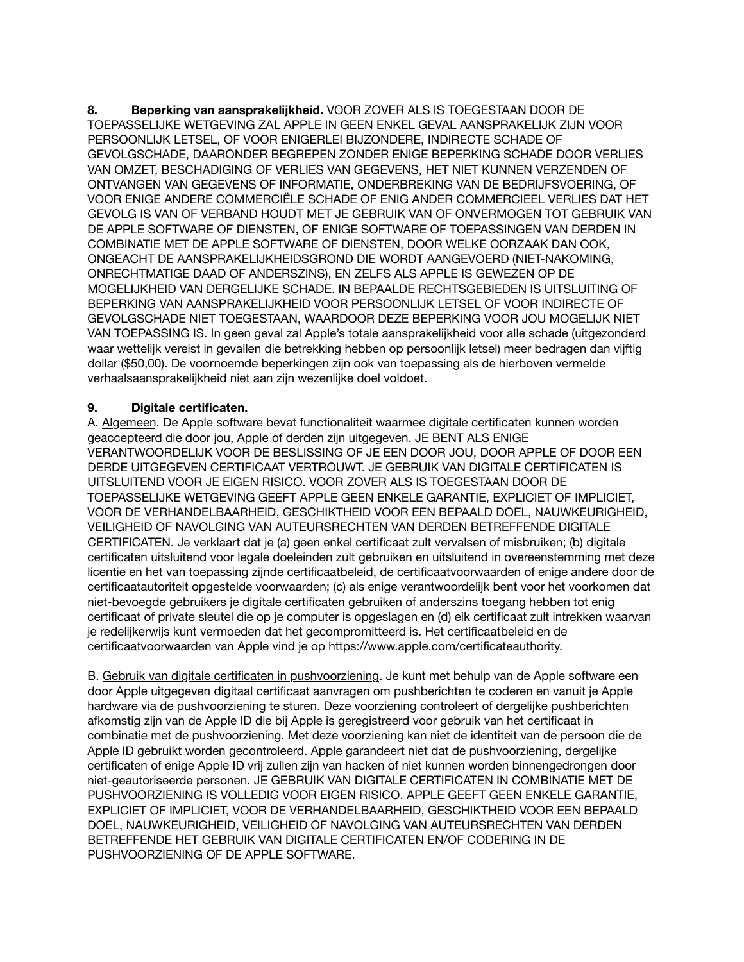**8. Beperking van aansprakelijkheid.** VOOR ZOVER ALS IS TOEGESTAAN DOOR DE TOEPASSELIJKE WETGEVING ZAL APPLE IN GEEN ENKEL GEVAL AANSPRAKELIJK ZIJN VOOR PERSOONLIJK LETSEL, OF VOOR ENIGERLEI BIJZONDERE, INDIRECTE SCHADE OF GEVOLGSCHADE, DAARONDER BEGREPEN ZONDER ENIGE BEPERKING SCHADE DOOR VERLIES VAN OMZET, BESCHADIGING OF VERLIES VAN GEGEVENS, HET NIET KUNNEN VERZENDEN OF ONTVANGEN VAN GEGEVENS OF INFORMATIE, ONDERBREKING VAN DE BEDRIJFSVOERING, OF VOOR ENIGE ANDERE COMMERCIËLE SCHADE OF ENIG ANDER COMMERCIEEL VERLIES DAT HET GEVOLG IS VAN OF VERBAND HOUDT MET JE GEBRUIK VAN OF ONVERMOGEN TOT GEBRUIK VAN DE APPLE SOFTWARE OF DIENSTEN, OF ENIGE SOFTWARE OF TOEPASSINGEN VAN DERDEN IN COMBINATIE MET DE APPLE SOFTWARE OF DIENSTEN, DOOR WELKE OORZAAK DAN OOK, ONGEACHT DE AANSPRAKELIJKHEIDSGROND DIE WORDT AANGEVOERD (NIET-NAKOMING, ONRECHTMATIGE DAAD OF ANDERSZINS), EN ZELFS ALS APPLE IS GEWEZEN OP DE MOGELIJKHEID VAN DERGELIJKE SCHADE. IN BEPAALDE RECHTSGEBIEDEN IS UITSLUITING OF BEPERKING VAN AANSPRAKELIJKHEID VOOR PERSOONLIJK LETSEL OF VOOR INDIRECTE OF GEVOLGSCHADE NIET TOEGESTAAN, WAARDOOR DEZE BEPERKING VOOR JOU MOGELIJK NIET VAN TOEPASSING IS. In geen geval zal Apple's totale aansprakelijkheid voor alle schade (uitgezonderd waar wettelijk vereist in gevallen die betrekking hebben op persoonlijk letsel) meer bedragen dan vijftig dollar (\$50,00). De voornoemde beperkingen zijn ook van toepassing als de hierboven vermelde verhaalsaansprakelijkheid niet aan zijn wezenlijke doel voldoet.

# **9. Digitale certificaten.**

A. Algemeen. De Apple software bevat functionaliteit waarmee digitale certificaten kunnen worden geaccepteerd die door jou, Apple of derden zijn uitgegeven. JE BENT ALS ENIGE VERANTWOORDELIJK VOOR DE BESLISSING OF JE EEN DOOR JOU, DOOR APPLE OF DOOR EEN DERDE UITGEGEVEN CERTIFICAAT VERTROUWT. JE GEBRUIK VAN DIGITALE CERTIFICATEN IS UITSLUITEND VOOR JE EIGEN RISICO. VOOR ZOVER ALS IS TOEGESTAAN DOOR DE TOEPASSELIJKE WETGEVING GEEFT APPLE GEEN ENKELE GARANTIE, EXPLICIET OF IMPLICIET, VOOR DE VERHANDELBAARHEID, GESCHIKTHEID VOOR EEN BEPAALD DOEL, NAUWKEURIGHEID, VEILIGHEID OF NAVOLGING VAN AUTEURSRECHTEN VAN DERDEN BETREFFENDE DIGITALE CERTIFICATEN. Je verklaart dat je (a) geen enkel certificaat zult vervalsen of misbruiken; (b) digitale certificaten uitsluitend voor legale doeleinden zult gebruiken en uitsluitend in overeenstemming met deze licentie en het van toepassing zijnde certificaatbeleid, de certificaatvoorwaarden of enige andere door de certificaatautoriteit opgestelde voorwaarden; (c) als enige verantwoordelijk bent voor het voorkomen dat niet-bevoegde gebruikers je digitale certificaten gebruiken of anderszins toegang hebben tot enig certificaat of private sleutel die op je computer is opgeslagen en (d) elk certificaat zult intrekken waarvan je redelijkerwijs kunt vermoeden dat het gecompromitteerd is. Het certificaatbeleid en de certificaatvoorwaarden van Apple vind je op [https://www.apple.com/certificateauthority.](https://www.apple.com/certificateauthority)

B. Gebruik van digitale certificaten in pushvoorziening. Je kunt met behulp van de Apple software een door Apple uitgegeven digitaal certificaat aanvragen om pushberichten te coderen en vanuit je Apple hardware via de pushvoorziening te sturen. Deze voorziening controleert of dergelijke pushberichten afkomstig zijn van de Apple ID die bij Apple is geregistreerd voor gebruik van het certificaat in combinatie met de pushvoorziening. Met deze voorziening kan niet de identiteit van de persoon die de Apple ID gebruikt worden gecontroleerd. Apple garandeert niet dat de pushvoorziening, dergelijke certificaten of enige Apple ID vrij zullen zijn van hacken of niet kunnen worden binnengedrongen door niet-geautoriseerde personen. JE GEBRUIK VAN DIGITALE CERTIFICATEN IN COMBINATIE MET DE PUSHVOORZIENING IS VOLLEDIG VOOR EIGEN RISICO. APPLE GEEFT GEEN ENKELE GARANTIE, EXPLICIET OF IMPLICIET, VOOR DE VERHANDELBAARHEID, GESCHIKTHEID VOOR EEN BEPAALD DOEL, NAUWKEURIGHEID, VEILIGHEID OF NAVOLGING VAN AUTEURSRECHTEN VAN DERDEN BETREFFENDE HET GEBRUIK VAN DIGITALE CERTIFICATEN EN/OF CODERING IN DE PUSHVOORZIENING OF DE APPLE SOFTWARE.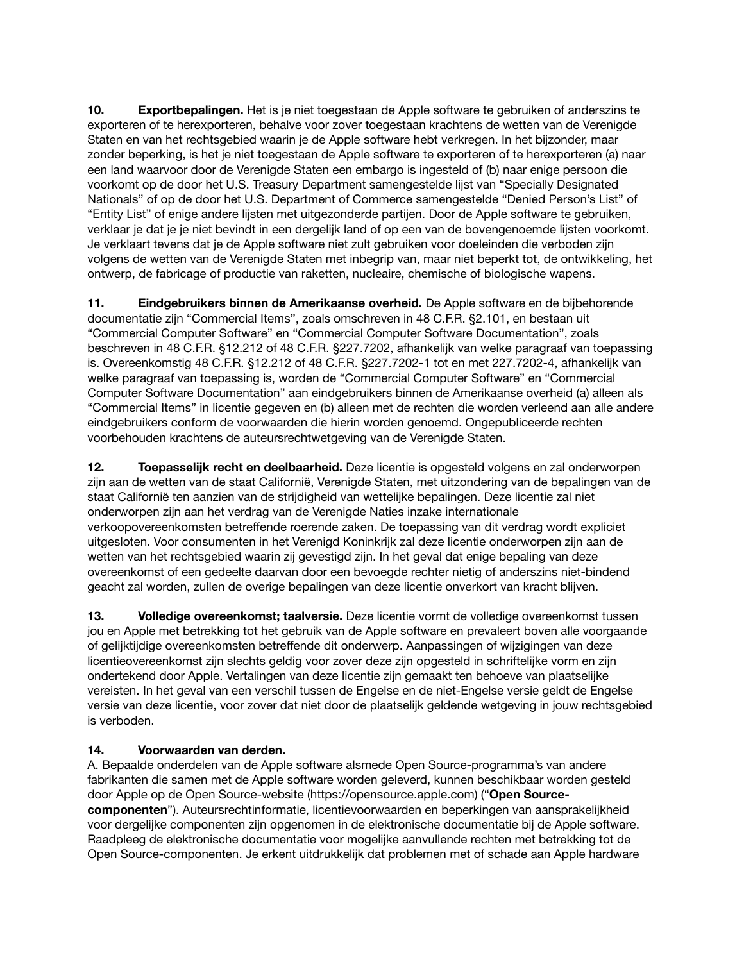**10. Exportbepalingen.** Het is je niet toegestaan de Apple software te gebruiken of anderszins te exporteren of te herexporteren, behalve voor zover toegestaan krachtens de wetten van de Verenigde Staten en van het rechtsgebied waarin je de Apple software hebt verkregen. In het bijzonder, maar zonder beperking, is het je niet toegestaan de Apple software te exporteren of te herexporteren (a) naar een land waarvoor door de Verenigde Staten een embargo is ingesteld of (b) naar enige persoon die voorkomt op de door het U.S. Treasury Department samengestelde lijst van "Specially Designated Nationals" of op de door het U.S. Department of Commerce samengestelde "Denied Person's List" of "Entity List" of enige andere lijsten met uitgezonderde partijen. Door de Apple software te gebruiken, verklaar je dat je je niet bevindt in een dergelijk land of op een van de bovengenoemde lijsten voorkomt. Je verklaart tevens dat je de Apple software niet zult gebruiken voor doeleinden die verboden zijn volgens de wetten van de Verenigde Staten met inbegrip van, maar niet beperkt tot, de ontwikkeling, het ontwerp, de fabricage of productie van raketten, nucleaire, chemische of biologische wapens.

**11. Eindgebruikers binnen de Amerikaanse overheid.** De Apple software en de bijbehorende documentatie zijn "Commercial Items", zoals omschreven in 48 C.F.R. §2.101, en bestaan uit "Commercial Computer Software" en "Commercial Computer Software Documentation", zoals beschreven in 48 C.F.R. §12.212 of 48 C.F.R. §227.7202, afhankelijk van welke paragraaf van toepassing is. Overeenkomstig 48 C.F.R. §12.212 of 48 C.F.R. §227.7202-1 tot en met 227.7202-4, afhankelijk van welke paragraaf van toepassing is, worden de "Commercial Computer Software" en "Commercial Computer Software Documentation" aan eindgebruikers binnen de Amerikaanse overheid (a) alleen als "Commercial Items" in licentie gegeven en (b) alleen met de rechten die worden verleend aan alle andere eindgebruikers conform de voorwaarden die hierin worden genoemd. Ongepubliceerde rechten voorbehouden krachtens de auteursrechtwetgeving van de Verenigde Staten.

**12. Toepasselijk recht en deelbaarheid.** Deze licentie is opgesteld volgens en zal onderworpen zijn aan de wetten van de staat Californië, Verenigde Staten, met uitzondering van de bepalingen van de staat Californië ten aanzien van de strijdigheid van wettelijke bepalingen. Deze licentie zal niet onderworpen zijn aan het verdrag van de Verenigde Naties inzake internationale verkoopovereenkomsten betreffende roerende zaken. De toepassing van dit verdrag wordt expliciet uitgesloten. Voor consumenten in het Verenigd Koninkrijk zal deze licentie onderworpen zijn aan de wetten van het rechtsgebied waarin zij gevestigd zijn. In het geval dat enige bepaling van deze overeenkomst of een gedeelte daarvan door een bevoegde rechter nietig of anderszins niet-bindend geacht zal worden, zullen de overige bepalingen van deze licentie onverkort van kracht blijven.

**13. Volledige overeenkomst; taalversie.** Deze licentie vormt de volledige overeenkomst tussen jou en Apple met betrekking tot het gebruik van de Apple software en prevaleert boven alle voorgaande of gelijktijdige overeenkomsten betreffende dit onderwerp. Aanpassingen of wijzigingen van deze licentieovereenkomst zijn slechts geldig voor zover deze zijn opgesteld in schriftelijke vorm en zijn ondertekend door Apple. Vertalingen van deze licentie zijn gemaakt ten behoeve van plaatselijke vereisten. In het geval van een verschil tussen de Engelse en de niet-Engelse versie geldt de Engelse versie van deze licentie, voor zover dat niet door de plaatselijk geldende wetgeving in jouw rechtsgebied is verboden.

# **14. Voorwaarden van derden.**

A. Bepaalde onderdelen van de Apple software alsmede Open Source-programma's van andere fabrikanten die samen met de Apple software worden geleverd, kunnen beschikbaar worden gesteld door Apple op de Open Source-website ([https://opensource.apple.com\)](https://opensource.apple.com) ("**Open Sourcecomponenten**"). Auteursrechtinformatie, licentievoorwaarden en beperkingen van aansprakelijkheid voor dergelijke componenten zijn opgenomen in de elektronische documentatie bij de Apple software. Raadpleeg de elektronische documentatie voor mogelijke aanvullende rechten met betrekking tot de Open Source-componenten. Je erkent uitdrukkelijk dat problemen met of schade aan Apple hardware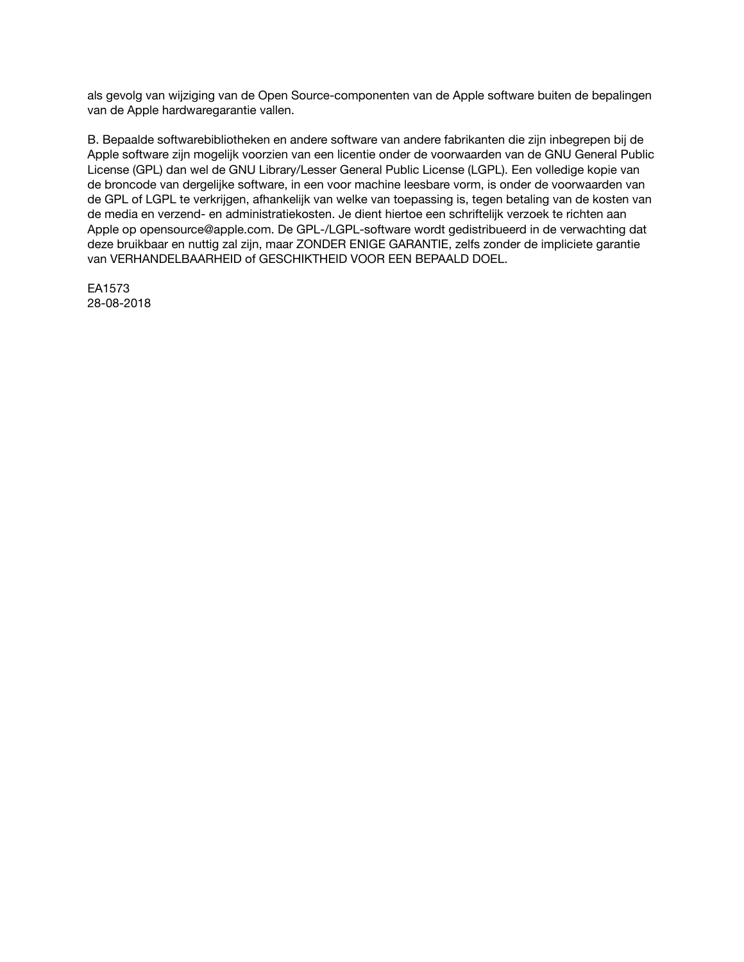als gevolg van wijziging van de Open Source-componenten van de Apple software buiten de bepalingen van de Apple hardwaregarantie vallen.

B. Bepaalde softwarebibliotheken en andere software van andere fabrikanten die zijn inbegrepen bij de Apple software zijn mogelijk voorzien van een licentie onder de voorwaarden van de GNU General Public License (GPL) dan wel de GNU Library/Lesser General Public License (LGPL). Een volledige kopie van de broncode van dergelijke software, in een voor machine leesbare vorm, is onder de voorwaarden van de GPL of LGPL te verkrijgen, afhankelijk van welke van toepassing is, tegen betaling van de kosten van de media en verzend- en administratiekosten. Je dient hiertoe een schriftelijk verzoek te richten aan Apple op [opensource@apple.com](mailto:opensource@apple.com). De GPL-/LGPL-software wordt gedistribueerd in de verwachting dat deze bruikbaar en nuttig zal zijn, maar ZONDER ENIGE GARANTIE, zelfs zonder de impliciete garantie van VERHANDELBAARHEID of GESCHIKTHEID VOOR EEN BEPAALD DOEL.

EA1573 28-08-2018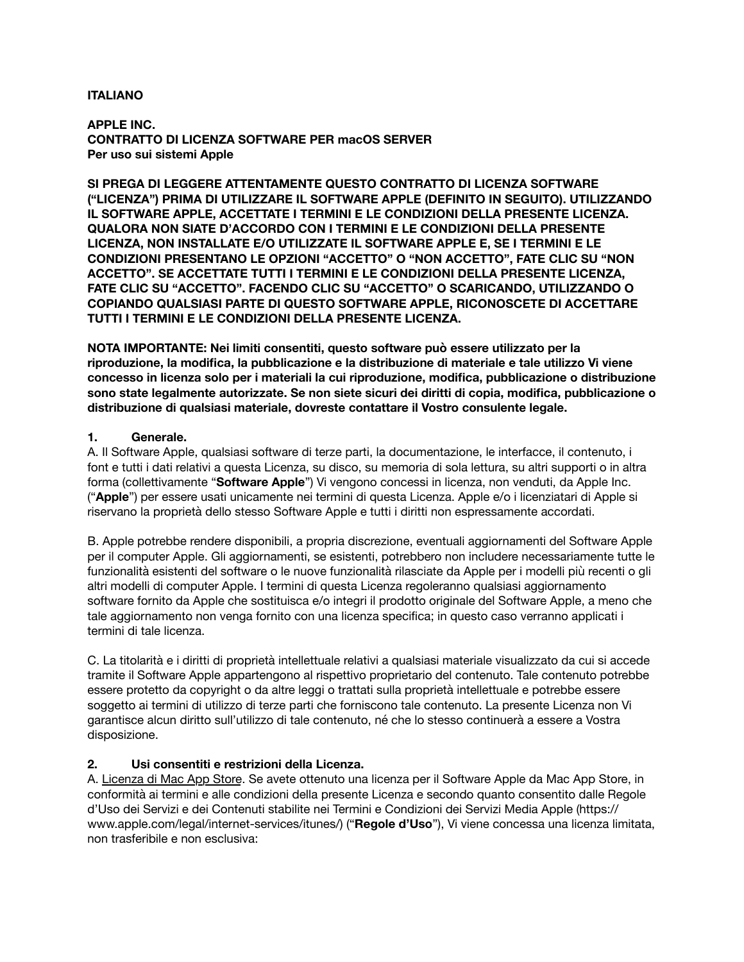## **ITALIANO**

**APPLE INC. CONTRATTO DI LICENZA SOFTWARE PER macOS SERVER Per uso sui sistemi Apple**

**SI PREGA DI LEGGERE ATTENTAMENTE QUESTO CONTRATTO DI LICENZA SOFTWARE ("LICENZA") PRIMA DI UTILIZZARE IL SOFTWARE APPLE (DEFINITO IN SEGUITO). UTILIZZANDO IL SOFTWARE APPLE, ACCETTATE I TERMINI E LE CONDIZIONI DELLA PRESENTE LICENZA. QUALORA NON SIATE D'ACCORDO CON I TERMINI E LE CONDIZIONI DELLA PRESENTE LICENZA, NON INSTALLATE E/O UTILIZZATE IL SOFTWARE APPLE E, SE I TERMINI E LE CONDIZIONI PRESENTANO LE OPZIONI "ACCETTO" O "NON ACCETTO", FATE CLIC SU "NON ACCETTO". SE ACCETTATE TUTTI I TERMINI E LE CONDIZIONI DELLA PRESENTE LICENZA, FATE CLIC SU "ACCETTO". FACENDO CLIC SU "ACCETTO" O SCARICANDO, UTILIZZANDO O COPIANDO QUALSIASI PARTE DI QUESTO SOFTWARE APPLE, RICONOSCETE DI ACCETTARE TUTTI I TERMINI E LE CONDIZIONI DELLA PRESENTE LICENZA.**

**NOTA IMPORTANTE: Nei limiti consentiti, questo software può essere utilizzato per la riproduzione, la modifica, la pubblicazione e la distribuzione di materiale e tale utilizzo Vi viene concesso in licenza solo per i materiali la cui riproduzione, modifica, pubblicazione o distribuzione sono state legalmente autorizzate. Se non siete sicuri dei diritti di copia, modifica, pubblicazione o distribuzione di qualsiasi materiale, dovreste contattare il Vostro consulente legale.**

## **1. Generale.**

A. Il Software Apple, qualsiasi software di terze parti, la documentazione, le interfacce, il contenuto, i font e tutti i dati relativi a questa Licenza, su disco, su memoria di sola lettura, su altri supporti o in altra forma (collettivamente "**Software Apple**") Vi vengono concessi in licenza, non venduti, da Apple Inc. ("**Apple**") per essere usati unicamente nei termini di questa Licenza. Apple e/o i licenziatari di Apple si riservano la proprietà dello stesso Software Apple e tutti i diritti non espressamente accordati.

B. Apple potrebbe rendere disponibili, a propria discrezione, eventuali aggiornamenti del Software Apple per il computer Apple. Gli aggiornamenti, se esistenti, potrebbero non includere necessariamente tutte le funzionalità esistenti del software o le nuove funzionalità rilasciate da Apple per i modelli più recenti o gli altri modelli di computer Apple. I termini di questa Licenza regoleranno qualsiasi aggiornamento software fornito da Apple che sostituisca e/o integri il prodotto originale del Software Apple, a meno che tale aggiornamento non venga fornito con una licenza specifica; in questo caso verranno applicati i termini di tale licenza.

C. La titolarità e i diritti di proprietà intellettuale relativi a qualsiasi materiale visualizzato da cui si accede tramite il Software Apple appartengono al rispettivo proprietario del contenuto. Tale contenuto potrebbe essere protetto da copyright o da altre leggi o trattati sulla proprietà intellettuale e potrebbe essere soggetto ai termini di utilizzo di terze parti che forniscono tale contenuto. La presente Licenza non Vi garantisce alcun diritto sull'utilizzo di tale contenuto, né che lo stesso continuerà a essere a Vostra disposizione.

# **2. Usi consentiti e restrizioni della Licenza.**

A. Licenza di Mac App Store. Se avete ottenuto una licenza per il Software Apple da Mac App Store, in conformità ai termini e alle condizioni della presente Licenza e secondo quanto consentito dalle Regole d'Uso dei Servizi e dei Contenuti stabilite nei Termini e Condizioni dei Servizi Media Apple [\(https://](https://www.apple.com/legal/internet-services/itunes/) [www.apple.com/legal/internet-services/itunes/\)](https://www.apple.com/legal/internet-services/itunes/) ("**Regole d'Uso**"), Vi viene concessa una licenza limitata, non trasferibile e non esclusiva: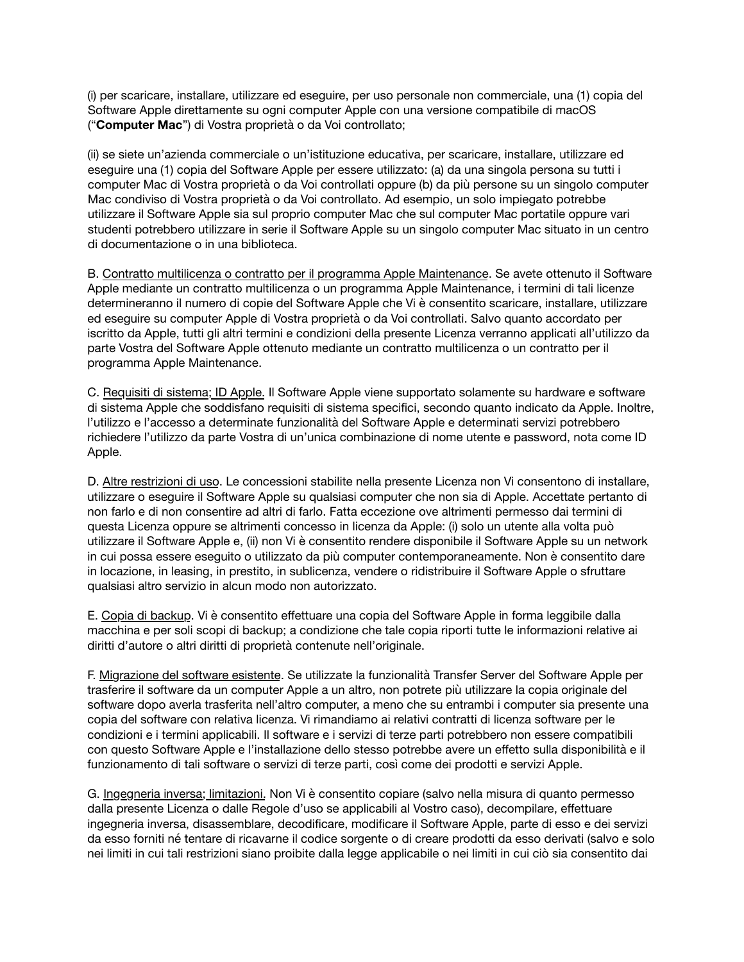(i) per scaricare, installare, utilizzare ed eseguire, per uso personale non commerciale, una (1) copia del Software Apple direttamente su ogni computer Apple con una versione compatibile di macOS ("**Computer Mac**") di Vostra proprietà o da Voi controllato;

(ii) se siete un'azienda commerciale o un'istituzione educativa, per scaricare, installare, utilizzare ed eseguire una (1) copia del Software Apple per essere utilizzato: (a) da una singola persona su tutti i computer Mac di Vostra proprietà o da Voi controllati oppure (b) da più persone su un singolo computer Mac condiviso di Vostra proprietà o da Voi controllato. Ad esempio, un solo impiegato potrebbe utilizzare il Software Apple sia sul proprio computer Mac che sul computer Mac portatile oppure vari studenti potrebbero utilizzare in serie il Software Apple su un singolo computer Mac situato in un centro di documentazione o in una biblioteca.

B. Contratto multilicenza o contratto per il programma Apple Maintenance. Se avete ottenuto il Software Apple mediante un contratto multilicenza o un programma Apple Maintenance, i termini di tali licenze determineranno il numero di copie del Software Apple che Vi è consentito scaricare, installare, utilizzare ed eseguire su computer Apple di Vostra proprietà o da Voi controllati. Salvo quanto accordato per iscritto da Apple, tutti gli altri termini e condizioni della presente Licenza verranno applicati all'utilizzo da parte Vostra del Software Apple ottenuto mediante un contratto multilicenza o un contratto per il programma Apple Maintenance.

C. Requisiti di sistema; ID Apple. Il Software Apple viene supportato solamente su hardware e software di sistema Apple che soddisfano requisiti di sistema specifici, secondo quanto indicato da Apple. Inoltre, l'utilizzo e l'accesso a determinate funzionalità del Software Apple e determinati servizi potrebbero richiedere l'utilizzo da parte Vostra di un'unica combinazione di nome utente e password, nota come ID Apple.

D. Altre restrizioni di uso. Le concessioni stabilite nella presente Licenza non Vi consentono di installare, utilizzare o eseguire il Software Apple su qualsiasi computer che non sia di Apple. Accettate pertanto di non farlo e di non consentire ad altri di farlo. Fatta eccezione ove altrimenti permesso dai termini di questa Licenza oppure se altrimenti concesso in licenza da Apple: (i) solo un utente alla volta può utilizzare il Software Apple e, (ii) non Vi è consentito rendere disponibile il Software Apple su un network in cui possa essere eseguito o utilizzato da più computer contemporaneamente. Non è consentito dare in locazione, in leasing, in prestito, in sublicenza, vendere o ridistribuire il Software Apple o sfruttare qualsiasi altro servizio in alcun modo non autorizzato.

E. Copia di backup. Vi è consentito effettuare una copia del Software Apple in forma leggibile dalla macchina e per soli scopi di backup; a condizione che tale copia riporti tutte le informazioni relative ai diritti d'autore o altri diritti di proprietà contenute nell'originale.

F. Migrazione del software esistente. Se utilizzate la funzionalità Transfer Server del Software Apple per trasferire il software da un computer Apple a un altro, non potrete più utilizzare la copia originale del software dopo averla trasferita nell'altro computer, a meno che su entrambi i computer sia presente una copia del software con relativa licenza. Vi rimandiamo ai relativi contratti di licenza software per le condizioni e i termini applicabili. Il software e i servizi di terze parti potrebbero non essere compatibili con questo Software Apple e l'installazione dello stesso potrebbe avere un effetto sulla disponibilità e il funzionamento di tali software o servizi di terze parti, così come dei prodotti e servizi Apple.

G. Ingegneria inversa; limitazioni. Non Vi è consentito copiare (salvo nella misura di quanto permesso dalla presente Licenza o dalle Regole d'uso se applicabili al Vostro caso), decompilare, effettuare ingegneria inversa, disassemblare, decodificare, modificare il Software Apple, parte di esso e dei servizi da esso forniti né tentare di ricavarne il codice sorgente o di creare prodotti da esso derivati (salvo e solo nei limiti in cui tali restrizioni siano proibite dalla legge applicabile o nei limiti in cui ciò sia consentito dai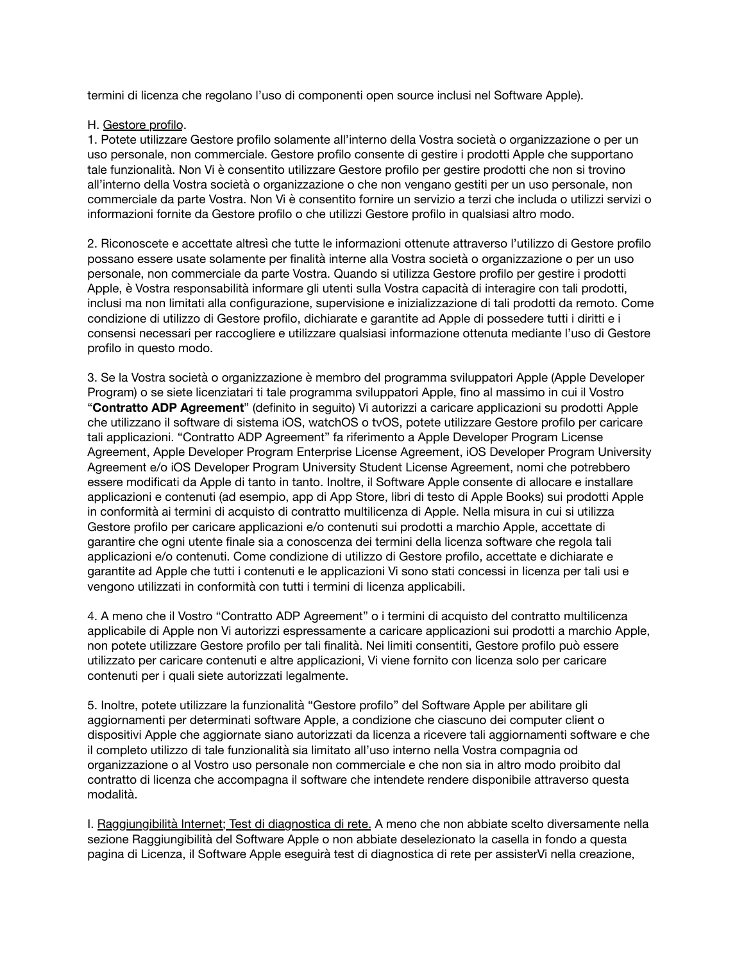termini di licenza che regolano l'uso di componenti open source inclusi nel Software Apple).

## H. Gestore profilo.

1. Potete utilizzare Gestore profilo solamente all'interno della Vostra società o organizzazione o per un uso personale, non commerciale. Gestore profilo consente di gestire i prodotti Apple che supportano tale funzionalità. Non Vi è consentito utilizzare Gestore profilo per gestire prodotti che non si trovino all'interno della Vostra società o organizzazione o che non vengano gestiti per un uso personale, non commerciale da parte Vostra. Non Vi è consentito fornire un servizio a terzi che includa o utilizzi servizi o informazioni fornite da Gestore profilo o che utilizzi Gestore profilo in qualsiasi altro modo.

2. Riconoscete e accettate altresì che tutte le informazioni ottenute attraverso l'utilizzo di Gestore profilo possano essere usate solamente per finalità interne alla Vostra società o organizzazione o per un uso personale, non commerciale da parte Vostra. Quando si utilizza Gestore profilo per gestire i prodotti Apple, è Vostra responsabilità informare gli utenti sulla Vostra capacità di interagire con tali prodotti, inclusi ma non limitati alla configurazione, supervisione e inizializzazione di tali prodotti da remoto. Come condizione di utilizzo di Gestore profilo, dichiarate e garantite ad Apple di possedere tutti i diritti e i consensi necessari per raccogliere e utilizzare qualsiasi informazione ottenuta mediante l'uso di Gestore profilo in questo modo.

3. Se la Vostra società o organizzazione è membro del programma sviluppatori Apple (Apple Developer Program) o se siete licenziatari ti tale programma sviluppatori Apple, fino al massimo in cui il Vostro "**Contratto ADP Agreement**" (definito in seguito) Vi autorizzi a caricare applicazioni su prodotti Apple che utilizzano il software di sistema iOS, watchOS o tvOS, potete utilizzare Gestore profilo per caricare tali applicazioni. "Contratto ADP Agreement" fa riferimento a Apple Developer Program License Agreement, Apple Developer Program Enterprise License Agreement, iOS Developer Program University Agreement e/o iOS Developer Program University Student License Agreement, nomi che potrebbero essere modificati da Apple di tanto in tanto. Inoltre, il Software Apple consente di allocare e installare applicazioni e contenuti (ad esempio, app di App Store, libri di testo di Apple Books) sui prodotti Apple in conformità ai termini di acquisto di contratto multilicenza di Apple. Nella misura in cui si utilizza Gestore profilo per caricare applicazioni e/o contenuti sui prodotti a marchio Apple, accettate di garantire che ogni utente finale sia a conoscenza dei termini della licenza software che regola tali applicazioni e/o contenuti. Come condizione di utilizzo di Gestore profilo, accettate e dichiarate e garantite ad Apple che tutti i contenuti e le applicazioni Vi sono stati concessi in licenza per tali usi e vengono utilizzati in conformità con tutti i termini di licenza applicabili.

4. A meno che il Vostro "Contratto ADP Agreement" o i termini di acquisto del contratto multilicenza applicabile di Apple non Vi autorizzi espressamente a caricare applicazioni sui prodotti a marchio Apple, non potete utilizzare Gestore profilo per tali finalità. Nei limiti consentiti, Gestore profilo può essere utilizzato per caricare contenuti e altre applicazioni, Vi viene fornito con licenza solo per caricare contenuti per i quali siete autorizzati legalmente.

5. Inoltre, potete utilizzare la funzionalità "Gestore profilo" del Software Apple per abilitare gli aggiornamenti per determinati software Apple, a condizione che ciascuno dei computer client o dispositivi Apple che aggiornate siano autorizzati da licenza a ricevere tali aggiornamenti software e che il completo utilizzo di tale funzionalità sia limitato all'uso interno nella Vostra compagnia od organizzazione o al Vostro uso personale non commerciale e che non sia in altro modo proibito dal contratto di licenza che accompagna il software che intendete rendere disponibile attraverso questa modalità.

I. Raggiungibilità Internet; Test di diagnostica di rete. A meno che non abbiate scelto diversamente nella sezione Raggiungibilità del Software Apple o non abbiate deselezionato la casella in fondo a questa pagina di Licenza, il Software Apple eseguirà test di diagnostica di rete per assisterVi nella creazione,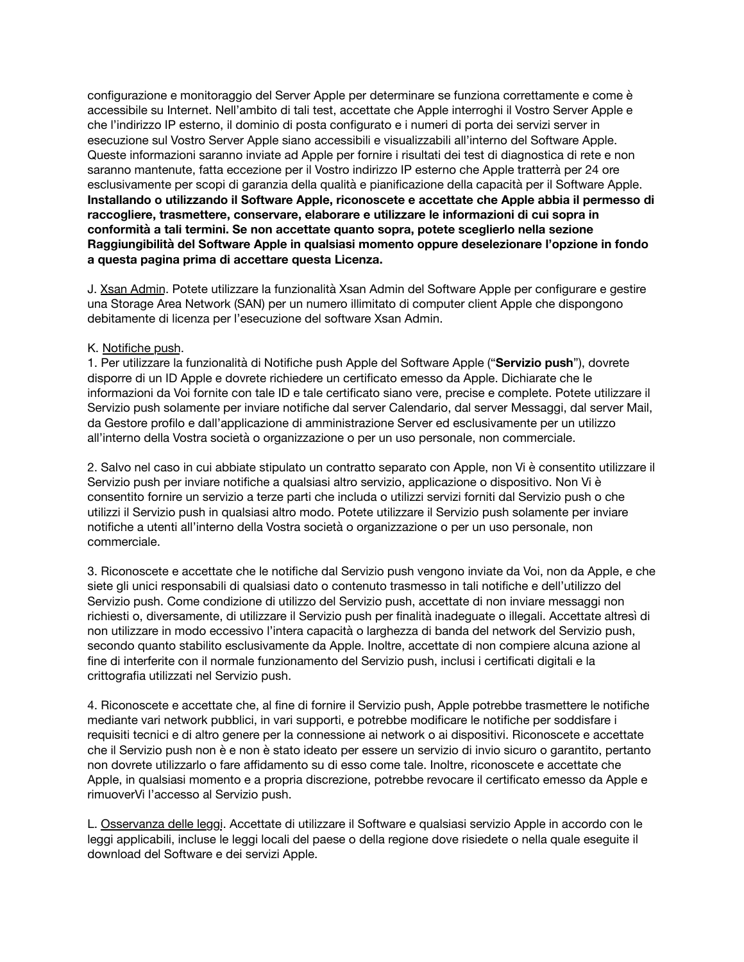configurazione e monitoraggio del Server Apple per determinare se funziona correttamente e come è accessibile su Internet. Nell'ambito di tali test, accettate che Apple interroghi il Vostro Server Apple e che l'indirizzo IP esterno, il dominio di posta configurato e i numeri di porta dei servizi server in esecuzione sul Vostro Server Apple siano accessibili e visualizzabili all'interno del Software Apple. Queste informazioni saranno inviate ad Apple per fornire i risultati dei test di diagnostica di rete e non saranno mantenute, fatta eccezione per il Vostro indirizzo IP esterno che Apple tratterrà per 24 ore esclusivamente per scopi di garanzia della qualità e pianificazione della capacità per il Software Apple. **Installando o utilizzando il Software Apple, riconoscete e accettate che Apple abbia il permesso di raccogliere, trasmettere, conservare, elaborare e utilizzare le informazioni di cui sopra in conformità a tali termini. Se non accettate quanto sopra, potete sceglierlo nella sezione Raggiungibilità del Software Apple in qualsiasi momento oppure deselezionare l'opzione in fondo a questa pagina prima di accettare questa Licenza.**

J. Xsan Admin. Potete utilizzare la funzionalità Xsan Admin del Software Apple per configurare e gestire una Storage Area Network (SAN) per un numero illimitato di computer client Apple che dispongono debitamente di licenza per l'esecuzione del software Xsan Admin.

## K. Notifiche push.

1. Per utilizzare la funzionalità di Notifiche push Apple del Software Apple ("**Servizio push**"), dovrete disporre di un ID Apple e dovrete richiedere un certificato emesso da Apple. Dichiarate che le informazioni da Voi fornite con tale ID e tale certificato siano vere, precise e complete. Potete utilizzare il Servizio push solamente per inviare notifiche dal server Calendario, dal server Messaggi, dal server Mail, da Gestore profilo e dall'applicazione di amministrazione Server ed esclusivamente per un utilizzo all'interno della Vostra società o organizzazione o per un uso personale, non commerciale.

2. Salvo nel caso in cui abbiate stipulato un contratto separato con Apple, non Vi è consentito utilizzare il Servizio push per inviare notifiche a qualsiasi altro servizio, applicazione o dispositivo. Non Vi è consentito fornire un servizio a terze parti che includa o utilizzi servizi forniti dal Servizio push o che utilizzi il Servizio push in qualsiasi altro modo. Potete utilizzare il Servizio push solamente per inviare notifiche a utenti all'interno della Vostra società o organizzazione o per un uso personale, non commerciale.

3. Riconoscete e accettate che le notifiche dal Servizio push vengono inviate da Voi, non da Apple, e che siete gli unici responsabili di qualsiasi dato o contenuto trasmesso in tali notifiche e dell'utilizzo del Servizio push. Come condizione di utilizzo del Servizio push, accettate di non inviare messaggi non richiesti o, diversamente, di utilizzare il Servizio push per finalità inadeguate o illegali. Accettate altresì di non utilizzare in modo eccessivo l'intera capacità o larghezza di banda del network del Servizio push, secondo quanto stabilito esclusivamente da Apple. Inoltre, accettate di non compiere alcuna azione al fine di interferite con il normale funzionamento del Servizio push, inclusi i certificati digitali e la crittografia utilizzati nel Servizio push.

4. Riconoscete e accettate che, al fine di fornire il Servizio push, Apple potrebbe trasmettere le notifiche mediante vari network pubblici, in vari supporti, e potrebbe modificare le notifiche per soddisfare i requisiti tecnici e di altro genere per la connessione ai network o ai dispositivi. Riconoscete e accettate che il Servizio push non è e non è stato ideato per essere un servizio di invio sicuro o garantito, pertanto non dovrete utilizzarlo o fare affidamento su di esso come tale. Inoltre, riconoscete e accettate che Apple, in qualsiasi momento e a propria discrezione, potrebbe revocare il certificato emesso da Apple e rimuoverVi l'accesso al Servizio push.

L. Osservanza delle leggi. Accettate di utilizzare il Software e qualsiasi servizio Apple in accordo con le leggi applicabili, incluse le leggi locali del paese o della regione dove risiedete o nella quale eseguite il download del Software e dei servizi Apple.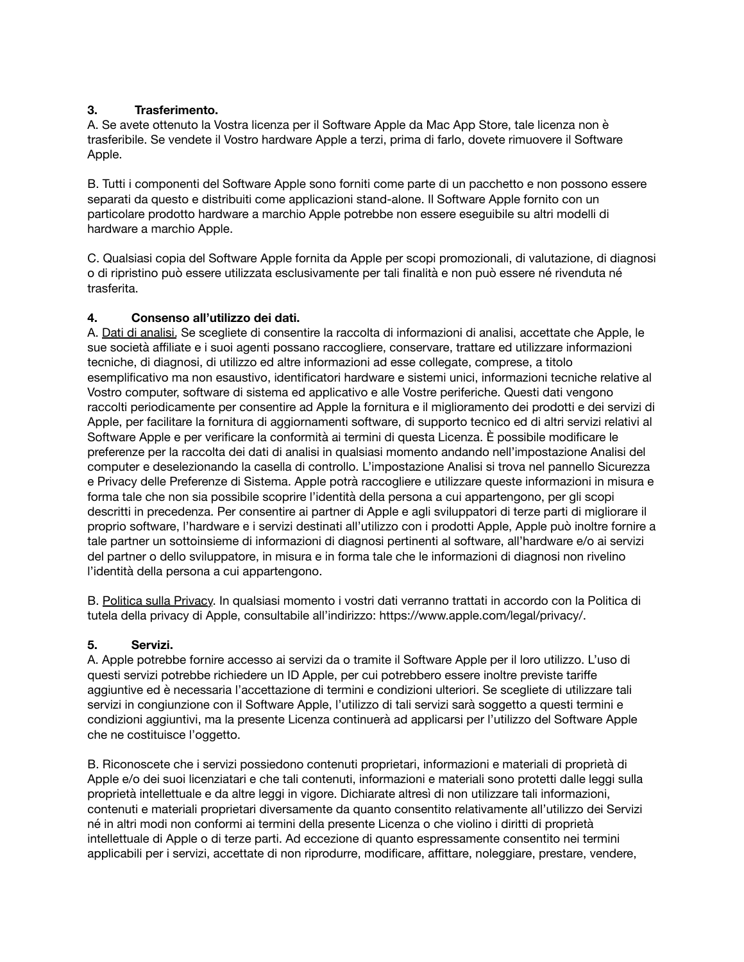# **3. Trasferimento.**

A. Se avete ottenuto la Vostra licenza per il Software Apple da Mac App Store, tale licenza non è trasferibile. Se vendete il Vostro hardware Apple a terzi, prima di farlo, dovete rimuovere il Software Apple.

B. Tutti i componenti del Software Apple sono forniti come parte di un pacchetto e non possono essere separati da questo e distribuiti come applicazioni stand-alone. Il Software Apple fornito con un particolare prodotto hardware a marchio Apple potrebbe non essere eseguibile su altri modelli di hardware a marchio Apple.

C. Qualsiasi copia del Software Apple fornita da Apple per scopi promozionali, di valutazione, di diagnosi o di ripristino può essere utilizzata esclusivamente per tali finalità e non può essere né rivenduta né trasferita.

# **4. Consenso all'utilizzo dei dati.**

A. Dati di analisi. Se scegliete di consentire la raccolta di informazioni di analisi, accettate che Apple, le sue società affiliate e i suoi agenti possano raccogliere, conservare, trattare ed utilizzare informazioni tecniche, di diagnosi, di utilizzo ed altre informazioni ad esse collegate, comprese, a titolo esemplificativo ma non esaustivo, identificatori hardware e sistemi unici, informazioni tecniche relative al Vostro computer, software di sistema ed applicativo e alle Vostre periferiche. Questi dati vengono raccolti periodicamente per consentire ad Apple la fornitura e il miglioramento dei prodotti e dei servizi di Apple, per facilitare la fornitura di aggiornamenti software, di supporto tecnico ed di altri servizi relativi al Software Apple e per verificare la conformità ai termini di questa Licenza. È possibile modificare le preferenze per la raccolta dei dati di analisi in qualsiasi momento andando nell'impostazione Analisi del computer e deselezionando la casella di controllo. L'impostazione Analisi si trova nel pannello Sicurezza e Privacy delle Preferenze di Sistema. Apple potrà raccogliere e utilizzare queste informazioni in misura e forma tale che non sia possibile scoprire l'identità della persona a cui appartengono, per gli scopi descritti in precedenza. Per consentire ai partner di Apple e agli sviluppatori di terze parti di migliorare il proprio software, l'hardware e i servizi destinati all'utilizzo con i prodotti Apple, Apple può inoltre fornire a tale partner un sottoinsieme di informazioni di diagnosi pertinenti al software, all'hardware e/o ai servizi del partner o dello sviluppatore, in misura e in forma tale che le informazioni di diagnosi non rivelino l'identità della persona a cui appartengono.

B. Politica sulla Privacy. In qualsiasi momento i vostri dati verranno trattati in accordo con la Politica di tutela della privacy di Apple, consultabile all'indirizzo: [https://www.apple.com/legal/privacy/.](https://www.apple.com/legal/privacy/)

# **5. Servizi.**

A. Apple potrebbe fornire accesso ai servizi da o tramite il Software Apple per il loro utilizzo. L'uso di questi servizi potrebbe richiedere un ID Apple, per cui potrebbero essere inoltre previste tariffe aggiuntive ed è necessaria l'accettazione di termini e condizioni ulteriori. Se scegliete di utilizzare tali servizi in congiunzione con il Software Apple, l'utilizzo di tali servizi sarà soggetto a questi termini e condizioni aggiuntivi, ma la presente Licenza continuerà ad applicarsi per l'utilizzo del Software Apple che ne costituisce l'oggetto.

B. Riconoscete che i servizi possiedono contenuti proprietari, informazioni e materiali di proprietà di Apple e/o dei suoi licenziatari e che tali contenuti, informazioni e materiali sono protetti dalle leggi sulla proprietà intellettuale e da altre leggi in vigore. Dichiarate altresì di non utilizzare tali informazioni, contenuti e materiali proprietari diversamente da quanto consentito relativamente all'utilizzo dei Servizi né in altri modi non conformi ai termini della presente Licenza o che violino i diritti di proprietà intellettuale di Apple o di terze parti. Ad eccezione di quanto espressamente consentito nei termini applicabili per i servizi, accettate di non riprodurre, modificare, affittare, noleggiare, prestare, vendere,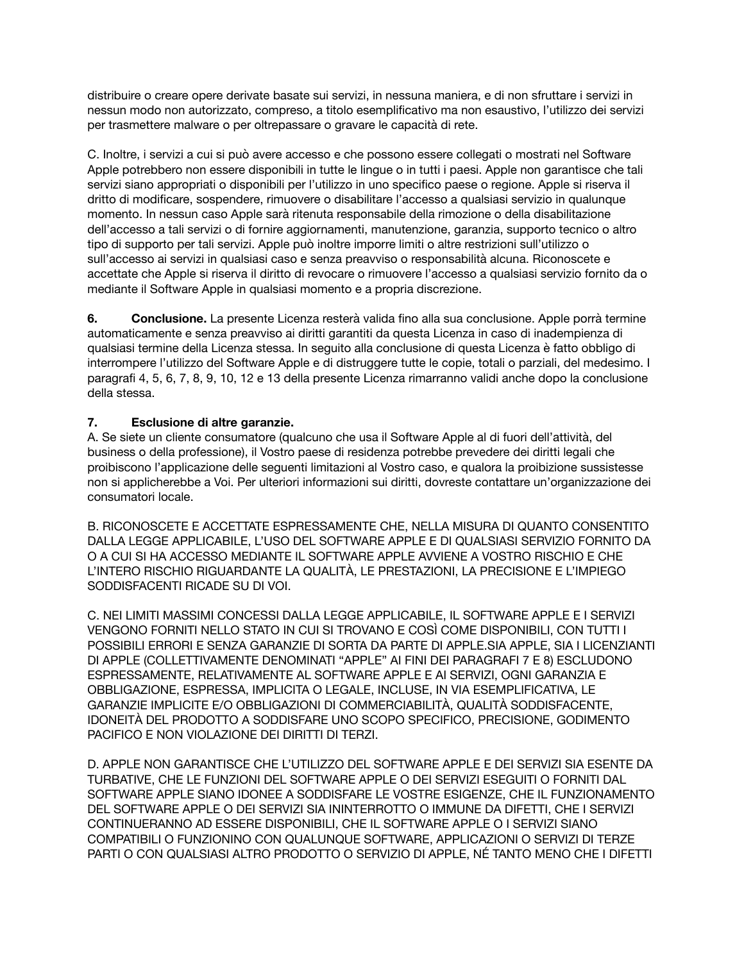distribuire o creare opere derivate basate sui servizi, in nessuna maniera, e di non sfruttare i servizi in nessun modo non autorizzato, compreso, a titolo esemplificativo ma non esaustivo, l'utilizzo dei servizi per trasmettere malware o per oltrepassare o gravare le capacità di rete.

C. Inoltre, i servizi a cui si può avere accesso e che possono essere collegati o mostrati nel Software Apple potrebbero non essere disponibili in tutte le lingue o in tutti i paesi. Apple non garantisce che tali servizi siano appropriati o disponibili per l'utilizzo in uno specifico paese o regione. Apple si riserva il dritto di modificare, sospendere, rimuovere o disabilitare l'accesso a qualsiasi servizio in qualunque momento. In nessun caso Apple sarà ritenuta responsabile della rimozione o della disabilitazione dell'accesso a tali servizi o di fornire aggiornamenti, manutenzione, garanzia, supporto tecnico o altro tipo di supporto per tali servizi. Apple può inoltre imporre limiti o altre restrizioni sull'utilizzo o sull'accesso ai servizi in qualsiasi caso e senza preavviso o responsabilità alcuna. Riconoscete e accettate che Apple si riserva il diritto di revocare o rimuovere l'accesso a qualsiasi servizio fornito da o mediante il Software Apple in qualsiasi momento e a propria discrezione.

**6. Conclusione.** La presente Licenza resterà valida fino alla sua conclusione. Apple porrà termine automaticamente e senza preavviso ai diritti garantiti da questa Licenza in caso di inadempienza di qualsiasi termine della Licenza stessa. In seguito alla conclusione di questa Licenza è fatto obbligo di interrompere l'utilizzo del Software Apple e di distruggere tutte le copie, totali o parziali, del medesimo. I paragrafi 4, 5, 6, 7, 8, 9, 10, 12 e 13 della presente Licenza rimarranno validi anche dopo la conclusione della stessa.

# **7. Esclusione di altre garanzie.**

A. Se siete un cliente consumatore (qualcuno che usa il Software Apple al di fuori dell'attività, del business o della professione), il Vostro paese di residenza potrebbe prevedere dei diritti legali che proibiscono l'applicazione delle seguenti limitazioni al Vostro caso, e qualora la proibizione sussistesse non si applicherebbe a Voi. Per ulteriori informazioni sui diritti, dovreste contattare un'organizzazione dei consumatori locale.

B. RICONOSCETE E ACCETTATE ESPRESSAMENTE CHE, NELLA MISURA DI QUANTO CONSENTITO DALLA LEGGE APPLICABILE, L'USO DEL SOFTWARE APPLE E DI QUALSIASI SERVIZIO FORNITO DA O A CUI SI HA ACCESSO MEDIANTE IL SOFTWARE APPLE AVVIENE A VOSTRO RISCHIO E CHE L'INTERO RISCHIO RIGUARDANTE LA QUALITÀ, LE PRESTAZIONI, LA PRECISIONE E L'IMPIEGO SODDISFACENTI RICADE SU DI VOI.

C. NEI LIMITI MASSIMI CONCESSI DALLA LEGGE APPLICABILE, IL SOFTWARE APPLE E I SERVIZI VENGONO FORNITI NELLO STATO IN CUI SI TROVANO E COSÌ COME DISPONIBILI, CON TUTTI I POSSIBILI ERRORI E SENZA GARANZIE DI SORTA DA PARTE DI APPLE.SIA APPLE, SIA I LICENZIANTI DI APPLE (COLLETTIVAMENTE DENOMINATI "APPLE" AI FINI DEI PARAGRAFI 7 E 8) ESCLUDONO ESPRESSAMENTE, RELATIVAMENTE AL SOFTWARE APPLE E AI SERVIZI, OGNI GARANZIA E OBBLIGAZIONE, ESPRESSA, IMPLICITA O LEGALE, INCLUSE, IN VIA ESEMPLIFICATIVA, LE GARANZIE IMPLICITE E/O OBBLIGAZIONI DI COMMERCIABILITÀ, QUALITÀ SODDISFACENTE, IDONEITÀ DEL PRODOTTO A SODDISFARE UNO SCOPO SPECIFICO, PRECISIONE, GODIMENTO PACIFICO E NON VIOLAZIONE DEI DIRITTI DI TERZI.

D. APPLE NON GARANTISCE CHE L'UTILIZZO DEL SOFTWARE APPLE E DEI SERVIZI SIA ESENTE DA TURBATIVE, CHE LE FUNZIONI DEL SOFTWARE APPLE O DEI SERVIZI ESEGUITI O FORNITI DAL SOFTWARE APPLE SIANO IDONEE A SODDISFARE LE VOSTRE ESIGENZE, CHE IL FUNZIONAMENTO DEL SOFTWARE APPLE O DEI SERVIZI SIA ININTERROTTO O IMMUNE DA DIFETTI, CHE I SERVIZI CONTINUERANNO AD ESSERE DISPONIBILI, CHE IL SOFTWARE APPLE O I SERVIZI SIANO COMPATIBILI O FUNZIONINO CON QUALUNQUE SOFTWARE, APPLICAZIONI O SERVIZI DI TERZE PARTI O CON QUALSIASI ALTRO PRODOTTO O SERVIZIO DI APPLE, NÉ TANTO MENO CHE I DIFETTI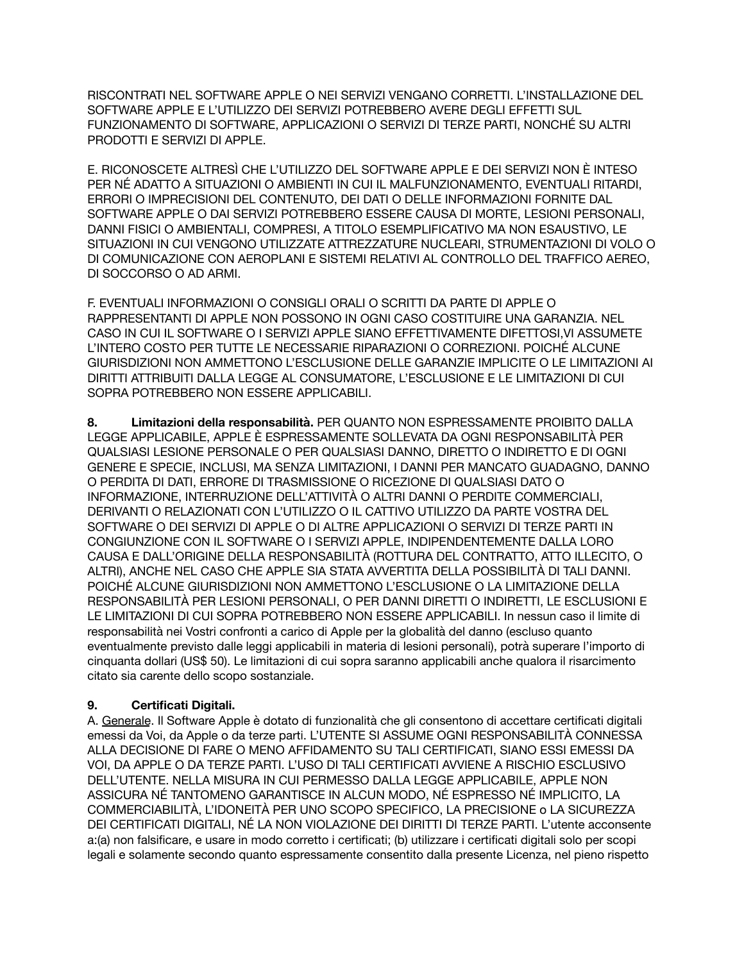RISCONTRATI NEL SOFTWARE APPLE O NEI SERVIZI VENGANO CORRETTI. L'INSTALLAZIONE DEL SOFTWARE APPLE E L'UTILIZZO DEI SERVIZI POTREBBERO AVERE DEGLI EFFETTI SUL FUNZIONAMENTO DI SOFTWARE, APPLICAZIONI O SERVIZI DI TERZE PARTI, NONCHÉ SU ALTRI PRODOTTI E SERVIZI DI APPLE.

E. RICONOSCETE ALTRESÌ CHE L'UTILIZZO DEL SOFTWARE APPLE E DEI SERVIZI NON È INTESO PER NÉ ADATTO A SITUAZIONI O AMBIENTI IN CUI IL MALFUNZIONAMENTO, EVENTUALI RITARDI, ERRORI O IMPRECISIONI DEL CONTENUTO, DEI DATI O DELLE INFORMAZIONI FORNITE DAL SOFTWARE APPLE O DAI SERVIZI POTREBBERO ESSERE CAUSA DI MORTE, LESIONI PERSONALI, DANNI FISICI O AMBIENTALI, COMPRESI, A TITOLO ESEMPLIFICATIVO MA NON ESAUSTIVO, LE SITUAZIONI IN CUI VENGONO UTILIZZATE ATTREZZATURE NUCLEARI, STRUMENTAZIONI DI VOLO O DI COMUNICAZIONE CON AEROPLANI E SISTEMI RELATIVI AL CONTROLLO DEL TRAFFICO AEREO, DI SOCCORSO O AD ARMI.

F. EVENTUALI INFORMAZIONI O CONSIGLI ORALI O SCRITTI DA PARTE DI APPLE O RAPPRESENTANTI DI APPLE NON POSSONO IN OGNI CASO COSTITUIRE UNA GARANZIA. NEL CASO IN CUI IL SOFTWARE O I SERVIZI APPLE SIANO EFFETTIVAMENTE DIFETTOSI,VI ASSUMETE L'INTERO COSTO PER TUTTE LE NECESSARIE RIPARAZIONI O CORREZIONI. POICHÉ ALCUNE GIURISDIZIONI NON AMMETTONO L'ESCLUSIONE DELLE GARANZIE IMPLICITE O LE LIMITAZIONI AI DIRITTI ATTRIBUITI DALLA LEGGE AL CONSUMATORE, L'ESCLUSIONE E LE LIMITAZIONI DI CUI SOPRA POTREBBERO NON ESSERE APPLICABILI.

**8. Limitazioni della responsabilità.** PER QUANTO NON ESPRESSAMENTE PROIBITO DALLA LEGGE APPLICABILE, APPLE È ESPRESSAMENTE SOLLEVATA DA OGNI RESPONSABILITÀ PER QUALSIASI LESIONE PERSONALE O PER QUALSIASI DANNO, DIRETTO O INDIRETTO E DI OGNI GENERE E SPECIE, INCLUSI, MA SENZA LIMITAZIONI, I DANNI PER MANCATO GUADAGNO, DANNO O PERDITA DI DATI, ERRORE DI TRASMISSIONE O RICEZIONE DI QUALSIASI DATO O INFORMAZIONE, INTERRUZIONE DELL'ATTIVITÀ O ALTRI DANNI O PERDITE COMMERCIALI, DERIVANTI O RELAZIONATI CON L'UTILIZZO O IL CATTIVO UTILIZZO DA PARTE VOSTRA DEL SOFTWARE O DEI SERVIZI DI APPLE O DI ALTRE APPLICAZIONI O SERVIZI DI TERZE PARTI IN CONGIUNZIONE CON IL SOFTWARE O I SERVIZI APPLE, INDIPENDENTEMENTE DALLA LORO CAUSA E DALL'ORIGINE DELLA RESPONSABILITÀ (ROTTURA DEL CONTRATTO, ATTO ILLECITO, O ALTRI), ANCHE NEL CASO CHE APPLE SIA STATA AVVERTITA DELLA POSSIBILITÀ DI TALI DANNI. POICHÉ ALCUNE GIURISDIZIONI NON AMMETTONO L'ESCLUSIONE O LA LIMITAZIONE DELLA RESPONSABILITÀ PER LESIONI PERSONALI, O PER DANNI DIRETTI O INDIRETTI, LE ESCLUSIONI E LE LIMITAZIONI DI CUI SOPRA POTREBBERO NON ESSERE APPLICABILI. In nessun caso il limite di responsabilità nei Vostri confronti a carico di Apple per la globalità del danno (escluso quanto eventualmente previsto dalle leggi applicabili in materia di lesioni personali), potrà superare l'importo di cinquanta dollari (US\$ 50). Le limitazioni di cui sopra saranno applicabili anche qualora il risarcimento citato sia carente dello scopo sostanziale.

# **9. Certificati Digitali.**

A. Generale. Il Software Apple è dotato di funzionalità che gli consentono di accettare certificati digitali emessi da Voi, da Apple o da terze parti. L'UTENTE SI ASSUME OGNI RESPONSABILITÀ CONNESSA ALLA DECISIONE DI FARE O MENO AFFIDAMENTO SU TALI CERTIFICATI, SIANO ESSI EMESSI DA VOI, DA APPLE O DA TERZE PARTI. L'USO DI TALI CERTIFICATI AVVIENE A RISCHIO ESCLUSIVO DELL'UTENTE. NELLA MISURA IN CUI PERMESSO DALLA LEGGE APPLICABILE, APPLE NON ASSICURA NÉ TANTOMENO GARANTISCE IN ALCUN MODO, NÉ ESPRESSO NÉ IMPLICITO, LA COMMERCIABILITÀ, L'IDONEITÀ PER UNO SCOPO SPECIFICO, LA PRECISIONE o LA SICUREZZA DEI CERTIFICATI DIGITALI, NÉ LA NON VIOLAZIONE DEI DIRITTI DI TERZE PARTI. L'utente acconsente a:(a) non falsificare, e usare in modo corretto i certificati; (b) utilizzare i certificati digitali solo per scopi legali e solamente secondo quanto espressamente consentito dalla presente Licenza, nel pieno rispetto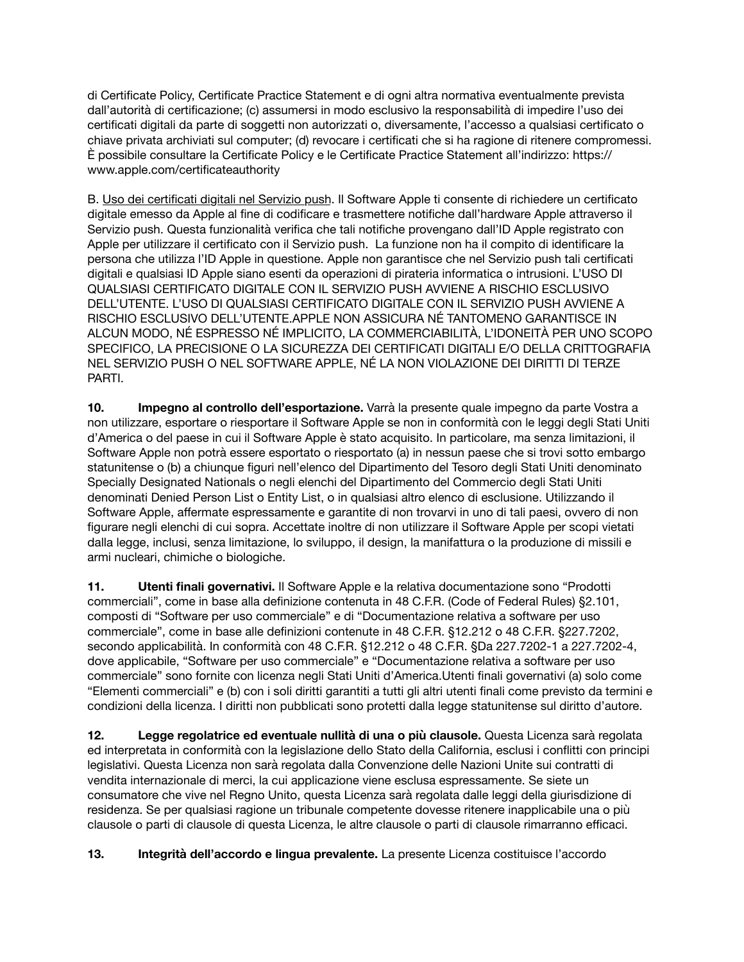di Certificate Policy, Certificate Practice Statement e di ogni altra normativa eventualmente prevista dall'autorità di certificazione; (c) assumersi in modo esclusivo la responsabilità di impedire l'uso dei certificati digitali da parte di soggetti non autorizzati o, diversamente, l'accesso a qualsiasi certificato o chiave privata archiviati sul computer; (d) revocare i certificati che si ha ragione di ritenere compromessi. È possibile consultare la Certificate Policy e le Certificate Practice Statement all'indirizzo: [https://](https://www.apple.com/certificateauthority) [www.apple.com/certificateauthority](https://www.apple.com/certificateauthority)

B. Uso dei certificati digitali nel Servizio push. Il Software Apple ti consente di richiedere un certificato digitale emesso da Apple al fine di codificare e trasmettere notifiche dall'hardware Apple attraverso il Servizio push. Questa funzionalità verifica che tali notifiche provengano dall'ID Apple registrato con Apple per utilizzare il certificato con il Servizio push. La funzione non ha il compito di identificare la persona che utilizza l'ID Apple in questione. Apple non garantisce che nel Servizio push tali certificati digitali e qualsiasi ID Apple siano esenti da operazioni di pirateria informatica o intrusioni. L'USO DI QUALSIASI CERTIFICATO DIGITALE CON IL SERVIZIO PUSH AVVIENE A RISCHIO ESCLUSIVO DELL'UTENTE. L'USO DI QUALSIASI CERTIFICATO DIGITALE CON IL SERVIZIO PUSH AVVIENE A RISCHIO ESCLUSIVO DELL'UTENTE.APPLE NON ASSICURA NÉ TANTOMENO GARANTISCE IN ALCUN MODO, NÉ ESPRESSO NÉ IMPLICITO, LA COMMERCIABILITÀ, L'IDONEITÀ PER UNO SCOPO SPECIFICO, LA PRECISIONE O LA SICUREZZA DEI CERTIFICATI DIGITALI E/O DELLA CRITTOGRAFIA NEL SERVIZIO PUSH O NEL SOFTWARE APPLE, NÉ LA NON VIOLAZIONE DEI DIRITTI DI TERZE PARTI.

**10. Impegno al controllo dell'esportazione.** Varrà la presente quale impegno da parte Vostra a non utilizzare, esportare o riesportare il Software Apple se non in conformità con le leggi degli Stati Uniti d'America o del paese in cui il Software Apple è stato acquisito. In particolare, ma senza limitazioni, il Software Apple non potrà essere esportato o riesportato (a) in nessun paese che si trovi sotto embargo statunitense o (b) a chiunque figuri nell'elenco del Dipartimento del Tesoro degli Stati Uniti denominato Specially Designated Nationals o negli elenchi del Dipartimento del Commercio degli Stati Uniti denominati Denied Person List o Entity List, o in qualsiasi altro elenco di esclusione. Utilizzando il Software Apple, affermate espressamente e garantite di non trovarvi in uno di tali paesi, ovvero di non figurare negli elenchi di cui sopra. Accettate inoltre di non utilizzare il Software Apple per scopi vietati dalla legge, inclusi, senza limitazione, lo sviluppo, il design, la manifattura o la produzione di missili e armi nucleari, chimiche o biologiche.

**11. Utenti finali governativi.** Il Software Apple e la relativa documentazione sono "Prodotti commerciali", come in base alla definizione contenuta in 48 C.F.R. (Code of Federal Rules) §2.101, composti di "Software per uso commerciale" e di "Documentazione relativa a software per uso commerciale", come in base alle definizioni contenute in 48 C.F.R. §12.212 o 48 C.F.R. §227.7202, secondo applicabilità. In conformità con 48 C.F.R. §12.212 o 48 C.F.R. §Da 227.7202-1 a 227.7202-4, dove applicabile, "Software per uso commerciale" e "Documentazione relativa a software per uso commerciale" sono fornite con licenza negli Stati Uniti d'America.Utenti finali governativi (a) solo come "Elementi commerciali" e (b) con i soli diritti garantiti a tutti gli altri utenti finali come previsto da termini e condizioni della licenza. I diritti non pubblicati sono protetti dalla legge statunitense sul diritto d'autore.

**12. Legge regolatrice ed eventuale nullità di una o più clausole.** Questa Licenza sarà regolata ed interpretata in conformità con la legislazione dello Stato della California, esclusi i conflitti con principi legislativi. Questa Licenza non sarà regolata dalla Convenzione delle Nazioni Unite sui contratti di vendita internazionale di merci, la cui applicazione viene esclusa espressamente. Se siete un consumatore che vive nel Regno Unito, questa Licenza sarà regolata dalle leggi della giurisdizione di residenza. Se per qualsiasi ragione un tribunale competente dovesse ritenere inapplicabile una o più clausole o parti di clausole di questa Licenza, le altre clausole o parti di clausole rimarranno efficaci.

**13. Integrità dell'accordo e lingua prevalente.** La presente Licenza costituisce l'accordo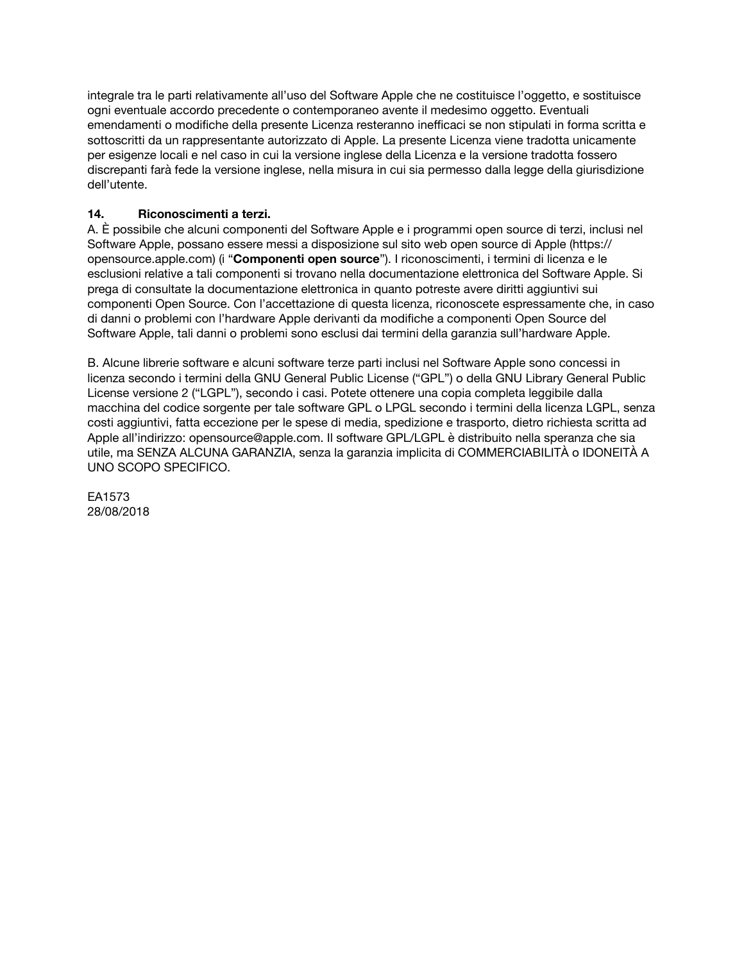integrale tra le parti relativamente all'uso del Software Apple che ne costituisce l'oggetto, e sostituisce ogni eventuale accordo precedente o contemporaneo avente il medesimo oggetto. Eventuali emendamenti o modifiche della presente Licenza resteranno inefficaci se non stipulati in forma scritta e sottoscritti da un rappresentante autorizzato di Apple. La presente Licenza viene tradotta unicamente per esigenze locali e nel caso in cui la versione inglese della Licenza e la versione tradotta fossero discrepanti farà fede la versione inglese, nella misura in cui sia permesso dalla legge della giurisdizione dell'utente.

# **14. Riconoscimenti a terzi.**

A. È possibile che alcuni componenti del Software Apple e i programmi open source di terzi, inclusi nel Software Apple, possano essere messi a disposizione sul sito web open source di Apple [\(https://](https://opensource.apple.com) [opensource.apple.com\)](https://opensource.apple.com) (i "**Componenti open source**"). I riconoscimenti, i termini di licenza e le esclusioni relative a tali componenti si trovano nella documentazione elettronica del Software Apple. Si prega di consultate la documentazione elettronica in quanto potreste avere diritti aggiuntivi sui componenti Open Source. Con l'accettazione di questa licenza, riconoscete espressamente che, in caso di danni o problemi con l'hardware Apple derivanti da modifiche a componenti Open Source del Software Apple, tali danni o problemi sono esclusi dai termini della garanzia sull'hardware Apple.

B. Alcune librerie software e alcuni software terze parti inclusi nel Software Apple sono concessi in licenza secondo i termini della GNU General Public License ("GPL") o della GNU Library General Public License versione 2 ("LGPL"), secondo i casi. Potete ottenere una copia completa leggibile dalla macchina del codice sorgente per tale software GPL o LPGL secondo i termini della licenza LGPL, senza costi aggiuntivi, fatta eccezione per le spese di media, spedizione e trasporto, dietro richiesta scritta ad Apple all'indirizzo: [opensource@apple.com.](mailto:opensource@apple.com) Il software GPL/LGPL è distribuito nella speranza che sia utile, ma SENZA ALCUNA GARANZIA, senza la garanzia implicita di COMMERCIABILITÀ o IDONEITÀ A UNO SCOPO SPECIFICO.

EA1573 28/08/2018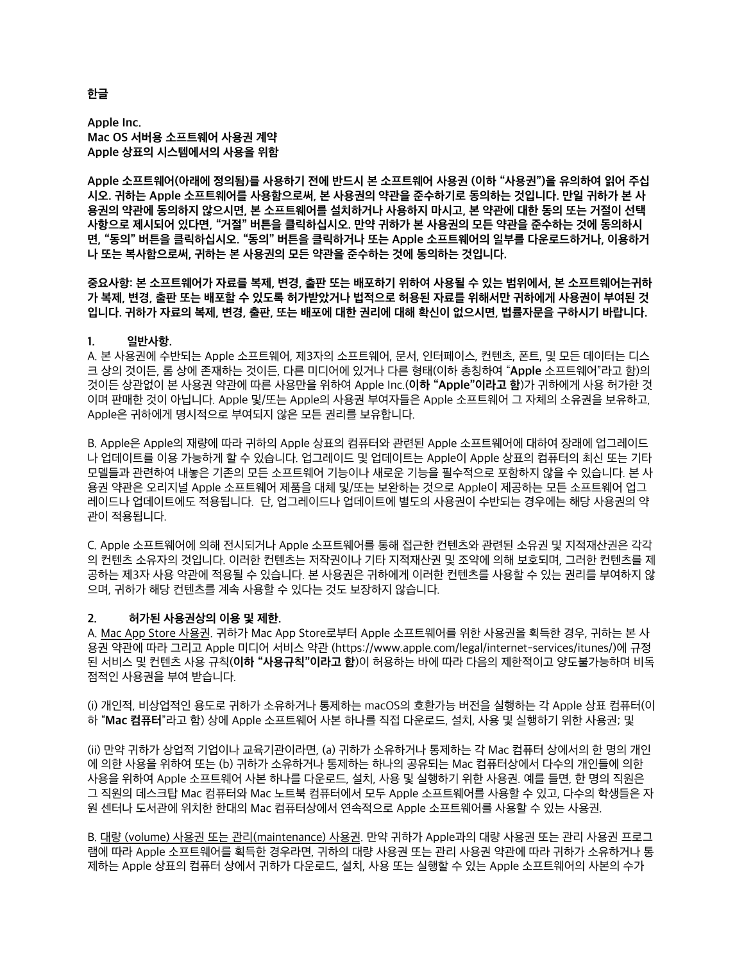## **Apple Inc. Mac OS 서버용 소프트웨어 사용권 계약 Apple 상표의 시스템에서의 사용을 위함**

**Apple 소프트웨어(아래에 정의됨)를 사용하기 전에 반드시 본 소프트웨어 사용권 (이하 "사용권")을 유의하여 읽어 주십 시오. 귀하는 Apple 소프트웨어를 사용함으로써, 본 사용권의 약관을 준수하기로 동의하는 것입니다. 만일 귀하가 본 사 용권의 약관에 동의하지 않으시면, 본 소프트웨어를 설치하거나 사용하지 마시고, 본 약관에 대한 동의 또는 거절이 선택 사항으로 제시되어 있다면, "거절" 버튼을 클릭하십시오. 만약 귀하가 본 사용권의 모든 약관을 준수하는 것에 동의하시 면, "동의" 버튼을 클릭하십시오. "동의" 버튼을 클릭하거나 또는 Apple 소프트웨어의 일부를 다운로드하거나, 이용하거 나 또는 복사함으로써, 귀하는 본 사용권의 모든 약관을 준수하는 것에 동의하는 것입니다.**

**중요사항: 본 소프트웨어가 자료를 복제, 변경, 출판 또는 배포하기 위하여 사용될 수 있는 범위에서, 본 소프트웨어는귀하 가 복제, 변경, 출판 또는 배포할 수 있도록 허가받았거나 법적으로 허용된 자료를 위해서만 귀하에게 사용권이 부여된 것 입니다. 귀하가 자료의 복제, 변경, 출판, 또는 배포에 대한 권리에 대해 확신이 없으시면, 법률자문을 구하시기 바랍니다.**

## **1. 일반사항.**

A. 본 사용권에 수반되는 Apple 소프트웨어, 제3자의 소프트웨어, 문서, 인터페이스, 컨텐츠, 폰트, 및 모든 데이터는 디스 크 상의 것이든, 롬 상에 존재하는 것이든, 다른 미디어에 있거나 다른 형태(이하 총칭하여 "**Apple** 소프트웨어"라고 함)의 것이든 상관없이 본 사용권 약관에 따른 사용만을 위하여 Apple Inc.(**이하 "Apple"이라고 함**)가 귀하에게 사용 허가한 것 이며 판매한 것이 아닙니다. Apple 및/또는 Apple의 사용권 부여자들은 Apple 소프트웨어 그 자체의 소유권을 보유하고, Apple은 귀하에게 명시적으로 부여되지 않은 모든 권리를 보유합니다.

B. Apple은 Apple의 재량에 따라 귀하의 Apple 상표의 컴퓨터와 관련된 Apple 소프트웨어에 대하여 장래에 업그레이드 나 업데이트를 이용 가능하게 할 수 있습니다. 업그레이드 및 업데이트는 Apple이 Apple 상표의 컴퓨터의 최신 또는 기타 모델들과 관련하여 내놓은 기존의 모든 소프트웨어 기능이나 새로운 기능을 필수적으로 포함하지 않을 수 있습니다. 본 사 용권 약관은 오리지널 Apple 소프트웨어 제품을 대체 및/또는 보완하는 것으로 Apple이 제공하는 모든 소프트웨어 업그 레이드나 업데이트에도 적용됩니다. 단, 업그레이드나 업데이트에 별도의 사용권이 수반되는 경우에는 해당 사용권의 약 관이 적용됩니다.

C. Apple 소프트웨어에 의해 전시되거나 Apple 소프트웨어를 통해 접근한 컨텐츠와 관련된 소유권 및 지적재산권은 각각 의 컨텐츠 소유자의 것입니다. 이러한 컨텐츠는 저작권이나 기타 지적재산권 및 조약에 의해 보호되며, 그러한 컨텐츠를 제 공하는 제3자 사용 약관에 적용될 수 있습니다. 본 사용권은 귀하에게 이러한 컨텐츠를 사용할 수 있는 권리를 부여하지 않 으며, 귀하가 해당 컨텐츠를 계속 사용할 수 있다는 것도 보장하지 않습니다.

#### **2. 허가된 사용권상의 이용 및 제한.**

A. Mac App Store 사용권. 귀하가 Mac App Store로부터 Apple 소프트웨어를 위한 사용권을 획득한 경우, 귀하는 본 사 용권 약관에 따라 그리고 Apple 미디어 서비스 약관 [\(https://www.apple.com/legal/internet-services/itunes/](https://www.apple.com/legal/internet-services/itunes/))에 규정 된 서비스 및 컨텐츠 사용 규칙(**이하 "사용규칙"이라고 함**)이 허용하는 바에 따라 다음의 제한적이고 양도불가능하며 비독 점적인 사용권을 부여 받습니다.

(i) 개인적, 비상업적인 용도로 귀하가 소유하거나 통제하는 macOS의 호환가능 버전을 실행하는 각 Apple 상표 컴퓨터(이 하 "**Mac 컴퓨터**"라고 함) 상에 Apple 소프트웨어 사본 하나를 직접 다운로드, 설치, 사용 및 실행하기 위한 사용권; 및

(ii) 만약 귀하가 상업적 기업이나 교육기관이라면, (a) 귀하가 소유하거나 통제하는 각 Mac 컴퓨터 상에서의 한 명의 개인 에 의한 사용을 위하여 또는 (b) 귀하가 소유하거나 통제하는 하나의 공유되는 Mac 컴퓨터상에서 다수의 개인들에 의한 사용을 위하여 Apple 소프트웨어 사본 하나를 다운로드, 설치, 사용 및 실행하기 위한 사용권. 예를 들면, 한 명의 직원은 그 직원의 데스크탑 Mac 컴퓨터와 Mac 노트북 컴퓨터에서 모두 Apple 소프트웨어를 사용할 수 있고, 다수의 학생들은 자 원 센터나 도서관에 위치한 한대의 Mac 컴퓨터상에서 연속적으로 Apple 소프트웨어를 사용할 수 있는 사용권.

B. 대량 (volume) 사용권 또는 관리(maintenance) 사용권. 만약 귀하가 Apple과의 대량 사용권 또는 관리 사용권 프로그 램에 따라 Apple 소프트웨어를 획득한 경우라면, 귀하의 대량 사용권 또는 관리 사용권 약관에 따라 귀하가 소유하거나 통 제하는 Apple 상표의 컴퓨터 상에서 귀하가 다운로드, 설치, 사용 또는 실행할 수 있는 Apple 소프트웨어의 사본의 수가

#### **한글**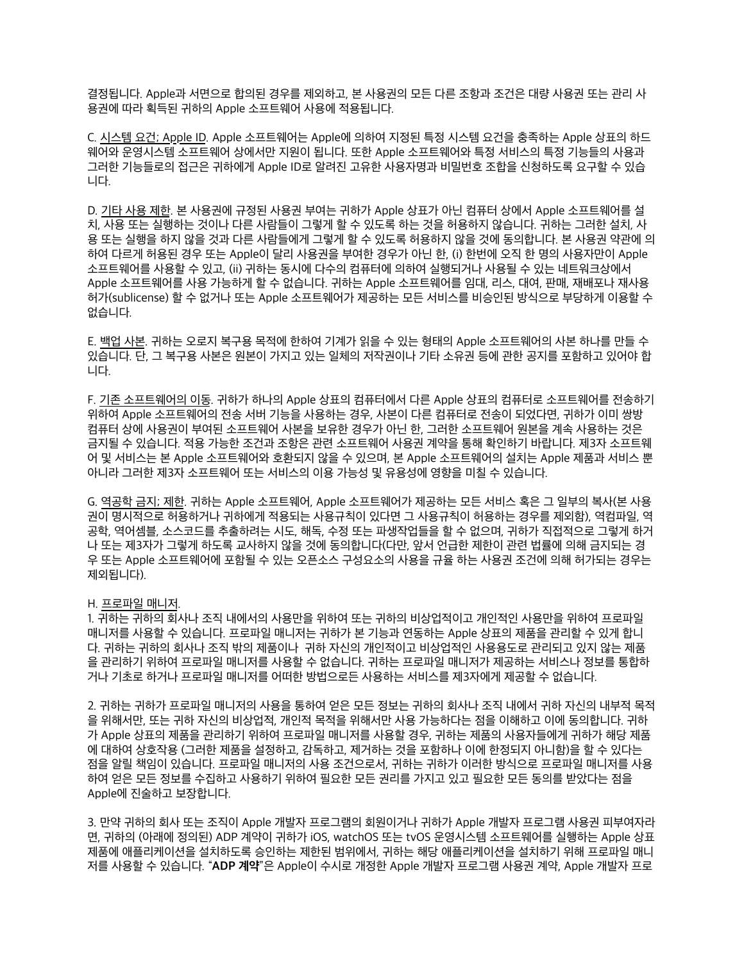결정됩니다. Apple과 서면으로 합의된 경우를 제외하고, 본 사용권의 모든 다른 조항과 조건은 대량 사용권 또는 관리 사 용권에 따라 획득된 귀하의 Apple 소프트웨어 사용에 적용됩니다.

C. 시스템 요건; Apple ID. Apple 소프트웨어는 Apple에 의하여 지정된 특정 시스템 요건을 충족하는 Apple 상표의 하드 웨어와 운영시스템 소프트웨어 상에서만 지원이 됩니다. 또한 Apple 소프트웨어와 특정 서비스의 특정 기능들의 사용과 그러한 기능들로의 접근은 귀하에게 Apple ID로 알려진 고유한 사용자명과 비밀번호 조합을 신청하도록 요구할 수 있습 니다.

D. 기타 사용 제한. 본 사용권에 규정된 사용권 부여는 귀하가 Apple 상표가 아닌 컴퓨터 상에서 Apple 소프트웨어를 설 치, 사용 또는 실행하는 것이나 다른 사람들이 그렇게 할 수 있도록 하는 것을 허용하지 않습니다. 귀하는 그러한 설치, 사 용 또는 실행을 하지 않을 것과 다른 사람들에게 그렇게 할 수 있도록 허용하지 않을 것에 동의합니다. 본 사용권 약관에 의 하여 다르게 허용된 경우 또는 Apple이 달리 사용권을 부여한 경우가 아닌 한, (i) 한번에 오직 한 명의 사용자만이 Apple 소프트웨어를 사용할 수 있고, (ii) 귀하는 동시에 다수의 컴퓨터에 의하여 실행되거나 사용될 수 있는 네트워크상에서 Apple 소프트웨어를 사용 가능하게 할 수 없습니다. 귀하는 Apple 소프트웨어를 임대, 리스, 대여, 판매, 재배포나 재사용 허가(sublicense) 할 수 없거나 또는 Apple 소프트웨어가 제공하는 모든 서비스를 비승인된 방식으로 부당하게 이용할 수 없습니다.

E. 백업 사본. 귀하는 오로지 복구용 목적에 한하여 기계가 읽을 수 있는 형태의 Apple 소프트웨어의 사본 하나를 만들 수 있습니다. 단, 그 복구용 사본은 원본이 가지고 있는 일체의 저작권이나 기타 소유권 등에 관한 공지를 포함하고 있어야 합 니다.

F. 기존 소프트웨어의 이동. 귀하가 하나의 Apple 상표의 컴퓨터에서 다른 Apple 상표의 컴퓨터로 소프트웨어를 전송하기 위하여 Apple 소프트웨어의 전송 서버 기능을 사용하는 경우, 사본이 다른 컴퓨터로 전송이 되었다면, 귀하가 이미 쌍방 컴퓨터 상에 사용권이 부여된 소프트웨어 사본을 보유한 경우가 아닌 한, 그러한 소프트웨어 원본을 계속 사용하는 것은 금지될 수 있습니다. 적용 가능한 조건과 조항은 관련 소프트웨어 사용권 계약을 통해 확인하기 바랍니다. 제3자 소프트웨 어 및 서비스는 본 Apple 소프트웨어와 호환되지 않을 수 있으며, 본 Apple 소프트웨어의 설치는 Apple 제품과 서비스 뿐 아니라 그러한 제3자 소프트웨어 또는 서비스의 이용 가능성 및 유용성에 영향을 미칠 수 있습니다.

G. 역공학 금지; 제한. 귀하는 Apple 소프트웨어, Apple 소프트웨어가 제공하는 모든 서비스 혹은 그 일부의 복사(본 사용 권이 명시적으로 허용하거나 귀하에게 적용되는 사용규칙이 있다면 그 사용규칙이 허용하는 경우를 제외함), 역컴파일, 역 공학, 역어셈블, 소스코드를 추출하려는 시도, 해독, 수정 또는 파생작업들을 할 수 없으며, 귀하가 직접적으로 그렇게 하거 나 또는 제3자가 그렇게 하도록 교사하지 않을 것에 동의합니다(다만, 앞서 언급한 제한이 관련 법률에 의해 금지되는 경 우 또는 Apple 소프트웨어에 포함될 수 있는 오픈소스 구성요소의 사용을 규율 하는 사용권 조건에 의해 허가되는 경우는 제외됩니다).

#### H. 프로파일 매니저.

1. 귀하는 귀하의 회사나 조직 내에서의 사용만을 위하여 또는 귀하의 비상업적이고 개인적인 사용만을 위하여 프로파일 매니저를 사용할 수 있습니다. 프로파일 매니저는 귀하가 본 기능과 연동하는 Apple 상표의 제품을 관리할 수 있게 합니 다. 귀하는 귀하의 회사나 조직 밖의 제품이나 귀하 자신의 개인적이고 비상업적인 사용용도로 관리되고 있지 않는 제품 을 관리하기 위하여 프로파일 매니저를 사용할 수 없습니다. 귀하는 프로파일 매니저가 제공하는 서비스나 정보를 통합하 거나 기초로 하거나 프로파일 매니저를 어떠한 방법으로든 사용하는 서비스를 제3자에게 제공할 수 없습니다.

2. 귀하는 귀하가 프로파일 매니저의 사용을 통하여 얻은 모든 정보는 귀하의 회사나 조직 내에서 귀하 자신의 내부적 목적 을 위해서만, 또는 귀하 자신의 비상업적, 개인적 목적을 위해서만 사용 가능하다는 점을 이해하고 이에 동의합니다. 귀하 가 Apple 상표의 제품을 관리하기 위하여 프로파일 매니저를 사용할 경우, 귀하는 제품의 사용자들에게 귀하가 해당 제품 에 대하여 상호작용 (그러한 제품을 설정하고, 감독하고, 제거하는 것을 포함하나 이에 한정되지 아니함)을 할 수 있다는 점을 알릴 책임이 있습니다. 프로파일 매니저의 사용 조건으로서, 귀하는 귀하가 이러한 방식으로 프로파일 매니저를 사용 하여 얻은 모든 정보를 수집하고 사용하기 위하여 필요한 모든 권리를 가지고 있고 필요한 모든 동의를 받았다는 점을 Apple에 진술하고 보장합니다.

3. 만약 귀하의 회사 또는 조직이 Apple 개발자 프로그램의 회원이거나 귀하가 Apple 개발자 프로그램 사용권 피부여자라 면, 귀하의 (아래에 정의된) ADP 계약이 귀하가 iOS, watchOS 또는 tvOS 운영시스템 소프트웨어를 실행하는 Apple 상표 제품에 애플리케이션을 설치하도록 승인하는 제한된 범위에서, 귀하는 해당 애플리케이션을 설치하기 위해 프로파일 매니 저를 사용할 수 있습니다. "**ADP 계약**"은 Apple이 수시로 개정한 Apple 개발자 프로그램 사용권 계약, Apple 개발자 프로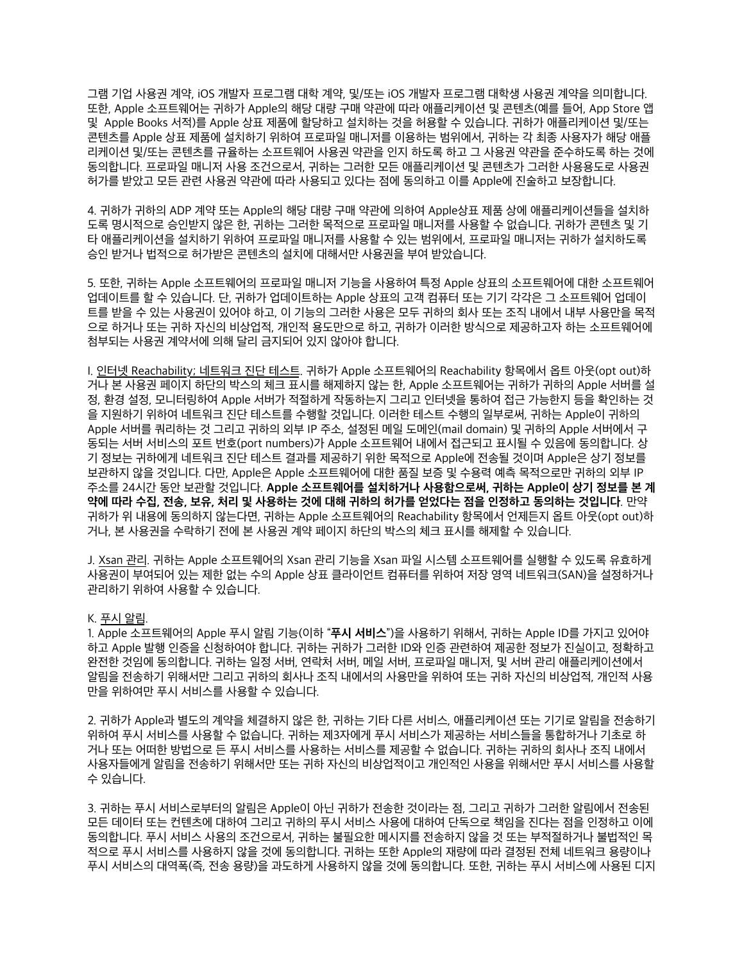그램 기업 사용권 계약, iOS 개발자 프로그램 대학 계약, 및/또는 iOS 개발자 프로그램 대학생 사용권 계약을 의미합니다. 또한, Apple 소프트웨어는 귀하가 Apple의 해당 대량 구매 약관에 따라 애플리케이션 및 콘텐츠(예를 들어, App Store 앱 및 Apple Books 서적)를 Apple 상표 제품에 할당하고 설치하는 것을 허용할 수 있습니다. 귀하가 애플리케이션 및/또는 콘텐츠를 Apple 상표 제품에 설치하기 위하여 프로파일 매니저를 이용하는 범위에서, 귀하는 각 최종 사용자가 해당 애플 리케이션 및/또는 콘텐츠를 규율하는 소프트웨어 사용권 약관을 인지 하도록 하고 그 사용권 약관을 준수하도록 하는 것에 동의합니다. 프로파일 매니저 사용 조건으로서, 귀하는 그러한 모든 애플리케이션 및 콘텐츠가 그러한 사용용도로 사용권 허가를 받았고 모든 관련 사용권 약관에 따라 사용되고 있다는 점에 동의하고 이를 Apple에 진술하고 보장합니다.

4. 귀하가 귀하의 ADP 계약 또는 Apple의 해당 대량 구매 약관에 의하여 Apple상표 제품 상에 애플리케이션들을 설치하 도록 명시적으로 승인받지 않은 한, 귀하는 그러한 목적으로 프로파일 매니저를 사용할 수 없습니다. 귀하가 콘텐츠 및 기 타 애플리케이션을 설치하기 위하여 프로파일 매니저를 사용할 수 있는 범위에서, 프로파일 매니저는 귀하가 설치하도록 승인 받거나 법적으로 허가받은 콘텐츠의 설치에 대해서만 사용권을 부여 받았습니다.

5. 또한, 귀하는 Apple 소프트웨어의 프로파일 매니저 기능을 사용하여 특정 Apple 상표의 소프트웨어에 대한 소프트웨어 업데이트를 할 수 있습니다. 단, 귀하가 업데이트하는 Apple 상표의 고객 컴퓨터 또는 기기 각각은 그 소프트웨어 업데이 트를 받을 수 있는 사용권이 있어야 하고, 이 기능의 그러한 사용은 모두 귀하의 회사 또는 조직 내에서 내부 사용만을 목적 으로 하거나 또는 귀하 자신의 비상업적, 개인적 용도만으로 하고, 귀하가 이러한 방식으로 제공하고자 하는 소프트웨어에 첨부되는 사용권 계약서에 의해 달리 금지되어 있지 않아야 합니다.

I. 인터넷 Reachability; 네트워크 진단 테스트. 귀하가 Apple 소프트웨어의 Reachability 항목에서 옵트 아웃(opt out)하 거나 본 사용권 페이지 하단의 박스의 체크 표시를 해제하지 않는 한, Apple 소프트웨어는 귀하가 귀하의 Apple 서버를 설 정, 환경 설정, 모니터링하여 Apple 서버가 적절하게 작동하는지 그리고 인터넷을 통하여 접근 가능한지 등을 확인하는 것 을 지원하기 위하여 네트워크 진단 테스트를 수행할 것입니다. 이러한 테스트 수행의 일부로써, 귀하는 Apple이 귀하의 Apple 서버를 쿼리하는 것 그리고 귀하의 외부 IP 주소, 설정된 메일 도메인(mail domain) 및 귀하의 Apple 서버에서 구 동되는 서버 서비스의 포트 번호(port numbers)가 Apple 소프트웨어 내에서 접근되고 표시될 수 있음에 동의합니다. 상 기 정보는 귀하에게 네트워크 진단 테스트 결과를 제공하기 위한 목적으로 Apple에 전송될 것이며 Apple은 상기 정보를 보관하지 않을 것입니다. 다만, Apple은 Apple 소프트웨어에 대한 품질 보증 및 수용력 예측 목적으로만 귀하의 외부 IP 주소를 24시간 동안 보관할 것입니다. **Apple 소프트웨어를 설치하거나 사용함으로써, 귀하는 Apple이 상기 정보를 본 계 약에 따라 수집, 전송, 보유, 처리 및 사용하는 것에 대해 귀하의 허가를 얻었다는 점을 인정하고 동의하는 것입니다**. 만약 귀하가 위 내용에 동의하지 않는다면, 귀하는 Apple 소프트웨어의 Reachability 항목에서 언제든지 옵트 아웃(opt out)하 거나, 본 사용권을 수락하기 전에 본 사용권 계약 페이지 하단의 박스의 체크 표시를 해제할 수 있습니다.

J. Xsan 관리. 귀하는 Apple 소프트웨어의 Xsan 관리 기능을 Xsan 파일 시스템 소프트웨어를 실행할 수 있도록 유효하게 사용권이 부여되어 있는 제한 없는 수의 Apple 상표 클라이언트 컴퓨터를 위하여 저장 영역 네트워크(SAN)을 설정하거나 관리하기 위하여 사용할 수 있습니다.

#### K. 푸시 알림.

1. Apple 소프트웨어의 Apple 푸시 알림 기능(이하 "**푸시 서비스**")을 사용하기 위해서, 귀하는 Apple ID를 가지고 있어야 하고 Apple 발행 인증을 신청하여야 합니다. 귀하는 귀하가 그러한 ID와 인증 관련하여 제공한 정보가 진실이고, 정확하고 완전한 것임에 동의합니다. 귀하는 일정 서버, 연락처 서버, 메일 서버, 프로파일 매니저, 및 서버 관리 애플리케이션에서 알림을 전송하기 위해서만 그리고 귀하의 회사나 조직 내에서의 사용만을 위하여 또는 귀하 자신의 비상업적, 개인적 사용 만을 위하여만 푸시 서비스를 사용할 수 있습니다.

2. 귀하가 Apple과 별도의 계약을 체결하지 않은 한, 귀하는 기타 다른 서비스, 애플리케이션 또는 기기로 알림을 전송하기 위하여 푸시 서비스를 사용할 수 없습니다. 귀하는 제3자에게 푸시 서비스가 제공하는 서비스들을 통합하거나 기초로 하 거나 또는 어떠한 방법으로 든 푸시 서비스를 사용하는 서비스를 제공할 수 없습니다. 귀하는 귀하의 회사나 조직 내에서 사용자들에게 알림을 전송하기 위해서만 또는 귀하 자신의 비상업적이고 개인적인 사용을 위해서만 푸시 서비스를 사용할 수 있습니다.

3. 귀하는 푸시 서비스로부터의 알림은 Apple이 아닌 귀하가 전송한 것이라는 점, 그리고 귀하가 그러한 알림에서 전송된 모든 데이터 또는 컨텐츠에 대하여 그리고 귀하의 푸시 서비스 사용에 대하여 단독으로 책임을 진다는 점을 인정하고 이에 동의합니다. 푸시 서비스 사용의 조건으로서, 귀하는 불필요한 메시지를 전송하지 않을 것 또는 부적절하거나 불법적인 목 적으로 푸시 서비스를 사용하지 않을 것에 동의합니다. 귀하는 또한 Apple의 재량에 따라 결정된 전체 네트워크 용량이나 푸시 서비스의 대역폭(즉, 전송 용량)을 과도하게 사용하지 않을 것에 동의합니다. 또한, 귀하는 푸시 서비스에 사용된 디지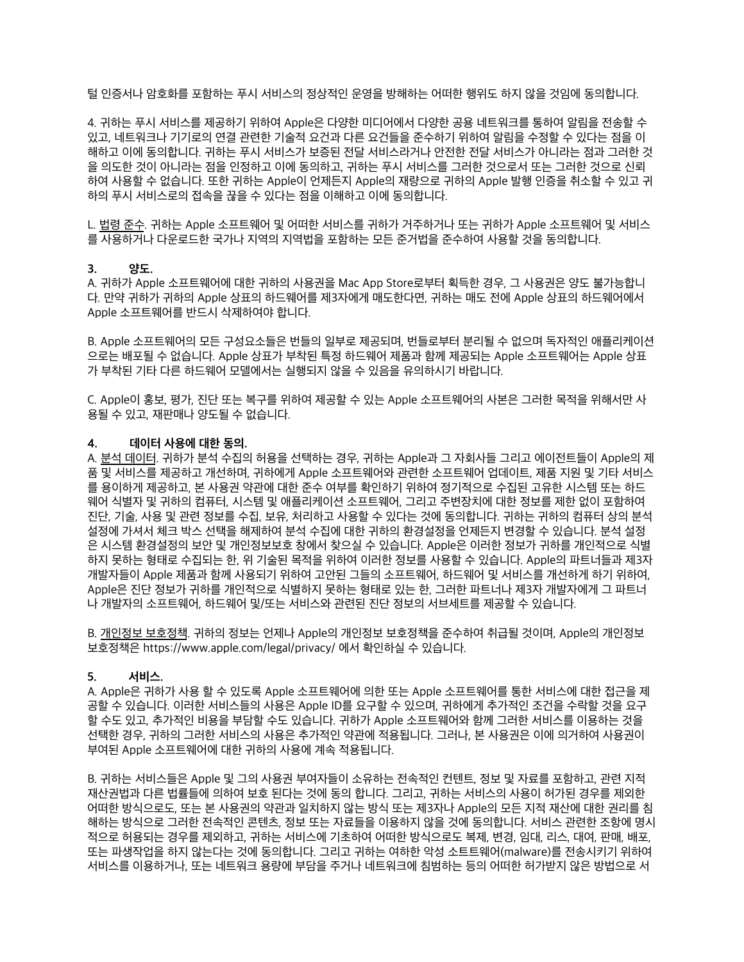털 인증서나 암호화를 포함하는 푸시 서비스의 정상적인 운영을 방해하는 어떠한 행위도 하지 않을 것임에 동의합니다.

4. 귀하는 푸시 서비스를 제공하기 위하여 Apple은 다양한 미디어에서 다양한 공용 네트워크를 통하여 알림을 전송할 수 있고, 네트워크나 기기로의 연결 관련한 기술적 요건과 다른 요건들을 준수하기 위하여 알림을 수정할 수 있다는 점을 이 해하고 이에 동의합니다. 귀하는 푸시 서비스가 보증된 전달 서비스라거나 안전한 전달 서비스가 아니라는 점과 그러한 것 을 의도한 것이 아니라는 점을 인정하고 이에 동의하고, 귀하는 푸시 서비스를 그러한 것으로서 또는 그러한 것으로 신뢰 하여 사용할 수 없습니다. 또한 귀하는 Apple이 언제든지 Apple의 재량으로 귀하의 Apple 발행 인증을 취소할 수 있고 귀 하의 푸시 서비스로의 접속을 끊을 수 있다는 점을 이해하고 이에 동의합니다.

L. 법령 준수. 귀하는 Apple 소프트웨어 및 어떠한 서비스를 귀하가 거주하거나 또는 귀하가 Apple 소프트웨어 및 서비스 를 사용하거나 다운로드한 국가나 지역의 지역법을 포함하는 모든 준거법을 준수하여 사용할 것을 동의합니다.

#### **3. 양도.**

A. 귀하가 Apple 소프트웨어에 대한 귀하의 사용권을 Mac App Store로부터 획득한 경우, 그 사용권은 양도 불가능합니 다. 만약 귀하가 귀하의 Apple 상표의 하드웨어를 제3자에게 매도한다면, 귀하는 매도 전에 Apple 상표의 하드웨어에서 Apple 소프트웨어를 반드시 삭제하여야 합니다.

B. Apple 소프트웨어의 모든 구성요소들은 번들의 일부로 제공되며, 번들로부터 분리될 수 없으며 독자적인 애플리케이션 으로는 배포될 수 없습니다. Apple 상표가 부착된 특정 하드웨어 제품과 함께 제공되는 Apple 소프트웨어는 Apple 상표 가 부착된 기타 다른 하드웨어 모델에서는 실행되지 않을 수 있음을 유의하시기 바랍니다.

C. Apple이 홍보, 평가, 진단 또는 복구를 위하여 제공할 수 있는 Apple 소프트웨어의 사본은 그러한 목적을 위해서만 사 용될 수 있고, 재판매나 양도될 수 없습니다.

#### **4. 데이터 사용에 대한 동의.**

A. 분석 데이터. 귀하가 분석 수집의 허용을 선택하는 경우, 귀하는 Apple과 그 자회사들 그리고 에이전트들이 Apple의 제 품 및 서비스를 제공하고 개선하며, 귀하에게 Apple 소프트웨어와 관련한 소프트웨어 업데이트, 제품 지원 및 기타 서비스 를 용이하게 제공하고, 본 사용권 약관에 대한 준수 여부를 확인하기 위하여 정기적으로 수집된 고유한 시스템 또는 하드 웨어 식별자 및 귀하의 컴퓨터, 시스템 및 애플리케이션 소프트웨어, 그리고 주변장치에 대한 정보를 제한 없이 포함하여 진단, 기술, 사용 및 관련 정보를 수집, 보유, 처리하고 사용할 수 있다는 것에 동의합니다. 귀하는 귀하의 컴퓨터 상의 분석 설정에 가셔서 체크 박스 선택을 해제하여 분석 수집에 대한 귀하의 환경설정을 언제든지 변경할 수 있습니다. 분석 설정 은 시스템 환경설정의 보안 및 개인정보보호 창에서 찾으실 수 있습니다. Apple은 이러한 정보가 귀하를 개인적으로 식별 하지 못하는 형태로 수집되는 한, 위 기술된 목적을 위하여 이러한 정보를 사용할 수 있습니다. Apple의 파트너들과 제3자 개발자들이 Apple 제품과 함께 사용되기 위하여 고안된 그들의 소프트웨어, 하드웨어 및 서비스를 개선하게 하기 위하여, Apple은 진단 정보가 귀하를 개인적으로 식별하지 못하는 형태로 있는 한, 그러한 파트너나 제3자 개발자에게 그 파트너 나 개발자의 소프트웨어, 하드웨어 및/또는 서비스와 관련된 진단 정보의 서브세트를 제공할 수 있습니다.

B. 개인정보 보호정책. 귀하의 정보는 언제나 Apple의 개인정보 보호정책을 준수하여 취급될 것이며, Apple의 개인정보 보호정책은 <https://www.apple.com/legal/privacy/> 에서 확인하실 수 있습니다.

#### **5. 서비스.**

A. Apple은 귀하가 사용 할 수 있도록 Apple 소프트웨어에 의한 또는 Apple 소프트웨어를 통한 서비스에 대한 접근을 제 공할 수 있습니다. 이러한 서비스들의 사용은 Apple ID를 요구할 수 있으며, 귀하에게 추가적인 조건을 수락할 것을 요구 할 수도 있고, 추가적인 비용을 부담할 수도 있습니다. 귀하가 Apple 소프트웨어와 함께 그러한 서비스를 이용하는 것을 선택한 경우, 귀하의 그러한 서비스의 사용은 추가적인 약관에 적용됩니다. 그러나, 본 사용권은 이에 의거하여 사용권이 부여된 Apple 소프트웨어에 대한 귀하의 사용에 계속 적용됩니다.

B. 귀하는 서비스들은 Apple 및 그의 사용권 부여자들이 소유하는 전속적인 컨텐트, 정보 및 자료를 포함하고, 관련 지적 재산권법과 다른 법률들에 의하여 보호 된다는 것에 동의 합니다. 그리고, 귀하는 서비스의 사용이 허가된 경우를 제외한 어떠한 방식으로도, 또는 본 사용권의 약관과 일치하지 않는 방식 또는 제3자나 Apple의 모든 지적 재산에 대한 권리를 침 해하는 방식으로 그러한 전속적인 콘텐츠, 정보 또는 자료들을 이용하지 않을 것에 동의합니다. 서비스 관련한 조항에 명시 적으로 허용되는 경우를 제외하고, 귀하는 서비스에 기초하여 어떠한 방식으로도 복제, 변경, 임대, 리스, 대여, 판매, 배포, 또는 파생작업을 하지 않는다는 것에 동의합니다. 그리고 귀하는 여하한 악성 소트트웨어(malware)를 전송시키기 위하여 서비스를 이용하거나, 또는 네트워크 용량에 부담을 주거나 네트워크에 침범하는 등의 어떠한 허가받지 않은 방법으로 서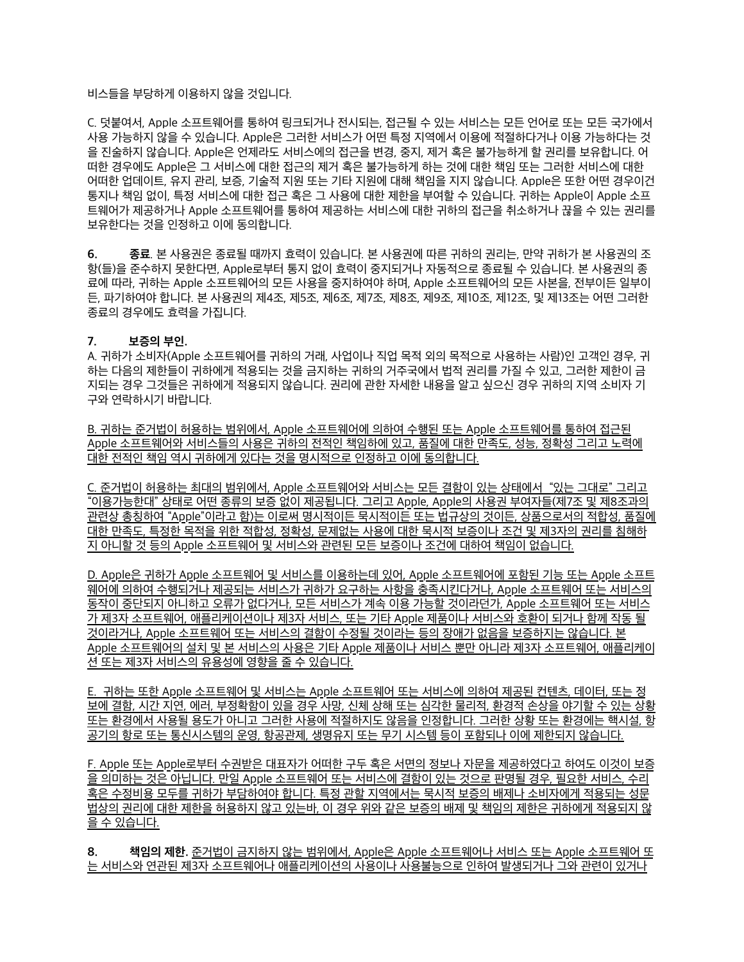### 비스들을 부당하게 이용하지 않을 것입니다.

C. 덧붙여서, Apple 소프트웨어를 통하여 링크되거나 전시되는, 접근될 수 있는 서비스는 모든 언어로 또는 모든 국가에서 사용 가능하지 않을 수 있습니다. Apple은 그러한 서비스가 어떤 특정 지역에서 이용에 적절하다거나 이용 가능하다는 것 을 진술하지 않습니다. Apple은 언제라도 서비스에의 접근을 변경, 중지, 제거 혹은 불가능하게 할 권리를 보유합니다. 어 떠한 경우에도 Apple은 그 서비스에 대한 접근의 제거 혹은 불가능하게 하는 것에 대한 책임 또는 그러한 서비스에 대한 어떠한 업데이트, 유지 관리, 보증, 기술적 지원 또는 기타 지원에 대해 책임을 지지 않습니다. Apple은 또한 어떤 경우이건 통지나 책임 없이, 특정 서비스에 대한 접근 혹은 그 사용에 대한 제한을 부여할 수 있습니다. 귀하는 Apple이 Apple 소프 트웨어가 제공하거나 Apple 소프트웨어를 통하여 제공하는 서비스에 대한 귀하의 접근을 취소하거나 끊을 수 있는 권리를 보유한다는 것을 인정하고 이에 동의합니다.

**6. 종료**. 본 사용권은 종료될 때까지 효력이 있습니다. 본 사용권에 따른 귀하의 권리는, 만약 귀하가 본 사용권의 조 항(들)을 준수하지 못한다면, Apple로부터 통지 없이 효력이 중지되거나 자동적으로 종료될 수 있습니다. 본 사용권의 종 료에 따라, 귀하는 Apple 소프트웨어의 모든 사용을 중지하여야 하며, Apple 소프트웨어의 모든 사본을, 전부이든 일부이 든, 파기하여야 합니다. 본 사용권의 제4조, 제5조, 제6조, 제7조, 제8조, 제9조, 제10조, 제12조, 및 제13조는 어떤 그러한 종료의 경우에도 효력을 가집니다.

## **7. 보증의 부인.**

A. 귀하가 소비자(Apple 소프트웨어를 귀하의 거래, 사업이나 직업 목적 외의 목적으로 사용하는 사람)인 고객인 경우, 귀 하는 다음의 제한들이 귀하에게 적용되는 것을 금지하는 귀하의 거주국에서 법적 권리를 가질 수 있고, 그러한 제한이 금 지되는 경우 그것들은 귀하에게 적용되지 않습니다. 권리에 관한 자세한 내용을 알고 싶으신 경우 귀하의 지역 소비자 기 구와 연락하시기 바랍니다.

B. 귀하는 준거법이 허용하는 범위에서, Apple 소프트웨어에 의하여 수행된 또는 Apple 소프트웨어를 통하여 접근된 Apple 소프트웨어와 서비스들의 사용은 귀하의 전적인 책임하에 있고, 품질에 대한 만족도, 성능, 정확성 그리고 노력에 대한 전적인 책임 역시 귀하에게 있다는 것을 명시적으로 인정하고 이에 동의합니다.

C. 준거법이 허용하는 최대의 범위에서, Apple 소프트웨어와 서비스는 모든 결함이 있는 상태에서 "있는 그대로" 그리고 "이용가능한대" 상태로 어떤 종류의 보증 없이 제공됩니다. 그리고 Apple, Apple의 사용권 부여자들(제7조 및 제8조과의 관련상 총칭하여 "Apple"이라고 함)는 이로써 명시적이든 묵시적이든 또는 법규상의 것이든, 상품으로서의 적합성, 품질에 대한 만족도, 특정한 목적을 위한 적합성, 정확성, 문제없는 사용에 대한 묵시적 보증이나 조건 및 제3자의 권리를 침해하 지 아니할 것 등의 Apple 소프트웨어 및 서비스와 관련된 모든 보증이나 조건에 대하여 책임이 없습니다.

D. Apple은 귀하가 Apple 소프트웨어 및 서비스를 이용하는데 있어, Apple 소프트웨어에 포함된 기능 또는 Apple 소프트 웨어에 의하여 수행되거나 제공되는 서비스가 귀하가 요구하는 사항을 충족시킨다거나, Apple 소프트웨어 또는 서비스의 동작이 중단되지 아니하고 오류가 없다거나, 모든 서비스가 계속 이용 가능할 것이라던가, Apple 소프트웨어 또는 서비스 가 제3자 소프트웨어, 애플리케이션이나 제3자 서비스, 또는 기타 Apple 제품이나 서비스와 호환이 되거나 함께 작동 될 것이라거나, Apple 소프트웨어 또는 서비스의 결함이 수정될 것이라는 등의 장애가 없음을 보증하지는 않습니다. 본 Apple 소프트웨어의 설치 및 본 서비스의 사용은 기타 Apple 제품이나 서비스 뿐만 아니라 제3자 소프트웨어, 애플리케이 션 또는 제3자 서비스의 유용성에 영향을 줄 수 있습니다.

E. 귀하는 또한 Apple 소프트웨어 및 서비스는 Apple 소프트웨어 또는 서비스에 의하여 제공된 컨텐츠, 데이터, 또는 정 보에 결함, 시간 지연, 에러, 부정확함이 있을 경우 사망, 신체 상해 또는 심각한 물리적, 환경적 손상을 야기할 수 있는 상황 또는 환경에서 사용될 용도가 아니고 그러한 사용에 적절하지도 않음을 인정합니다. 그러한 상황 또는 환경에는 핵시설, 항 공기의 항로 또는 통신시스템의 운영, 항공관제, 생명유지 또는 무기 시스템 등이 포함되나 이에 제한되지 않습니다.

F. Apple 또는 Apple로부터 수권받은 대표자가 어떠한 구두 혹은 서면의 정보나 자문을 제공하였다고 하여도 이것이 보증 을 의미하는 것은 아닙니다. 만일 Apple 소프트웨어 또는 서비스에 결함이 있는 것으로 판명될 경우, 필요한 서비스, 수리 혹은 수정비용 모두를 귀하가 부담하여야 합니다. 특정 관할 지역에서는 묵시적 보증의 배제나 소비자에게 적용되는 성문 법상의 권리에 대한 제한을 허용하지 않고 있는바, 이 경우 위와 같은 보증의 배제 및 책임의 제한은 귀하에게 적용되지 않 을 수 있습니다.

**8. 책임의 제한.** 준거법이 금지하지 않는 범위에서, Apple은 Apple 소프트웨어나 서비스 또는 Apple 소프트웨어 또 는 서비스와 연관된 제3자 소프트웨어나 애플리케이션의 사용이나 사용불능으로 인하여 발생되거나 그와 관련이 있거나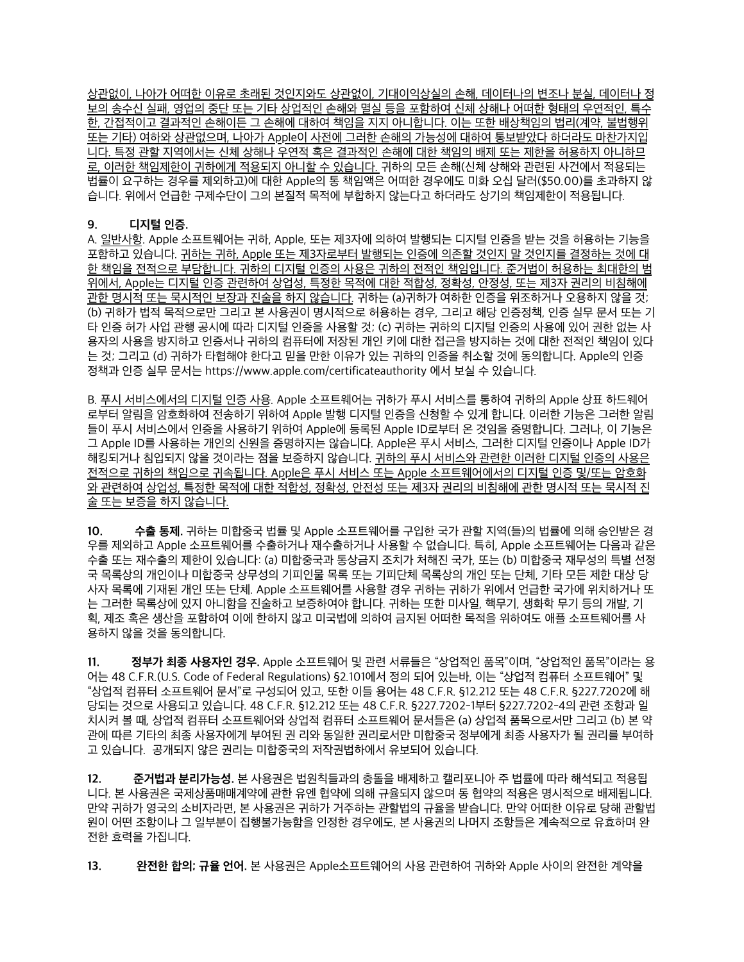상관없이, 나아가 어떠한 이유로 초래된 것인지와도 상관없이, 기대이익상실의 손해, 데이터나의 변조나 분실, 데이터나 정 보의 송수신 실패, 영업의 중단 또는 기타 상업적인 손해와 멸실 등을 포함하여 신체 상해나 어떠한 형태의 우연적인, 특수 한, 간접적이고 결과적인 손해이든 그 손해에 대하여 책임을 지지 아니합니다. 이는 또한 배상책임의 법리(계약, 불법행위 또는 기타) 여하와 상관없으며, 나아가 Apple이 사전에 그러한 손해의 가능성에 대하여 통보받았다 하더라도 마찬가지입 니다. 특정 관할 지역에서는 신체 상해나 우연적 혹은 결과적인 손해에 대한 책임의 배제 또는 제한을 허용하지 아니하므 로, 이러한 책임제한이 귀하에게 적용되지 아니할 수 있습니다. 귀하의 모든 손해(신체 상해와 관련된 사건에서 적용되는 법률이 요구하는 경우를 제외하고)에 대한 Apple의 통 책임액은 어떠한 경우에도 미화 오십 달러(\$50.00)를 초과하지 않 습니다. 위에서 언급한 구제수단이 그의 본질적 목적에 부합하지 않는다고 하더라도 상기의 책임제한이 적용됩니다.

## **9. 디지털 인증.**

A. 일반사항. Apple 소프트웨어는 귀하, Apple, 또는 제3자에 의하여 발행되는 디지털 인증을 받는 것을 허용하는 기능을 포함하고 있습니다. 귀하는 귀하, Apple 또는 제3자로부터 발행되는 인증에 의존할 것인지 말 것인지를 결정하는 것에 대 한 책임을 전적으로 부담합니다. 귀하의 디지털 인증의 사용은 귀하의 전적인 책임입니다. 준거법이 허용하는 최대한의 범 위에서, Apple는 디지털 인증 관련하여 상업성, 특정한 목적에 대한 적합성, 정확성, 안정성, 또는 제3자 권리의 비침해에 관한 명시적 또는 묵시적인 보장과 진술을 하지 않습니다. 귀하는 (a)귀하가 여하한 인증을 위조하거나 오용하지 않을 것; (b) 귀하가 법적 목적으로만 그리고 본 사용권이 명시적으로 허용하는 경우, 그리고 해당 인증정책, 인증 실무 문서 또는 기 타 인증 허가 사업 관행 공시에 따라 디지털 인증을 사용할 것; (c) 귀하는 귀하의 디지털 인증의 사용에 있어 권한 없는 사 용자의 사용을 방지하고 인증서나 귀하의 컴퓨터에 저장된 개인 키에 대한 접근을 방지하는 것에 대한 전적인 책임이 있다 는 것; 그리고 (d) 귀하가 타협해야 한다고 믿을 만한 이유가 있는 귀하의 인증을 취소할 것에 동의합니다. Apple의 인증 정책과 인증 실무 문서는<https://www.apple.com/certificateauthority> 에서 보실 수 있습니다.

B. 푸시 서비스에서의 디지털 인증 사용. Apple 소프트웨어는 귀하가 푸시 서비스를 통하여 귀하의 Apple 상표 하드웨어 로부터 알림을 암호화하여 전송하기 위하여 Apple 발행 디지털 인증을 신청할 수 있게 합니다. 이러한 기능은 그러한 알림 들이 푸시 서비스에서 인증을 사용하기 위하여 Apple에 등록된 Apple ID로부터 온 것임을 증명합니다. 그러나, 이 기능은 그 Apple ID를 사용하는 개인의 신원을 증명하지는 않습니다. Apple은 푸시 서비스, 그러한 디지털 인증이나 Apple ID가 해킹되거나 침입되지 않을 것이라는 점을 보증하지 않습니다. 귀하의 푸시 서비스와 관련한 이러한 디지털 인증의 사용은 전적으로 귀하의 책임으로 귀속됩니다. Apple은 푸시 서비스 또는 Apple 소프트웨어에서의 디지털 인증 및/또는 암호화 와 관련하여 상업성, 특정한 목적에 대한 적합성, 정확성, 안전성 또는 제3자 권리의 비침해에 관한 명시적 또는 묵시적 진 술 또는 보증을 하지 않습니다.

**10. 수출 통제.** 귀하는 미합중국 법률 및 Apple 소프트웨어를 구입한 국가 관할 지역(들)의 법률에 의해 승인받은 경 우를 제외하고 Apple 소프트웨어를 수출하거나 재수출하거나 사용할 수 없습니다. 특히, Apple 소프트웨어는 다음과 같은 수출 또는 재수출의 제한이 있습니다: (a) 미합중국과 통상금지 조치가 처해진 국가, 또는 (b) 미합중국 재무성의 특별 선정 국 목록상의 개인이나 미합중국 상무성의 기피인물 목록 또는 기피단체 목록상의 개인 또는 단체, 기타 모든 제한 대상 당 사자 목록에 기재된 개인 또는 단체. Apple 소프트웨어를 사용할 경우 귀하는 귀하가 위에서 언급한 국가에 위치하거나 또 는 그러한 목록상에 있지 아니함을 진술하고 보증하여야 합니다. 귀하는 또한 미사일, 핵무기, 생화학 무기 등의 개발, 기 획, 제조 혹은 생산을 포함하여 이에 한하지 않고 미국법에 의하여 금지된 어떠한 목적을 위하여도 애플 소프트웨어를 사 용하지 않을 것을 동의합니다.

**11. 정부가 최종 사용자인 경우.** Apple 소프트웨어 및 관련 서류들은 "상업적인 품목"이며, "상업적인 품목"이라는 용 어는 48 C.F.R.(U.S. Code of Federal Regulations) §2.101에서 정의 되어 있는바, 이는 "상업적 컴퓨터 소프트웨어" 및 "상업적 컴퓨터 소프트웨어 문서"로 구성되어 있고, 또한 이들 용어는 48 C.F.R. §12.212 또는 48 C.F.R. §227.7202에 해 당되는 것으로 사용되고 있습니다. 48 C.F.R. §12.212 또는 48 C.F.R. §227.7202-1부터 §227.7202-4의 관련 조항과 일 치시켜 볼 때, 상업적 컴퓨터 소프트웨어와 상업적 컴퓨터 소프트웨어 문서들은 (a) 상업적 품목으로서만 그리고 (b) 본 약 관에 따른 기타의 최종 사용자에게 부여된 권 리와 동일한 권리로서만 미합중국 정부에게 최종 사용자가 될 권리를 부여하 고 있습니다. 공개되지 않은 권리는 미합중국의 저작권법하에서 유보되어 있습니다.

**12. 준거법과 분리가능성.** 본 사용권은 법원칙들과의 충돌을 배제하고 캘리포니아 주 법률에 따라 해석되고 적용됩 니다. 본 사용권은 국제상품매매계약에 관한 유엔 협약에 의해 규율되지 않으며 동 협약의 적용은 명시적으로 배제됩니다. 만약 귀하가 영국의 소비자라면, 본 사용권은 귀하가 거주하는 관할법의 규율을 받습니다. 만약 어떠한 이유로 당해 관할법 원이 어떤 조항이나 그 일부분이 집행불가능함을 인정한 경우에도, 본 사용권의 나머지 조항들은 계속적으로 유효하며 완 전한 효력을 가집니다.

**13. 완전한 합의; 규율 언어.** 본 사용권은 Apple소프트웨어의 사용 관련하여 귀하와 Apple 사이의 완전한 계약을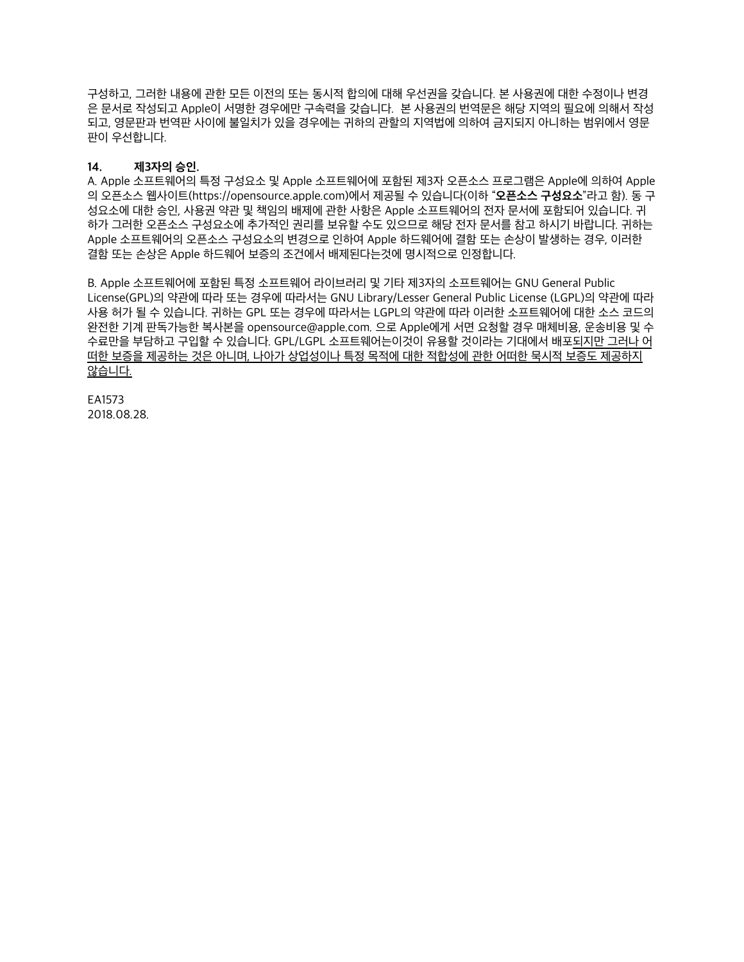구성하고, 그러한 내용에 관한 모든 이전의 또는 동시적 합의에 대해 우선권을 갖습니다. 본 사용권에 대한 수정이나 변경 은 문서로 작성되고 Apple이 서명한 경우에만 구속력을 갖습니다. 본 사용권의 번역문은 해당 지역의 필요에 의해서 작성 되고, 영문판과 번역판 사이에 불일치가 있을 경우에는 귀하의 관할의 지역법에 의하여 금지되지 아니하는 범위에서 영문 판이 우선합니다.

## **14. 제3자의 승인.**

A. Apple 소프트웨어의 특정 구성요소 및 Apple 소프트웨어에 포함된 제3자 오픈소스 프로그램은 Apple에 의하여 Apple 의 오픈소스 웹사이트[\(https://opensource.apple.com](https://opensource.apple.com))에서 제공될 수 있습니다(이하 "**오픈소스 구성요소**"라고 함). 동 구 성요소에 대한 승인, 사용권 약관 및 책임의 배제에 관한 사항은 Apple 소프트웨어의 전자 문서에 포함되어 있습니다. 귀 하가 그러한 오픈소스 구성요소에 추가적인 권리를 보유할 수도 있으므로 해당 전자 문서를 참고 하시기 바랍니다. 귀하는 Apple 소프트웨어의 오픈소스 구성요소의 변경으로 인하여 Apple 하드웨어에 결함 또는 손상이 발생하는 경우, 이러한 결함 또는 손상은 Apple 하드웨어 보증의 조건에서 배제된다는것에 명시적으로 인정합니다.

B. Apple 소프트웨어에 포함된 특정 소프트웨어 라이브러리 및 기타 제3자의 소프트웨어는 GNU General Public License(GPL)의 약관에 따라 또는 경우에 따라서는 GNU Library/Lesser General Public License (LGPL)의 약관에 따라 사용 허가 될 수 있습니다. 귀하는 GPL 또는 경우에 따라서는 LGPL의 약관에 따라 이러한 소프트웨어에 대한 소스 코드의 완전한 기계 판독가능한 복사본을 [opensource@apple.com](mailto:opensource@apple.com). 으로 Apple에게 서면 요청할 경우 매체비용, 운송비용 및 수 수료만을 부담하고 구입할 수 있습니다. GPL/LGPL 소프트웨어는이것이 유용할 것이라는 기대에서 배포되지만 그러나 어 떠한 보증을 제공하는 것은 아니며, 나아가 상업성이나 특정 목적에 대한 적합성에 관한 어떠한 묵시적 보증도 제공하지 않습니다.

EA1573 2018.08.28.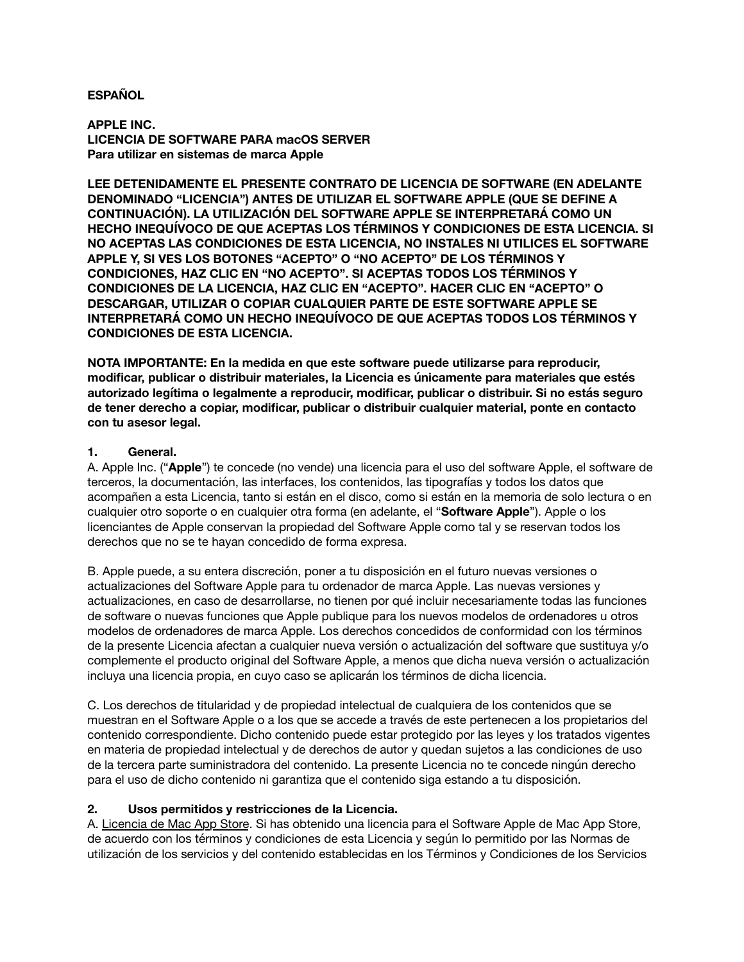# **ESPAÑOL**

**APPLE INC. LICENCIA DE SOFTWARE PARA macOS SERVER Para utilizar en sistemas de marca Apple**

**LEE DETENIDAMENTE EL PRESENTE CONTRATO DE LICENCIA DE SOFTWARE (EN ADELANTE DENOMINADO "LICENCIA") ANTES DE UTILIZAR EL SOFTWARE APPLE (QUE SE DEFINE A CONTINUACIÓN). LA UTILIZACIÓN DEL SOFTWARE APPLE SE INTERPRETARÁ COMO UN HECHO INEQUÍVOCO DE QUE ACEPTAS LOS TÉRMINOS Y CONDICIONES DE ESTA LICENCIA. SI NO ACEPTAS LAS CONDICIONES DE ESTA LICENCIA, NO INSTALES NI UTILICES EL SOFTWARE APPLE Y, SI VES LOS BOTONES "ACEPTO" O "NO ACEPTO" DE LOS TÉRMINOS Y CONDICIONES, HAZ CLIC EN "NO ACEPTO". SI ACEPTAS TODOS LOS TÉRMINOS Y CONDICIONES DE LA LICENCIA, HAZ CLIC EN "ACEPTO". HACER CLIC EN "ACEPTO" O DESCARGAR, UTILIZAR O COPIAR CUALQUIER PARTE DE ESTE SOFTWARE APPLE SE INTERPRETARÁ COMO UN HECHO INEQUÍVOCO DE QUE ACEPTAS TODOS LOS TÉRMINOS Y CONDICIONES DE ESTA LICENCIA.**

**NOTA IMPORTANTE: En la medida en que este software puede utilizarse para reproducir, modificar, publicar o distribuir materiales, la Licencia es únicamente para materiales que estés autorizado legítima o legalmente a reproducir, modificar, publicar o distribuir. Si no estás seguro de tener derecho a copiar, modificar, publicar o distribuir cualquier material, ponte en contacto con tu asesor legal.**

# **1. General.**

A. Apple Inc. ("**Apple**") te concede (no vende) una licencia para el uso del software Apple, el software de terceros, la documentación, las interfaces, los contenidos, las tipografías y todos los datos que acompañen a esta Licencia, tanto si están en el disco, como si están en la memoria de solo lectura o en cualquier otro soporte o en cualquier otra forma (en adelante, el "**Software Apple**"). Apple o los licenciantes de Apple conservan la propiedad del Software Apple como tal y se reservan todos los derechos que no se te hayan concedido de forma expresa.

B. Apple puede, a su entera discreción, poner a tu disposición en el futuro nuevas versiones o actualizaciones del Software Apple para tu ordenador de marca Apple. Las nuevas versiones y actualizaciones, en caso de desarrollarse, no tienen por qué incluir necesariamente todas las funciones de software o nuevas funciones que Apple publique para los nuevos modelos de ordenadores u otros modelos de ordenadores de marca Apple. Los derechos concedidos de conformidad con los términos de la presente Licencia afectan a cualquier nueva versión o actualización del software que sustituya y/o complemente el producto original del Software Apple, a menos que dicha nueva versión o actualización incluya una licencia propia, en cuyo caso se aplicarán los términos de dicha licencia.

C. Los derechos de titularidad y de propiedad intelectual de cualquiera de los contenidos que se muestran en el Software Apple o a los que se accede a través de este pertenecen a los propietarios del contenido correspondiente. Dicho contenido puede estar protegido por las leyes y los tratados vigentes en materia de propiedad intelectual y de derechos de autor y quedan sujetos a las condiciones de uso de la tercera parte suministradora del contenido. La presente Licencia no te concede ningún derecho para el uso de dicho contenido ni garantiza que el contenido siga estando a tu disposición.

# **2. Usos permitidos y restricciones de la Licencia.**

A. Licencia de Mac App Store. Si has obtenido una licencia para el Software Apple de Mac App Store, de acuerdo con los términos y condiciones de esta Licencia y según lo permitido por las Normas de utilización de los servicios y del contenido establecidas en los Términos y Condiciones de los Servicios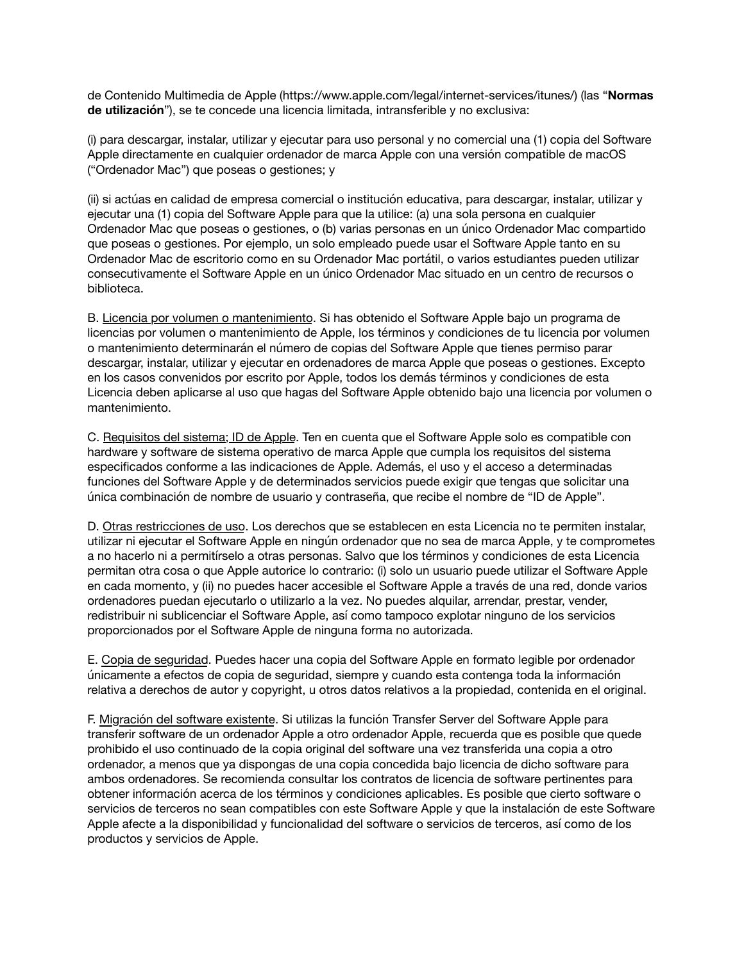de Contenido Multimedia de Apple ([https://www.apple.com/legal/internet-services/itunes/\)](https://www.apple.com/legal/internet-services/itunes/) (las "**Normas de utilización**"), se te concede una licencia limitada, intransferible y no exclusiva:

(i) para descargar, instalar, utilizar y ejecutar para uso personal y no comercial una (1) copia del Software Apple directamente en cualquier ordenador de marca Apple con una versión compatible de macOS ("Ordenador Mac") que poseas o gestiones; y

(ii) si actúas en calidad de empresa comercial o institución educativa, para descargar, instalar, utilizar y ejecutar una (1) copia del Software Apple para que la utilice: (a) una sola persona en cualquier Ordenador Mac que poseas o gestiones, o (b) varias personas en un único Ordenador Mac compartido que poseas o gestiones. Por ejemplo, un solo empleado puede usar el Software Apple tanto en su Ordenador Mac de escritorio como en su Ordenador Mac portátil, o varios estudiantes pueden utilizar consecutivamente el Software Apple en un único Ordenador Mac situado en un centro de recursos o biblioteca.

B. Licencia por volumen o mantenimiento. Si has obtenido el Software Apple bajo un programa de licencias por volumen o mantenimiento de Apple, los términos y condiciones de tu licencia por volumen o mantenimiento determinarán el número de copias del Software Apple que tienes permiso parar descargar, instalar, utilizar y ejecutar en ordenadores de marca Apple que poseas o gestiones. Excepto en los casos convenidos por escrito por Apple, todos los demás términos y condiciones de esta Licencia deben aplicarse al uso que hagas del Software Apple obtenido bajo una licencia por volumen o mantenimiento.

C. Requisitos del sistema; ID de Apple. Ten en cuenta que el Software Apple solo es compatible con hardware y software de sistema operativo de marca Apple que cumpla los requisitos del sistema especificados conforme a las indicaciones de Apple. Además, el uso y el acceso a determinadas funciones del Software Apple y de determinados servicios puede exigir que tengas que solicitar una única combinación de nombre de usuario y contraseña, que recibe el nombre de "ID de Apple".

D. Otras restricciones de uso. Los derechos que se establecen en esta Licencia no te permiten instalar, utilizar ni ejecutar el Software Apple en ningún ordenador que no sea de marca Apple, y te comprometes a no hacerlo ni a permitírselo a otras personas. Salvo que los términos y condiciones de esta Licencia permitan otra cosa o que Apple autorice lo contrario: (i) solo un usuario puede utilizar el Software Apple en cada momento, y (ii) no puedes hacer accesible el Software Apple a través de una red, donde varios ordenadores puedan ejecutarlo o utilizarlo a la vez. No puedes alquilar, arrendar, prestar, vender, redistribuir ni sublicenciar el Software Apple, así como tampoco explotar ninguno de los servicios proporcionados por el Software Apple de ninguna forma no autorizada.

E. Copia de seguridad. Puedes hacer una copia del Software Apple en formato legible por ordenador únicamente a efectos de copia de seguridad, siempre y cuando esta contenga toda la información relativa a derechos de autor y copyright, u otros datos relativos a la propiedad, contenida en el original.

F. Migración del software existente. Si utilizas la función Transfer Server del Software Apple para transferir software de un ordenador Apple a otro ordenador Apple, recuerda que es posible que quede prohibido el uso continuado de la copia original del software una vez transferida una copia a otro ordenador, a menos que ya dispongas de una copia concedida bajo licencia de dicho software para ambos ordenadores. Se recomienda consultar los contratos de licencia de software pertinentes para obtener información acerca de los términos y condiciones aplicables. Es posible que cierto software o servicios de terceros no sean compatibles con este Software Apple y que la instalación de este Software Apple afecte a la disponibilidad y funcionalidad del software o servicios de terceros, así como de los productos y servicios de Apple.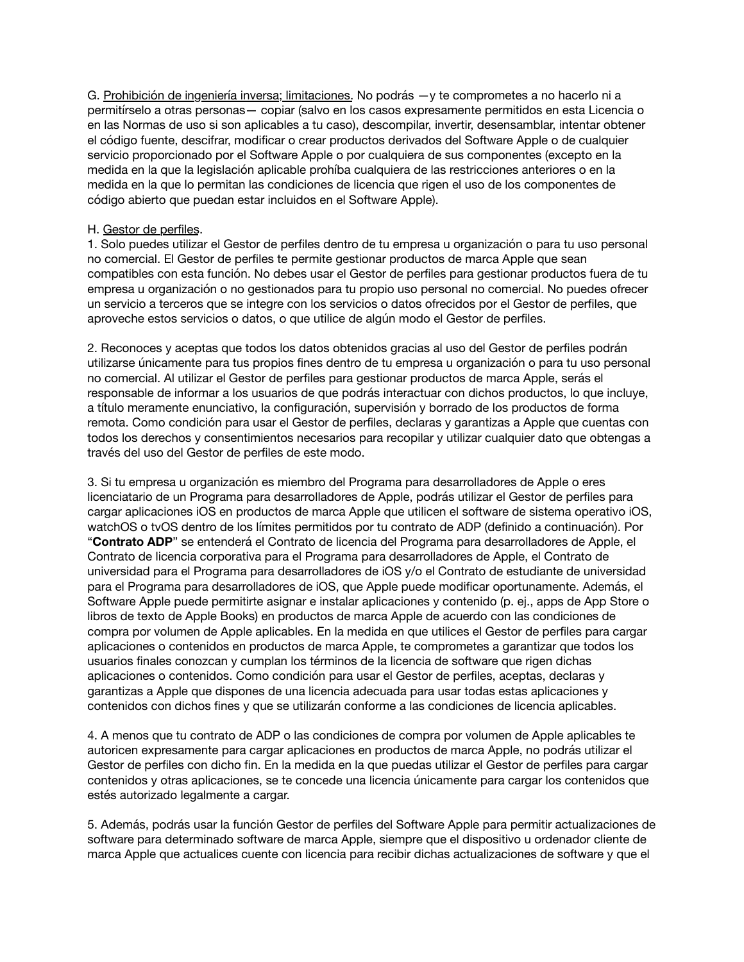G. Prohibición de ingeniería inversa; limitaciones. No podrás —y te comprometes a no hacerlo ni a permitírselo a otras personas— copiar (salvo en los casos expresamente permitidos en esta Licencia o en las Normas de uso si son aplicables a tu caso), descompilar, invertir, desensamblar, intentar obtener el código fuente, descifrar, modificar o crear productos derivados del Software Apple o de cualquier servicio proporcionado por el Software Apple o por cualquiera de sus componentes (excepto en la medida en la que la legislación aplicable prohíba cualquiera de las restricciones anteriores o en la medida en la que lo permitan las condiciones de licencia que rigen el uso de los componentes de código abierto que puedan estar incluidos en el Software Apple).

### H. Gestor de perfiles.

1. Solo puedes utilizar el Gestor de perfiles dentro de tu empresa u organización o para tu uso personal no comercial. El Gestor de perfiles te permite gestionar productos de marca Apple que sean compatibles con esta función. No debes usar el Gestor de perfiles para gestionar productos fuera de tu empresa u organización o no gestionados para tu propio uso personal no comercial. No puedes ofrecer un servicio a terceros que se integre con los servicios o datos ofrecidos por el Gestor de perfiles, que aproveche estos servicios o datos, o que utilice de algún modo el Gestor de perfiles.

2. Reconoces y aceptas que todos los datos obtenidos gracias al uso del Gestor de perfiles podrán utilizarse únicamente para tus propios fines dentro de tu empresa u organización o para tu uso personal no comercial. Al utilizar el Gestor de perfiles para gestionar productos de marca Apple, serás el responsable de informar a los usuarios de que podrás interactuar con dichos productos, lo que incluye, a título meramente enunciativo, la configuración, supervisión y borrado de los productos de forma remota. Como condición para usar el Gestor de perfiles, declaras y garantizas a Apple que cuentas con todos los derechos y consentimientos necesarios para recopilar y utilizar cualquier dato que obtengas a través del uso del Gestor de perfiles de este modo.

3. Si tu empresa u organización es miembro del Programa para desarrolladores de Apple o eres licenciatario de un Programa para desarrolladores de Apple, podrás utilizar el Gestor de perfiles para cargar aplicaciones iOS en productos de marca Apple que utilicen el software de sistema operativo iOS, watchOS o tvOS dentro de los límites permitidos por tu contrato de ADP (definido a continuación). Por "**Contrato ADP**" se entenderá el Contrato de licencia del Programa para desarrolladores de Apple, el Contrato de licencia corporativa para el Programa para desarrolladores de Apple, el Contrato de universidad para el Programa para desarrolladores de iOS y/o el Contrato de estudiante de universidad para el Programa para desarrolladores de iOS, que Apple puede modificar oportunamente. Además, el Software Apple puede permitirte asignar e instalar aplicaciones y contenido (p. ej., apps de App Store o libros de texto de Apple Books) en productos de marca Apple de acuerdo con las condiciones de compra por volumen de Apple aplicables. En la medida en que utilices el Gestor de perfiles para cargar aplicaciones o contenidos en productos de marca Apple, te comprometes a garantizar que todos los usuarios finales conozcan y cumplan los términos de la licencia de software que rigen dichas aplicaciones o contenidos. Como condición para usar el Gestor de perfiles, aceptas, declaras y garantizas a Apple que dispones de una licencia adecuada para usar todas estas aplicaciones y contenidos con dichos fines y que se utilizarán conforme a las condiciones de licencia aplicables.

4. A menos que tu contrato de ADP o las condiciones de compra por volumen de Apple aplicables te autoricen expresamente para cargar aplicaciones en productos de marca Apple, no podrás utilizar el Gestor de perfiles con dicho fin. En la medida en la que puedas utilizar el Gestor de perfiles para cargar contenidos y otras aplicaciones, se te concede una licencia únicamente para cargar los contenidos que estés autorizado legalmente a cargar.

5. Además, podrás usar la función Gestor de perfiles del Software Apple para permitir actualizaciones de software para determinado software de marca Apple, siempre que el dispositivo u ordenador cliente de marca Apple que actualices cuente con licencia para recibir dichas actualizaciones de software y que el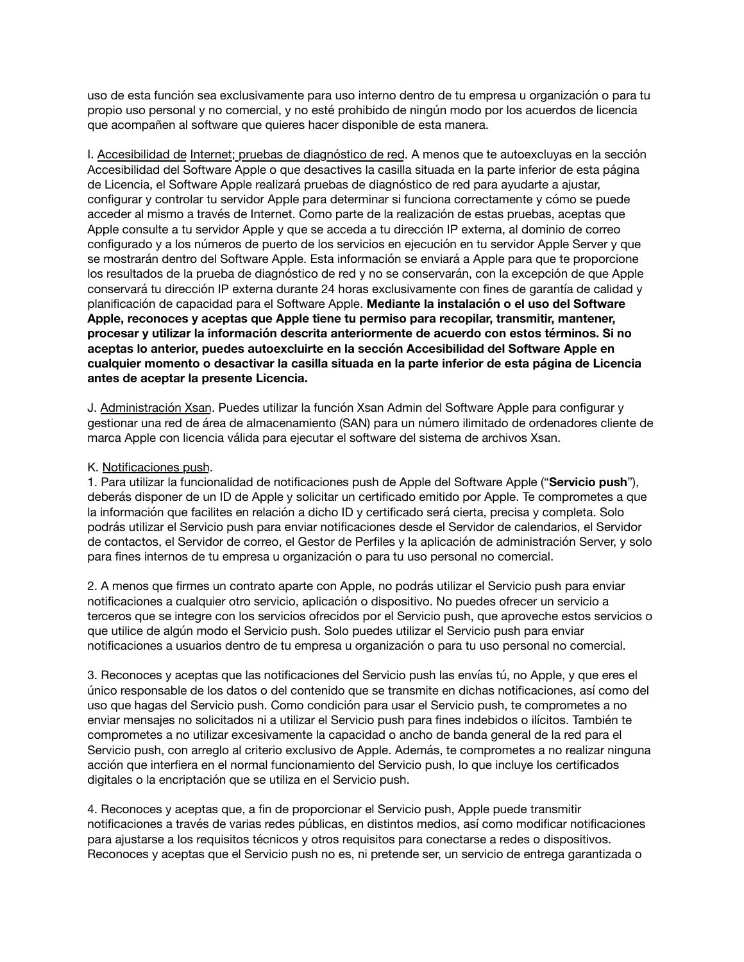uso de esta función sea exclusivamente para uso interno dentro de tu empresa u organización o para tu propio uso personal y no comercial, y no esté prohibido de ningún modo por los acuerdos de licencia que acompañen al software que quieres hacer disponible de esta manera.

I. Accesibilidad de Internet; pruebas de diagnóstico de red. A menos que te autoexcluyas en la sección Accesibilidad del Software Apple o que desactives la casilla situada en la parte inferior de esta página de Licencia, el Software Apple realizará pruebas de diagnóstico de red para ayudarte a ajustar, configurar y controlar tu servidor Apple para determinar si funciona correctamente y cómo se puede acceder al mismo a través de Internet. Como parte de la realización de estas pruebas, aceptas que Apple consulte a tu servidor Apple y que se acceda a tu dirección IP externa, al dominio de correo configurado y a los números de puerto de los servicios en ejecución en tu servidor Apple Server y que se mostrarán dentro del Software Apple. Esta información se enviará a Apple para que te proporcione los resultados de la prueba de diagnóstico de red y no se conservarán, con la excepción de que Apple conservará tu dirección IP externa durante 24 horas exclusivamente con fines de garantía de calidad y planificación de capacidad para el Software Apple. **Mediante la instalación o el uso del Software Apple, reconoces y aceptas que Apple tiene tu permiso para recopilar, transmitir, mantener, procesar y utilizar la información descrita anteriormente de acuerdo con estos términos. Si no aceptas lo anterior, puedes autoexcluirte en la sección Accesibilidad del Software Apple en cualquier momento o desactivar la casilla situada en la parte inferior de esta página de Licencia antes de aceptar la presente Licencia.**

J. Administración Xsan. Puedes utilizar la función Xsan Admin del Software Apple para configurar y gestionar una red de área de almacenamiento (SAN) para un número ilimitado de ordenadores cliente de marca Apple con licencia válida para ejecutar el software del sistema de archivos Xsan.

### K. Notificaciones push.

1. Para utilizar la funcionalidad de notificaciones push de Apple del Software Apple ("**Servicio push**"), deberás disponer de un ID de Apple y solicitar un certificado emitido por Apple. Te comprometes a que la información que facilites en relación a dicho ID y certificado será cierta, precisa y completa. Solo podrás utilizar el Servicio push para enviar notificaciones desde el Servidor de calendarios, el Servidor de contactos, el Servidor de correo, el Gestor de Perfiles y la aplicación de administración Server, y solo para fines internos de tu empresa u organización o para tu uso personal no comercial.

2. A menos que firmes un contrato aparte con Apple, no podrás utilizar el Servicio push para enviar notificaciones a cualquier otro servicio, aplicación o dispositivo. No puedes ofrecer un servicio a terceros que se integre con los servicios ofrecidos por el Servicio push, que aproveche estos servicios o que utilice de algún modo el Servicio push. Solo puedes utilizar el Servicio push para enviar notificaciones a usuarios dentro de tu empresa u organización o para tu uso personal no comercial.

3. Reconoces y aceptas que las notificaciones del Servicio push las envías tú, no Apple, y que eres el único responsable de los datos o del contenido que se transmite en dichas notificaciones, así como del uso que hagas del Servicio push. Como condición para usar el Servicio push, te comprometes a no enviar mensajes no solicitados ni a utilizar el Servicio push para fines indebidos o ilícitos. También te comprometes a no utilizar excesivamente la capacidad o ancho de banda general de la red para el Servicio push, con arreglo al criterio exclusivo de Apple. Además, te comprometes a no realizar ninguna acción que interfiera en el normal funcionamiento del Servicio push, lo que incluye los certificados digitales o la encriptación que se utiliza en el Servicio push.

4. Reconoces y aceptas que, a fin de proporcionar el Servicio push, Apple puede transmitir notificaciones a través de varias redes públicas, en distintos medios, así como modificar notificaciones para ajustarse a los requisitos técnicos y otros requisitos para conectarse a redes o dispositivos. Reconoces y aceptas que el Servicio push no es, ni pretende ser, un servicio de entrega garantizada o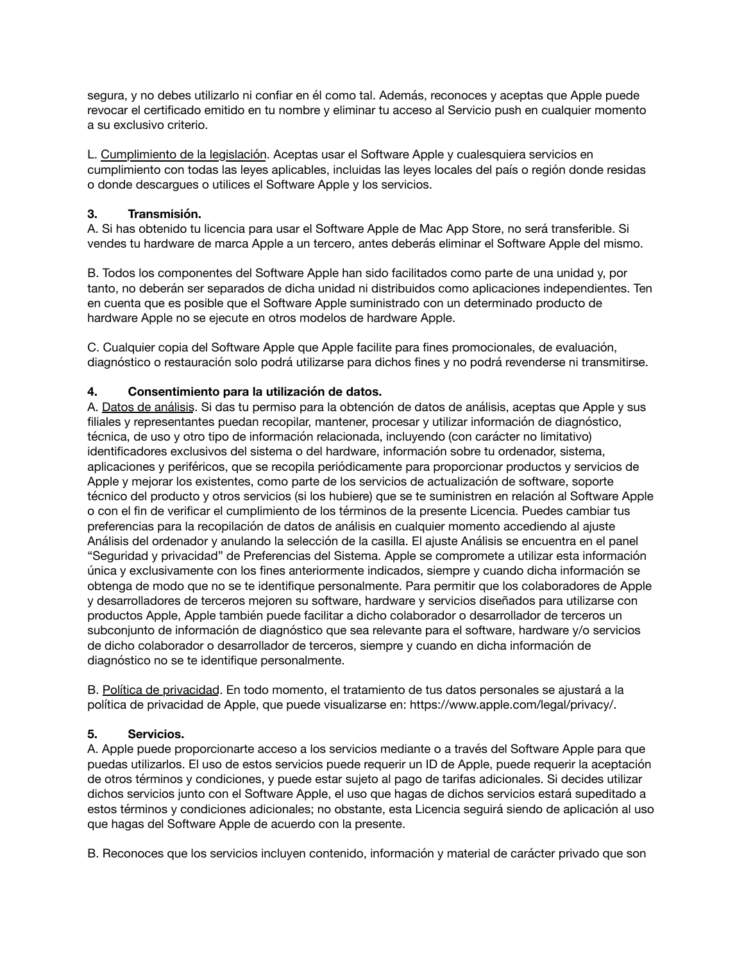segura, y no debes utilizarlo ni confiar en él como tal. Además, reconoces y aceptas que Apple puede revocar el certificado emitido en tu nombre y eliminar tu acceso al Servicio push en cualquier momento a su exclusivo criterio.

L. Cumplimiento de la legislación. Aceptas usar el Software Apple y cualesquiera servicios en cumplimiento con todas las leyes aplicables, incluidas las leyes locales del país o región donde residas o donde descargues o utilices el Software Apple y los servicios.

## **3. Transmisión.**

A. Si has obtenido tu licencia para usar el Software Apple de Mac App Store, no será transferible. Si vendes tu hardware de marca Apple a un tercero, antes deberás eliminar el Software Apple del mismo.

B. Todos los componentes del Software Apple han sido facilitados como parte de una unidad y, por tanto, no deberán ser separados de dicha unidad ni distribuidos como aplicaciones independientes. Ten en cuenta que es posible que el Software Apple suministrado con un determinado producto de hardware Apple no se ejecute en otros modelos de hardware Apple.

C. Cualquier copia del Software Apple que Apple facilite para fines promocionales, de evaluación, diagnóstico o restauración solo podrá utilizarse para dichos fines y no podrá revenderse ni transmitirse.

## **4. Consentimiento para la utilización de datos.**

A. Datos de análisis. Si das tu permiso para la obtención de datos de análisis, aceptas que Apple y sus filiales y representantes puedan recopilar, mantener, procesar y utilizar información de diagnóstico, técnica, de uso y otro tipo de información relacionada, incluyendo (con carácter no limitativo) identificadores exclusivos del sistema o del hardware, información sobre tu ordenador, sistema, aplicaciones y periféricos, que se recopila periódicamente para proporcionar productos y servicios de Apple y mejorar los existentes, como parte de los servicios de actualización de software, soporte técnico del producto y otros servicios (si los hubiere) que se te suministren en relación al Software Apple o con el fin de verificar el cumplimiento de los términos de la presente Licencia. Puedes cambiar tus preferencias para la recopilación de datos de análisis en cualquier momento accediendo al ajuste Análisis del ordenador y anulando la selección de la casilla. El ajuste Análisis se encuentra en el panel "Seguridad y privacidad" de Preferencias del Sistema. Apple se compromete a utilizar esta información única y exclusivamente con los fines anteriormente indicados, siempre y cuando dicha información se obtenga de modo que no se te identifique personalmente. Para permitir que los colaboradores de Apple y desarrolladores de terceros mejoren su software, hardware y servicios diseñados para utilizarse con productos Apple, Apple también puede facilitar a dicho colaborador o desarrollador de terceros un subconjunto de información de diagnóstico que sea relevante para el software, hardware y/o servicios de dicho colaborador o desarrollador de terceros, siempre y cuando en dicha información de diagnóstico no se te identifique personalmente.

B. Política de privacidad. En todo momento, el tratamiento de tus datos personales se ajustará a la política de privacidad de Apple, que puede visualizarse en: [https://www.apple.com/legal/privacy/.](https://www.apple.com/legal/privacy/)

## **5. Servicios.**

A. Apple puede proporcionarte acceso a los servicios mediante o a través del Software Apple para que puedas utilizarlos. El uso de estos servicios puede requerir un ID de Apple, puede requerir la aceptación de otros términos y condiciones, y puede estar sujeto al pago de tarifas adicionales. Si decides utilizar dichos servicios junto con el Software Apple, el uso que hagas de dichos servicios estará supeditado a estos términos y condiciones adicionales; no obstante, esta Licencia seguirá siendo de aplicación al uso que hagas del Software Apple de acuerdo con la presente.

B. Reconoces que los servicios incluyen contenido, información y material de carácter privado que son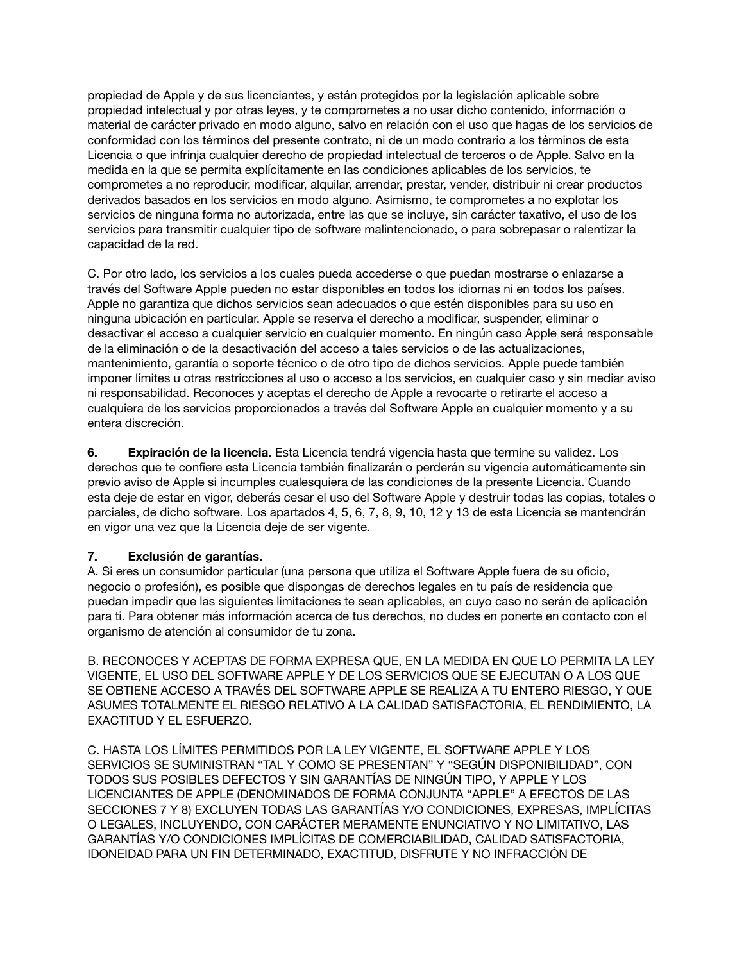propiedad de Apple y de sus licenciantes, y están protegidos por la legislación aplicable sobre propiedad intelectual y por otras leyes, y te comprometes a no usar dicho contenido, información o material de carácter privado en modo alguno, salvo en relación con el uso que hagas de los servicios de conformidad con los términos del presente contrato, ni de un modo contrario a los términos de esta Licencia o que infrinja cualquier derecho de propiedad intelectual de terceros o de Apple. Salvo en la medida en la que se permita explícitamente en las condiciones aplicables de los servicios, te comprometes a no reproducir, modificar, alquilar, arrendar, prestar, vender, distribuir ni crear productos derivados basados en los servicios en modo alguno. Asimismo, te comprometes a no explotar los servicios de ninguna forma no autorizada, entre las que se incluye, sin carácter taxativo, el uso de los servicios para transmitir cualquier tipo de software malintencionado, o para sobrepasar o ralentizar la capacidad de la red.

C. Por otro lado, los servicios a los cuales pueda accederse o que puedan mostrarse o enlazarse a través del Software Apple pueden no estar disponibles en todos los idiomas ni en todos los países. Apple no garantiza que dichos servicios sean adecuados o que estén disponibles para su uso en ninguna ubicación en particular. Apple se reserva el derecho a modificar, suspender, eliminar o desactivar el acceso a cualquier servicio en cualquier momento. En ningún caso Apple será responsable de la eliminación o de la desactivación del acceso a tales servicios o de las actualizaciones, mantenimiento, garantía o soporte técnico o de otro tipo de dichos servicios. Apple puede también imponer límites u otras restricciones al uso o acceso a los servicios, en cualquier caso y sin mediar aviso ni responsabilidad. Reconoces y aceptas el derecho de Apple a revocarte o retirarte el acceso a cualquiera de los servicios proporcionados a través del Software Apple en cualquier momento y a su entera discreción.

**6. Expiración de la licencia.** Esta Licencia tendrá vigencia hasta que termine su validez. Los derechos que te confiere esta Licencia también finalizarán o perderán su vigencia automáticamente sin previo aviso de Apple si incumples cualesquiera de las condiciones de la presente Licencia. Cuando esta deje de estar en vigor, deberás cesar el uso del Software Apple y destruir todas las copias, totales o parciales, de dicho software. Los apartados 4, 5, 6, 7, 8, 9, 10, 12 y 13 de esta Licencia se mantendrán en vigor una vez que la Licencia deje de ser vigente.

## **7. Exclusión de garantías.**

A. Si eres un consumidor particular (una persona que utiliza el Software Apple fuera de su oficio, negocio o profesión), es posible que dispongas de derechos legales en tu país de residencia que puedan impedir que las siguientes limitaciones te sean aplicables, en cuyo caso no serán de aplicación para ti. Para obtener más información acerca de tus derechos, no dudes en ponerte en contacto con el organismo de atención al consumidor de tu zona.

B. RECONOCES Y ACEPTAS DE FORMA EXPRESA QUE, EN LA MEDIDA EN QUE LO PERMITA LA LEY VIGENTE, EL USO DEL SOFTWARE APPLE Y DE LOS SERVICIOS QUE SE EJECUTAN O A LOS QUE SE OBTIENE ACCESO A TRAVÉS DEL SOFTWARE APPLE SE REALIZA A TU ENTERO RIESGO, Y QUE ASUMES TOTALMENTE EL RIESGO RELATIVO A LA CALIDAD SATISFACTORIA, EL RENDIMIENTO, LA EXACTITUD Y EL ESFUERZO.

C. HASTA LOS LÍMITES PERMITIDOS POR LA LEY VIGENTE, EL SOFTWARE APPLE Y LOS SERVICIOS SE SUMINISTRAN "TAL Y COMO SE PRESENTAN" Y "SEGÚN DISPONIBILIDAD", CON TODOS SUS POSIBLES DEFECTOS Y SIN GARANTÍAS DE NINGÚN TIPO, Y APPLE Y LOS LICENCIANTES DE APPLE (DENOMINADOS DE FORMA CONJUNTA "APPLE" A EFECTOS DE LAS SECCIONES 7 Y 8) EXCLUYEN TODAS LAS GARANTÍAS Y/O CONDICIONES, EXPRESAS, IMPLÍCITAS O LEGALES, INCLUYENDO, CON CARÁCTER MERAMENTE ENUNCIATIVO Y NO LIMITATIVO, LAS GARANTÍAS Y/O CONDICIONES IMPLÍCITAS DE COMERCIABILIDAD, CALIDAD SATISFACTORIA, IDONEIDAD PARA UN FIN DETERMINADO, EXACTITUD, DISFRUTE Y NO INFRACCIÓN DE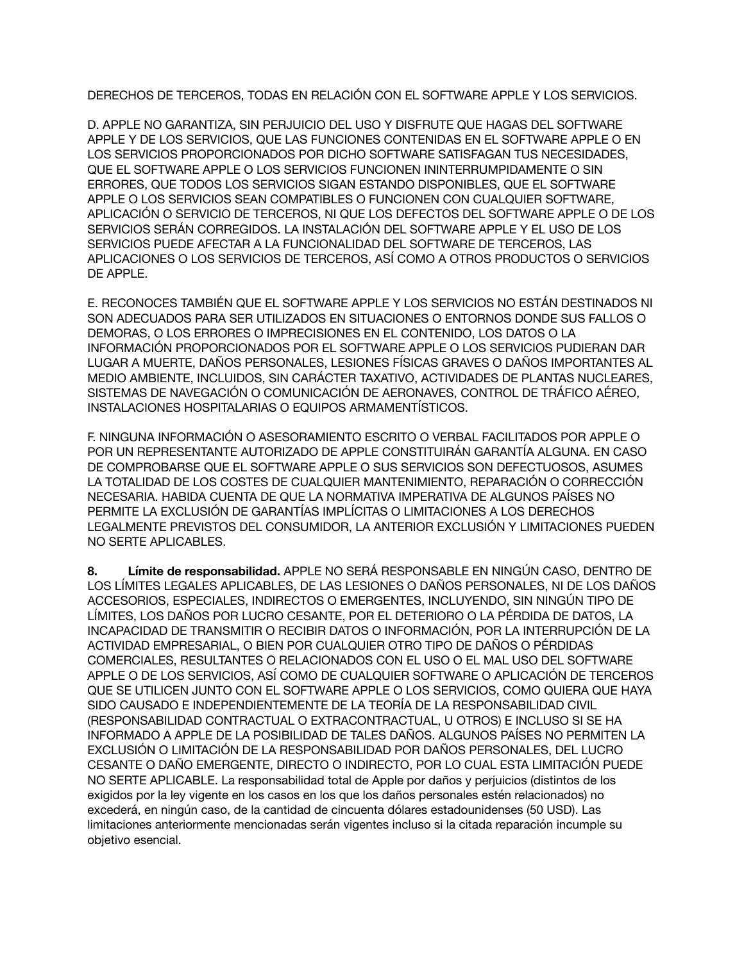DERECHOS DE TERCEROS, TODAS EN RELACIÓN CON EL SOFTWARE APPLE Y LOS SERVICIOS.

D. APPLE NO GARANTIZA, SIN PERJUICIO DEL USO Y DISFRUTE QUE HAGAS DEL SOFTWARE APPLE Y DE LOS SERVICIOS, QUE LAS FUNCIONES CONTENIDAS EN EL SOFTWARE APPLE O EN LOS SERVICIOS PROPORCIONADOS POR DICHO SOFTWARE SATISFAGAN TUS NECESIDADES, QUE EL SOFTWARE APPLE O LOS SERVICIOS FUNCIONEN ININTERRUMPIDAMENTE O SIN ERRORES, QUE TODOS LOS SERVICIOS SIGAN ESTANDO DISPONIBLES, QUE EL SOFTWARE APPLE O LOS SERVICIOS SEAN COMPATIBLES O FUNCIONEN CON CUALQUIER SOFTWARE, APLICACIÓN O SERVICIO DE TERCEROS, NI QUE LOS DEFECTOS DEL SOFTWARE APPLE O DE LOS SERVICIOS SERÁN CORREGIDOS. LA INSTALACIÓN DEL SOFTWARE APPLE Y EL USO DE LOS SERVICIOS PUEDE AFECTAR A LA FUNCIONALIDAD DEL SOFTWARE DE TERCEROS, LAS APLICACIONES O LOS SERVICIOS DE TERCEROS, ASÍ COMO A OTROS PRODUCTOS O SERVICIOS DE APPLE.

E. RECONOCES TAMBIÉN QUE EL SOFTWARE APPLE Y LOS SERVICIOS NO ESTÁN DESTINADOS NI SON ADECUADOS PARA SER UTILIZADOS EN SITUACIONES O ENTORNOS DONDE SUS FALLOS O DEMORAS, O LOS ERRORES O IMPRECISIONES EN EL CONTENIDO, LOS DATOS O LA INFORMACIÓN PROPORCIONADOS POR EL SOFTWARE APPLE O LOS SERVICIOS PUDIERAN DAR LUGAR A MUERTE, DAÑOS PERSONALES, LESIONES FÍSICAS GRAVES O DAÑOS IMPORTANTES AL MEDIO AMBIENTE, INCLUIDOS, SIN CARÁCTER TAXATIVO, ACTIVIDADES DE PLANTAS NUCLEARES, SISTEMAS DE NAVEGACIÓN O COMUNICACIÓN DE AERONAVES, CONTROL DE TRÁFICO AÉREO, INSTALACIONES HOSPITALARIAS O EQUIPOS ARMAMENTÍSTICOS.

F. NINGUNA INFORMACIÓN O ASESORAMIENTO ESCRITO O VERBAL FACILITADOS POR APPLE O POR UN REPRESENTANTE AUTORIZADO DE APPLE CONSTITUIRÁN GARANTÍA ALGUNA. EN CASO DE COMPROBARSE QUE EL SOFTWARE APPLE O SUS SERVICIOS SON DEFECTUOSOS, ASUMES LA TOTALIDAD DE LOS COSTES DE CUALQUIER MANTENIMIENTO, REPARACIÓN O CORRECCIÓN NECESARIA. HABIDA CUENTA DE QUE LA NORMATIVA IMPERATIVA DE ALGUNOS PAÍSES NO PERMITE LA EXCLUSIÓN DE GARANTÍAS IMPLÍCITAS O LIMITACIONES A LOS DERECHOS LEGALMENTE PREVISTOS DEL CONSUMIDOR, LA ANTERIOR EXCLUSIÓN Y LIMITACIONES PUEDEN NO SERTE APLICABLES.

**8. Límite de responsabilidad.** APPLE NO SERÁ RESPONSABLE EN NINGÚN CASO, DENTRO DE LOS LÍMITES LEGALES APLICABLES, DE LAS LESIONES O DAÑOS PERSONALES, NI DE LOS DAÑOS ACCESORIOS, ESPECIALES, INDIRECTOS O EMERGENTES, INCLUYENDO, SIN NINGÚN TIPO DE LÍMITES, LOS DAÑOS POR LUCRO CESANTE, POR EL DETERIORO O LA PÉRDIDA DE DATOS, LA INCAPACIDAD DE TRANSMITIR O RECIBIR DATOS O INFORMACIÓN, POR LA INTERRUPCIÓN DE LA ACTIVIDAD EMPRESARIAL, O BIEN POR CUALQUIER OTRO TIPO DE DAÑOS O PÉRDIDAS COMERCIALES, RESULTANTES O RELACIONADOS CON EL USO O EL MAL USO DEL SOFTWARE APPLE O DE LOS SERVICIOS, ASÍ COMO DE CUALQUIER SOFTWARE O APLICACIÓN DE TERCEROS QUE SE UTILICEN JUNTO CON EL SOFTWARE APPLE O LOS SERVICIOS, COMO QUIERA QUE HAYA SIDO CAUSADO E INDEPENDIENTEMENTE DE LA TEORÍA DE LA RESPONSABILIDAD CIVIL (RESPONSABILIDAD CONTRACTUAL O EXTRACONTRACTUAL, U OTROS) E INCLUSO SI SE HA INFORMADO A APPLE DE LA POSIBILIDAD DE TALES DAÑOS. ALGUNOS PAÍSES NO PERMITEN LA EXCLUSIÓN O LIMITACIÓN DE LA RESPONSABILIDAD POR DAÑOS PERSONALES, DEL LUCRO CESANTE O DAÑO EMERGENTE, DIRECTO O INDIRECTO, POR LO CUAL ESTA LIMITACIÓN PUEDE NO SERTE APLICABLE. La responsabilidad total de Apple por daños y perjuicios (distintos de los exigidos por la ley vigente en los casos en los que los daños personales estén relacionados) no excederá, en ningún caso, de la cantidad de cincuenta dólares estadounidenses (50 USD). Las limitaciones anteriormente mencionadas serán vigentes incluso si la citada reparación incumple su objetivo esencial.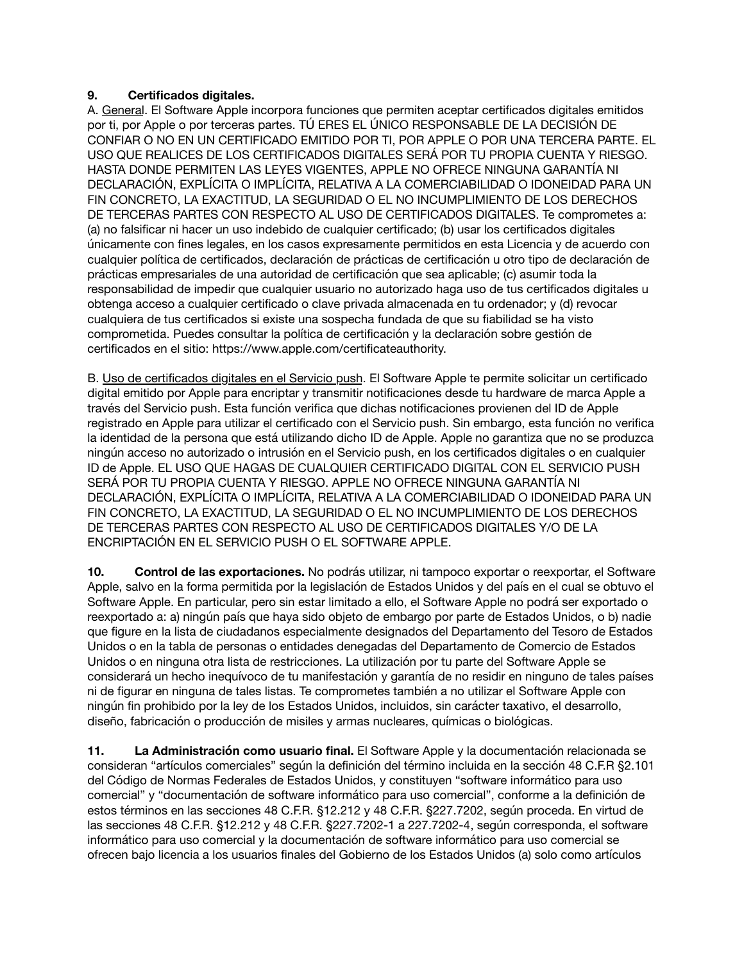## **9. Certificados digitales.**

A. General. El Software Apple incorpora funciones que permiten aceptar certificados digitales emitidos por ti, por Apple o por terceras partes. TÚ ERES EL ÚNICO RESPONSABLE DE LA DECISIÓN DE CONFIAR O NO EN UN CERTIFICADO EMITIDO POR TI, POR APPLE O POR UNA TERCERA PARTE. EL USO QUE REALICES DE LOS CERTIFICADOS DIGITALES SERÁ POR TU PROPIA CUENTA Y RIESGO. HASTA DONDE PERMITEN LAS LEYES VIGENTES, APPLE NO OFRECE NINGUNA GARANTÍA NI DECLARACIÓN, EXPLÍCITA O IMPLÍCITA, RELATIVA A LA COMERCIABILIDAD O IDONEIDAD PARA UN FIN CONCRETO, LA EXACTITUD, LA SEGURIDAD O EL NO INCUMPLIMIENTO DE LOS DERECHOS DE TERCERAS PARTES CON RESPECTO AL USO DE CERTIFICADOS DIGITALES. Te comprometes a: (a) no falsificar ni hacer un uso indebido de cualquier certificado; (b) usar los certificados digitales únicamente con fines legales, en los casos expresamente permitidos en esta Licencia y de acuerdo con cualquier política de certificados, declaración de prácticas de certificación u otro tipo de declaración de prácticas empresariales de una autoridad de certificación que sea aplicable; (c) asumir toda la responsabilidad de impedir que cualquier usuario no autorizado haga uso de tus certificados digitales u obtenga acceso a cualquier certificado o clave privada almacenada en tu ordenador; y (d) revocar cualquiera de tus certificados si existe una sospecha fundada de que su fiabilidad se ha visto comprometida. Puedes consultar la política de certificación y la declaración sobre gestión de certificados en el sitio: [https://www.apple.com/certificateauthority.](https://www.apple.com/certificateauthority)

B. Uso de certificados digitales en el Servicio push. El Software Apple te permite solicitar un certificado digital emitido por Apple para encriptar y transmitir notificaciones desde tu hardware de marca Apple a través del Servicio push. Esta función verifica que dichas notificaciones provienen del ID de Apple registrado en Apple para utilizar el certificado con el Servicio push. Sin embargo, esta función no verifica la identidad de la persona que está utilizando dicho ID de Apple. Apple no garantiza que no se produzca ningún acceso no autorizado o intrusión en el Servicio push, en los certificados digitales o en cualquier ID de Apple. EL USO QUE HAGAS DE CUALQUIER CERTIFICADO DIGITAL CON EL SERVICIO PUSH SERÁ POR TU PROPIA CUENTA Y RIESGO. APPLE NO OFRECE NINGUNA GARANTÍA NI DECLARACIÓN, EXPLÍCITA O IMPLÍCITA, RELATIVA A LA COMERCIABILIDAD O IDONEIDAD PARA UN FIN CONCRETO, LA EXACTITUD, LA SEGURIDAD O EL NO INCUMPLIMIENTO DE LOS DERECHOS DE TERCERAS PARTES CON RESPECTO AL USO DE CERTIFICADOS DIGITALES Y/O DE LA ENCRIPTACIÓN EN EL SERVICIO PUSH O EL SOFTWARE APPLE.

**10. Control de las exportaciones.** No podrás utilizar, ni tampoco exportar o reexportar, el Software Apple, salvo en la forma permitida por la legislación de Estados Unidos y del país en el cual se obtuvo el Software Apple. En particular, pero sin estar limitado a ello, el Software Apple no podrá ser exportado o reexportado a: a) ningún país que haya sido objeto de embargo por parte de Estados Unidos, o b) nadie que figure en la lista de ciudadanos especialmente designados del Departamento del Tesoro de Estados Unidos o en la tabla de personas o entidades denegadas del Departamento de Comercio de Estados Unidos o en ninguna otra lista de restricciones. La utilización por tu parte del Software Apple se considerará un hecho inequívoco de tu manifestación y garantía de no residir en ninguno de tales países ni de figurar en ninguna de tales listas. Te comprometes también a no utilizar el Software Apple con ningún fin prohibido por la ley de los Estados Unidos, incluidos, sin carácter taxativo, el desarrollo, diseño, fabricación o producción de misiles y armas nucleares, químicas o biológicas.

**11. La Administración como usuario final.** El Software Apple y la documentación relacionada se consideran "artículos comerciales" según la definición del término incluida en la sección 48 C.F.R §2.101 del Código de Normas Federales de Estados Unidos, y constituyen "software informático para uso comercial" y "documentación de software informático para uso comercial", conforme a la definición de estos términos en las secciones 48 C.F.R. §12.212 y 48 C.F.R. §227.7202, según proceda. En virtud de las secciones 48 C.F.R. §12.212 y 48 C.F.R. §227.7202-1 a 227.7202-4, según corresponda, el software informático para uso comercial y la documentación de software informático para uso comercial se ofrecen bajo licencia a los usuarios finales del Gobierno de los Estados Unidos (a) solo como artículos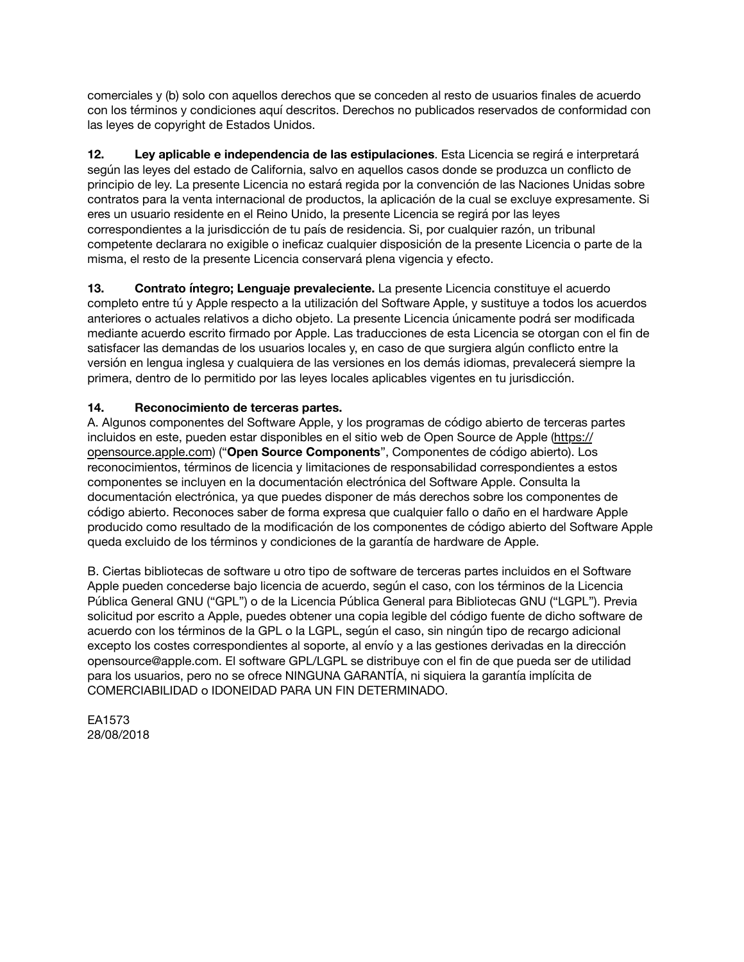comerciales y (b) solo con aquellos derechos que se conceden al resto de usuarios finales de acuerdo con los términos y condiciones aquí descritos. Derechos no publicados reservados de conformidad con las leyes de copyright de Estados Unidos.

**12. Ley aplicable e independencia de las estipulaciones**. Esta Licencia se regirá e interpretará según las leyes del estado de California, salvo en aquellos casos donde se produzca un conflicto de principio de ley. La presente Licencia no estará regida por la convención de las Naciones Unidas sobre contratos para la venta internacional de productos, la aplicación de la cual se excluye expresamente. Si eres un usuario residente en el Reino Unido, la presente Licencia se regirá por las leyes correspondientes a la jurisdicción de tu país de residencia. Si, por cualquier razón, un tribunal competente declarara no exigible o ineficaz cualquier disposición de la presente Licencia o parte de la misma, el resto de la presente Licencia conservará plena vigencia y efecto.

**13. Contrato íntegro; Lenguaje prevaleciente.** La presente Licencia constituye el acuerdo completo entre tú y Apple respecto a la utilización del Software Apple, y sustituye a todos los acuerdos anteriores o actuales relativos a dicho objeto. La presente Licencia únicamente podrá ser modificada mediante acuerdo escrito firmado por Apple. Las traducciones de esta Licencia se otorgan con el fin de satisfacer las demandas de los usuarios locales y, en caso de que surgiera algún conflicto entre la versión en lengua inglesa y cualquiera de las versiones en los demás idiomas, prevalecerá siempre la primera, dentro de lo permitido por las leyes locales aplicables vigentes en tu jurisdicción.

# **14. Reconocimiento de terceras partes.**

A. Algunos componentes del Software Apple, y los programas de código abierto de terceras partes incluidos en este, pueden estar disponibles en el sitio web de Open Source de Apple [\(https://](https://opensource.apple.com) [opensource.apple.com\)](https://opensource.apple.com) ("**Open Source Components**", Componentes de código abierto). Los reconocimientos, términos de licencia y limitaciones de responsabilidad correspondientes a estos componentes se incluyen en la documentación electrónica del Software Apple. Consulta la documentación electrónica, ya que puedes disponer de más derechos sobre los componentes de código abierto. Reconoces saber de forma expresa que cualquier fallo o daño en el hardware Apple producido como resultado de la modificación de los componentes de código abierto del Software Apple queda excluido de los términos y condiciones de la garantía de hardware de Apple.

B. Ciertas bibliotecas de software u otro tipo de software de terceras partes incluidos en el Software Apple pueden concederse bajo licencia de acuerdo, según el caso, con los términos de la Licencia Pública General GNU ("GPL") o de la Licencia Pública General para Bibliotecas GNU ("LGPL"). Previa solicitud por escrito a Apple, puedes obtener una copia legible del código fuente de dicho software de acuerdo con los términos de la GPL o la LGPL, según el caso, sin ningún tipo de recargo adicional excepto los costes correspondientes al soporte, al envío y a las gestiones derivadas en la dirección [opensource@apple.com](mailto:opensource@apple.com). El software GPL/LGPL se distribuye con el fin de que pueda ser de utilidad para los usuarios, pero no se ofrece NINGUNA GARANTÍA, ni siquiera la garantía implícita de COMERCIABILIDAD o IDONEIDAD PARA UN FIN DETERMINADO.

EA1573 28/08/2018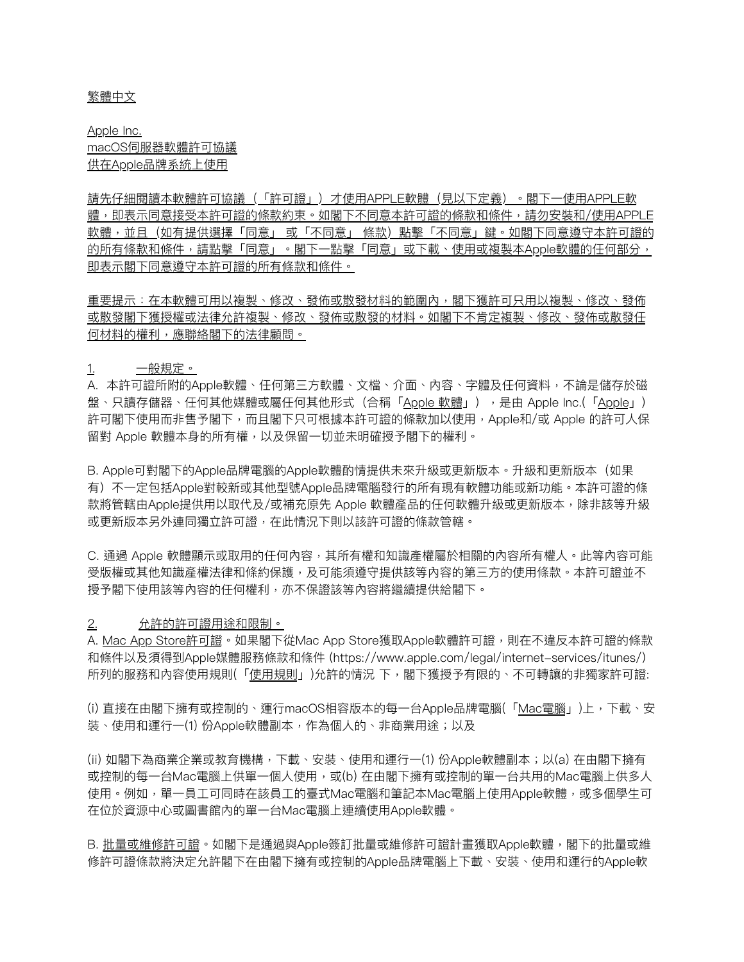#### 繁體中⽂

Apple Inc. macOS伺服器軟體許可協議 供在Apple品牌系統上使用

請先仔細閱讀本軟體許可協議(「許可證」)才使⽤APPLE軟體(⾒以下定義)。閣下⼀使⽤APPLE軟 體,即表示同意接受本許可證的條款約束。如閣下不同意本許可證的條款和條件,請勿安裝和/使用APPLE 軟體,並且(如有提供選擇「同意」 或「不同意」 條款)點擊「不同意」鍵。如閣下同意遵守本許可證的 的所有條款和條件,請點擊「同意」。閣下一點擊「同意」或下載、使用或複製本Apple軟體的任何部分, 即表⽰閣下同意遵守本許可證的所有條款和條件。

重要提示:在本軟體可用以複製、修改、發佈或散發材料的範圍內,閣下獲許可只用以複製、修改、發佈 或散發閣下獲授權或法律允許複製、修改、發佈或散發的材料。如閣下不肯定複製、修改、發佈或散發任 何材料的權利,應聯絡閣下的法律顧問。

1. ⼀般規定。

A. 本許可證所附的Apple軟體、任何第三方軟體、文檔、介面、內容、字體及任何資料,不論是儲存於磁 盤、只讀存儲器、任何其他媒體或屬任何其他形式(合稱「Apple 軟體」),是由 Apple Inc.(「Apple」) 許可閣下使用而非售予閣下,而且閣下只可根據本許可證的條款加以使用,Apple和/或 Apple 的許可人保 留對 Apple 軟體本身的所有權,以及保留一切並未明確授予閣下的權利。

B. Apple可對閣下的Apple品牌電腦的Apple軟體酌情提供未來升級或更新版本。升級和更新版本(如果 有)不一定包括Apple對較新或其他型號Apple品牌電腦發行的所有現有軟體功能或新功能。本許可證的條 款將管轄由Apple提供用以取代及/或補充原先 Apple 軟體產品的任何軟體升級或更新版本,除非該等升級 或更新版本另外連同獨立許可證,在此情況下則以該許可證的條款管轄。

C. 通過 Apple 軟體顯示或取用的任何內容,其所有權和知識產權屬於相關的內容所有權人。此等內容可能 受版權或其他知識產權法律和條約保護,及可能須遵守提供該等內容的第三方的使用條款。本許可證並不 授予閣下使⽤該等內容的任何權利,亦不保證該等內容將繼續提供給閣下。

### 2. 允許的許可證用途和限制。

A. Mac App Store許可證。如果閣下從Mac App Store獲取Apple軟體許可證,則在不違反本許可證的條款 和條件以及須得到Apple媒體服務條款和條件 [\(https://www.apple.com/legal/internet-services/itunes/](https://www.apple.com/legal/internet-services/itunes/)) 所列的服務和內容使用規則(「使用規則」)允許的情況 下,閣下獲授予有限的、不可轉讓的非獨家許可證:

(i) 直接在由閣下擁有或控制的、運行macOS相容版本的每一台Apple品牌電腦(「Mac電腦」)上,下載、安 裝、使用和運行一(1) 份Apple軟體副本,作為個人的、非商業用途;以及

(ii) 如閣下為商業企業或教育機構,下載、安裝、使用和運行一(1) 份Apple軟體副本;以(a) 在由閣下擁有 或控制的每一台Mac電腦上供單一個人使用,或(b) 在由閣下擁有或控制的單一台共用的Mac電腦上供多人 使用。例如,單一員工可同時在該員工的臺式Mac電腦和筆記本Mac電腦上使用Apple軟體,或多個學生可 在位於資源中⼼或圖書館內的單⼀台Mac電腦上連續使⽤Apple軟體。

B. 批量或維修許可證。如閣下是通過與Apple簽訂批量或維修許可證計畫獲取Apple軟體,閣下的批量或維 修許可證條款將決定允許閣下在由閣下擁有或控制的Apple品牌電腦上下載、安裝、使用和運行的Apple軟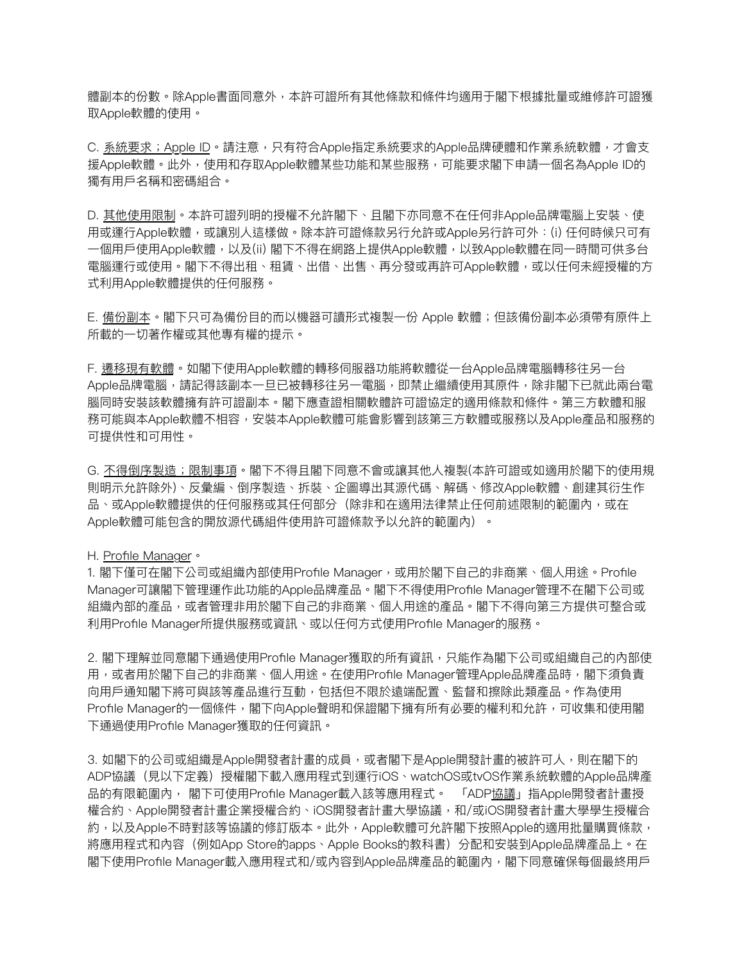體副本的份數。除Apple書面同意外,本許可證所有其他條款和條件均適用于閣下根據批量或維修許可證獲 取Apple軟體的使⽤。

C. 系統要求;Apple ID。請注意,只有符合Apple指定系統要求的Apple品牌硬體和作業系統軟體,才會支 援Apple軟體。此外,使用和存取Apple軟體某些功能和某些服務,可能要求閣下申請一個名為Apple ID的 獨有用戶名稱和密碼組合。

D. 其他使用限制。本許可證列明的授權不允許閣下、且閣下亦同意不在任何非Apple品牌電腦上安裝、使 用或運行Apple軟體,或讓別人這樣做。除本許可證條款另行允許或Apple另行許可外:(i) 任何時候只可有 一個用戶使用Apple軟體,以及(ii) 閣下不得在網路上提供Apple軟體,以致Apple軟體在同一時間可供多台 電腦運行或使用。閣下不得出租、租賃、出借、出售、再分發或再許可Apple軟體,或以任何未經授權的方 式利⽤Apple軟體提供的任何服務。

E. 備份副本。閣下只可為備份目的而以機器可讀形式複製一份 Apple 軟體;但該備份副本必須帶有原件上 所載的一切著作權或其他專有權的提示。

F. 遷移現有軟體。如閣下使用Apple軟體的轉移伺服器功能將軟體從一台Apple品牌電腦轉移往另一台 Apple品牌電腦,請記得該副本一旦已被轉移往另一電腦,即禁止繼續使用其原件,除非閣下已就此兩台電 腦同時安裝該軟體擁有許可證副本。閣下應查證相關軟體許可證協定的適用條款和條件。第三方軟體和服 務可能與本Apple軟體不相容,安裝本Apple軟體可能會影響到該第三⽅軟體或服務以及Apple產品和服務的 可提供性和可⽤性。

G. 不得倒序製造;限制事項。閣下不得且閣下同意不會或讓其他人複製(本許可證或如適用於閣下的使用規 則明⽰允許除外)、反彙編、倒序製造、拆裝、企圖導出其源代碼、解碼、修改Apple軟體、創建其衍⽣作 品、或Apple軟體提供的任何服務或其任何部分(除非和在適用法律禁止任何前述限制的範圍內,或在 Apple軟體可能包含的開放源代碼組件使用許可證條款予以允許的範圍內)。

#### H. Profile Manager。

1. 閣下僅可在閣下公司或組織內部使用Profile Manager,或用於閣下自己的非商業、個人用途。Profile Manager可讓閣下管理運作此功能的Apple品牌產品。閣下不得使用Profile Manager管理不在閣下公司或 組織內部的產品,或者管理非用於閣下自己的非商業、個人用途的產品。閣下不得向第三方提供可整合或 利用Profile Manager所提供服務或資訊、或以任何方式使用Profile Manager的服務。

2. 閣下理解並同意閣下通過使用Profile Manager獲取的所有資訊,只能作為閣下公司或組織自己的內部使 用,或者用於閣下自己的非商業、個人用途。在使用Profile Manager管理Apple品牌產品時,閣下須負責 向用戶通知閣下將可與該等產品進行互動,包括但不限於遠端配置、監督和擦除此類產品。作為使用 Profile Manager的一個條件,閣下向Apple聲明和保證閣下擁有所有必要的權利和允許,可收集和使用閣 下通過使用Profile Manager獲取的任何資訊。

3. 如閣下的公司或組織是Apple開發者計畫的成員,或者閣下是Apple開發計畫的被許可人,則在閣下的 ADP協議(⾒以下定義)授權閣下載入應⽤程式到運⾏iOS、watchOS或tvOS作業系統軟體的Apple品牌產 品的有限範圍內, 閣下可使用Profile Manager載入該等應用程式。 「ADP<u>協議</u>」指Apple開發者計畫授 權合約、Apple開發者計畫企業授權合約、iOS開發者計畫⼤學協議,和/或iOS開發者計畫⼤學學⽣授權合 約,以及Apple不時對該等協議的修訂版本。此外,Apple軟體可允許閣下按照Apple的適用批量購買條款, 將應用程式和內容(例如App Store的apps、Apple Books的教科書)分配和安裝到Apple品牌產品上。在 閣下使用Profile Manager載入應用程式和/或內容到Apple品牌產品的範圍內,閣下同意確保每個最終用戶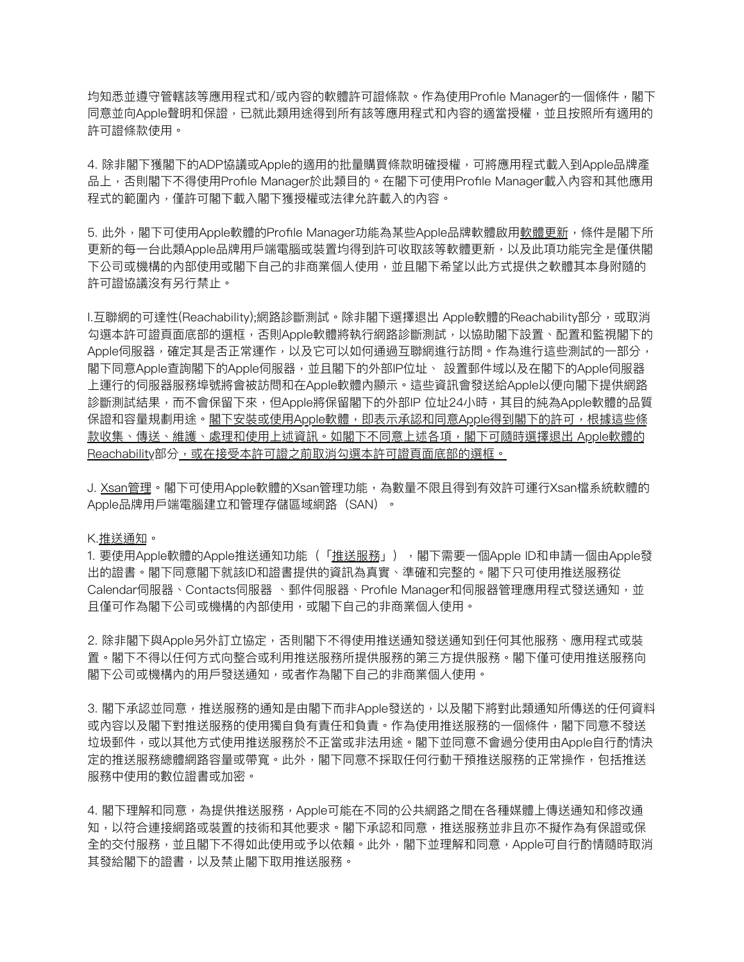均知悉並遵守管轄該等應用程式和/或內容的軟體許可證條款。作為使用Profile Manager的一個條件,閣下 同意並向Apple聲明和保證,已就此類用途得到所有該等應用程式和內容的適當授權,並且按照所有適用的 許可證條款使⽤。

4. 除非閣下獲閣下的ADP協議或Apple的適用的批量購買條款明確授權,可將應用程式載入到Apple品牌產 品上,否則閣下不得使用Profile Manager於此類目的。在閣下可使用Profile Manager載入內容和其他應用 程式的範圍內,僅許可閣下載入閣下獲授權或法律允許載入的內容。

5. 此外,閣下可使用Apple軟體的Profile Manager功能為某些Apple品牌軟體啟用軟體更新,條件是閣下所 更新的每⼀台此類Apple品牌⽤⼾端電腦或裝置均得到許可收取該等軟體更新,以及此項功能完全是僅供閣 下公司或機構的內部使用或閣下自己的非商業個人使用,並且閣下希望以此方式提供之軟體其本身附隨的 許可證協議沒有另行禁止。

I.互聯網的可達性(Reachability);網路診斷測試。除非閣下選擇退出 Apple軟體的Reachability部分,或取消 勾選本許可證頁面底部的選框,否則Apple軟體將執行網路診斷測試,以協助閣下設置、配置和監視閣下的 Apple伺服器,確定其是否正常運作,以及它可以如何通過互聯網進行訪問。作為進行這些測試的一部分, 閣下同意Apple查詢閣下的Apple伺服器,並且閣下的外部IP位址、 設置郵件域以及在閣下的Apple伺服器 上運⾏的伺服器服務埠號將會被訪問和在Apple軟體內顯⽰。這些資訊會發送給Apple以便向閣下提供網路 診斷測試結果,而不會保留下來,但Apple將保留閣下的外部IP 位址24小時,其目的純為Apple軟體的品質 保證和容量規劃⽤途。閣下安裝或使⽤Apple軟體,即表⽰承認和同意Apple得到閣下的許可,根據這些條 款收集、傳送、維護、處理和使用上述資訊。如閣下不同意上述各項,閣下可隨時選擇退出 Apple軟體的 Reachability部分, 或在接受本許可證之前取消勾選本許可證頁面底部的選框。

J. Xsan管理。閣下可使用Apple軟體的Xsan管理功能,為數量不限且得到有效許可運行Xsan檔系統軟體的 Apple品牌用戶端電腦建立和管理存儲區域網路 (SAN) 。

K.推送通知。

1. 要使用Apple軟體的Apple推送通知功能(「推送服務」),閣下需要一個Apple ID和申請一個由Apple發 出的證書。閣下同意閣下就該ID和證書提供的資訊為真實、準確和完整的。閣下只可使用推送服務從 Calendar伺服器、Contacts伺服器 、郵件伺服器、Profile Manager和伺服器管理應用程式發送通知,並 且僅可作為閣下公司或機構的內部使用,或閣下自己的非商業個人使用。

2. 除非閣下與Apple另外訂立協定,否則閣下不得使用推送通知發送通知到任何其他服務、應用程式或裝 置。閣下不得以任何方式向整合或利用推送服務所提供服務的第三方提供服務。閣下僅可使用推送服務向 閣下公司或機構內的用戶發送通知,或者作為閣下自己的非商業個人使用。

3. 閣下承認並同意,推送服務的通知是由閣下而非Apple發送的,以及閣下將對此類通知所傳送的任何資料 或內容以及閣下對推送服務的使用獨自負有責任和負責。作為使用推送服務的一個條件,閣下同意不發送 垃圾郵件,或以其他⽅式使⽤推送服務於不正當或非法⽤途。閣下並同意不會過分使⽤由Apple⾃⾏酌情決 定的推送服務總體網路容量或帶寬。此外,閣下同意不採取任何行動干預推送服務的正常操作,包括推送 服務中使用的數位證書或加密。

4. 閣下理解和同意,為提供推送服務,Apple可能在不同的公共網路之間在各種媒體上傳送通知和修改通 知,以符合連接網路或裝置的技術和其他要求。閣下承認和同意,推送服務並非且亦不擬作為有保證或保 全的交付服務,並且閣下不得如此使用或予以依賴。此外,閣下並理解和同意,Apple可自行酌情隨時取消 其發給閣下的證書,以及禁止閣下取用推送服務。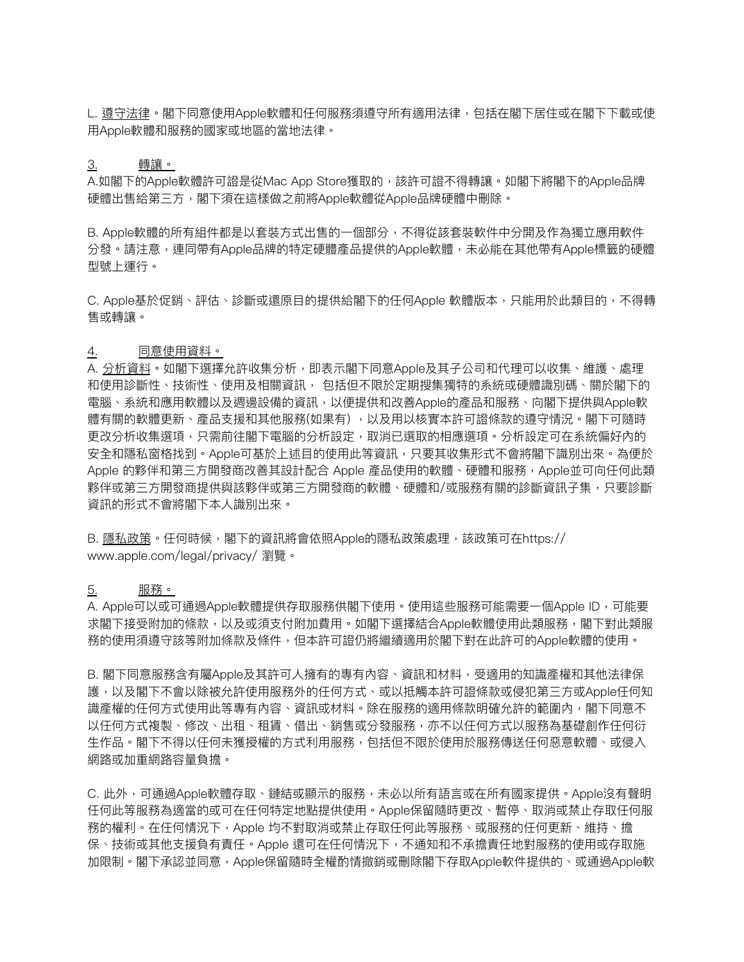L. 遵守法律。閣下同意使用Apple軟體和任何服務須遵守所有適用法律,包括在閣下居住或在閣下下載或使 ⽤Apple軟體和服務的國家或地區的當地法律。

### 3. 轉讓。

A.如閣下的Apple軟體許可證是從Mac App Store獲取的,該許可證不得轉讓。如閣下將閣下的Apple品牌 硬體出售給第三⽅,閣下須在這樣做之前將Apple軟體從Apple品牌硬體中刪除。

B. Apple軟體的所有組件都是以套裝方式出售的一個部分,不得從該套裝軟件中分開及作為獨立應用軟件 分發。請注意,連同帶有Apple品牌的特定硬體產品提供的Apple軟體,未必能在其他帶有Apple標籤的硬體 型號上運⾏。

C. Apple基於促銷、評估、診斷或還原目的提供給閣下的任何Apple 軟體版本,只能用於此類目的,不得轉 售或轉讓。

#### 4. 同意使用資料。

A. 分析資料。如閣下選擇允許收集分析,即表示閣下同意Apple及其子公司和代理可以收集、維護、處理 和使用診斷性、技術性、使用及相關資訊, 包括但不限於定期搜集獨特的系統或硬體識別碼、關於閣下的 電腦、系統和應⽤軟體以及週邊設備的資訊,以便提供和改善Apple的產品和服務、向閣下提供與Apple軟 體有關的軟體更新、產品支援和其他服務(如果有) ,以及用以核實本許可證條款的遵守情況。閣下可隨時 更改分析收集選項,只需前往閣下電腦的分析設定,取消已選取的相應選項。分析設定可在系統偏好內的 安全和隱私窗格找到。Apple可基於上述目的使用此等資訊,只要其收集形式不會將閣下識別出來。為便於 Apple 的夥伴和第三方開發商改善其設計配合 Apple 產品使用的軟體、硬體和服務,Apple並可向任何此類 夥伴或第三方開發商的軟體、硬體和/或服務有關的診斷資訊子集,只要診斷 資訊的形式不會將閣下本⼈識別出來。

B. 隱私政策。任何時候,閣下的資訊將會依照Apple的隱私政策處理,該政策可[在https://](https://www.apple.com/legal/privacy/) [www.apple.com/legal/privacy/](https://www.apple.com/legal/privacy/) 瀏覽。

#### <u>5. 服務。</u>

A. Apple可以或可通過Apple軟體提供存取服務供閣下使用。使用這些服務可能需要一個Apple ID,可能要 求閣下接受附加的條款,以及或須支付附加費用。如閣下選擇結合Apple軟體使用此類服務,閣下對此類服 務的使用須遵守該等附加條款及條件,但本許可證仍將繼續適用於閣下對在此許可的Apple軟體的使用。

B. 閣下同意服務含有屬Apple及其許可人擁有的專有內容、資訊和材料,受適用的知識產權和其他法律保 護,以及閣下不會以除被允許使用服務外的任何方式、或以抵觸本許可證條款或侵犯第三方或Apple任何知 識產權的任何⽅式使⽤此等專有內容、資訊或材料。除在服務的適⽤條款明確允許的範圍內,閣下同意不 以任何方式複製、修改、出租、租賃、借出、銷售或分發服務,亦不以任何方式以服務為基礎創作任何衍 生作品。閣下不得以任何未獲授權的方式利用服務,包括但不限於使用於服務傳送任何惡意軟體、或侵入 網路或加重網路容量負擔。

C. 此外,可通過Apple軟體存取、鏈結或顯示的服務,未必以所有語言或在所有國家提供。Apple沒有聲明 任何此等服務為適當的或可在任何特定地點提供使用。Apple保留隨時更改、暫停、取消或禁止存取任何服 務的權利。在任何情況下,Apple 均不對取消或禁止存取任何此等服務、或服務的任何更新、維持、擔 保、技術或其他支援負有責任。Apple 還可在任何情況下,不通知和不承擔責任地對服務的使用或存取施 加限制。閣下承認並同意,Apple保留隨時全權酌情撤銷或刪除閣下存取Apple軟件提供的、或通過Apple軟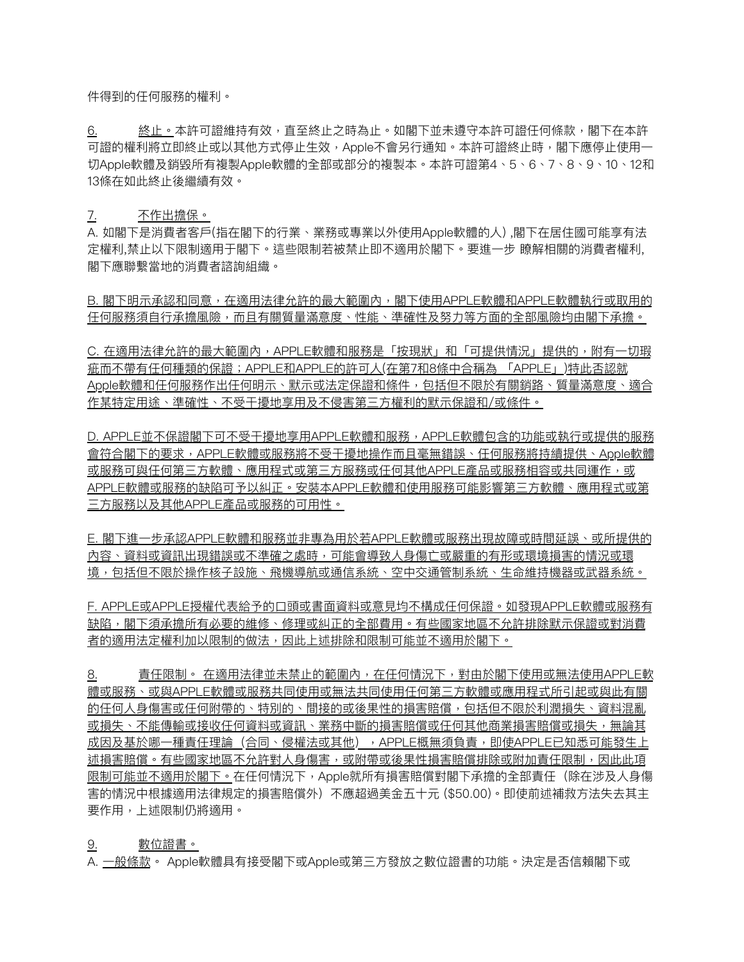件得到的任何服務的權利。

6. 終止。本許可證維持有效,直至終止之時為止。如閣下並未遵守本許可證任何條款,閣下在本許 可證的權利將立即終止或以其他方式停止生效,Apple不會另行通知。本許可證終止時,閣下應停止使用一 切Apple軟體及銷毀所有複製Apple軟體的全部或部分的複製本。本許可證第4、5、6、7、8、9、10、12和 13條在如此終⽌後繼續有效。

### 7. 不作出擔保。

A. 如閣下是消費者客戶(指在閣下的行業、業務或專業以外使用Apple軟體的人) ,閣下在居住國可能享有法 定權利,禁止以下限制適用于閣下。這些限制若被禁止即不適用於閣下。要進一步 瞭解相關的消費者權利, 閣下應聯繫當地的消費者諮詢組織。

B. 閣下明示承認和同意,在適用法律允許的最大範圍內,閣下使用APPLE軟體和APPLE軟體執行或取用的 任何服務須⾃⾏承擔風險,⽽且有關質量滿意度、性能、準確性及努⼒等⽅⾯的全部風險均由閣下承擔。

C. 在適用法律允許的最大範圍內,APPLE軟體和服務是「按現狀」和「可提供情況」提供的,附有一切瑕 疵而不帶有任何種類的保證;APPLE和APPLE的許可人(在第7和8條中合稱為 「APPLE」)特此否認就 Apple軟體和任何服務作出任何明示、默示或法定保證和條件,包括但不限於有關銷路、質量滿意度、適合 作某特定用途、準確性、不受干擾地享用及不侵害第三方權利的默示保證和/或條件。

D. APPLE並不保證閣下可不受干擾地享用APPLE軟體和服務,APPLE軟體包含的功能或執行或提供的服務 會符合閣下的要求,APPLE軟體或服務將不受干擾地操作而且毫無錯誤、任何服務將持續提供、Apple軟體 或服務可與任何第三方軟體、應用程式或第三方服務或任何其他APPLE產品或服務相容或共同運作,或 APPLE軟體或服務的缺陷可予以糾正。安裝本APPLE軟體和使用服務可能影響第三方軟體、應用程式或第 三方服務以及其他APPLE產品或服務的可用性。

E. 閣下進一步承認APPLE軟體和服務並非專為用於若APPLE軟體或服務出現故障或時間延誤、或所提供的 內容、資料或資訊出現錯誤或不準確之處時,可能會導致人身傷亡或嚴重的有形或環境損害的情況或環 境,包括但不限於操作核子設施、飛機導航或通信系統、空中交通管制系統、生命維持機器或武器系統。

F. APPLE或APPLE授權代表給予的⼝頭或書⾯資料或意⾒均不構成任何保證。如發現APPLE軟體或服務有 缺陷,閣下須承擔所有必要的維修、修理或糾正的全部費用。有些國家地區不允許排除默示保證或對消費 者的適用法定權利加以限制的做法,因此上述排除和限制可能並不適用於閣下。

8. 有任限制。 在適用法律並未禁止的範圍內,在任何情況下,對由於閣下使用或無法使用APPLE軟 體或服務、或與APPLE軟體或服務共同使用或無法共同使用任何第三方軟體或應用程式所引起或與此有關 的任何人身傷害或任何附帶的、特別的、間接的或後果性的損害賠償,包括但不限於利潤損失、資料混亂 或損失、不能傳輸或接收任何資料或資訊、業務中斷的損害賠償或任何其他商業損害賠償或損失,無論其 成因及基於哪一種責任理論(合同、侵權法或其他),APPLE概無須負責,即使APPLE已知悉可能發生上 述損害賠償。有些國家地區不允許對人身傷害,或附帶或後果性損害賠償排除或附加責任限制,因此此項 限制可能並不適用於閣下。在任何情況下,Apple就所有損害賠償對閣下承擔的全部責任(除在涉及人身傷 害的情況中根據適用法律規定的損害賠償外)不應超過美金五十元 (\$50.00)。即使前述補救方法失去其主 要作用,上述限制仍將適用。

### 9. 數位證書。

A. <u>一般條款</u>。 Apple軟體具有接受閣下或Apple或第三方發放之數位證書的功能。決定是否信賴閣下或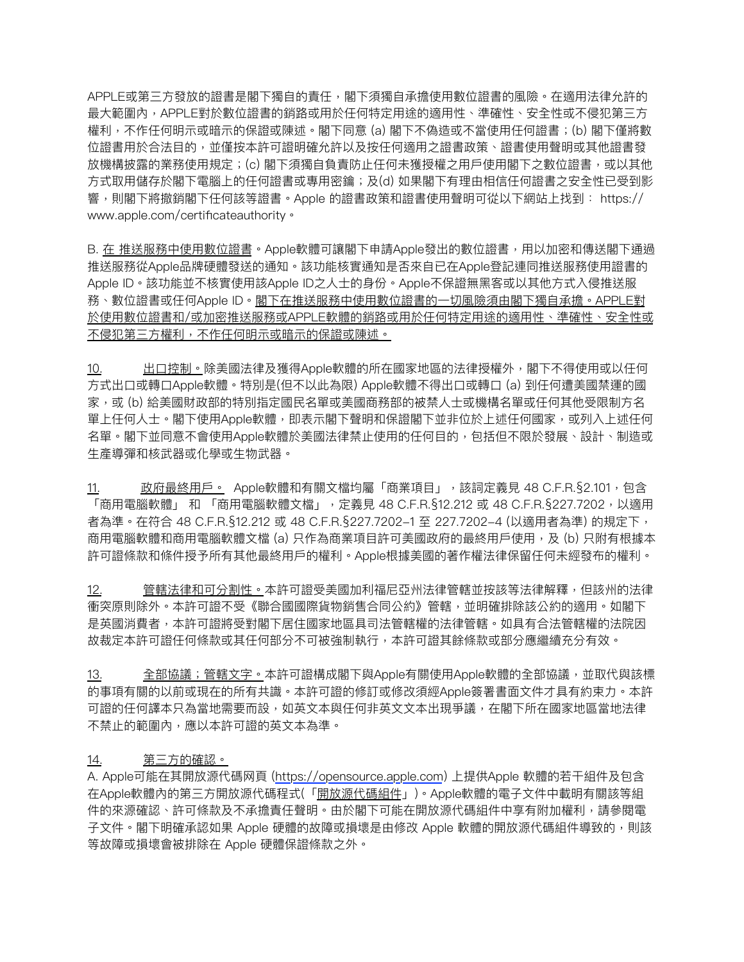APPLE或第三方發放的證書是閣下獨自的責任,閣下須獨自承擔使用數位證書的風險。在適用法律允許的 最大範圍內,APPLE對於數位證書的銷路或用於任何特定用途的適用性、準確性、安全性或不侵犯第三方 權利,不作任何明示或暗示的保證或陳述。閣下同意 (a) 閣下不偽造或不當使用任何證書;(b) 閣下僅將數 位證書用於合法目的,並僅按本許可證明確允許以及按任何適用之證書政策、證書使用聲明或其他證書發 放機構披露的業務使用規定;(c) 閣下須獨自負責防止任何未獲授權之用戶使用閣下之數位證書,或以其他 方式取用儲存於閣下電腦上的任何證書或專用密鑰; 及(d) 如果閣下有理由相信任何證書之安全性已受到影 響,則閣下將撤銷閣下任何該等證書。Apple 的證書政策和證書使用聲明可從以下網站上找到: [https://](https://www.apple.com/certificateauthority) [www.apple.com/certificateauthority](https://www.apple.com/certificateauthority)。

B. 在 推送服務中使用數位證書。Apple軟體可讓閣下申請Apple發出的數位證書,用以加密和傳送閣下通過 推送服務從Apple品牌硬體發送的通知。該功能核實通知是否來⾃已在Apple登記連同推送服務使⽤證書的 Apple ID。該功能並不核實使用該Apple ID之人士的身份。Apple不保證無黑客或以其他方式入侵推送服 務、數位證書或任何Apple ID。閣下在推送服務中使用數位證書的一切風險須由閣下獨自承擔。APPLE對 於使用數位證書和/或加密推送服務或APPLE軟體的銷路或用於任何特定用途的適用性、準確性、安全性或 不侵犯第三方權利,不作任何明示或暗示的保證或陳述。

10. 出口控制。除美國法律及獲得Apple軟體的所在國家地區的法律授權外,閣下不得使用或以任何 方式出口或轉口Apple軟體。特別是(但不以此為限) Apple軟體不得出口或轉口 (a) 到任何遭美國禁運的國 家,或 (b) 給美國財政部的特別指定國民名單或美國商務部的被禁人士或機構名單或任何其他受限制方名 單上任何⼈⼠。閣下使⽤Apple軟體,即表⽰閣下聲明和保證閣下並非位於上述任何國家,或列入上述任何 名單。閣下並同意不會使⽤Apple軟體於美國法律禁⽌使⽤的任何⽬的,包括但不限於發展、設計、制造或 ⽣產導彈和核武器或化學或⽣物武器。

11. 政府最終用戶。 Apple軟體和有關文檔均屬「商業項目」,該詞定義見 48 C.F.R.§2.101,包含 「商用電腦軟體」 和 「商用電腦軟體文檔」,定義見 48 C.F.R.§12.212 或 48 C.F.R.§227.7202,以適用 者為準。在符合 48 C.F.R.§12.212 或 48 C.F.R.§227.7202-1 至 227.7202-4 (以適用者為準) 的規定下, 商用電腦軟體和商用電腦軟體文檔 (a) 只作為商業項目許可美國政府的最終用戶使用,及 (b) 只附有根據本 許可證條款和條件授予所有其他最終⽤⼾的權利。Apple根據美國的著作權法律保留任何未經發布的權利。

12. 管轄法律和可分割性。本許可證受美國加利福尼亞州法律管轄並按該等法律解釋,但該州的法律 衝突原則除外。本許可證不受《聯合國國際貨物銷售合同公約》管轄,並明確排除該公約的適用。如閣下 是英國消費者,本許可證將受對閣下居住國家地區具司法管轄權的法律管轄。如具有合法管轄權的法院因 故裁定本許可證任何條款或其任何部分不可被強制執⾏,本許可證其餘條款或部分應繼續充分有效。

13. 全部協議;管轄文字。本許可證構成閣下與Apple有關使用Apple軟體的全部協議,並取代與該標 的事項有關的以前或現在的所有共識。本許可證的修訂或修改須經Apple簽署書⾯⽂件才具有約束⼒。本許 可證的任何譯本只為當地需要而設,如英文本與任何非英文文本出現爭議,在閣下所在國家地區當地法律 不禁止的範圍內,應以本許可證的英文本為準。

### 14. 第三方的確認。

A. Apple可能在其開放源代碼网頁 (<https://opensource.apple.com>) 上提供Apple 軟體的若干組件及包含 在Apple軟體內的第三方開放源代碼程式(「<u>開放源代碼組件</u>」)。Apple軟體的電子文件中載明有關該等組 件的來源確認、許可條款及不承擔責任聲明。由於閣下可能在開放源代碼組件中享有附加權利,請參閱電 ⼦⽂件。閣下明確承認如果 Apple 硬體的故障或損壞是由修改 Apple 軟體的開放源代碼組件導致的,則該 等故障或損壞會被排除在 Apple 硬體保證條款之外。